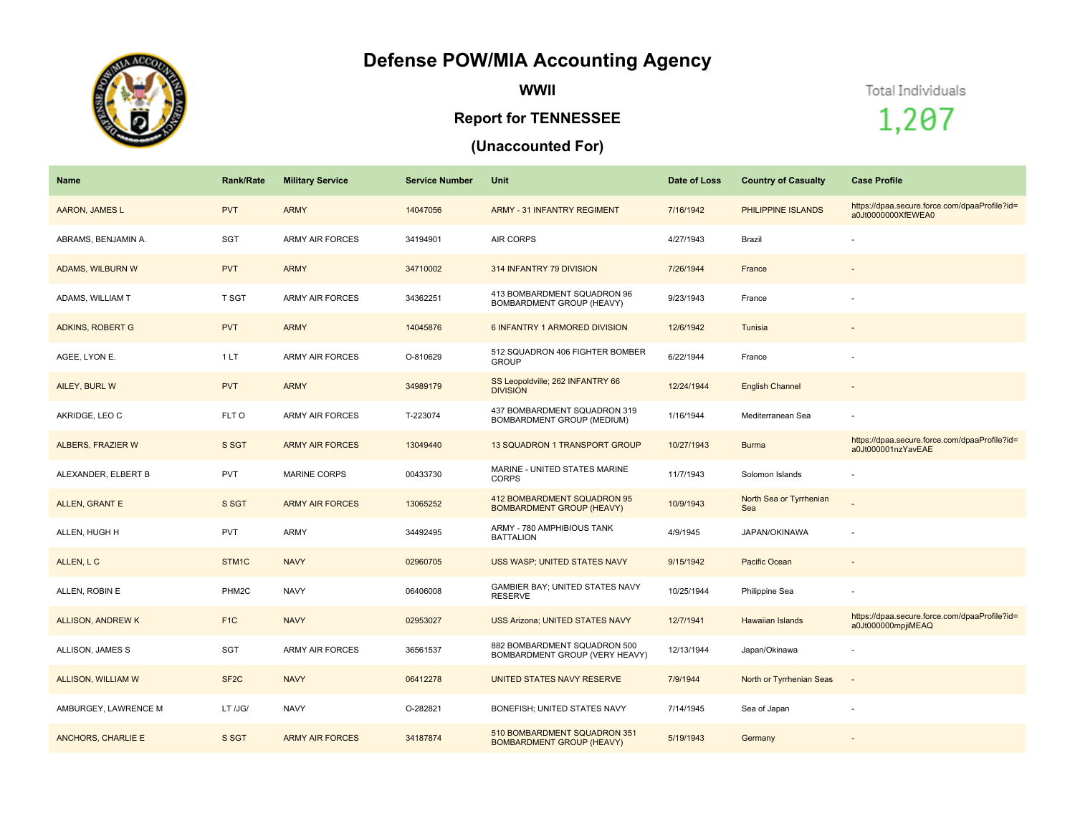## **Defense POW/MIA Accounting Agency**



**WWII**

## **Report for TENNESSEE**

## **(Unaccounted For)**

Total Individuals

1,207

| <b>Name</b>               | <b>Rank/Rate</b>  | <b>Military Service</b> | <b>Service Number</b> | Unit                                                             | Date of Loss | <b>Country of Casualty</b>     | <b>Case Profile</b>                                                 |
|---------------------------|-------------------|-------------------------|-----------------------|------------------------------------------------------------------|--------------|--------------------------------|---------------------------------------------------------------------|
| AARON, JAMES L            | <b>PVT</b>        | <b>ARMY</b>             | 14047056              | ARMY - 31 INFANTRY REGIMENT                                      | 7/16/1942    | PHILIPPINE ISLANDS             | https://dpaa.secure.force.com/dpaaProfile?id=<br>a0Jt0000000XfEWEA0 |
| ABRAMS, BENJAMIN A.       | SGT               | <b>ARMY AIR FORCES</b>  | 34194901              | <b>AIR CORPS</b>                                                 | 4/27/1943    | Brazil                         |                                                                     |
| <b>ADAMS, WILBURN W</b>   | <b>PVT</b>        | <b>ARMY</b>             | 34710002              | 314 INFANTRY 79 DIVISION                                         | 7/26/1944    | France                         |                                                                     |
| ADAMS, WILLIAM T          | T SGT             | <b>ARMY AIR FORCES</b>  | 34362251              | 413 BOMBARDMENT SQUADRON 96<br>BOMBARDMENT GROUP (HEAVY)         | 9/23/1943    | France                         |                                                                     |
| <b>ADKINS, ROBERT G</b>   | <b>PVT</b>        | <b>ARMY</b>             | 14045876              | 6 INFANTRY 1 ARMORED DIVISION                                    | 12/6/1942    | Tunisia                        | $\overline{\phantom{a}}$                                            |
| AGEE, LYON E.             | 1LT               | <b>ARMY AIR FORCES</b>  | O-810629              | 512 SQUADRON 406 FIGHTER BOMBER<br><b>GROUP</b>                  | 6/22/1944    | France                         |                                                                     |
| AILEY, BURL W             | <b>PVT</b>        | <b>ARMY</b>             | 34989179              | SS Leopoldville; 262 INFANTRY 66<br><b>DIVISION</b>              | 12/24/1944   | <b>English Channel</b>         |                                                                     |
| AKRIDGE, LEO C            | FLT O             | <b>ARMY AIR FORCES</b>  | T-223074              | 437 BOMBARDMENT SQUADRON 319<br>BOMBARDMENT GROUP (MEDIUM)       | 1/16/1944    | Mediterranean Sea              |                                                                     |
| ALBERS, FRAZIER W         | S SGT             | <b>ARMY AIR FORCES</b>  | 13049440              | 13 SQUADRON 1 TRANSPORT GROUP                                    | 10/27/1943   | <b>Burma</b>                   | https://dpaa.secure.force.com/dpaaProfile?id=<br>a0Jt000001nzYavEAE |
| ALEXANDER, ELBERT B       | <b>PVT</b>        | <b>MARINE CORPS</b>     | 00433730              | MARINE - UNITED STATES MARINE<br><b>CORPS</b>                    | 11/7/1943    | Solomon Islands                |                                                                     |
| <b>ALLEN, GRANT E</b>     | S SGT             | <b>ARMY AIR FORCES</b>  | 13065252              | 412 BOMBARDMENT SQUADRON 95<br><b>BOMBARDMENT GROUP (HEAVY)</b>  | 10/9/1943    | North Sea or Tyrrhenian<br>Sea |                                                                     |
| ALLEN, HUGH H             | <b>PVT</b>        | ARMY                    | 34492495              | ARMY - 780 AMPHIBIOUS TANK<br><b>BATTALION</b>                   | 4/9/1945     | JAPAN/OKINAWA                  |                                                                     |
| ALLEN, L C                | STM1C             | <b>NAVY</b>             | 02960705              | USS WASP; UNITED STATES NAVY                                     | 9/15/1942    | Pacific Ocean                  |                                                                     |
| ALLEN, ROBIN E            | PHM2C             | <b>NAVY</b>             | 06406008              | GAMBIER BAY; UNITED STATES NAVY<br><b>RESERVE</b>                | 10/25/1944   | Philippine Sea                 |                                                                     |
| ALLISON, ANDREW K         | F <sub>1</sub> C  | <b>NAVY</b>             | 02953027              | <b>USS Arizona; UNITED STATES NAVY</b>                           | 12/7/1941    | Hawaiian Islands               | https://dpaa.secure.force.com/dpaaProfile?id=<br>a0Jt000000mpjiMEAQ |
| ALLISON, JAMES S          | SGT               | <b>ARMY AIR FORCES</b>  | 36561537              | 882 BOMBARDMENT SQUADRON 500<br>BOMBARDMENT GROUP (VERY HEAVY)   | 12/13/1944   | Japan/Okinawa                  |                                                                     |
| ALLISON, WILLIAM W        | SF <sub>2</sub> C | <b>NAVY</b>             | 06412278              | UNITED STATES NAVY RESERVE                                       | 7/9/1944     | North or Tyrrhenian Seas       | $\sim$                                                              |
| AMBURGEY, LAWRENCE M      | LT /JG/           | <b>NAVY</b>             | O-282821              | BONEFISH; UNITED STATES NAVY                                     | 7/14/1945    | Sea of Japan                   |                                                                     |
| <b>ANCHORS, CHARLIE E</b> | S SGT             | <b>ARMY AIR FORCES</b>  | 34187874              | 510 BOMBARDMENT SQUADRON 351<br><b>BOMBARDMENT GROUP (HEAVY)</b> | 5/19/1943    | Germany                        |                                                                     |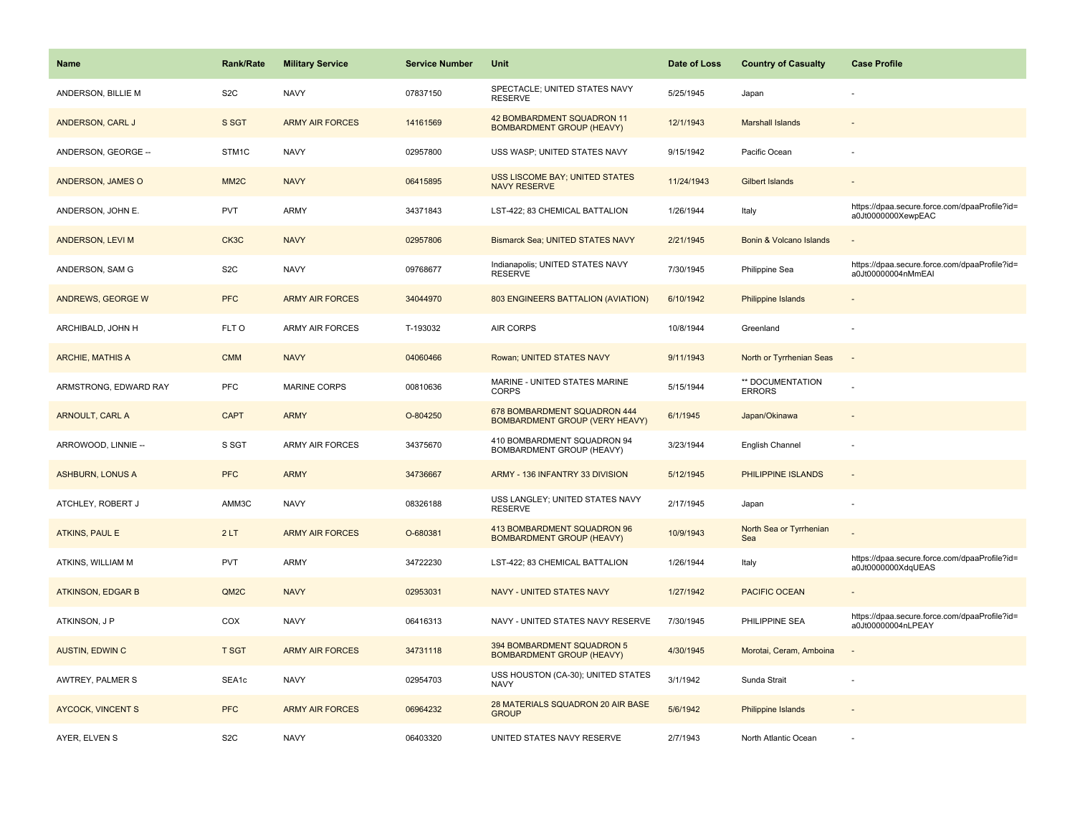| Name                     | <b>Rank/Rate</b>  | <b>Military Service</b> | <b>Service Number</b> | Unit                                                                  | Date of Loss | <b>Country of Casualty</b>        | <b>Case Profile</b>                                                 |
|--------------------------|-------------------|-------------------------|-----------------------|-----------------------------------------------------------------------|--------------|-----------------------------------|---------------------------------------------------------------------|
| ANDERSON, BILLIE M       | S <sub>2</sub> C  | <b>NAVY</b>             | 07837150              | SPECTACLE; UNITED STATES NAVY<br><b>RESERVE</b>                       | 5/25/1945    | Japan                             |                                                                     |
| ANDERSON, CARL J         | S SGT             | <b>ARMY AIR FORCES</b>  | 14161569              | 42 BOMBARDMENT SQUADRON 11<br><b>BOMBARDMENT GROUP (HEAVY)</b>        | 12/1/1943    | <b>Marshall Islands</b>           |                                                                     |
| ANDERSON, GEORGE --      | STM1C             | <b>NAVY</b>             | 02957800              | USS WASP; UNITED STATES NAVY                                          | 9/15/1942    | Pacific Ocean                     |                                                                     |
| ANDERSON, JAMES O        | MM <sub>2</sub> C | <b>NAVY</b>             | 06415895              | <b>USS LISCOME BAY; UNITED STATES</b><br><b>NAVY RESERVE</b>          | 11/24/1943   | <b>Gilbert Islands</b>            |                                                                     |
| ANDERSON, JOHN E.        | <b>PVT</b>        | ARMY                    | 34371843              | LST-422; 83 CHEMICAL BATTALION                                        | 1/26/1944    | Italy                             | https://dpaa.secure.force.com/dpaaProfile?id=<br>a0Jt0000000XewpEAC |
| ANDERSON, LEVI M         | CK3C              | <b>NAVY</b>             | 02957806              | Bismarck Sea; UNITED STATES NAVY                                      | 2/21/1945    | Bonin & Volcano Islands           |                                                                     |
| ANDERSON, SAM G          | S <sub>2</sub> C  | <b>NAVY</b>             | 09768677              | Indianapolis; UNITED STATES NAVY<br><b>RESERVE</b>                    | 7/30/1945    | Philippine Sea                    | https://dpaa.secure.force.com/dpaaProfile?id=<br>a0Jt00000004nMmEAI |
| <b>ANDREWS, GEORGE W</b> | <b>PFC</b>        | <b>ARMY AIR FORCES</b>  | 34044970              | 803 ENGINEERS BATTALION (AVIATION)                                    | 6/10/1942    | <b>Philippine Islands</b>         |                                                                     |
| ARCHIBALD, JOHN H        | FLT O             | ARMY AIR FORCES         | T-193032              | AIR CORPS                                                             | 10/8/1944    | Greenland                         |                                                                     |
| <b>ARCHIE, MATHIS A</b>  | <b>CMM</b>        | <b>NAVY</b>             | 04060466              | Rowan; UNITED STATES NAVY                                             | 9/11/1943    | North or Tyrrhenian Seas          |                                                                     |
| ARMSTRONG, EDWARD RAY    | <b>PFC</b>        | <b>MARINE CORPS</b>     | 00810636              | MARINE - UNITED STATES MARINE<br><b>CORPS</b>                         | 5/15/1944    | ** DOCUMENTATION<br><b>ERRORS</b> |                                                                     |
| <b>ARNOULT, CARL A</b>   | <b>CAPT</b>       | <b>ARMY</b>             | O-804250              | 678 BOMBARDMENT SQUADRON 444<br><b>BOMBARDMENT GROUP (VERY HEAVY)</b> | 6/1/1945     | Japan/Okinawa                     |                                                                     |
| ARROWOOD, LINNIE --      | S SGT             | <b>ARMY AIR FORCES</b>  | 34375670              | 410 BOMBARDMENT SQUADRON 94<br>BOMBARDMENT GROUP (HEAVY)              | 3/23/1944    | English Channel                   |                                                                     |
| <b>ASHBURN, LONUS A</b>  | <b>PFC</b>        | <b>ARMY</b>             | 34736667              | ARMY - 136 INFANTRY 33 DIVISION                                       | 5/12/1945    | PHILIPPINE ISLANDS                | $\sim$                                                              |
| ATCHLEY, ROBERT J        | AMM3C             | <b>NAVY</b>             | 08326188              | USS LANGLEY; UNITED STATES NAVY<br><b>RESERVE</b>                     | 2/17/1945    | Japan                             |                                                                     |
| <b>ATKINS, PAUL E</b>    | 2LT               | <b>ARMY AIR FORCES</b>  | O-680381              | 413 BOMBARDMENT SQUADRON 96<br><b>BOMBARDMENT GROUP (HEAVY)</b>       | 10/9/1943    | North Sea or Tyrrhenian<br>Sea    |                                                                     |
| ATKINS, WILLIAM M        | <b>PVT</b>        | <b>ARMY</b>             | 34722230              | LST-422; 83 CHEMICAL BATTALION                                        | 1/26/1944    | Italy                             | https://dpaa.secure.force.com/dpaaProfile?id=<br>a0Jt0000000XdqUEAS |
| <b>ATKINSON, EDGAR B</b> | QM <sub>2</sub> C | <b>NAVY</b>             | 02953031              | NAVY - UNITED STATES NAVY                                             | 1/27/1942    | <b>PACIFIC OCEAN</b>              |                                                                     |
| ATKINSON, J P            | COX               | <b>NAVY</b>             | 06416313              | NAVY - UNITED STATES NAVY RESERVE                                     | 7/30/1945    | PHILIPPINE SEA                    | https://dpaa.secure.force.com/dpaaProfile?id=<br>a0Jt00000004nLPEAY |
| <b>AUSTIN, EDWIN C</b>   | <b>T SGT</b>      | <b>ARMY AIR FORCES</b>  | 34731118              | 394 BOMBARDMENT SQUADRON 5<br><b>BOMBARDMENT GROUP (HEAVY)</b>        | 4/30/1945    | Morotai, Ceram, Amboina           | $\sim$                                                              |
| AWTREY, PALMER S         | SEA1c             | <b>NAVY</b>             | 02954703              | USS HOUSTON (CA-30); UNITED STATES<br><b>NAVY</b>                     | 3/1/1942     | Sunda Strait                      |                                                                     |
| <b>AYCOCK, VINCENT S</b> | <b>PFC</b>        | <b>ARMY AIR FORCES</b>  | 06964232              | 28 MATERIALS SQUADRON 20 AIR BASE<br><b>GROUP</b>                     | 5/6/1942     | Philippine Islands                |                                                                     |
| AYER, ELVEN S            | S <sub>2</sub> C  | <b>NAVY</b>             | 06403320              | UNITED STATES NAVY RESERVE                                            | 2/7/1943     | North Atlantic Ocean              |                                                                     |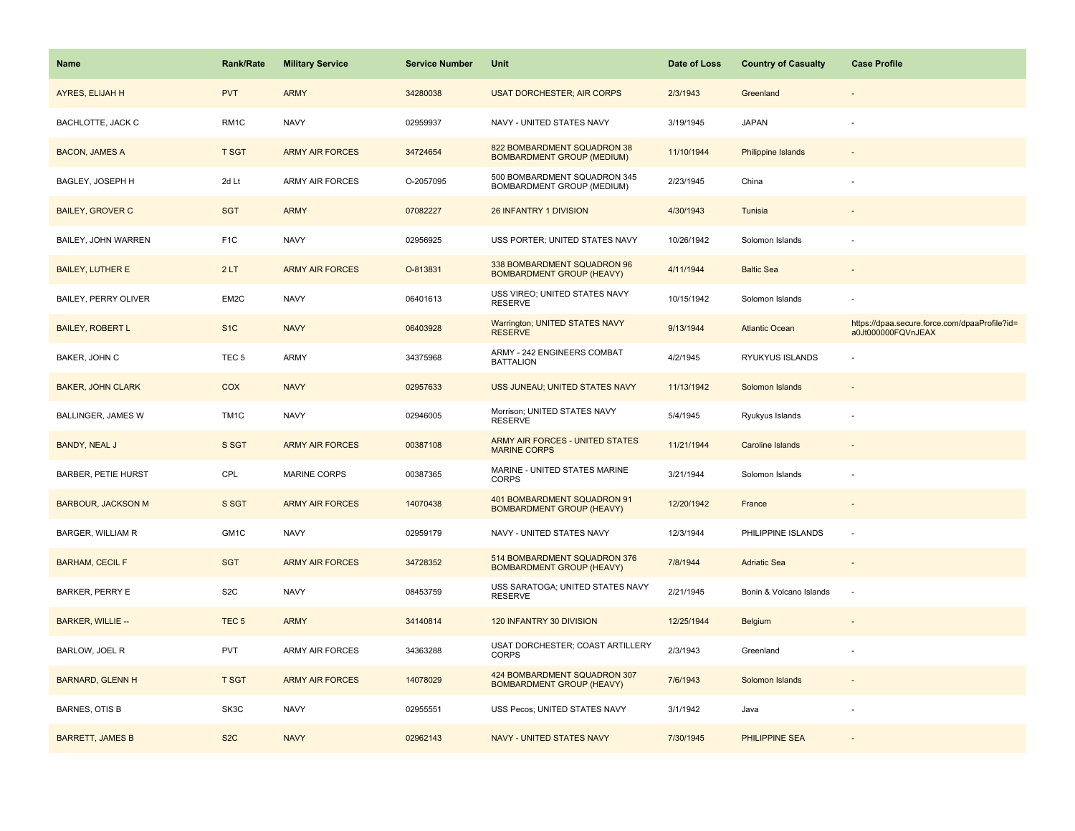| Name                       | <b>Rank/Rate</b>  | <b>Military Service</b> | <b>Service Number</b> | Unit                                                              | Date of Loss | <b>Country of Casualty</b> | <b>Case Profile</b>                                                 |
|----------------------------|-------------------|-------------------------|-----------------------|-------------------------------------------------------------------|--------------|----------------------------|---------------------------------------------------------------------|
| AYRES, ELIJAH H            | <b>PVT</b>        | <b>ARMY</b>             | 34280038              | <b>USAT DORCHESTER; AIR CORPS</b>                                 | 2/3/1943     | Greenland                  |                                                                     |
| BACHLOTTE, JACK C          | RM1C              | <b>NAVY</b>             | 02959937              | NAVY - UNITED STATES NAVY                                         | 3/19/1945    | <b>JAPAN</b>               |                                                                     |
| <b>BACON, JAMES A</b>      | <b>T SGT</b>      | <b>ARMY AIR FORCES</b>  | 34724654              | 822 BOMBARDMENT SQUADRON 38<br><b>BOMBARDMENT GROUP (MEDIUM)</b>  | 11/10/1944   | <b>Philippine Islands</b>  |                                                                     |
| BAGLEY, JOSEPH H           | 2d Lt             | <b>ARMY AIR FORCES</b>  | O-2057095             | 500 BOMBARDMENT SQUADRON 345<br><b>BOMBARDMENT GROUP (MEDIUM)</b> | 2/23/1945    | China                      |                                                                     |
| <b>BAILEY, GROVER C</b>    | <b>SGT</b>        | <b>ARMY</b>             | 07082227              | 26 INFANTRY 1 DIVISION                                            | 4/30/1943    | Tunisia                    |                                                                     |
| BAILEY, JOHN WARREN        | F <sub>1</sub> C  | <b>NAVY</b>             | 02956925              | USS PORTER; UNITED STATES NAVY                                    | 10/26/1942   | Solomon Islands            |                                                                     |
| <b>BAILEY, LUTHER E</b>    | 2LT               | <b>ARMY AIR FORCES</b>  | O-813831              | 338 BOMBARDMENT SQUADRON 96<br><b>BOMBARDMENT GROUP (HEAVY)</b>   | 4/11/1944    | <b>Baltic Sea</b>          |                                                                     |
| BAILEY, PERRY OLIVER       | EM2C              | <b>NAVY</b>             | 06401613              | USS VIREO; UNITED STATES NAVY<br><b>RESERVE</b>                   | 10/15/1942   | Solomon Islands            |                                                                     |
| <b>BAILEY, ROBERT L</b>    | S <sub>1</sub> C  | <b>NAVY</b>             | 06403928              | Warrington; UNITED STATES NAVY<br><b>RESERVE</b>                  | 9/13/1944    | <b>Atlantic Ocean</b>      | https://dpaa.secure.force.com/dpaaProfile?id=<br>a0Jt000000FQVnJEAX |
| BAKER, JOHN C              | TEC <sub>5</sub>  | ARMY                    | 34375968              | ARMY - 242 ENGINEERS COMBAT<br><b>BATTALION</b>                   | 4/2/1945     | RYUKYUS ISLANDS            |                                                                     |
| <b>BAKER, JOHN CLARK</b>   | <b>COX</b>        | <b>NAVY</b>             | 02957633              | USS JUNEAU; UNITED STATES NAVY                                    | 11/13/1942   | Solomon Islands            |                                                                     |
| BALLINGER, JAMES W         | TM <sub>1</sub> C | <b>NAVY</b>             | 02946005              | Morrison; UNITED STATES NAVY<br><b>RESERVE</b>                    | 5/4/1945     | Ryukyus Islands            |                                                                     |
| <b>BANDY, NEAL J</b>       | S SGT             | <b>ARMY AIR FORCES</b>  | 00387108              | ARMY AIR FORCES - UNITED STATES<br><b>MARINE CORPS</b>            | 11/21/1944   | <b>Caroline Islands</b>    |                                                                     |
| <b>BARBER, PETIE HURST</b> | CPL               | <b>MARINE CORPS</b>     | 00387365              | MARINE - UNITED STATES MARINE<br><b>CORPS</b>                     | 3/21/1944    | Solomon Islands            |                                                                     |
| <b>BARBOUR, JACKSON M</b>  | S SGT             | <b>ARMY AIR FORCES</b>  | 14070438              | 401 BOMBARDMENT SQUADRON 91<br><b>BOMBARDMENT GROUP (HEAVY)</b>   | 12/20/1942   | France                     |                                                                     |
| BARGER, WILLIAM R          | GM1C              | <b>NAVY</b>             | 02959179              | NAVY - UNITED STATES NAVY                                         | 12/3/1944    | PHILIPPINE ISLANDS         | ÷,                                                                  |
| <b>BARHAM, CECIL F</b>     | <b>SGT</b>        | <b>ARMY AIR FORCES</b>  | 34728352              | 514 BOMBARDMENT SQUADRON 376<br><b>BOMBARDMENT GROUP (HEAVY)</b>  | 7/8/1944     | <b>Adriatic Sea</b>        |                                                                     |
| <b>BARKER, PERRY E</b>     | S <sub>2</sub> C  | <b>NAVY</b>             | 08453759              | USS SARATOGA; UNITED STATES NAVY<br><b>RESERVE</b>                | 2/21/1945    | Bonin & Volcano Islands    | ÷,                                                                  |
| <b>BARKER, WILLIE --</b>   | TEC <sub>5</sub>  | <b>ARMY</b>             | 34140814              | 120 INFANTRY 30 DIVISION                                          | 12/25/1944   | Belgium                    |                                                                     |
| BARLOW, JOEL R             | <b>PVT</b>        | ARMY AIR FORCES         | 34363288              | USAT DORCHESTER; COAST ARTILLERY<br><b>CORPS</b>                  | 2/3/1943     | Greenland                  |                                                                     |
| <b>BARNARD, GLENN H</b>    | <b>T SGT</b>      | <b>ARMY AIR FORCES</b>  | 14078029              | 424 BOMBARDMENT SQUADRON 307<br><b>BOMBARDMENT GROUP (HEAVY)</b>  | 7/6/1943     | Solomon Islands            |                                                                     |
| BARNES, OTIS B             | SK3C              | <b>NAVY</b>             | 02955551              | USS Pecos; UNITED STATES NAVY                                     | 3/1/1942     | Java                       |                                                                     |
| <b>BARRETT, JAMES B</b>    | S <sub>2</sub> C  | <b>NAVY</b>             | 02962143              | <b>NAVY - UNITED STATES NAVY</b>                                  | 7/30/1945    | <b>PHILIPPINE SEA</b>      |                                                                     |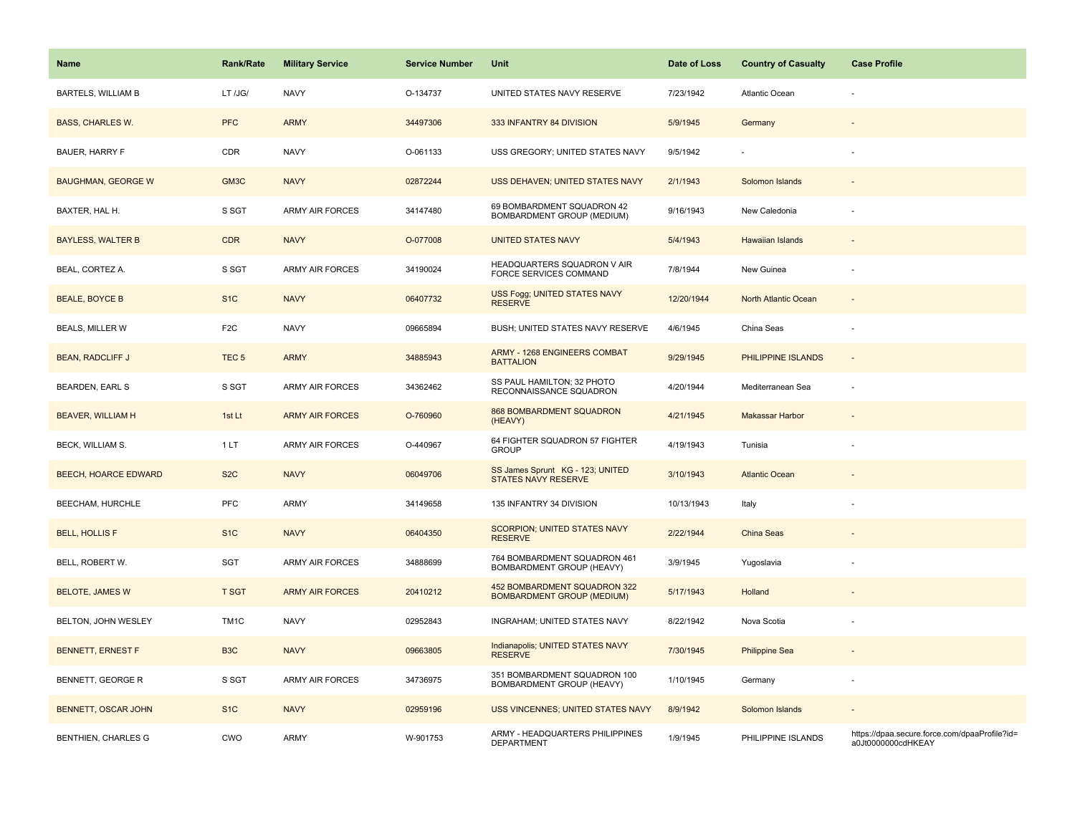| Name                        | <b>Rank/Rate</b>  | <b>Military Service</b> | <b>Service Number</b> | Unit                                                              | Date of Loss | <b>Country of Casualty</b> | <b>Case Profile</b>                                                 |
|-----------------------------|-------------------|-------------------------|-----------------------|-------------------------------------------------------------------|--------------|----------------------------|---------------------------------------------------------------------|
| <b>BARTELS, WILLIAM B</b>   | LT /JG/           | <b>NAVY</b>             | O-134737              | UNITED STATES NAVY RESERVE                                        | 7/23/1942    | Atlantic Ocean             |                                                                     |
| <b>BASS, CHARLES W.</b>     | <b>PFC</b>        | <b>ARMY</b>             | 34497306              | 333 INFANTRY 84 DIVISION                                          | 5/9/1945     | Germany                    |                                                                     |
| BAUER, HARRY F              | CDR               | <b>NAVY</b>             | O-061133              | USS GREGORY; UNITED STATES NAVY                                   | 9/5/1942     |                            |                                                                     |
| <b>BAUGHMAN, GEORGE W</b>   | GM3C              | <b>NAVY</b>             | 02872244              | USS DEHAVEN; UNITED STATES NAVY                                   | 2/1/1943     | Solomon Islands            |                                                                     |
| BAXTER, HAL H.              | S SGT             | <b>ARMY AIR FORCES</b>  | 34147480              | 69 BOMBARDMENT SQUADRON 42<br>BOMBARDMENT GROUP (MEDIUM)          | 9/16/1943    | New Caledonia              |                                                                     |
| <b>BAYLESS, WALTER B</b>    | <b>CDR</b>        | <b>NAVY</b>             | O-077008              | <b>UNITED STATES NAVY</b>                                         | 5/4/1943     | <b>Hawaiian Islands</b>    |                                                                     |
| BEAL, CORTEZ A.             | S SGT             | <b>ARMY AIR FORCES</b>  | 34190024              | HEADQUARTERS SQUADRON V AIR<br>FORCE SERVICES COMMAND             | 7/8/1944     | New Guinea                 |                                                                     |
| <b>BEALE, BOYCE B</b>       | S <sub>1</sub> C  | <b>NAVY</b>             | 06407732              | USS Fogg; UNITED STATES NAVY<br><b>RESERVE</b>                    | 12/20/1944   | North Atlantic Ocean       | $\overline{a}$                                                      |
| <b>BEALS, MILLER W</b>      | F <sub>2</sub> C  | <b>NAVY</b>             | 09665894              | BUSH; UNITED STATES NAVY RESERVE                                  | 4/6/1945     | China Seas                 | ä,                                                                  |
| <b>BEAN, RADCLIFF J</b>     | TEC <sub>5</sub>  | <b>ARMY</b>             | 34885943              | ARMY - 1268 ENGINEERS COMBAT<br><b>BATTALION</b>                  | 9/29/1945    | PHILIPPINE ISLANDS         | $\overline{a}$                                                      |
| <b>BEARDEN, EARL S</b>      | S SGT             | <b>ARMY AIR FORCES</b>  | 34362462              | SS PAUL HAMILTON; 32 PHOTO<br>RECONNAISSANCE SQUADRON             | 4/20/1944    | Mediterranean Sea          | ä,                                                                  |
| <b>BEAVER, WILLIAM H</b>    | 1st Lt            | <b>ARMY AIR FORCES</b>  | O-760960              | 868 BOMBARDMENT SQUADRON<br>(HEAVY)                               | 4/21/1945    | <b>Makassar Harbor</b>     |                                                                     |
| <b>BECK, WILLIAM S.</b>     | 1LT               | <b>ARMY AIR FORCES</b>  | O-440967              | 64 FIGHTER SQUADRON 57 FIGHTER<br><b>GROUP</b>                    | 4/19/1943    | Tunisia                    |                                                                     |
| <b>BEECH, HOARCE EDWARD</b> | S <sub>2</sub> C  | <b>NAVY</b>             | 06049706              | SS James Sprunt KG - 123; UNITED<br>STATES NAVY RESERVE           | 3/10/1943    | <b>Atlantic Ocean</b>      |                                                                     |
| BEECHAM, HURCHLE            | <b>PFC</b>        | <b>ARMY</b>             | 34149658              | 135 INFANTRY 34 DIVISION                                          | 10/13/1943   | Italy                      |                                                                     |
| <b>BELL, HOLLIS F</b>       | S <sub>1</sub> C  | <b>NAVY</b>             | 06404350              | SCORPION; UNITED STATES NAVY<br><b>RESERVE</b>                    | 2/22/1944    | China Seas                 |                                                                     |
| BELL, ROBERT W.             | SGT               | <b>ARMY AIR FORCES</b>  | 34888699              | 764 BOMBARDMENT SQUADRON 461<br>BOMBARDMENT GROUP (HEAVY)         | 3/9/1945     | Yugoslavia                 |                                                                     |
| <b>BELOTE, JAMES W</b>      | <b>T SGT</b>      | <b>ARMY AIR FORCES</b>  | 20410212              | 452 BOMBARDMENT SQUADRON 322<br><b>BOMBARDMENT GROUP (MEDIUM)</b> | 5/17/1943    | Holland                    |                                                                     |
| BELTON, JOHN WESLEY         | TM <sub>1</sub> C | <b>NAVY</b>             | 02952843              | INGRAHAM; UNITED STATES NAVY                                      | 8/22/1942    | Nova Scotia                |                                                                     |
| <b>BENNETT, ERNEST F</b>    | B <sub>3</sub> C  | <b>NAVY</b>             | 09663805              | Indianapolis; UNITED STATES NAVY<br><b>RESERVE</b>                | 7/30/1945    | <b>Philippine Sea</b>      |                                                                     |
| BENNETT, GEORGE R           | S SGT             | <b>ARMY AIR FORCES</b>  | 34736975              | 351 BOMBARDMENT SQUADRON 100<br>BOMBARDMENT GROUP (HEAVY)         | 1/10/1945    | Germany                    |                                                                     |
| BENNETT, OSCAR JOHN         | S <sub>1C</sub>   | <b>NAVY</b>             | 02959196              | USS VINCENNES; UNITED STATES NAVY                                 | 8/9/1942     | Solomon Islands            |                                                                     |
| <b>BENTHIEN, CHARLES G</b>  | <b>CWO</b>        | <b>ARMY</b>             | W-901753              | ARMY - HEADQUARTERS PHILIPPINES<br>DEPARTMENT                     | 1/9/1945     | PHILIPPINE ISLANDS         | https://dpaa.secure.force.com/dpaaProfile?id=<br>a0Jt0000000cdHKEAY |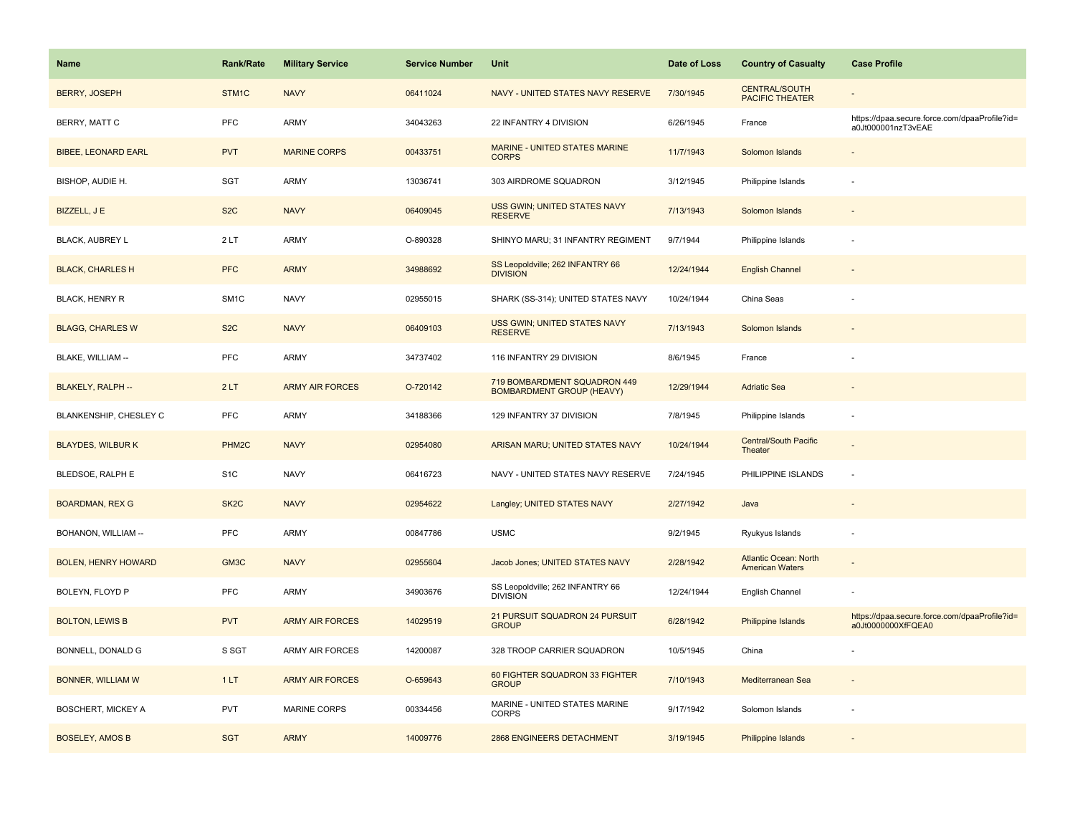| <b>Name</b>                | <b>Rank/Rate</b>  | <b>Military Service</b> | <b>Service Number</b> | Unit                                                             | Date of Loss | <b>Country of Casualty</b>                             | <b>Case Profile</b>                                                 |
|----------------------------|-------------------|-------------------------|-----------------------|------------------------------------------------------------------|--------------|--------------------------------------------------------|---------------------------------------------------------------------|
| <b>BERRY, JOSEPH</b>       | STM1C             | <b>NAVY</b>             | 06411024              | NAVY - UNITED STATES NAVY RESERVE                                | 7/30/1945    | <b>CENTRAL/SOUTH</b><br><b>PACIFIC THEATER</b>         |                                                                     |
| BERRY, MATT C              | PFC               | ARMY                    | 34043263              | 22 INFANTRY 4 DIVISION                                           | 6/26/1945    | France                                                 | https://dpaa.secure.force.com/dpaaProfile?id=<br>a0Jt000001nzT3vEAE |
| <b>BIBEE, LEONARD EARL</b> | <b>PVT</b>        | <b>MARINE CORPS</b>     | 00433751              | <b>MARINE - UNITED STATES MARINE</b><br><b>CORPS</b>             | 11/7/1943    | Solomon Islands                                        |                                                                     |
| BISHOP, AUDIE H.           | SGT               | ARMY                    | 13036741              | 303 AIRDROME SQUADRON                                            | 3/12/1945    | Philippine Islands                                     |                                                                     |
| BIZZELL, J E               | S <sub>2</sub> C  | <b>NAVY</b>             | 06409045              | <b>USS GWIN; UNITED STATES NAVY</b><br><b>RESERVE</b>            | 7/13/1943    | Solomon Islands                                        |                                                                     |
| <b>BLACK, AUBREY L</b>     | 2LT               | ARMY                    | O-890328              | SHINYO MARU; 31 INFANTRY REGIMENT                                | 9/7/1944     | Philippine Islands                                     |                                                                     |
| <b>BLACK, CHARLES H</b>    | <b>PFC</b>        | <b>ARMY</b>             | 34988692              | SS Leopoldville; 262 INFANTRY 66<br><b>DIVISION</b>              | 12/24/1944   | <b>English Channel</b>                                 |                                                                     |
| <b>BLACK, HENRY R</b>      | SM <sub>1</sub> C | <b>NAVY</b>             | 02955015              | SHARK (SS-314); UNITED STATES NAVY                               | 10/24/1944   | China Seas                                             |                                                                     |
| <b>BLAGG, CHARLES W</b>    | S <sub>2</sub> C  | <b>NAVY</b>             | 06409103              | USS GWIN; UNITED STATES NAVY<br><b>RESERVE</b>                   | 7/13/1943    | Solomon Islands                                        |                                                                     |
| BLAKE, WILLIAM --          | <b>PFC</b>        | ARMY                    | 34737402              | 116 INFANTRY 29 DIVISION                                         | 8/6/1945     | France                                                 |                                                                     |
| <b>BLAKELY, RALPH --</b>   | 2LT               | <b>ARMY AIR FORCES</b>  | O-720142              | 719 BOMBARDMENT SQUADRON 449<br><b>BOMBARDMENT GROUP (HEAVY)</b> | 12/29/1944   | <b>Adriatic Sea</b>                                    |                                                                     |
| BLANKENSHIP, CHESLEY C     | <b>PFC</b>        | <b>ARMY</b>             | 34188366              | 129 INFANTRY 37 DIVISION                                         | 7/8/1945     | Philippine Islands                                     |                                                                     |
| <b>BLAYDES, WILBURK</b>    | PHM <sub>2C</sub> | <b>NAVY</b>             | 02954080              | ARISAN MARU; UNITED STATES NAVY                                  | 10/24/1944   | <b>Central/South Pacific</b><br>Theater                |                                                                     |
| BLEDSOE, RALPH E           | S <sub>1</sub> C  | <b>NAVY</b>             | 06416723              | NAVY - UNITED STATES NAVY RESERVE                                | 7/24/1945    | PHILIPPINE ISLANDS                                     | $\sim$                                                              |
| <b>BOARDMAN, REX G</b>     | SK <sub>2</sub> C | <b>NAVY</b>             | 02954622              | Langley; UNITED STATES NAVY                                      | 2/27/1942    | Java                                                   |                                                                     |
| BOHANON, WILLIAM --        | PFC               | ARMY                    | 00847786              | <b>USMC</b>                                                      | 9/2/1945     | Ryukyus Islands                                        |                                                                     |
| <b>BOLEN, HENRY HOWARD</b> | GM3C              | <b>NAVY</b>             | 02955604              | Jacob Jones; UNITED STATES NAVY                                  | 2/28/1942    | <b>Atlantic Ocean: North</b><br><b>American Waters</b> |                                                                     |
| BOLEYN, FLOYD P            | <b>PFC</b>        | ARMY                    | 34903676              | SS Leopoldville; 262 INFANTRY 66<br><b>DIVISION</b>              | 12/24/1944   | English Channel                                        |                                                                     |
| <b>BOLTON, LEWIS B</b>     | <b>PVT</b>        | <b>ARMY AIR FORCES</b>  | 14029519              | 21 PURSUIT SQUADRON 24 PURSUIT<br><b>GROUP</b>                   | 6/28/1942    | Philippine Islands                                     | https://dpaa.secure.force.com/dpaaProfile?id=<br>a0Jt0000000XfFQEA0 |
| BONNELL, DONALD G          | S SGT             | ARMY AIR FORCES         | 14200087              | 328 TROOP CARRIER SQUADRON                                       | 10/5/1945    | China                                                  |                                                                     |
| <b>BONNER, WILLIAM W</b>   | 1LT               | <b>ARMY AIR FORCES</b>  | O-659643              | 60 FIGHTER SQUADRON 33 FIGHTER<br><b>GROUP</b>                   | 7/10/1943    | Mediterranean Sea                                      |                                                                     |
| BOSCHERT, MICKEY A         | <b>PVT</b>        | <b>MARINE CORPS</b>     | 00334456              | MARINE - UNITED STATES MARINE<br><b>CORPS</b>                    | 9/17/1942    | Solomon Islands                                        |                                                                     |
| <b>BOSELEY, AMOS B</b>     | <b>SGT</b>        | <b>ARMY</b>             | 14009776              | 2868 ENGINEERS DETACHMENT                                        | 3/19/1945    | Philippine Islands                                     |                                                                     |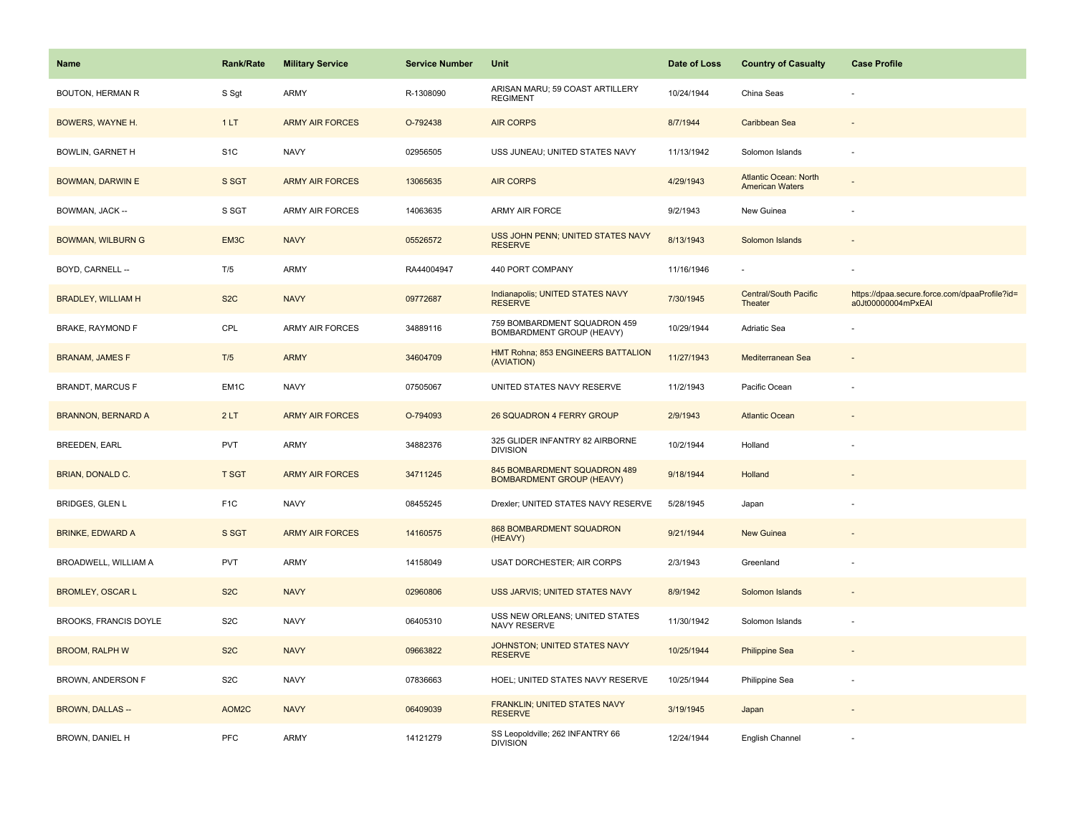| <b>Name</b>                  | <b>Rank/Rate</b> | <b>Military Service</b> | <b>Service Number</b> | Unit                                                             | Date of Loss | <b>Country of Casualty</b>                             | <b>Case Profile</b>                                                 |
|------------------------------|------------------|-------------------------|-----------------------|------------------------------------------------------------------|--------------|--------------------------------------------------------|---------------------------------------------------------------------|
| <b>BOUTON, HERMAN R</b>      | S Sgt            | ARMY                    | R-1308090             | ARISAN MARU; 59 COAST ARTILLERY<br><b>REGIMENT</b>               | 10/24/1944   | China Seas                                             |                                                                     |
| BOWERS, WAYNE H.             | 1LT              | <b>ARMY AIR FORCES</b>  | O-792438              | <b>AIR CORPS</b>                                                 | 8/7/1944     | Caribbean Sea                                          |                                                                     |
| <b>BOWLIN, GARNET H</b>      | S <sub>1</sub> C | <b>NAVY</b>             | 02956505              | USS JUNEAU; UNITED STATES NAVY                                   | 11/13/1942   | Solomon Islands                                        |                                                                     |
| <b>BOWMAN, DARWIN E</b>      | S SGT            | <b>ARMY AIR FORCES</b>  | 13065635              | <b>AIR CORPS</b>                                                 | 4/29/1943    | <b>Atlantic Ocean: North</b><br><b>American Waters</b> |                                                                     |
| BOWMAN, JACK --              | S SGT            | <b>ARMY AIR FORCES</b>  | 14063635              | ARMY AIR FORCE                                                   | 9/2/1943     | New Guinea                                             |                                                                     |
| <b>BOWMAN, WILBURN G</b>     | EM3C             | <b>NAVY</b>             | 05526572              | USS JOHN PENN; UNITED STATES NAVY<br><b>RESERVE</b>              | 8/13/1943    | Solomon Islands                                        |                                                                     |
| BOYD, CARNELL --             | T/5              | ARMY                    | RA44004947            | 440 PORT COMPANY                                                 | 11/16/1946   |                                                        |                                                                     |
| <b>BRADLEY, WILLIAM H</b>    | S <sub>2</sub> C | <b>NAVY</b>             | 09772687              | Indianapolis; UNITED STATES NAVY<br><b>RESERVE</b>               | 7/30/1945    | <b>Central/South Pacific</b><br>Theater                | https://dpaa.secure.force.com/dpaaProfile?id=<br>a0Jt00000004mPxEAI |
| BRAKE, RAYMOND F             | CPL              | <b>ARMY AIR FORCES</b>  | 34889116              | 759 BOMBARDMENT SQUADRON 459<br>BOMBARDMENT GROUP (HEAVY)        | 10/29/1944   | Adriatic Sea                                           |                                                                     |
| <b>BRANAM, JAMES F</b>       | T/5              | <b>ARMY</b>             | 34604709              | HMT Rohna; 853 ENGINEERS BATTALION<br>(AVIATION)                 | 11/27/1943   | Mediterranean Sea                                      |                                                                     |
| <b>BRANDT, MARCUS F</b>      | EM1C             | <b>NAVY</b>             | 07505067              | UNITED STATES NAVY RESERVE                                       | 11/2/1943    | Pacific Ocean                                          |                                                                     |
| <b>BRANNON, BERNARD A</b>    | 2LT              | <b>ARMY AIR FORCES</b>  | O-794093              | 26 SQUADRON 4 FERRY GROUP                                        | 2/9/1943     | <b>Atlantic Ocean</b>                                  |                                                                     |
| <b>BREEDEN, EARL</b>         | PVT              | ARMY                    | 34882376              | 325 GLIDER INFANTRY 82 AIRBORNE<br><b>DIVISION</b>               | 10/2/1944    | Holland                                                |                                                                     |
| <b>BRIAN, DONALD C.</b>      | <b>T SGT</b>     | <b>ARMY AIR FORCES</b>  | 34711245              | 845 BOMBARDMENT SQUADRON 489<br><b>BOMBARDMENT GROUP (HEAVY)</b> | 9/18/1944    | Holland                                                |                                                                     |
| <b>BRIDGES, GLEN L</b>       | F <sub>1</sub> C | <b>NAVY</b>             | 08455245              | Drexler; UNITED STATES NAVY RESERVE                              | 5/28/1945    | Japan                                                  |                                                                     |
| <b>BRINKE, EDWARD A</b>      | S SGT            | <b>ARMY AIR FORCES</b>  | 14160575              | 868 BOMBARDMENT SQUADRON<br>(HEAVY)                              | 9/21/1944    | <b>New Guinea</b>                                      |                                                                     |
| BROADWELL, WILLIAM A         | <b>PVT</b>       | ARMY                    | 14158049              | USAT DORCHESTER; AIR CORPS                                       | 2/3/1943     | Greenland                                              |                                                                     |
| <b>BROMLEY, OSCAR L</b>      | S <sub>2</sub> C | <b>NAVY</b>             | 02960806              | USS JARVIS; UNITED STATES NAVY                                   | 8/9/1942     | Solomon Islands                                        |                                                                     |
| <b>BROOKS, FRANCIS DOYLE</b> | S <sub>2</sub> C | <b>NAVY</b>             | 06405310              | USS NEW ORLEANS; UNITED STATES<br><b>NAVY RESERVE</b>            | 11/30/1942   | Solomon Islands                                        |                                                                     |
| <b>BROOM, RALPH W</b>        | S <sub>2</sub> C | <b>NAVY</b>             | 09663822              | JOHNSTON; UNITED STATES NAVY<br><b>RESERVE</b>                   | 10/25/1944   | <b>Philippine Sea</b>                                  |                                                                     |
| BROWN, ANDERSON F            | S <sub>2</sub> C | <b>NAVY</b>             | 07836663              | HOEL; UNITED STATES NAVY RESERVE                                 | 10/25/1944   | Philippine Sea                                         |                                                                     |
| <b>BROWN, DALLAS --</b>      | AOM2C            | <b>NAVY</b>             | 06409039              | FRANKLIN; UNITED STATES NAVY<br><b>RESERVE</b>                   | 3/19/1945    | Japan                                                  |                                                                     |
| BROWN, DANIEL H              | <b>PFC</b>       | ARMY                    | 14121279              | SS Leopoldville; 262 INFANTRY 66<br><b>DIVISION</b>              | 12/24/1944   | English Channel                                        |                                                                     |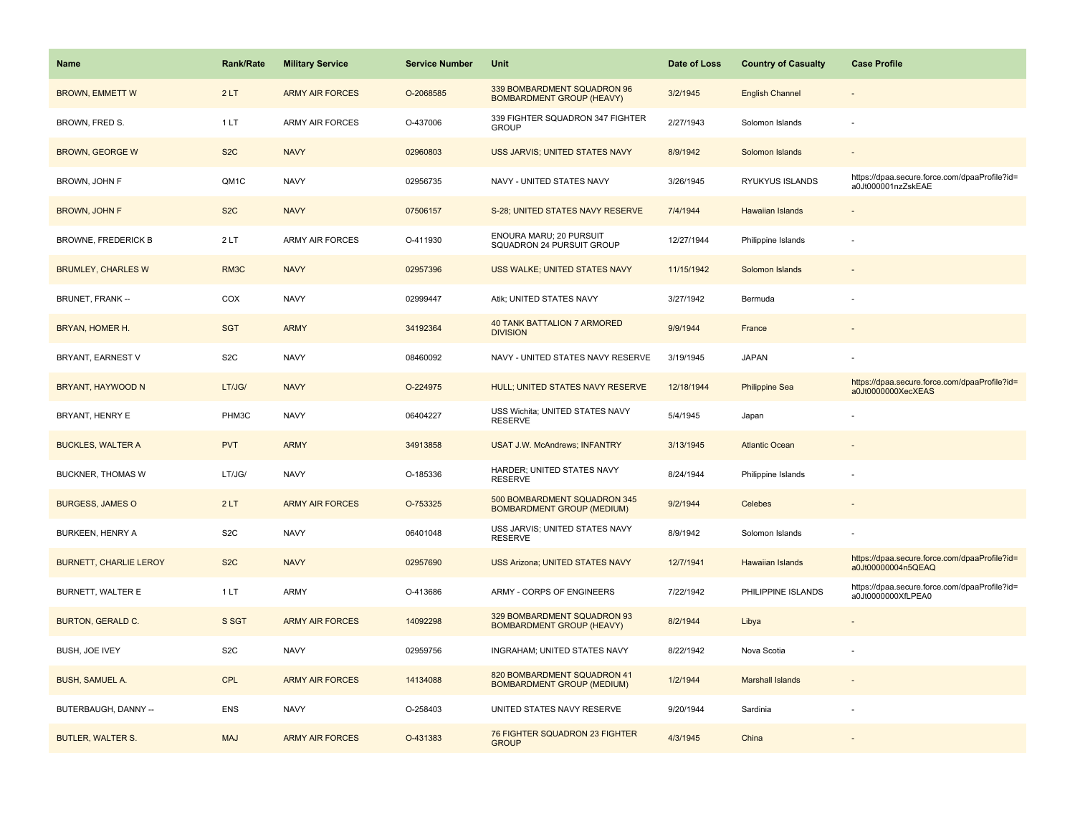| Name                          | <b>Rank/Rate</b> | <b>Military Service</b> | <b>Service Number</b> | Unit                                                              | Date of Loss | <b>Country of Casualty</b> | <b>Case Profile</b>                                                 |
|-------------------------------|------------------|-------------------------|-----------------------|-------------------------------------------------------------------|--------------|----------------------------|---------------------------------------------------------------------|
| <b>BROWN, EMMETT W</b>        | 2LT              | <b>ARMY AIR FORCES</b>  | O-2068585             | 339 BOMBARDMENT SQUADRON 96<br><b>BOMBARDMENT GROUP (HEAVY)</b>   | 3/2/1945     | <b>English Channel</b>     |                                                                     |
| BROWN, FRED S.                | 1LT              | ARMY AIR FORCES         | O-437006              | 339 FIGHTER SQUADRON 347 FIGHTER<br><b>GROUP</b>                  | 2/27/1943    | Solomon Islands            |                                                                     |
| <b>BROWN, GEORGE W</b>        | S <sub>2</sub> C | <b>NAVY</b>             | 02960803              | USS JARVIS; UNITED STATES NAVY                                    | 8/9/1942     | Solomon Islands            |                                                                     |
| BROWN, JOHN F                 | QM1C             | <b>NAVY</b>             | 02956735              | NAVY - UNITED STATES NAVY                                         | 3/26/1945    | RYUKYUS ISLANDS            | https://dpaa.secure.force.com/dpaaProfile?id=<br>a0Jt000001nzZskEAE |
| <b>BROWN, JOHN F</b>          | S <sub>2</sub> C | <b>NAVY</b>             | 07506157              | S-28; UNITED STATES NAVY RESERVE                                  | 7/4/1944     | <b>Hawaiian Islands</b>    |                                                                     |
| <b>BROWNE, FREDERICK B</b>    | 2LT              | <b>ARMY AIR FORCES</b>  | O-411930              | ENOURA MARU; 20 PURSUIT<br>SQUADRON 24 PURSUIT GROUP              | 12/27/1944   | Philippine Islands         |                                                                     |
| <b>BRUMLEY, CHARLES W</b>     | RM3C             | <b>NAVY</b>             | 02957396              | USS WALKE; UNITED STATES NAVY                                     | 11/15/1942   | Solomon Islands            |                                                                     |
| BRUNET, FRANK --              | COX              | <b>NAVY</b>             | 02999447              | Atik; UNITED STATES NAVY                                          | 3/27/1942    | Bermuda                    |                                                                     |
| BRYAN, HOMER H.               | <b>SGT</b>       | <b>ARMY</b>             | 34192364              | <b>40 TANK BATTALION 7 ARMORED</b><br><b>DIVISION</b>             | 9/9/1944     | France                     |                                                                     |
| BRYANT, EARNEST V             | S <sub>2</sub> C | <b>NAVY</b>             | 08460092              | NAVY - UNITED STATES NAVY RESERVE                                 | 3/19/1945    | <b>JAPAN</b>               |                                                                     |
| BRYANT, HAYWOOD N             | LT/JG/           | <b>NAVY</b>             | O-224975              | HULL; UNITED STATES NAVY RESERVE                                  | 12/18/1944   | <b>Philippine Sea</b>      | https://dpaa.secure.force.com/dpaaProfile?id=<br>a0Jt0000000XecXEAS |
| BRYANT, HENRY E               | PHM3C            | <b>NAVY</b>             | 06404227              | USS Wichita; UNITED STATES NAVY<br><b>RESERVE</b>                 | 5/4/1945     | Japan                      |                                                                     |
| <b>BUCKLES, WALTER A</b>      | <b>PVT</b>       | <b>ARMY</b>             | 34913858              | <b>USAT J.W. McAndrews; INFANTRY</b>                              | 3/13/1945    | <b>Atlantic Ocean</b>      |                                                                     |
| <b>BUCKNER, THOMAS W</b>      | LT/JG/           | <b>NAVY</b>             | O-185336              | HARDER; UNITED STATES NAVY<br><b>RESERVE</b>                      | 8/24/1944    | Philippine Islands         |                                                                     |
| <b>BURGESS, JAMES O</b>       | 2LT              | <b>ARMY AIR FORCES</b>  | O-753325              | 500 BOMBARDMENT SQUADRON 345<br><b>BOMBARDMENT GROUP (MEDIUM)</b> | 9/2/1944     | Celebes                    |                                                                     |
| <b>BURKEEN, HENRY A</b>       | S <sub>2</sub> C | <b>NAVY</b>             | 06401048              | USS JARVIS; UNITED STATES NAVY<br><b>RESERVE</b>                  | 8/9/1942     | Solomon Islands            |                                                                     |
| <b>BURNETT, CHARLIE LEROY</b> | S <sub>2</sub> C | <b>NAVY</b>             | 02957690              | <b>USS Arizona; UNITED STATES NAVY</b>                            | 12/7/1941    | <b>Hawaiian Islands</b>    | https://dpaa.secure.force.com/dpaaProfile?id=<br>a0Jt00000004n5QEAQ |
| BURNETT, WALTER E             | 1LT              | ARMY                    | O-413686              | ARMY - CORPS OF ENGINEERS                                         | 7/22/1942    | PHILIPPINE ISLANDS         | https://dpaa.secure.force.com/dpaaProfile?id=<br>a0Jt0000000XfLPEA0 |
| <b>BURTON, GERALD C.</b>      | S SGT            | <b>ARMY AIR FORCES</b>  | 14092298              | 329 BOMBARDMENT SQUADRON 93<br><b>BOMBARDMENT GROUP (HEAVY)</b>   | 8/2/1944     | Libya                      |                                                                     |
| BUSH, JOE IVEY                | S <sub>2</sub> C | <b>NAVY</b>             | 02959756              | INGRAHAM; UNITED STATES NAVY                                      | 8/22/1942    | Nova Scotia                |                                                                     |
| <b>BUSH, SAMUEL A.</b>        | <b>CPL</b>       | <b>ARMY AIR FORCES</b>  | 14134088              | 820 BOMBARDMENT SQUADRON 41<br><b>BOMBARDMENT GROUP (MEDIUM)</b>  | 1/2/1944     | <b>Marshall Islands</b>    |                                                                     |
| BUTERBAUGH, DANNY --          | <b>ENS</b>       | <b>NAVY</b>             | O-258403              | UNITED STATES NAVY RESERVE                                        | 9/20/1944    | Sardinia                   |                                                                     |
| <b>BUTLER, WALTER S.</b>      | <b>MAJ</b>       | <b>ARMY AIR FORCES</b>  | O-431383              | 76 FIGHTER SQUADRON 23 FIGHTER<br><b>GROUP</b>                    | 4/3/1945     | China                      |                                                                     |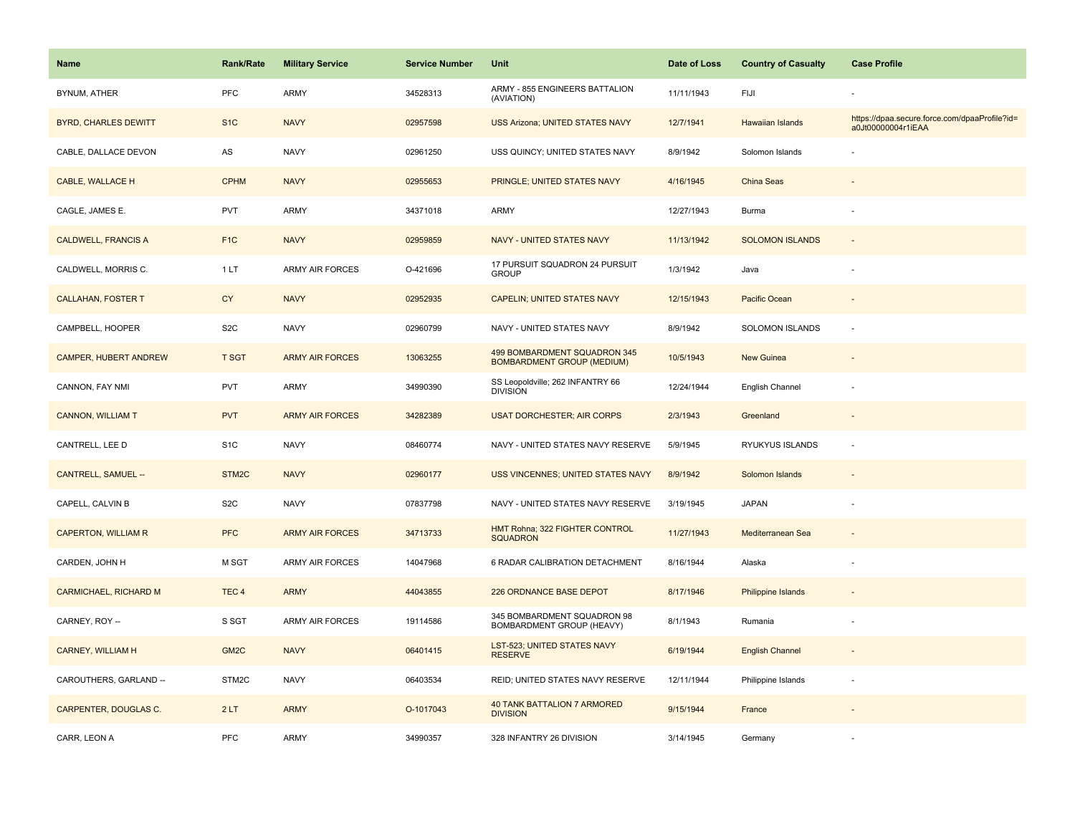| <b>Name</b>                  | Rank/Rate        | <b>Military Service</b> | <b>Service Number</b> | Unit                                                              | Date of Loss | <b>Country of Casualty</b> | <b>Case Profile</b>                                                 |
|------------------------------|------------------|-------------------------|-----------------------|-------------------------------------------------------------------|--------------|----------------------------|---------------------------------------------------------------------|
| BYNUM, ATHER                 | <b>PFC</b>       | <b>ARMY</b>             | 34528313              | ARMY - 855 ENGINEERS BATTALION<br>(AVIATION)                      | 11/11/1943   | FIJI                       |                                                                     |
| <b>BYRD, CHARLES DEWITT</b>  | S <sub>1</sub> C | <b>NAVY</b>             | 02957598              | USS Arizona; UNITED STATES NAVY                                   | 12/7/1941    | <b>Hawaiian Islands</b>    | https://dpaa.secure.force.com/dpaaProfile?id=<br>a0Jt00000004r1iEAA |
| CABLE, DALLACE DEVON         | AS               | <b>NAVY</b>             | 02961250              | USS QUINCY; UNITED STATES NAVY                                    | 8/9/1942     | Solomon Islands            |                                                                     |
| CABLE, WALLACE H             | <b>CPHM</b>      | <b>NAVY</b>             | 02955653              | PRINGLE; UNITED STATES NAVY                                       | 4/16/1945    | China Seas                 |                                                                     |
| CAGLE, JAMES E.              | PVT              | <b>ARMY</b>             | 34371018              | <b>ARMY</b>                                                       | 12/27/1943   | Burma                      |                                                                     |
| <b>CALDWELL, FRANCIS A</b>   | F <sub>1</sub> C | <b>NAVY</b>             | 02959859              | <b>NAVY - UNITED STATES NAVY</b>                                  | 11/13/1942   | <b>SOLOMON ISLANDS</b>     | $\blacksquare$                                                      |
| CALDWELL, MORRIS C.          | 1LT              | <b>ARMY AIR FORCES</b>  | O-421696              | 17 PURSUIT SQUADRON 24 PURSUIT<br><b>GROUP</b>                    | 1/3/1942     | Java                       | ÷,                                                                  |
| <b>CALLAHAN, FOSTER T</b>    | <b>CY</b>        | <b>NAVY</b>             | 02952935              | <b>CAPELIN: UNITED STATES NAVY</b>                                | 12/15/1943   | Pacific Ocean              |                                                                     |
| CAMPBELL, HOOPER             | S <sub>2</sub> C | <b>NAVY</b>             | 02960799              | NAVY - UNITED STATES NAVY                                         | 8/9/1942     | SOLOMON ISLANDS            | ä,                                                                  |
| CAMPER, HUBERT ANDREW        | <b>T SGT</b>     | <b>ARMY AIR FORCES</b>  | 13063255              | 499 BOMBARDMENT SQUADRON 345<br><b>BOMBARDMENT GROUP (MEDIUM)</b> | 10/5/1943    | New Guinea                 |                                                                     |
| CANNON, FAY NMI              | PVT              | <b>ARMY</b>             | 34990390              | SS Leopoldville; 262 INFANTRY 66<br><b>DIVISION</b>               | 12/24/1944   | English Channel            |                                                                     |
| <b>CANNON, WILLIAM T</b>     | <b>PVT</b>       | <b>ARMY AIR FORCES</b>  | 34282389              | <b>USAT DORCHESTER; AIR CORPS</b>                                 | 2/3/1943     | Greenland                  | $\overline{\phantom{a}}$                                            |
| CANTRELL, LEE D              | S <sub>1</sub> C | <b>NAVY</b>             | 08460774              | NAVY - UNITED STATES NAVY RESERVE                                 | 5/9/1945     | RYUKYUS ISLANDS            | ä,                                                                  |
| <b>CANTRELL, SAMUEL --</b>   | STM2C            | <b>NAVY</b>             | 02960177              | USS VINCENNES; UNITED STATES NAVY                                 | 8/9/1942     | Solomon Islands            |                                                                     |
| CAPELL, CALVIN B             | S <sub>2</sub> C | <b>NAVY</b>             | 07837798              | NAVY - UNITED STATES NAVY RESERVE                                 | 3/19/1945    | <b>JAPAN</b>               |                                                                     |
| <b>CAPERTON, WILLIAM R</b>   | <b>PFC</b>       | <b>ARMY AIR FORCES</b>  | 34713733              | HMT Rohna; 322 FIGHTER CONTROL<br><b>SQUADRON</b>                 | 11/27/1943   | Mediterranean Sea          |                                                                     |
| CARDEN, JOHN H               | M SGT            | <b>ARMY AIR FORCES</b>  | 14047968              | 6 RADAR CALIBRATION DETACHMENT                                    | 8/16/1944    | Alaska                     |                                                                     |
| <b>CARMICHAEL, RICHARD M</b> | TEC <sub>4</sub> | <b>ARMY</b>             | 44043855              | 226 ORDNANCE BASE DEPOT                                           | 8/17/1946    | <b>Philippine Islands</b>  |                                                                     |
| CARNEY, ROY --               | S SGT            | <b>ARMY AIR FORCES</b>  | 19114586              | 345 BOMBARDMENT SQUADRON 98<br>BOMBARDMENT GROUP (HEAVY)          | 8/1/1943     | Rumania                    | ÷,                                                                  |
| <b>CARNEY, WILLIAM H</b>     | GM <sub>2C</sub> | <b>NAVY</b>             | 06401415              | <b>LST-523; UNITED STATES NAVY</b><br><b>RESERVE</b>              | 6/19/1944    | <b>English Channel</b>     | $\overline{a}$                                                      |
| CAROUTHERS, GARLAND --       | STM2C            | <b>NAVY</b>             | 06403534              | REID; UNITED STATES NAVY RESERVE                                  | 12/11/1944   | Philippine Islands         | ÷,                                                                  |
| CARPENTER, DOUGLAS C.        | 2LT              | <b>ARMY</b>             | O-1017043             | <b>40 TANK BATTALION 7 ARMORED</b><br><b>DIVISION</b>             | 9/15/1944    | France                     |                                                                     |
| CARR, LEON A                 | PFC              | <b>ARMY</b>             | 34990357              | 328 INFANTRY 26 DIVISION                                          | 3/14/1945    | Germany                    |                                                                     |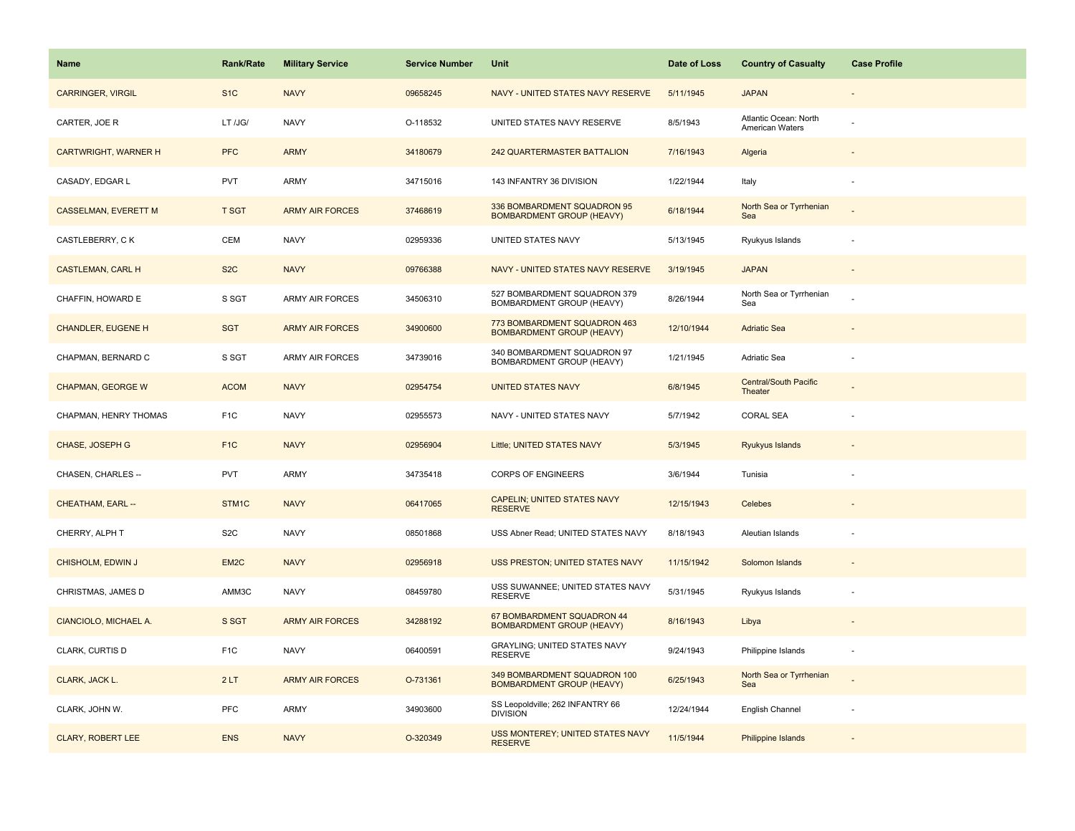| Name                        | <b>Rank/Rate</b>  | <b>Military Service</b> | <b>Service Number</b> | Unit                                                             | Date of Loss | <b>Country of Casualty</b>               | <b>Case Profile</b>      |
|-----------------------------|-------------------|-------------------------|-----------------------|------------------------------------------------------------------|--------------|------------------------------------------|--------------------------|
| <b>CARRINGER, VIRGIL</b>    | S <sub>1</sub> C  | <b>NAVY</b>             | 09658245              | NAVY - UNITED STATES NAVY RESERVE                                | 5/11/1945    | <b>JAPAN</b>                             |                          |
| CARTER, JOE R               | LT /JG/           | <b>NAVY</b>             | O-118532              | UNITED STATES NAVY RESERVE                                       | 8/5/1943     | Atlantic Ocean: North<br>American Waters |                          |
| <b>CARTWRIGHT, WARNER H</b> | <b>PFC</b>        | <b>ARMY</b>             | 34180679              | <b>242 QUARTERMASTER BATTALION</b>                               | 7/16/1943    | Algeria                                  |                          |
| CASADY, EDGAR L             | <b>PVT</b>        | ARMY                    | 34715016              | 143 INFANTRY 36 DIVISION                                         | 1/22/1944    | Italy                                    |                          |
| <b>CASSELMAN, EVERETT M</b> | T SGT             | <b>ARMY AIR FORCES</b>  | 37468619              | 336 BOMBARDMENT SQUADRON 95<br><b>BOMBARDMENT GROUP (HEAVY)</b>  | 6/18/1944    | North Sea or Tyrrhenian<br>Sea           |                          |
| CASTLEBERRY, CK             | CEM               | <b>NAVY</b>             | 02959336              | UNITED STATES NAVY                                               | 5/13/1945    | Ryukyus Islands                          |                          |
| <b>CASTLEMAN, CARL H</b>    | S <sub>2</sub> C  | <b>NAVY</b>             | 09766388              | NAVY - UNITED STATES NAVY RESERVE                                | 3/19/1945    | <b>JAPAN</b>                             | $\overline{\phantom{a}}$ |
| CHAFFIN, HOWARD E           | S SGT             | <b>ARMY AIR FORCES</b>  | 34506310              | 527 BOMBARDMENT SQUADRON 379<br>BOMBARDMENT GROUP (HEAVY)        | 8/26/1944    | North Sea or Tyrrhenian<br>Sea           |                          |
| <b>CHANDLER, EUGENE H</b>   | <b>SGT</b>        | <b>ARMY AIR FORCES</b>  | 34900600              | 773 BOMBARDMENT SQUADRON 463<br><b>BOMBARDMENT GROUP (HEAVY)</b> | 12/10/1944   | <b>Adriatic Sea</b>                      |                          |
| CHAPMAN, BERNARD C          | S SGT             | <b>ARMY AIR FORCES</b>  | 34739016              | 340 BOMBARDMENT SQUADRON 97<br>BOMBARDMENT GROUP (HEAVY)         | 1/21/1945    | Adriatic Sea                             |                          |
| <b>CHAPMAN, GEORGE W</b>    | <b>ACOM</b>       | <b>NAVY</b>             | 02954754              | <b>UNITED STATES NAVY</b>                                        | 6/8/1945     | <b>Central/South Pacific</b><br>Theater  |                          |
| CHAPMAN, HENRY THOMAS       | F <sub>1</sub> C  | <b>NAVY</b>             | 02955573              | NAVY - UNITED STATES NAVY                                        | 5/7/1942     | <b>CORAL SEA</b>                         |                          |
| CHASE, JOSEPH G             | F <sub>1C</sub>   | <b>NAVY</b>             | 02956904              | Little; UNITED STATES NAVY                                       | 5/3/1945     | Ryukyus Islands                          |                          |
| CHASEN, CHARLES --          | <b>PVT</b>        | <b>ARMY</b>             | 34735418              | <b>CORPS OF ENGINEERS</b>                                        | 3/6/1944     | Tunisia                                  |                          |
| <b>CHEATHAM, EARL --</b>    | STM1C             | <b>NAVY</b>             | 06417065              | <b>CAPELIN; UNITED STATES NAVY</b><br><b>RESERVE</b>             | 12/15/1943   | Celebes                                  |                          |
| CHERRY, ALPH T              | S <sub>2</sub> C  | <b>NAVY</b>             | 08501868              | USS Abner Read; UNITED STATES NAVY                               | 8/18/1943    | Aleutian Islands                         |                          |
| CHISHOLM, EDWIN J           | EM <sub>2</sub> C | <b>NAVY</b>             | 02956918              | USS PRESTON; UNITED STATES NAVY                                  | 11/15/1942   | Solomon Islands                          |                          |
| CHRISTMAS, JAMES D          | AMM3C             | <b>NAVY</b>             | 08459780              | USS SUWANNEE; UNITED STATES NAVY<br><b>RESERVE</b>               | 5/31/1945    | Ryukyus Islands                          |                          |
| CIANCIOLO, MICHAEL A.       | S SGT             | <b>ARMY AIR FORCES</b>  | 34288192              | 67 BOMBARDMENT SQUADRON 44<br><b>BOMBARDMENT GROUP (HEAVY)</b>   | 8/16/1943    | Libya                                    |                          |
| CLARK, CURTIS D             | F <sub>1</sub> C  | <b>NAVY</b>             | 06400591              | GRAYLING; UNITED STATES NAVY<br><b>RESERVE</b>                   | 9/24/1943    | Philippine Islands                       |                          |
| CLARK, JACK L.              | 2LT               | <b>ARMY AIR FORCES</b>  | O-731361              | 349 BOMBARDMENT SQUADRON 100<br><b>BOMBARDMENT GROUP (HEAVY)</b> | 6/25/1943    | North Sea or Tyrrhenian<br>Sea           |                          |
| CLARK, JOHN W.              | <b>PFC</b>        | ARMY                    | 34903600              | SS Leopoldville; 262 INFANTRY 66<br><b>DIVISION</b>              | 12/24/1944   | English Channel                          |                          |
| <b>CLARY, ROBERT LEE</b>    | <b>ENS</b>        | <b>NAVY</b>             | O-320349              | <b>USS MONTEREY; UNITED STATES NAVY</b><br><b>RESERVE</b>        | 11/5/1944    | <b>Philippine Islands</b>                |                          |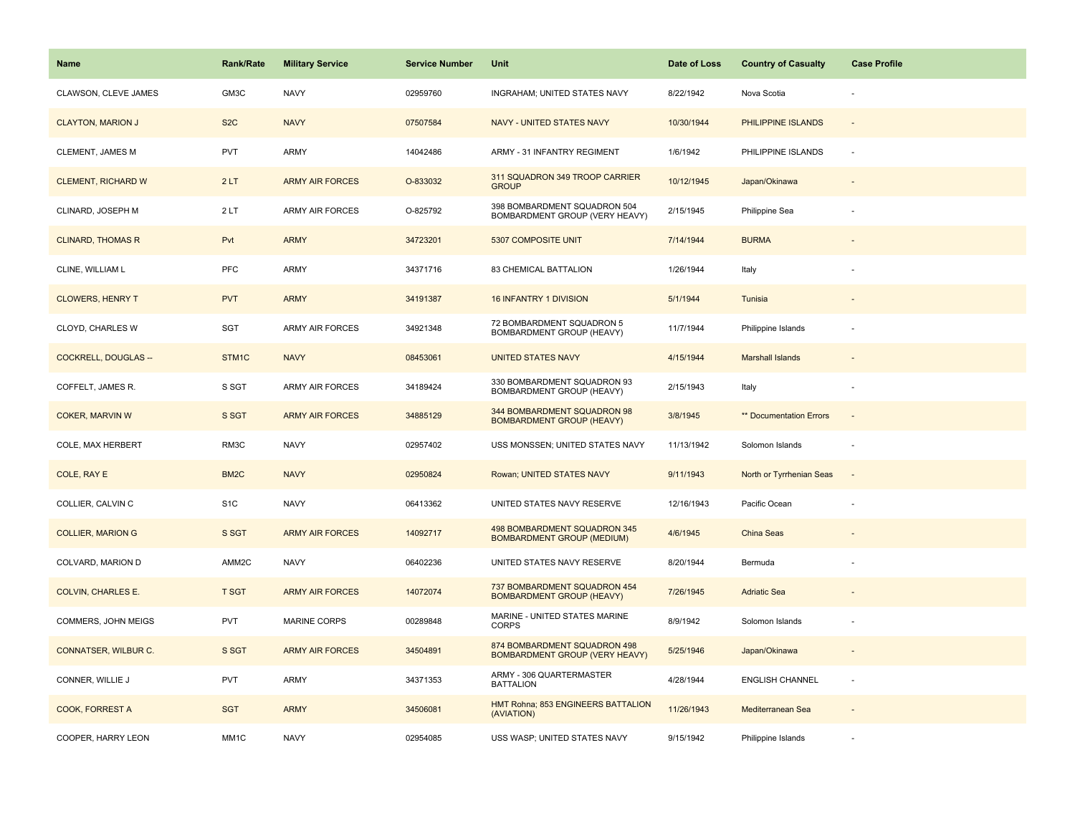| Name                        | <b>Rank/Rate</b>  | <b>Military Service</b> | <b>Service Number</b> | Unit                                                                  | Date of Loss | <b>Country of Casualty</b> | <b>Case Profile</b>      |
|-----------------------------|-------------------|-------------------------|-----------------------|-----------------------------------------------------------------------|--------------|----------------------------|--------------------------|
| CLAWSON, CLEVE JAMES        | GM3C              | <b>NAVY</b>             | 02959760              | INGRAHAM; UNITED STATES NAVY                                          | 8/22/1942    | Nova Scotia                |                          |
| <b>CLAYTON, MARION J</b>    | S <sub>2</sub> C  | <b>NAVY</b>             | 07507584              | NAVY - UNITED STATES NAVY                                             | 10/30/1944   | PHILIPPINE ISLANDS         | $\sim$                   |
| CLEMENT, JAMES M            | PVT               | <b>ARMY</b>             | 14042486              | ARMY - 31 INFANTRY REGIMENT                                           | 1/6/1942     | PHILIPPINE ISLANDS         | $\sim$                   |
| <b>CLEMENT, RICHARD W</b>   | 2LT               | <b>ARMY AIR FORCES</b>  | O-833032              | 311 SQUADRON 349 TROOP CARRIER<br><b>GROUP</b>                        | 10/12/1945   | Japan/Okinawa              |                          |
| CLINARD, JOSEPH M           | 2LT               | <b>ARMY AIR FORCES</b>  | O-825792              | 398 BOMBARDMENT SQUADRON 504<br>BOMBARDMENT GROUP (VERY HEAVY)        | 2/15/1945    | Philippine Sea             |                          |
| <b>CLINARD, THOMAS R</b>    | Pvt               | <b>ARMY</b>             | 34723201              | 5307 COMPOSITE UNIT                                                   | 7/14/1944    | <b>BURMA</b>               |                          |
| CLINE, WILLIAM L            | <b>PFC</b>        | ARMY                    | 34371716              | 83 CHEMICAL BATTALION                                                 | 1/26/1944    | Italy                      |                          |
| <b>CLOWERS, HENRY T</b>     | <b>PVT</b>        | <b>ARMY</b>             | 34191387              | <b>16 INFANTRY 1 DIVISION</b>                                         | 5/1/1944     | Tunisia                    |                          |
| CLOYD, CHARLES W            | SGT               | ARMY AIR FORCES         | 34921348              | 72 BOMBARDMENT SQUADRON 5<br>BOMBARDMENT GROUP (HEAVY)                | 11/7/1944    | Philippine Islands         |                          |
| <b>COCKRELL, DOUGLAS --</b> | STM1C             | <b>NAVY</b>             | 08453061              | <b>UNITED STATES NAVY</b>                                             | 4/15/1944    | <b>Marshall Islands</b>    |                          |
| COFFELT, JAMES R.           | S SGT             | ARMY AIR FORCES         | 34189424              | 330 BOMBARDMENT SQUADRON 93<br>BOMBARDMENT GROUP (HEAVY)              | 2/15/1943    | Italy                      |                          |
| <b>COKER, MARVIN W</b>      | S SGT             | <b>ARMY AIR FORCES</b>  | 34885129              | 344 BOMBARDMENT SQUADRON 98<br><b>BOMBARDMENT GROUP (HEAVY)</b>       | 3/8/1945     | ** Documentation Errors    | $\overline{\phantom{a}}$ |
| <b>COLE, MAX HERBERT</b>    | RM3C              | <b>NAVY</b>             | 02957402              | USS MONSSEN; UNITED STATES NAVY                                       | 11/13/1942   | Solomon Islands            |                          |
| COLE, RAY E                 | BM <sub>2</sub> C | <b>NAVY</b>             | 02950824              | Rowan; UNITED STATES NAVY                                             | 9/11/1943    | North or Tyrrhenian Seas   | $\sim$                   |
| COLLIER, CALVIN C           | S <sub>1</sub> C  | <b>NAVY</b>             | 06413362              | UNITED STATES NAVY RESERVE                                            | 12/16/1943   | Pacific Ocean              |                          |
| <b>COLLIER, MARION G</b>    | S SGT             | <b>ARMY AIR FORCES</b>  | 14092717              | 498 BOMBARDMENT SQUADRON 345<br><b>BOMBARDMENT GROUP (MEDIUM)</b>     | 4/6/1945     | China Seas                 |                          |
| COLVARD, MARION D           | AMM2C             | <b>NAVY</b>             | 06402236              | UNITED STATES NAVY RESERVE                                            | 8/20/1944    | Bermuda                    |                          |
| <b>COLVIN, CHARLES E.</b>   | <b>T SGT</b>      | <b>ARMY AIR FORCES</b>  | 14072074              | 737 BOMBARDMENT SQUADRON 454<br><b>BOMBARDMENT GROUP (HEAVY)</b>      | 7/26/1945    | <b>Adriatic Sea</b>        |                          |
| COMMERS, JOHN MEIGS         | <b>PVT</b>        | <b>MARINE CORPS</b>     | 00289848              | MARINE - UNITED STATES MARINE<br><b>CORPS</b>                         | 8/9/1942     | Solomon Islands            |                          |
| CONNATSER, WILBUR C.        | S SGT             | <b>ARMY AIR FORCES</b>  | 34504891              | 874 BOMBARDMENT SQUADRON 498<br><b>BOMBARDMENT GROUP (VERY HEAVY)</b> | 5/25/1946    | Japan/Okinawa              |                          |
| CONNER, WILLIE J            | PVT               | <b>ARMY</b>             | 34371353              | ARMY - 306 QUARTERMASTER<br><b>BATTALION</b>                          | 4/28/1944    | <b>ENGLISH CHANNEL</b>     | $\sim$                   |
| COOK, FORREST A             | <b>SGT</b>        | <b>ARMY</b>             | 34506081              | HMT Rohna; 853 ENGINEERS BATTALION<br>(AVIATION)                      | 11/26/1943   | Mediterranean Sea          |                          |
| COOPER, HARRY LEON          | MM1C              | <b>NAVY</b>             | 02954085              | USS WASP; UNITED STATES NAVY                                          | 9/15/1942    | Philippine Islands         |                          |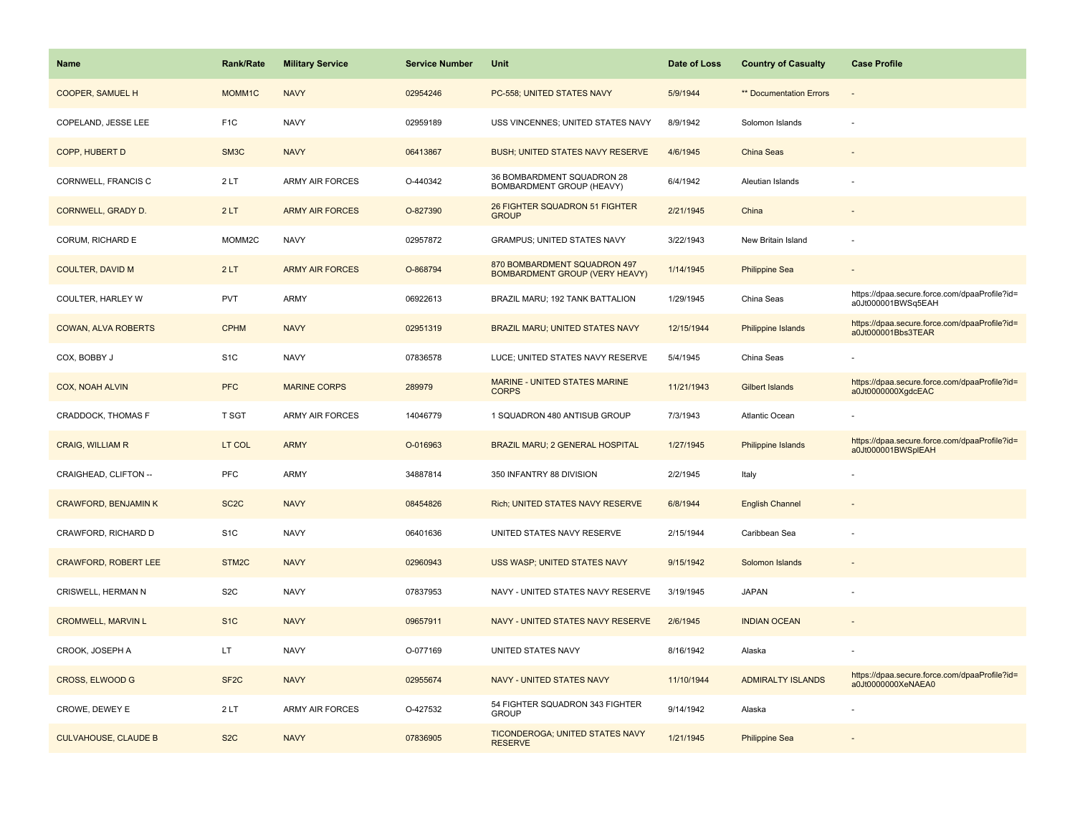| <b>Name</b>                 | <b>Rank/Rate</b>  | <b>Military Service</b> | <b>Service Number</b> | Unit                                                                  | Date of Loss | <b>Country of Casualty</b>     | <b>Case Profile</b>                                                 |
|-----------------------------|-------------------|-------------------------|-----------------------|-----------------------------------------------------------------------|--------------|--------------------------------|---------------------------------------------------------------------|
| COOPER, SAMUEL H            | MOMM1C            | <b>NAVY</b>             | 02954246              | PC-558; UNITED STATES NAVY                                            | 5/9/1944     | <b>** Documentation Errors</b> |                                                                     |
| COPELAND, JESSE LEE         | F <sub>1</sub> C  | <b>NAVY</b>             | 02959189              | USS VINCENNES; UNITED STATES NAVY                                     | 8/9/1942     | Solomon Islands                | $\overline{\phantom{a}}$                                            |
| COPP, HUBERT D              | SM <sub>3</sub> C | <b>NAVY</b>             | 06413867              | BUSH; UNITED STATES NAVY RESERVE                                      | 4/6/1945     | China Seas                     |                                                                     |
| CORNWELL, FRANCIS C         | 2LT               | <b>ARMY AIR FORCES</b>  | O-440342              | 36 BOMBARDMENT SQUADRON 28<br><b>BOMBARDMENT GROUP (HEAVY)</b>        | 6/4/1942     | Aleutian Islands               |                                                                     |
| CORNWELL, GRADY D.          | 2LT               | <b>ARMY AIR FORCES</b>  | O-827390              | 26 FIGHTER SQUADRON 51 FIGHTER<br><b>GROUP</b>                        | 2/21/1945    | China                          |                                                                     |
| CORUM, RICHARD E            | MOMM2C            | <b>NAVY</b>             | 02957872              | <b>GRAMPUS; UNITED STATES NAVY</b>                                    | 3/22/1943    | New Britain Island             |                                                                     |
| <b>COULTER, DAVID M</b>     | 2LT               | <b>ARMY AIR FORCES</b>  | O-868794              | 870 BOMBARDMENT SQUADRON 497<br><b>BOMBARDMENT GROUP (VERY HEAVY)</b> | 1/14/1945    | <b>Philippine Sea</b>          |                                                                     |
| COULTER, HARLEY W           | <b>PVT</b>        | <b>ARMY</b>             | 06922613              | BRAZIL MARU; 192 TANK BATTALION                                       | 1/29/1945    | China Seas                     | https://dpaa.secure.force.com/dpaaProfile?id=<br>a0Jt000001BWSq5EAH |
| <b>COWAN, ALVA ROBERTS</b>  | <b>CPHM</b>       | <b>NAVY</b>             | 02951319              | BRAZIL MARU; UNITED STATES NAVY                                       | 12/15/1944   | <b>Philippine Islands</b>      | https://dpaa.secure.force.com/dpaaProfile?id=<br>a0Jt000001Bbs3TEAR |
| COX, BOBBY J                | S <sub>1</sub> C  | <b>NAVY</b>             | 07836578              | LUCE; UNITED STATES NAVY RESERVE                                      | 5/4/1945     | China Seas                     |                                                                     |
| <b>COX, NOAH ALVIN</b>      | <b>PFC</b>        | <b>MARINE CORPS</b>     | 289979                | MARINE - UNITED STATES MARINE<br><b>CORPS</b>                         | 11/21/1943   | Gilbert Islands                | https://dpaa.secure.force.com/dpaaProfile?id=<br>a0Jt0000000XgdcEAC |
| CRADDOCK, THOMAS F          | T SGT             | <b>ARMY AIR FORCES</b>  | 14046779              | 1 SQUADRON 480 ANTISUB GROUP                                          | 7/3/1943     | Atlantic Ocean                 |                                                                     |
| <b>CRAIG, WILLIAM R</b>     | LT COL            | <b>ARMY</b>             | O-016963              | <b>BRAZIL MARU; 2 GENERAL HOSPITAL</b>                                | 1/27/1945    | <b>Philippine Islands</b>      | https://dpaa.secure.force.com/dpaaProfile?id=<br>a0Jt000001BWSplEAH |
| CRAIGHEAD, CLIFTON --       | PFC               | <b>ARMY</b>             | 34887814              | 350 INFANTRY 88 DIVISION                                              | 2/2/1945     | Italy                          |                                                                     |
| <b>CRAWFORD, BENJAMIN K</b> | SC <sub>2</sub> C | <b>NAVY</b>             | 08454826              | Rich; UNITED STATES NAVY RESERVE                                      | 6/8/1944     | <b>English Channel</b>         |                                                                     |
| CRAWFORD, RICHARD D         | S <sub>1</sub> C  | <b>NAVY</b>             | 06401636              | UNITED STATES NAVY RESERVE                                            | 2/15/1944    | Caribbean Sea                  |                                                                     |
| <b>CRAWFORD, ROBERT LEE</b> | STM2C             | <b>NAVY</b>             | 02960943              | USS WASP; UNITED STATES NAVY                                          | 9/15/1942    | Solomon Islands                |                                                                     |
| CRISWELL, HERMAN N          | S <sub>2</sub> C  | <b>NAVY</b>             | 07837953              | NAVY - UNITED STATES NAVY RESERVE                                     | 3/19/1945    | <b>JAPAN</b>                   |                                                                     |
| <b>CROMWELL, MARVIN L</b>   | S <sub>1</sub> C  | <b>NAVY</b>             | 09657911              | NAVY - UNITED STATES NAVY RESERVE                                     | 2/6/1945     | <b>INDIAN OCEAN</b>            |                                                                     |
| CROOK, JOSEPH A             | LT.               | <b>NAVY</b>             | O-077169              | UNITED STATES NAVY                                                    | 8/16/1942    | Alaska                         |                                                                     |
| CROSS, ELWOOD G             | SF <sub>2</sub> C | <b>NAVY</b>             | 02955674              | <b>NAVY - UNITED STATES NAVY</b>                                      | 11/10/1944   | <b>ADMIRALTY ISLANDS</b>       | https://dpaa.secure.force.com/dpaaProfile?id=<br>a0Jt0000000XeNAEA0 |
| CROWE, DEWEY E              | 2LT               | <b>ARMY AIR FORCES</b>  | O-427532              | 54 FIGHTER SQUADRON 343 FIGHTER<br><b>GROUP</b>                       | 9/14/1942    | Alaska                         |                                                                     |
| <b>CULVAHOUSE, CLAUDE B</b> | S <sub>2</sub> C  | <b>NAVY</b>             | 07836905              | TICONDEROGA; UNITED STATES NAVY<br><b>RESERVE</b>                     | 1/21/1945    | <b>Philippine Sea</b>          |                                                                     |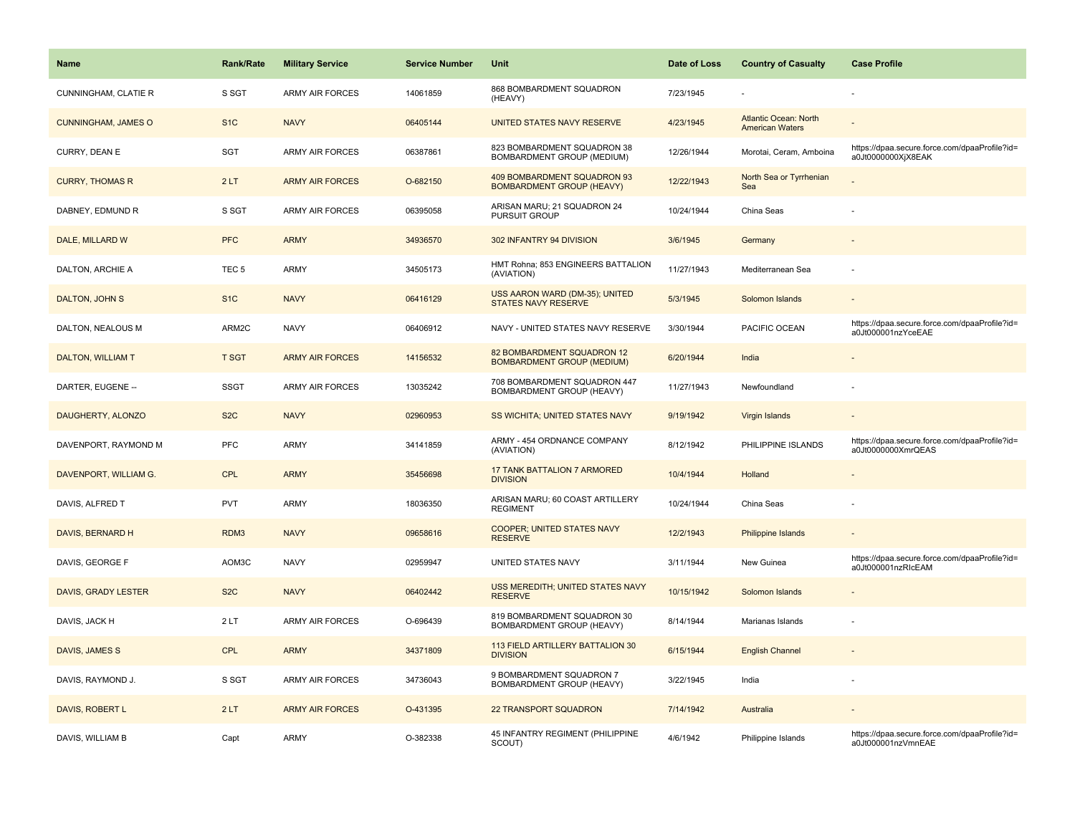| Name                       | Rank/Rate        | <b>Military Service</b> | <b>Service Number</b> | Unit                                                            | Date of Loss | <b>Country of Casualty</b>                             | <b>Case Profile</b>                                                 |
|----------------------------|------------------|-------------------------|-----------------------|-----------------------------------------------------------------|--------------|--------------------------------------------------------|---------------------------------------------------------------------|
| CUNNINGHAM, CLATIE R       | S SGT            | <b>ARMY AIR FORCES</b>  | 14061859              | 868 BOMBARDMENT SQUADRON<br>(HEAVY)                             | 7/23/1945    |                                                        |                                                                     |
| <b>CUNNINGHAM, JAMES O</b> | S <sub>1</sub> C | <b>NAVY</b>             | 06405144              | UNITED STATES NAVY RESERVE                                      | 4/23/1945    | <b>Atlantic Ocean: North</b><br><b>American Waters</b> |                                                                     |
| CURRY, DEAN E              | <b>SGT</b>       | ARMY AIR FORCES         | 06387861              | 823 BOMBARDMENT SQUADRON 38<br>BOMBARDMENT GROUP (MEDIUM)       | 12/26/1944   | Morotai, Ceram, Amboina                                | https://dpaa.secure.force.com/dpaaProfile?id=<br>a0Jt0000000XjX8EAK |
| <b>CURRY, THOMAS R</b>     | 2LT              | <b>ARMY AIR FORCES</b>  | O-682150              | 409 BOMBARDMENT SQUADRON 93<br><b>BOMBARDMENT GROUP (HEAVY)</b> | 12/22/1943   | North Sea or Tyrrhenian<br>Sea                         |                                                                     |
| DABNEY, EDMUND R           | S SGT            | <b>ARMY AIR FORCES</b>  | 06395058              | ARISAN MARU; 21 SQUADRON 24<br>PURSUIT GROUP                    | 10/24/1944   | China Seas                                             |                                                                     |
| DALE, MILLARD W            | <b>PFC</b>       | <b>ARMY</b>             | 34936570              | 302 INFANTRY 94 DIVISION                                        | 3/6/1945     | Germany                                                |                                                                     |
| DALTON, ARCHIE A           | TEC <sub>5</sub> | <b>ARMY</b>             | 34505173              | HMT Rohna; 853 ENGINEERS BATTALION<br>(AVIATION)                | 11/27/1943   | Mediterranean Sea                                      |                                                                     |
| <b>DALTON, JOHN S</b>      | S <sub>1</sub> C | <b>NAVY</b>             | 06416129              | USS AARON WARD (DM-35); UNITED<br><b>STATES NAVY RESERVE</b>    | 5/3/1945     | Solomon Islands                                        |                                                                     |
| DALTON, NEALOUS M          | ARM2C            | <b>NAVY</b>             | 06406912              | NAVY - UNITED STATES NAVY RESERVE                               | 3/30/1944    | PACIFIC OCEAN                                          | https://dpaa.secure.force.com/dpaaProfile?id=<br>a0Jt000001nzYceEAE |
| <b>DALTON, WILLIAM T</b>   | <b>T SGT</b>     | <b>ARMY AIR FORCES</b>  | 14156532              | 82 BOMBARDMENT SQUADRON 12<br><b>BOMBARDMENT GROUP (MEDIUM)</b> | 6/20/1944    | India                                                  |                                                                     |
| DARTER, EUGENE --          | <b>SSGT</b>      | <b>ARMY AIR FORCES</b>  | 13035242              | 708 BOMBARDMENT SQUADRON 447<br>BOMBARDMENT GROUP (HEAVY)       | 11/27/1943   | Newfoundland                                           |                                                                     |
| DAUGHERTY, ALONZO          | S <sub>2</sub> C | <b>NAVY</b>             | 02960953              | SS WICHITA; UNITED STATES NAVY                                  | 9/19/1942    | Virgin Islands                                         |                                                                     |
| DAVENPORT, RAYMOND M       | PFC              | <b>ARMY</b>             | 34141859              | ARMY - 454 ORDNANCE COMPANY<br>(AVIATION)                       | 8/12/1942    | PHILIPPINE ISLANDS                                     | https://dpaa.secure.force.com/dpaaProfile?id=<br>a0Jt0000000XmrQEAS |
| DAVENPORT, WILLIAM G.      | <b>CPL</b>       | <b>ARMY</b>             | 35456698              | <b>17 TANK BATTALION 7 ARMORED</b><br><b>DIVISION</b>           | 10/4/1944    | Holland                                                |                                                                     |
| DAVIS, ALFRED T            | <b>PVT</b>       | <b>ARMY</b>             | 18036350              | ARISAN MARU; 60 COAST ARTILLERY<br><b>REGIMENT</b>              | 10/24/1944   | China Seas                                             |                                                                     |
| DAVIS, BERNARD H           | RDM3             | <b>NAVY</b>             | 09658616              | <b>COOPER; UNITED STATES NAVY</b><br><b>RESERVE</b>             | 12/2/1943    | Philippine Islands                                     |                                                                     |
| DAVIS, GEORGE F            | AOM3C            | <b>NAVY</b>             | 02959947              | UNITED STATES NAVY                                              | 3/11/1944    | New Guinea                                             | https://dpaa.secure.force.com/dpaaProfile?id=<br>a0Jt000001nzRIcEAM |
| DAVIS, GRADY LESTER        | S <sub>2</sub> C | <b>NAVY</b>             | 06402442              | USS MEREDITH; UNITED STATES NAVY<br><b>RESERVE</b>              | 10/15/1942   | Solomon Islands                                        |                                                                     |
| DAVIS, JACK H              | 2LT              | <b>ARMY AIR FORCES</b>  | O-696439              | 819 BOMBARDMENT SQUADRON 30<br><b>BOMBARDMENT GROUP (HEAVY)</b> | 8/14/1944    | Marianas Islands                                       |                                                                     |
| DAVIS, JAMES S             | <b>CPL</b>       | <b>ARMY</b>             | 34371809              | 113 FIELD ARTILLERY BATTALION 30<br><b>DIVISION</b>             | 6/15/1944    | <b>English Channel</b>                                 |                                                                     |
| DAVIS, RAYMOND J.          | S SGT            | <b>ARMY AIR FORCES</b>  | 34736043              | 9 BOMBARDMENT SQUADRON 7<br>BOMBARDMENT GROUP (HEAVY)           | 3/22/1945    | India                                                  |                                                                     |
| DAVIS, ROBERT L            | 2LT              | <b>ARMY AIR FORCES</b>  | O-431395              | <b>22 TRANSPORT SQUADRON</b>                                    | 7/14/1942    | Australia                                              |                                                                     |
| DAVIS, WILLIAM B           | Capt             | <b>ARMY</b>             | O-382338              | 45 INFANTRY REGIMENT (PHILIPPINE<br>SCOUT)                      | 4/6/1942     | Philippine Islands                                     | https://dpaa.secure.force.com/dpaaProfile?id=<br>a0Jt000001nzVmnEAE |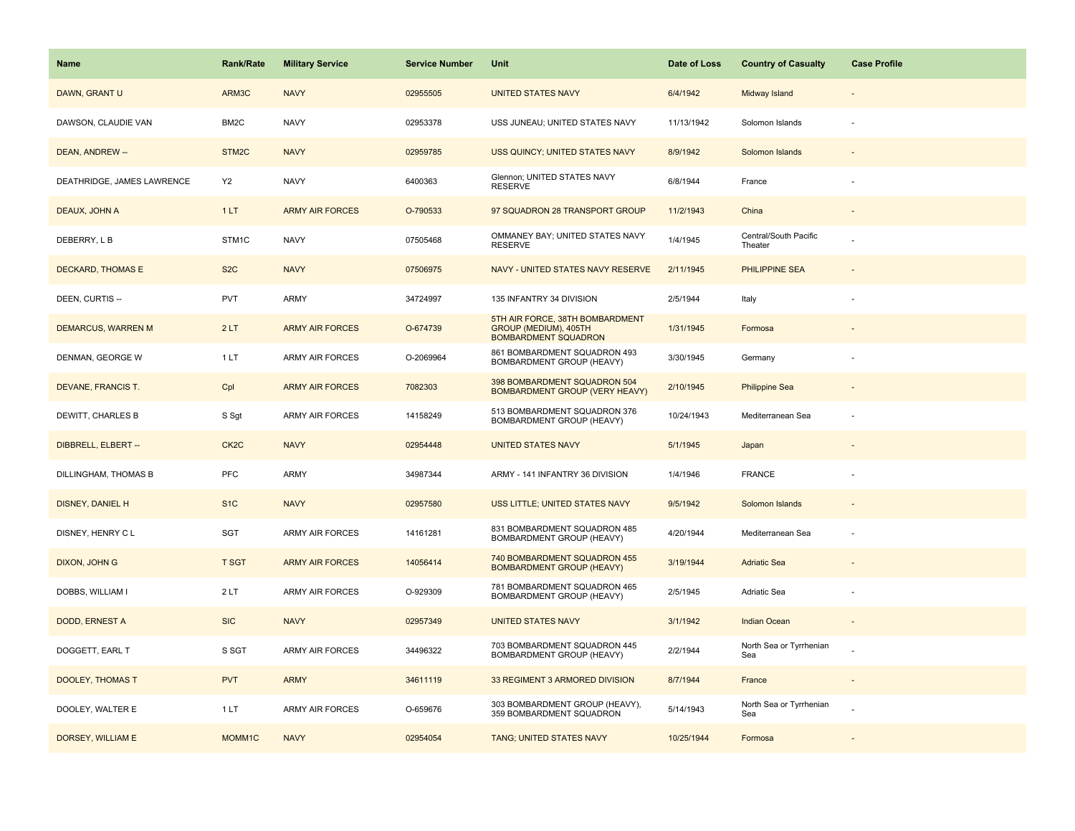| <b>Name</b>                | <b>Rank/Rate</b>  | <b>Military Service</b> | <b>Service Number</b> | Unit                                                                                    | Date of Loss | <b>Country of Casualty</b>       | <b>Case Profile</b> |
|----------------------------|-------------------|-------------------------|-----------------------|-----------------------------------------------------------------------------------------|--------------|----------------------------------|---------------------|
| DAWN, GRANT U              | ARM3C             | <b>NAVY</b>             | 02955505              | <b>UNITED STATES NAVY</b>                                                               | 6/4/1942     | Midway Island                    |                     |
| DAWSON, CLAUDIE VAN        | BM2C              | <b>NAVY</b>             | 02953378              | USS JUNEAU; UNITED STATES NAVY                                                          | 11/13/1942   | Solomon Islands                  |                     |
| DEAN, ANDREW --            | STM2C             | <b>NAVY</b>             | 02959785              | USS QUINCY; UNITED STATES NAVY                                                          | 8/9/1942     | Solomon Islands                  |                     |
| DEATHRIDGE, JAMES LAWRENCE | <b>Y2</b>         | <b>NAVY</b>             | 6400363               | Glennon; UNITED STATES NAVY<br><b>RESERVE</b>                                           | 6/8/1944     | France                           |                     |
| DEAUX, JOHN A              | 1LT               | <b>ARMY AIR FORCES</b>  | O-790533              | 97 SQUADRON 28 TRANSPORT GROUP                                                          | 11/2/1943    | China                            |                     |
| DEBERRY, L B               | STM1C             | <b>NAVY</b>             | 07505468              | OMMANEY BAY; UNITED STATES NAVY<br><b>RESERVE</b>                                       | 1/4/1945     | Central/South Pacific<br>Theater |                     |
| DECKARD, THOMAS E          | S <sub>2</sub> C  | <b>NAVY</b>             | 07506975              | NAVY - UNITED STATES NAVY RESERVE                                                       | 2/11/1945    | <b>PHILIPPINE SEA</b>            |                     |
| DEEN, CURTIS --            | <b>PVT</b>        | <b>ARMY</b>             | 34724997              | 135 INFANTRY 34 DIVISION                                                                | 2/5/1944     | Italy                            |                     |
| <b>DEMARCUS, WARREN M</b>  | 2LT               | <b>ARMY AIR FORCES</b>  | O-674739              | 5TH AIR FORCE, 38TH BOMBARDMENT<br>GROUP (MEDIUM), 405TH<br><b>BOMBARDMENT SQUADRON</b> | 1/31/1945    | Formosa                          |                     |
| DENMAN, GEORGE W           | 1LT               | ARMY AIR FORCES         | O-2069964             | 861 BOMBARDMENT SQUADRON 493<br>BOMBARDMENT GROUP (HEAVY)                               | 3/30/1945    | Germany                          |                     |
| DEVANE, FRANCIS T.         | Cpl               | <b>ARMY AIR FORCES</b>  | 7082303               | 398 BOMBARDMENT SQUADRON 504<br><b>BOMBARDMENT GROUP (VERY HEAVY)</b>                   | 2/10/1945    | <b>Philippine Sea</b>            |                     |
| DEWITT, CHARLES B          | S Sgt             | ARMY AIR FORCES         | 14158249              | 513 BOMBARDMENT SQUADRON 376<br>BOMBARDMENT GROUP (HEAVY)                               | 10/24/1943   | Mediterranean Sea                |                     |
| DIBBRELL, ELBERT --        | CK <sub>2</sub> C | <b>NAVY</b>             | 02954448              | <b>UNITED STATES NAVY</b>                                                               | 5/1/1945     | Japan                            |                     |
| DILLINGHAM, THOMAS B       | PFC               | ARMY                    | 34987344              | ARMY - 141 INFANTRY 36 DIVISION                                                         | 1/4/1946     | <b>FRANCE</b>                    |                     |
| <b>DISNEY, DANIEL H</b>    | S <sub>1</sub> C  | <b>NAVY</b>             | 02957580              | USS LITTLE; UNITED STATES NAVY                                                          | 9/5/1942     | Solomon Islands                  |                     |
| DISNEY, HENRY C L          | SGT               | <b>ARMY AIR FORCES</b>  | 14161281              | 831 BOMBARDMENT SQUADRON 485<br>BOMBARDMENT GROUP (HEAVY)                               | 4/20/1944    | Mediterranean Sea                |                     |
| DIXON, JOHN G              | <b>T SGT</b>      | <b>ARMY AIR FORCES</b>  | 14056414              | 740 BOMBARDMENT SQUADRON 455<br><b>BOMBARDMENT GROUP (HEAVY)</b>                        | 3/19/1944    | <b>Adriatic Sea</b>              |                     |
| DOBBS, WILLIAM I           | 2LT               | ARMY AIR FORCES         | O-929309              | 781 BOMBARDMENT SQUADRON 465<br>BOMBARDMENT GROUP (HEAVY)                               | 2/5/1945     | Adriatic Sea                     |                     |
| DODD, ERNEST A             | <b>SIC</b>        | <b>NAVY</b>             | 02957349              | <b>UNITED STATES NAVY</b>                                                               | 3/1/1942     | <b>Indian Ocean</b>              |                     |
| DOGGETT, EARL T            | S SGT             | ARMY AIR FORCES         | 34496322              | 703 BOMBARDMENT SQUADRON 445<br>BOMBARDMENT GROUP (HEAVY)                               | 2/2/1944     | North Sea or Tyrrhenian<br>Sea   |                     |
| <b>DOOLEY, THOMAS T</b>    | <b>PVT</b>        | <b>ARMY</b>             | 34611119              | 33 REGIMENT 3 ARMORED DIVISION                                                          | 8/7/1944     | France                           |                     |
| DOOLEY, WALTER E           | 1 LT              | ARMY AIR FORCES         | O-659676              | 303 BOMBARDMENT GROUP (HEAVY),<br>359 BOMBARDMENT SQUADRON                              | 5/14/1943    | North Sea or Tyrrhenian<br>Sea   |                     |
| DORSEY, WILLIAM E          | MOMM1C            | <b>NAVY</b>             | 02954054              | TANG; UNITED STATES NAVY                                                                | 10/25/1944   | Formosa                          |                     |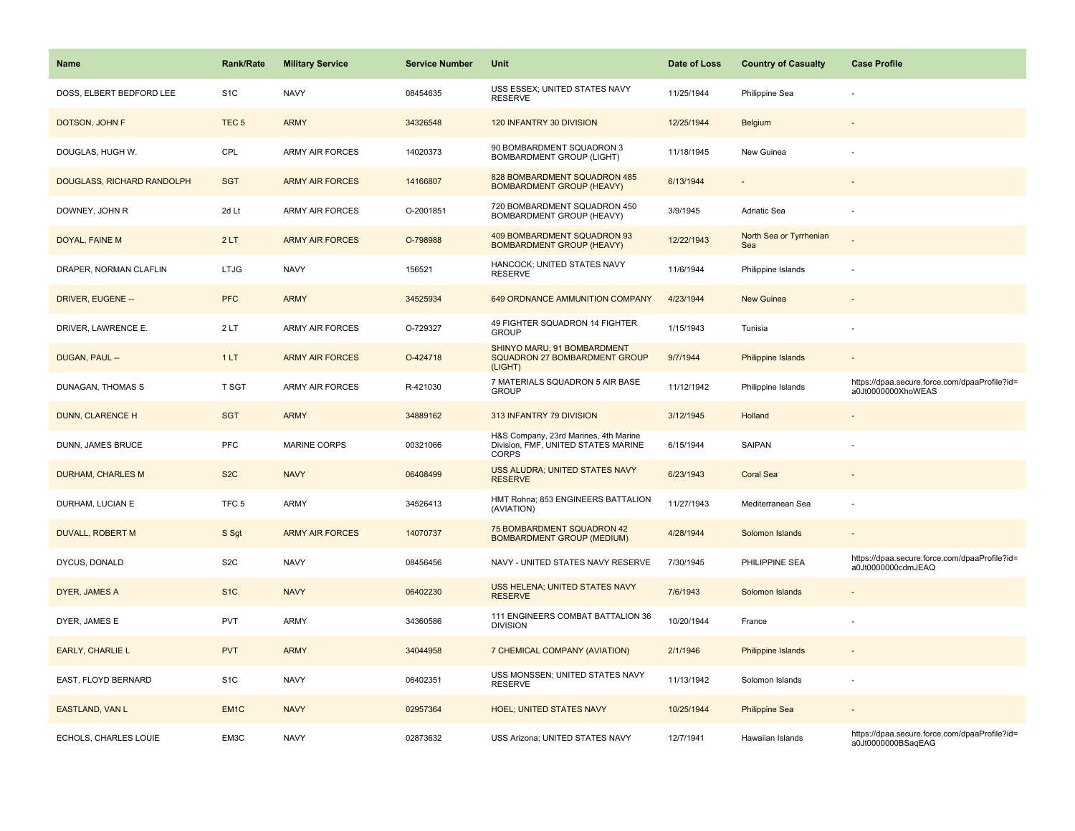| Name                       | <b>Rank/Rate</b>  | <b>Military Service</b> | <b>Service Number</b> | Unit                                                                                         | Date of Loss | <b>Country of Casualty</b>     | <b>Case Profile</b>                                                 |
|----------------------------|-------------------|-------------------------|-----------------------|----------------------------------------------------------------------------------------------|--------------|--------------------------------|---------------------------------------------------------------------|
| DOSS, ELBERT BEDFORD LEE   | S <sub>1</sub> C  | <b>NAVY</b>             | 08454635              | USS ESSEX; UNITED STATES NAVY<br><b>RESERVE</b>                                              | 11/25/1944   | Philippine Sea                 |                                                                     |
| DOTSON, JOHN F             | TEC <sub>5</sub>  | <b>ARMY</b>             | 34326548              | 120 INFANTRY 30 DIVISION                                                                     | 12/25/1944   | <b>Belgium</b>                 |                                                                     |
| DOUGLAS, HUGH W.           | CPL               | <b>ARMY AIR FORCES</b>  | 14020373              | 90 BOMBARDMENT SQUADRON 3<br>BOMBARDMENT GROUP (LIGHT)                                       | 11/18/1945   | New Guinea                     |                                                                     |
| DOUGLASS, RICHARD RANDOLPH | <b>SGT</b>        | <b>ARMY AIR FORCES</b>  | 14166807              | 828 BOMBARDMENT SQUADRON 485<br><b>BOMBARDMENT GROUP (HEAVY)</b>                             | 6/13/1944    |                                |                                                                     |
| DOWNEY, JOHN R             | 2d Lt             | <b>ARMY AIR FORCES</b>  | O-2001851             | 720 BOMBARDMENT SQUADRON 450<br>BOMBARDMENT GROUP (HEAVY)                                    | 3/9/1945     | Adriatic Sea                   |                                                                     |
| DOYAL, FAINE M             | 2LT               | <b>ARMY AIR FORCES</b>  | O-798988              | 409 BOMBARDMENT SQUADRON 93<br><b>BOMBARDMENT GROUP (HEAVY)</b>                              | 12/22/1943   | North Sea or Tyrrhenian<br>Sea |                                                                     |
| DRAPER, NORMAN CLAFLIN     | <b>LTJG</b>       | <b>NAVY</b>             | 156521                | HANCOCK; UNITED STATES NAVY<br><b>RESERVE</b>                                                | 11/6/1944    | Philippine Islands             |                                                                     |
| DRIVER, EUGENE --          | <b>PFC</b>        | <b>ARMY</b>             | 34525934              | 649 ORDNANCE AMMUNITION COMPANY                                                              | 4/23/1944    | New Guinea                     |                                                                     |
| DRIVER, LAWRENCE E.        | 2LT               | <b>ARMY AIR FORCES</b>  | O-729327              | 49 FIGHTER SQUADRON 14 FIGHTER<br><b>GROUP</b>                                               | 1/15/1943    | Tunisia                        |                                                                     |
| DUGAN, PAUL --             | 1LT               | <b>ARMY AIR FORCES</b>  | O-424718              | SHINYO MARU; 91 BOMBARDMENT<br>SQUADRON 27 BOMBARDMENT GROUP<br>(LIGHT)                      | 9/7/1944     | <b>Philippine Islands</b>      |                                                                     |
| DUNAGAN, THOMAS S          | <b>T SGT</b>      | <b>ARMY AIR FORCES</b>  | R-421030              | 7 MATERIALS SQUADRON 5 AIR BASE<br><b>GROUP</b>                                              | 11/12/1942   | Philippine Islands             | https://dpaa.secure.force.com/dpaaProfile?id=<br>a0Jt0000000XhoWEAS |
| DUNN, CLARENCE H           | <b>SGT</b>        | <b>ARMY</b>             | 34889162              | 313 INFANTRY 79 DIVISION                                                                     | 3/12/1945    | Holland                        |                                                                     |
| DUNN, JAMES BRUCE          | PFC               | <b>MARINE CORPS</b>     | 00321066              | H&S Company, 23rd Marines, 4th Marine<br>Division, FMF, UNITED STATES MARINE<br><b>CORPS</b> | 6/15/1944    | SAIPAN                         |                                                                     |
| <b>DURHAM, CHARLES M</b>   | S <sub>2</sub> C  | <b>NAVY</b>             | 06408499              | <b>USS ALUDRA; UNITED STATES NAVY</b><br><b>RESERVE</b>                                      | 6/23/1943    | <b>Coral Sea</b>               |                                                                     |
| DURHAM, LUCIAN E           | TFC <sub>5</sub>  | <b>ARMY</b>             | 34526413              | HMT Rohna; 853 ENGINEERS BATTALION<br>(AVIATION)                                             | 11/27/1943   | Mediterranean Sea              |                                                                     |
| DUVALL, ROBERT M           | S Sgt             | <b>ARMY AIR FORCES</b>  | 14070737              | 75 BOMBARDMENT SQUADRON 42<br><b>BOMBARDMENT GROUP (MEDIUM)</b>                              | 4/28/1944    | Solomon Islands                |                                                                     |
| DYCUS, DONALD              | S <sub>2</sub> C  | <b>NAVY</b>             | 08456456              | NAVY - UNITED STATES NAVY RESERVE                                                            | 7/30/1945    | PHILIPPINE SEA                 | https://dpaa.secure.force.com/dpaaProfile?id=<br>a0Jt0000000cdmJEAQ |
| DYER, JAMES A              | S <sub>1</sub> C  | <b>NAVY</b>             | 06402230              | USS HELENA; UNITED STATES NAVY<br><b>RESERVE</b>                                             | 7/6/1943     | Solomon Islands                |                                                                     |
| DYER, JAMES E              | <b>PVT</b>        | <b>ARMY</b>             | 34360586              | 111 ENGINEERS COMBAT BATTALION 36<br><b>DIVISION</b>                                         | 10/20/1944   | France                         |                                                                     |
| <b>EARLY, CHARLIE L</b>    | <b>PVT</b>        | <b>ARMY</b>             | 34044958              | 7 CHEMICAL COMPANY (AVIATION)                                                                | 2/1/1946     | <b>Philippine Islands</b>      |                                                                     |
| EAST, FLOYD BERNARD        | S <sub>1</sub> C  | <b>NAVY</b>             | 06402351              | USS MONSSEN; UNITED STATES NAVY<br><b>RESERVE</b>                                            | 11/13/1942   | Solomon Islands                |                                                                     |
| <b>EASTLAND, VAN L</b>     | EM <sub>1</sub> C | <b>NAVY</b>             | 02957364              | <b>HOEL; UNITED STATES NAVY</b>                                                              | 10/25/1944   | <b>Philippine Sea</b>          |                                                                     |
| ECHOLS, CHARLES LOUIE      | EM3C              | <b>NAVY</b>             | 02873632              | USS Arizona; UNITED STATES NAVY                                                              | 12/7/1941    | Hawaiian Islands               | https://dpaa.secure.force.com/dpaaProfile?id=<br>a0Jt0000000BSaqEAG |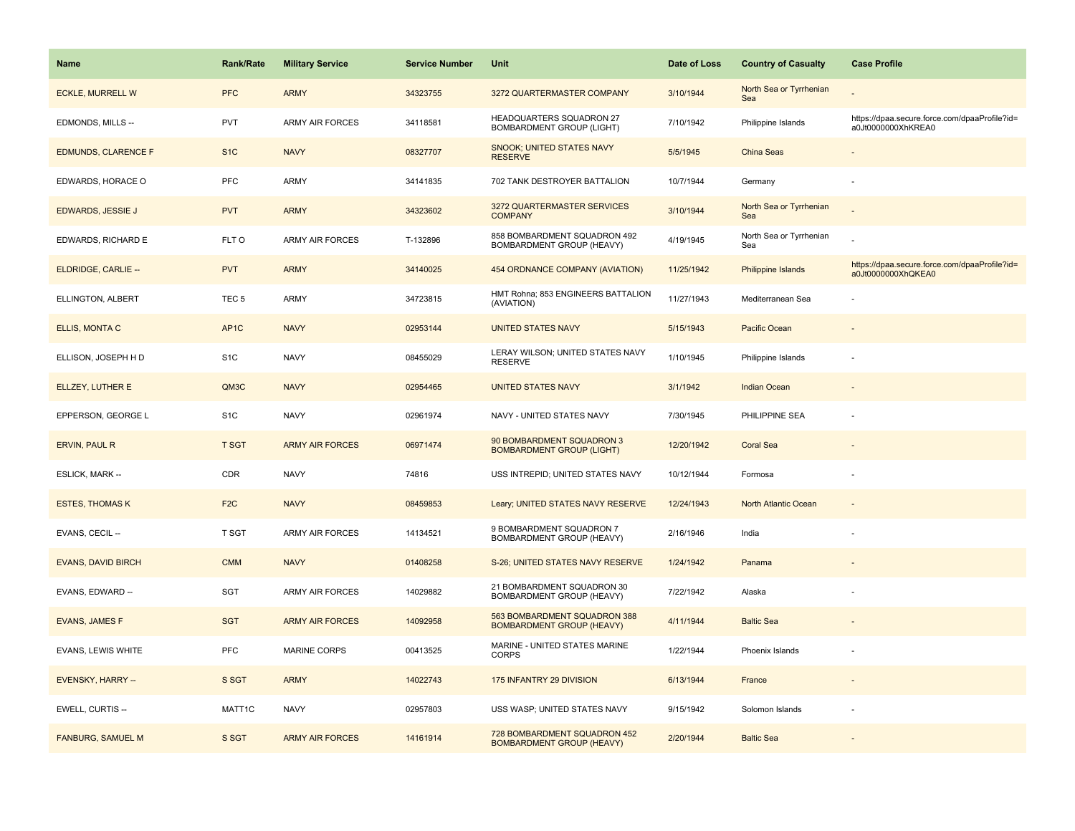| <b>Name</b>                | Rank/Rate        | <b>Military Service</b> | <b>Service Number</b> | Unit                                                             | Date of Loss | <b>Country of Casualty</b>     | <b>Case Profile</b>                                                 |
|----------------------------|------------------|-------------------------|-----------------------|------------------------------------------------------------------|--------------|--------------------------------|---------------------------------------------------------------------|
| <b>ECKLE, MURRELL W</b>    | <b>PFC</b>       | <b>ARMY</b>             | 34323755              | 3272 QUARTERMASTER COMPANY                                       | 3/10/1944    | North Sea or Tyrrhenian<br>Sea |                                                                     |
| EDMONDS, MILLS --          | PVT              | ARMY AIR FORCES         | 34118581              | HEADQUARTERS SQUADRON 27<br><b>BOMBARDMENT GROUP (LIGHT)</b>     | 7/10/1942    | Philippine Islands             | https://dpaa.secure.force.com/dpaaProfile?id=<br>a0Jt0000000XhKREA0 |
| <b>EDMUNDS, CLARENCE F</b> | S <sub>1</sub> C | <b>NAVY</b>             | 08327707              | <b>SNOOK; UNITED STATES NAVY</b><br><b>RESERVE</b>               | 5/5/1945     | <b>China Seas</b>              |                                                                     |
| EDWARDS, HORACE O          | PFC              | ARMY                    | 34141835              | 702 TANK DESTROYER BATTALION                                     | 10/7/1944    | Germany                        |                                                                     |
| <b>EDWARDS, JESSIE J</b>   | <b>PVT</b>       | <b>ARMY</b>             | 34323602              | 3272 QUARTERMASTER SERVICES<br><b>COMPANY</b>                    | 3/10/1944    | North Sea or Tyrrhenian<br>Sea |                                                                     |
| EDWARDS, RICHARD E         | FLT O            | <b>ARMY AIR FORCES</b>  | T-132896              | 858 BOMBARDMENT SQUADRON 492<br>BOMBARDMENT GROUP (HEAVY)        | 4/19/1945    | North Sea or Tyrrhenian<br>Sea |                                                                     |
| ELDRIDGE, CARLIE --        | <b>PVT</b>       | <b>ARMY</b>             | 34140025              | 454 ORDNANCE COMPANY (AVIATION)                                  | 11/25/1942   | Philippine Islands             | https://dpaa.secure.force.com/dpaaProfile?id=<br>a0Jt0000000XhQKEA0 |
| ELLINGTON, ALBERT          | TEC <sub>5</sub> | <b>ARMY</b>             | 34723815              | HMT Rohna; 853 ENGINEERS BATTALION<br>(AVIATION)                 | 11/27/1943   | Mediterranean Sea              |                                                                     |
| ELLIS, MONTA C             | AP <sub>1C</sub> | <b>NAVY</b>             | 02953144              | <b>UNITED STATES NAVY</b>                                        | 5/15/1943    | Pacific Ocean                  |                                                                     |
| ELLISON, JOSEPH H D        | S <sub>1</sub> C | <b>NAVY</b>             | 08455029              | LERAY WILSON; UNITED STATES NAVY<br><b>RESERVE</b>               | 1/10/1945    | Philippine Islands             |                                                                     |
| ELLZEY, LUTHER E           | QM3C             | <b>NAVY</b>             | 02954465              | <b>UNITED STATES NAVY</b>                                        | 3/1/1942     | <b>Indian Ocean</b>            |                                                                     |
| EPPERSON, GEORGE L         | S <sub>1</sub> C | <b>NAVY</b>             | 02961974              | NAVY - UNITED STATES NAVY                                        | 7/30/1945    | PHILIPPINE SEA                 |                                                                     |
| <b>ERVIN, PAUL R</b>       | <b>T SGT</b>     | <b>ARMY AIR FORCES</b>  | 06971474              | 90 BOMBARDMENT SQUADRON 3<br><b>BOMBARDMENT GROUP (LIGHT)</b>    | 12/20/1942   | <b>Coral Sea</b>               |                                                                     |
| <b>ESLICK, MARK --</b>     | CDR              | <b>NAVY</b>             | 74816                 | USS INTREPID; UNITED STATES NAVY                                 | 10/12/1944   | Formosa                        | ł,                                                                  |
| <b>ESTES, THOMAS K</b>     | F <sub>2</sub> C | <b>NAVY</b>             | 08459853              | Leary; UNITED STATES NAVY RESERVE                                | 12/24/1943   | North Atlantic Ocean           | ÷,                                                                  |
| EVANS, CECIL --            | T SGT            | <b>ARMY AIR FORCES</b>  | 14134521              | 9 BOMBARDMENT SQUADRON 7<br>BOMBARDMENT GROUP (HEAVY)            | 2/16/1946    | India                          |                                                                     |
| <b>EVANS, DAVID BIRCH</b>  | <b>CMM</b>       | <b>NAVY</b>             | 01408258              | S-26; UNITED STATES NAVY RESERVE                                 | 1/24/1942    | Panama                         |                                                                     |
| EVANS, EDWARD --           | SGT              | <b>ARMY AIR FORCES</b>  | 14029882              | 21 BOMBARDMENT SQUADRON 30<br>BOMBARDMENT GROUP (HEAVY)          | 7/22/1942    | Alaska                         |                                                                     |
| <b>EVANS, JAMES F</b>      | <b>SGT</b>       | <b>ARMY AIR FORCES</b>  | 14092958              | 563 BOMBARDMENT SQUADRON 388<br><b>BOMBARDMENT GROUP (HEAVY)</b> | 4/11/1944    | <b>Baltic Sea</b>              |                                                                     |
| EVANS, LEWIS WHITE         | <b>PFC</b>       | <b>MARINE CORPS</b>     | 00413525              | MARINE - UNITED STATES MARINE<br><b>CORPS</b>                    | 1/22/1944    | Phoenix Islands                |                                                                     |
| EVENSKY, HARRY --          | S SGT            | <b>ARMY</b>             | 14022743              | 175 INFANTRY 29 DIVISION                                         | 6/13/1944    | France                         | $\overline{\phantom{a}}$                                            |
| EWELL, CURTIS --           | MATT1C           | <b>NAVY</b>             | 02957803              | USS WASP; UNITED STATES NAVY                                     | 9/15/1942    | Solomon Islands                |                                                                     |
| <b>FANBURG, SAMUEL M</b>   | S SGT            | <b>ARMY AIR FORCES</b>  | 14161914              | 728 BOMBARDMENT SQUADRON 452<br><b>BOMBARDMENT GROUP (HEAVY)</b> | 2/20/1944    | <b>Baltic Sea</b>              |                                                                     |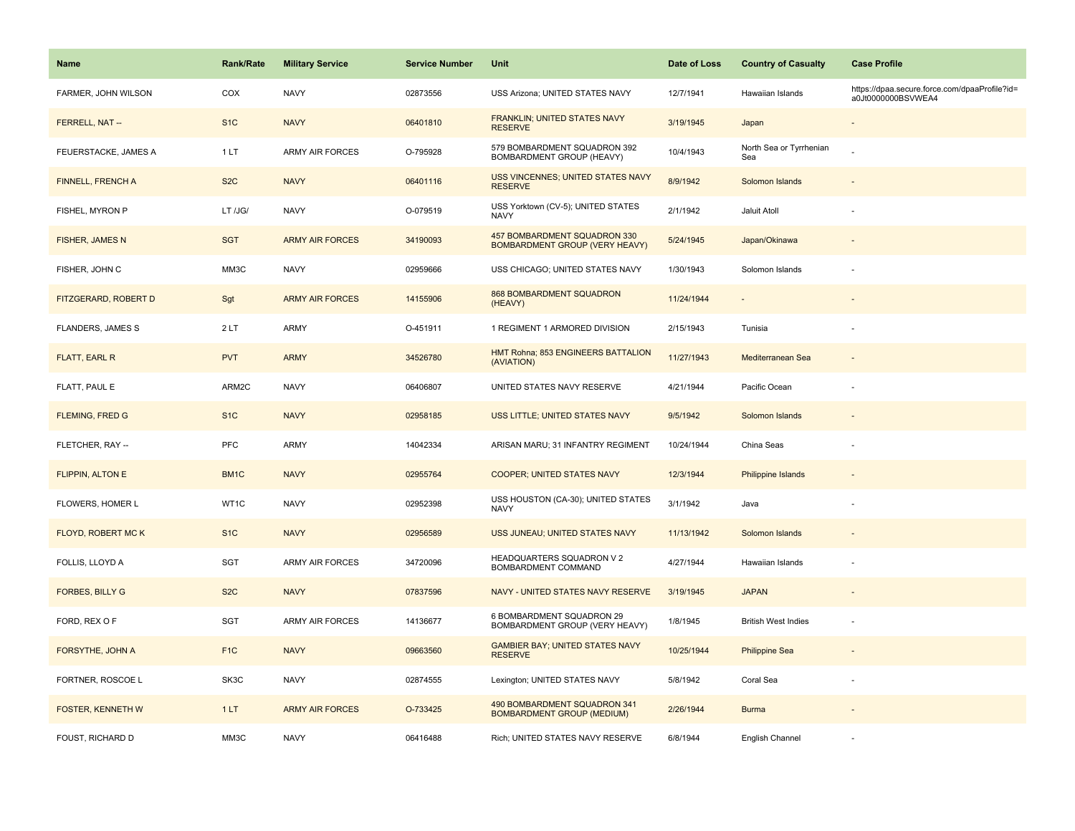| Name                     | <b>Rank/Rate</b> | <b>Military Service</b> | <b>Service Number</b> | Unit                                                                  | Date of Loss | <b>Country of Casualty</b>     | <b>Case Profile</b>                                                 |
|--------------------------|------------------|-------------------------|-----------------------|-----------------------------------------------------------------------|--------------|--------------------------------|---------------------------------------------------------------------|
| FARMER, JOHN WILSON      | COX              | <b>NAVY</b>             | 02873556              | USS Arizona; UNITED STATES NAVY                                       | 12/7/1941    | Hawaiian Islands               | https://dpaa.secure.force.com/dpaaProfile?id=<br>a0Jt0000000BSVWEA4 |
| FERRELL, NAT --          | S <sub>1</sub> C | <b>NAVY</b>             | 06401810              | FRANKLIN; UNITED STATES NAVY<br><b>RESERVE</b>                        | 3/19/1945    | Japan                          |                                                                     |
| FEUERSTACKE, JAMES A     | 1LT              | <b>ARMY AIR FORCES</b>  | O-795928              | 579 BOMBARDMENT SQUADRON 392<br>BOMBARDMENT GROUP (HEAVY)             | 10/4/1943    | North Sea or Tyrrhenian<br>Sea |                                                                     |
| FINNELL, FRENCH A        | S <sub>2</sub> C | <b>NAVY</b>             | 06401116              | USS VINCENNES; UNITED STATES NAVY<br><b>RESERVE</b>                   | 8/9/1942     | Solomon Islands                |                                                                     |
| FISHEL, MYRON P          | LT /JG/          | <b>NAVY</b>             | O-079519              | USS Yorktown (CV-5); UNITED STATES<br><b>NAVY</b>                     | 2/1/1942     | Jaluit Atoll                   |                                                                     |
| FISHER, JAMES N          | <b>SGT</b>       | <b>ARMY AIR FORCES</b>  | 34190093              | 457 BOMBARDMENT SQUADRON 330<br><b>BOMBARDMENT GROUP (VERY HEAVY)</b> | 5/24/1945    | Japan/Okinawa                  |                                                                     |
| FISHER, JOHN C           | MM3C             | <b>NAVY</b>             | 02959666              | USS CHICAGO; UNITED STATES NAVY                                       | 1/30/1943    | Solomon Islands                |                                                                     |
| FITZGERARD, ROBERT D     | Sgt              | <b>ARMY AIR FORCES</b>  | 14155906              | <b>868 BOMBARDMENT SQUADRON</b><br>(HEAVY)                            | 11/24/1944   |                                |                                                                     |
| <b>FLANDERS, JAMES S</b> | 2LT              | <b>ARMY</b>             | O-451911              | 1 REGIMENT 1 ARMORED DIVISION                                         | 2/15/1943    | Tunisia                        |                                                                     |
| FLATT, EARL R            | <b>PVT</b>       | <b>ARMY</b>             | 34526780              | HMT Rohna; 853 ENGINEERS BATTALION<br>(AVIATION)                      | 11/27/1943   | Mediterranean Sea              |                                                                     |
| FLATT, PAUL E            | ARM2C            | <b>NAVY</b>             | 06406807              | UNITED STATES NAVY RESERVE                                            | 4/21/1944    | Pacific Ocean                  |                                                                     |
| <b>FLEMING, FRED G</b>   | S <sub>1</sub> C | <b>NAVY</b>             | 02958185              | USS LITTLE; UNITED STATES NAVY                                        | 9/5/1942     | Solomon Islands                |                                                                     |
| FLETCHER, RAY --         | <b>PFC</b>       | <b>ARMY</b>             | 14042334              | ARISAN MARU; 31 INFANTRY REGIMENT                                     | 10/24/1944   | China Seas                     |                                                                     |
| <b>FLIPPIN, ALTON E</b>  | BM1C             | <b>NAVY</b>             | 02955764              | <b>COOPER; UNITED STATES NAVY</b>                                     | 12/3/1944    | <b>Philippine Islands</b>      |                                                                     |
| FLOWERS, HOMER L         | WT1C             | <b>NAVY</b>             | 02952398              | USS HOUSTON (CA-30); UNITED STATES<br><b>NAVY</b>                     | 3/1/1942     | Java                           |                                                                     |
| FLOYD, ROBERT MC K       | S <sub>1</sub> C | <b>NAVY</b>             | 02956589              | USS JUNEAU; UNITED STATES NAVY                                        | 11/13/1942   | Solomon Islands                |                                                                     |
| FOLLIS, LLOYD A          | SGT              | <b>ARMY AIR FORCES</b>  | 34720096              | HEADQUARTERS SQUADRON V 2<br>BOMBARDMENT COMMAND                      | 4/27/1944    | Hawaiian Islands               |                                                                     |
| <b>FORBES, BILLY G</b>   | S <sub>2</sub> C | <b>NAVY</b>             | 07837596              | NAVY - UNITED STATES NAVY RESERVE                                     | 3/19/1945    | <b>JAPAN</b>                   |                                                                     |
| FORD, REX OF             | <b>SGT</b>       | <b>ARMY AIR FORCES</b>  | 14136677              | 6 BOMBARDMENT SQUADRON 29<br>BOMBARDMENT GROUP (VERY HEAVY)           | 1/8/1945     | <b>British West Indies</b>     | ÷,                                                                  |
| FORSYTHE, JOHN A         | F <sub>1</sub> C | <b>NAVY</b>             | 09663560              | <b>GAMBIER BAY; UNITED STATES NAVY</b><br><b>RESERVE</b>              | 10/25/1944   | <b>Philippine Sea</b>          |                                                                     |
| FORTNER, ROSCOE L        | SK3C             | <b>NAVY</b>             | 02874555              | Lexington; UNITED STATES NAVY                                         | 5/8/1942     | Coral Sea                      |                                                                     |
| FOSTER, KENNETH W        | 1LT              | <b>ARMY AIR FORCES</b>  | O-733425              | 490 BOMBARDMENT SQUADRON 341<br><b>BOMBARDMENT GROUP (MEDIUM)</b>     | 2/26/1944    | <b>Burma</b>                   |                                                                     |
| FOUST, RICHARD D         | MM3C             | <b>NAVY</b>             | 06416488              | Rich; UNITED STATES NAVY RESERVE                                      | 6/8/1944     | English Channel                |                                                                     |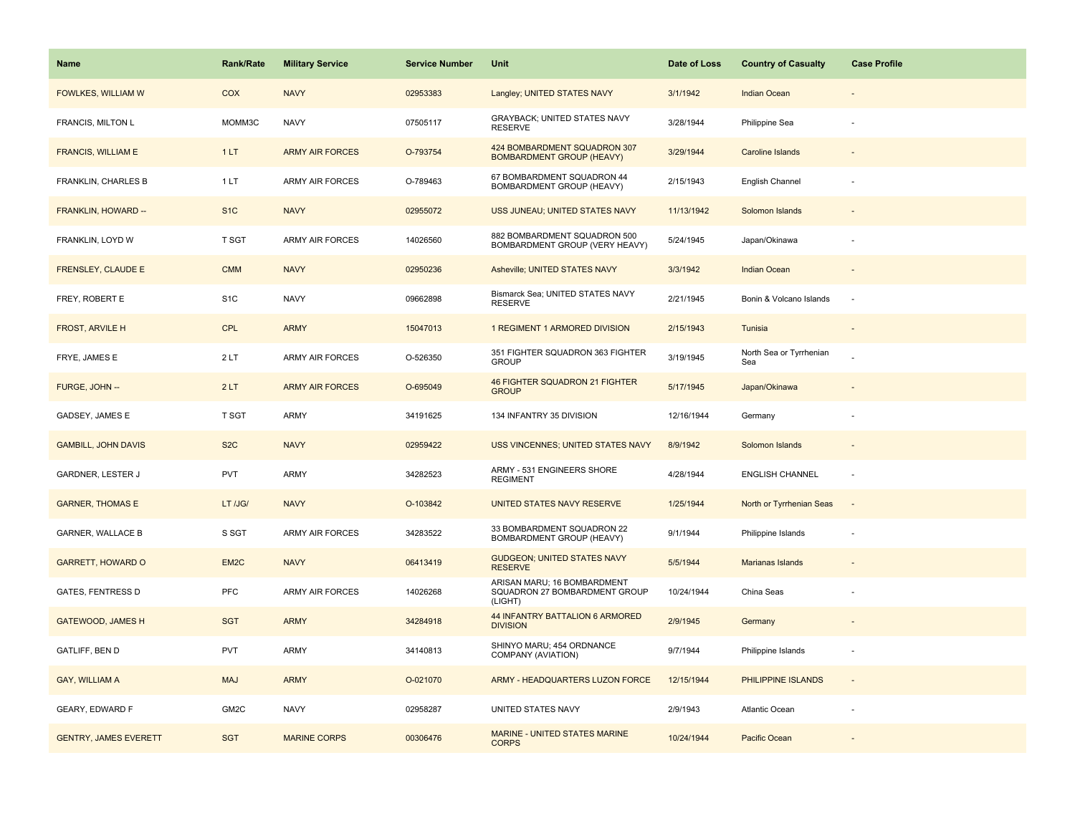| <b>Name</b>                  | <b>Rank/Rate</b>  | <b>Military Service</b> | <b>Service Number</b> | Unit                                                                    | Date of Loss | <b>Country of Casualty</b>     | <b>Case Profile</b>      |
|------------------------------|-------------------|-------------------------|-----------------------|-------------------------------------------------------------------------|--------------|--------------------------------|--------------------------|
| FOWLKES, WILLIAM W           | COX               | <b>NAVY</b>             | 02953383              | Langley; UNITED STATES NAVY                                             | 3/1/1942     | <b>Indian Ocean</b>            |                          |
| FRANCIS, MILTON L            | MOMM3C            | <b>NAVY</b>             | 07505117              | GRAYBACK; UNITED STATES NAVY<br><b>RESERVE</b>                          | 3/28/1944    | Philippine Sea                 |                          |
| FRANCIS, WILLIAM E           | 1LT               | <b>ARMY AIR FORCES</b>  | O-793754              | 424 BOMBARDMENT SQUADRON 307<br><b>BOMBARDMENT GROUP (HEAVY)</b>        | 3/29/1944    | <b>Caroline Islands</b>        |                          |
| FRANKLIN, CHARLES B          | 1LT               | <b>ARMY AIR FORCES</b>  | O-789463              | 67 BOMBARDMENT SQUADRON 44<br><b>BOMBARDMENT GROUP (HEAVY)</b>          | 2/15/1943    | English Channel                |                          |
| FRANKLIN, HOWARD --          | S <sub>1</sub> C  | <b>NAVY</b>             | 02955072              | USS JUNEAU; UNITED STATES NAVY                                          | 11/13/1942   | Solomon Islands                |                          |
| FRANKLIN, LOYD W             | T SGT             | <b>ARMY AIR FORCES</b>  | 14026560              | 882 BOMBARDMENT SQUADRON 500<br>BOMBARDMENT GROUP (VERY HEAVY)          | 5/24/1945    | Japan/Okinawa                  |                          |
| <b>FRENSLEY, CLAUDE E</b>    | <b>CMM</b>        | <b>NAVY</b>             | 02950236              | Asheville; UNITED STATES NAVY                                           | 3/3/1942     | <b>Indian Ocean</b>            | $\blacksquare$           |
| FREY, ROBERT E               | S <sub>1</sub> C  | <b>NAVY</b>             | 09662898              | Bismarck Sea; UNITED STATES NAVY<br><b>RESERVE</b>                      | 2/21/1945    | Bonin & Volcano Islands        | ٠.                       |
| <b>FROST, ARVILE H</b>       | <b>CPL</b>        | <b>ARMY</b>             | 15047013              | 1 REGIMENT 1 ARMORED DIVISION                                           | 2/15/1943    | Tunisia                        |                          |
| FRYE, JAMES E                | 2LT               | <b>ARMY AIR FORCES</b>  | O-526350              | 351 FIGHTER SQUADRON 363 FIGHTER<br><b>GROUP</b>                        | 3/19/1945    | North Sea or Tyrrhenian<br>Sea |                          |
| FURGE, JOHN --               | 2LT               | <b>ARMY AIR FORCES</b>  | O-695049              | 46 FIGHTER SQUADRON 21 FIGHTER<br><b>GROUP</b>                          | 5/17/1945    | Japan/Okinawa                  |                          |
| GADSEY, JAMES E              | T SGT             | ARMY                    | 34191625              | 134 INFANTRY 35 DIVISION                                                | 12/16/1944   | Germany                        |                          |
| <b>GAMBILL, JOHN DAVIS</b>   | S <sub>2</sub> C  | <b>NAVY</b>             | 02959422              | <b>USS VINCENNES; UNITED STATES NAVY</b>                                | 8/9/1942     | Solomon Islands                |                          |
| GARDNER, LESTER J            | <b>PVT</b>        | <b>ARMY</b>             | 34282523              | ARMY - 531 ENGINEERS SHORE<br><b>REGIMENT</b>                           | 4/28/1944    | <b>ENGLISH CHANNEL</b>         | ÷.                       |
| <b>GARNER, THOMAS E</b>      | LT /JG/           | <b>NAVY</b>             | O-103842              | UNITED STATES NAVY RESERVE                                              | 1/25/1944    | North or Tyrrhenian Seas       | $\sim$                   |
| <b>GARNER, WALLACE B</b>     | S SGT             | ARMY AIR FORCES         | 34283522              | 33 BOMBARDMENT SQUADRON 22<br>BOMBARDMENT GROUP (HEAVY)                 | 9/1/1944     | Philippine Islands             | ÷,                       |
| <b>GARRETT, HOWARD O</b>     | EM <sub>2C</sub>  | <b>NAVY</b>             | 06413419              | <b>GUDGEON; UNITED STATES NAVY</b><br><b>RESERVE</b>                    | 5/5/1944     | Marianas Islands               |                          |
| <b>GATES, FENTRESS D</b>     | <b>PFC</b>        | <b>ARMY AIR FORCES</b>  | 14026268              | ARISAN MARU; 16 BOMBARDMENT<br>SQUADRON 27 BOMBARDMENT GROUP<br>(LIGHT) | 10/24/1944   | China Seas                     |                          |
| <b>GATEWOOD, JAMES H</b>     | <b>SGT</b>        | <b>ARMY</b>             | 34284918              | 44 INFANTRY BATTALION 6 ARMORED<br><b>DIVISION</b>                      | 2/9/1945     | Germany                        |                          |
| GATLIFF, BEN D               | <b>PVT</b>        | <b>ARMY</b>             | 34140813              | SHINYO MARU; 454 ORDNANCE<br>COMPANY (AVIATION)                         | 9/7/1944     | Philippine Islands             | ÷                        |
| GAY, WILLIAM A               | <b>MAJ</b>        | <b>ARMY</b>             | O-021070              | ARMY - HEADQUARTERS LUZON FORCE                                         | 12/15/1944   | PHILIPPINE ISLANDS             | $\overline{\phantom{a}}$ |
| <b>GEARY, EDWARD F</b>       | GM <sub>2</sub> C | <b>NAVY</b>             | 02958287              | UNITED STATES NAVY                                                      | 2/9/1943     | Atlantic Ocean                 |                          |
| <b>GENTRY, JAMES EVERETT</b> | <b>SGT</b>        | <b>MARINE CORPS</b>     | 00306476              | <b>MARINE - UNITED STATES MARINE</b><br><b>CORPS</b>                    | 10/24/1944   | Pacific Ocean                  |                          |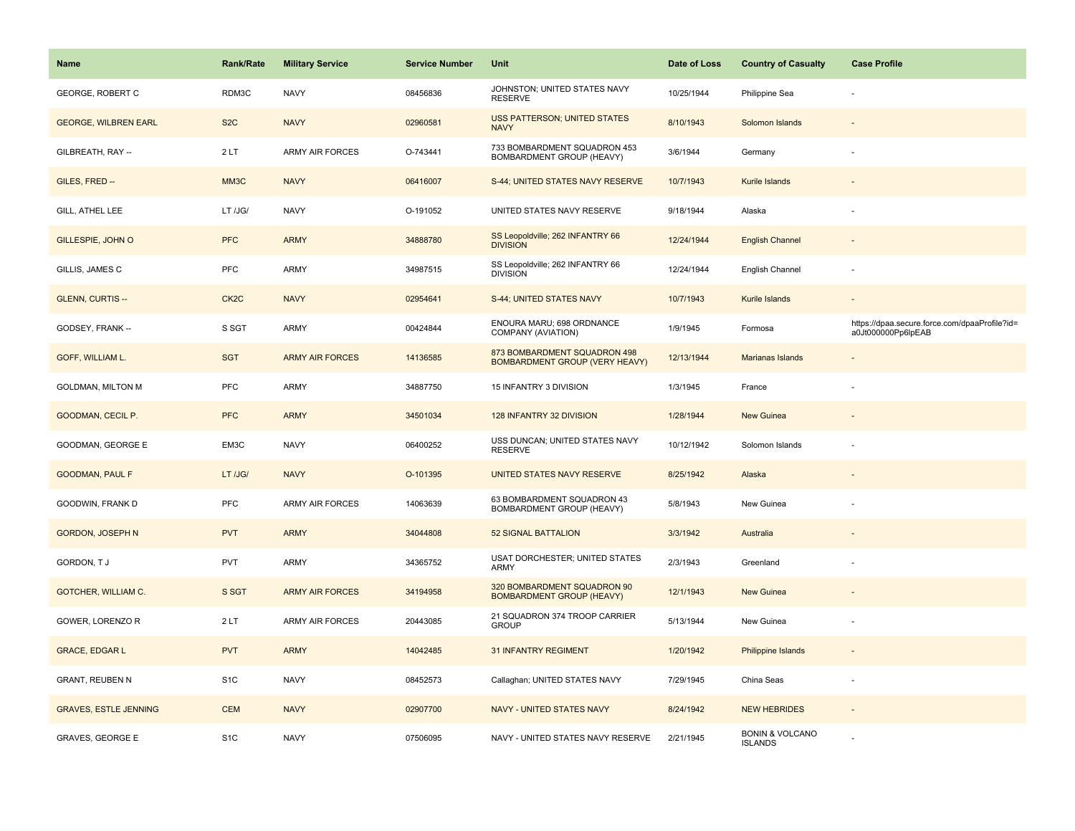| Name                         | <b>Rank/Rate</b>  | <b>Military Service</b> | <b>Service Number</b> | Unit                                                                  | Date of Loss | <b>Country of Casualty</b>                   | <b>Case Profile</b>                                                 |
|------------------------------|-------------------|-------------------------|-----------------------|-----------------------------------------------------------------------|--------------|----------------------------------------------|---------------------------------------------------------------------|
| <b>GEORGE, ROBERT C</b>      | RDM3C             | <b>NAVY</b>             | 08456836              | JOHNSTON; UNITED STATES NAVY<br><b>RESERVE</b>                        | 10/25/1944   | Philippine Sea                               |                                                                     |
| <b>GEORGE, WILBREN EARL</b>  | S <sub>2</sub> C  | <b>NAVY</b>             | 02960581              | <b>USS PATTERSON; UNITED STATES</b><br><b>NAVY</b>                    | 8/10/1943    | Solomon Islands                              |                                                                     |
| GILBREATH, RAY --            | 2LT               | <b>ARMY AIR FORCES</b>  | O-743441              | 733 BOMBARDMENT SQUADRON 453<br>BOMBARDMENT GROUP (HEAVY)             | 3/6/1944     | Germany                                      |                                                                     |
| GILES, FRED --               | MM3C              | <b>NAVY</b>             | 06416007              | S-44; UNITED STATES NAVY RESERVE                                      | 10/7/1943    | Kurile Islands                               |                                                                     |
| GILL, ATHEL LEE              | LT /JG/           | <b>NAVY</b>             | O-191052              | UNITED STATES NAVY RESERVE                                            | 9/18/1944    | Alaska                                       |                                                                     |
| GILLESPIE, JOHN O            | <b>PFC</b>        | <b>ARMY</b>             | 34888780              | SS Leopoldville; 262 INFANTRY 66<br><b>DIVISION</b>                   | 12/24/1944   | <b>English Channel</b>                       |                                                                     |
| GILLIS, JAMES C              | PFC               | <b>ARMY</b>             | 34987515              | SS Leopoldville; 262 INFANTRY 66<br><b>DIVISION</b>                   | 12/24/1944   | English Channel                              |                                                                     |
| <b>GLENN, CURTIS --</b>      | CK <sub>2</sub> C | <b>NAVY</b>             | 02954641              | S-44; UNITED STATES NAVY                                              | 10/7/1943    | Kurile Islands                               |                                                                     |
| GODSEY, FRANK --             | S SGT             | <b>ARMY</b>             | 00424844              | ENOURA MARU; 698 ORDNANCE<br>COMPANY (AVIATION)                       | 1/9/1945     | Formosa                                      | https://dpaa.secure.force.com/dpaaProfile?id=<br>a0Jt000000Pp6lpEAB |
| GOFF, WILLIAM L.             | <b>SGT</b>        | <b>ARMY AIR FORCES</b>  | 14136585              | 873 BOMBARDMENT SQUADRON 498<br><b>BOMBARDMENT GROUP (VERY HEAVY)</b> | 12/13/1944   | Marianas Islands                             |                                                                     |
| <b>GOLDMAN, MILTON M</b>     | PFC               | <b>ARMY</b>             | 34887750              | 15 INFANTRY 3 DIVISION                                                | 1/3/1945     | France                                       |                                                                     |
| GOODMAN, CECIL P.            | <b>PFC</b>        | <b>ARMY</b>             | 34501034              | 128 INFANTRY 32 DIVISION                                              | 1/28/1944    | New Guinea                                   |                                                                     |
| GOODMAN, GEORGE E            | EM3C              | <b>NAVY</b>             | 06400252              | USS DUNCAN; UNITED STATES NAVY<br><b>RESERVE</b>                      | 10/12/1942   | Solomon Islands                              |                                                                     |
| <b>GOODMAN, PAUL F</b>       | LT /JG/           | <b>NAVY</b>             | O-101395              | UNITED STATES NAVY RESERVE                                            | 8/25/1942    | Alaska                                       |                                                                     |
| GOODWIN, FRANK D             | PFC               | <b>ARMY AIR FORCES</b>  | 14063639              | 63 BOMBARDMENT SQUADRON 43<br>BOMBARDMENT GROUP (HEAVY)               | 5/8/1943     | New Guinea                                   |                                                                     |
| <b>GORDON, JOSEPH N</b>      | <b>PVT</b>        | <b>ARMY</b>             | 34044808              | <b>52 SIGNAL BATTALION</b>                                            | 3/3/1942     | Australia                                    |                                                                     |
| GORDON, TJ                   | PVT               | <b>ARMY</b>             | 34365752              | USAT DORCHESTER; UNITED STATES<br><b>ARMY</b>                         | 2/3/1943     | Greenland                                    |                                                                     |
| GOTCHER, WILLIAM C.          | S SGT             | <b>ARMY AIR FORCES</b>  | 34194958              | 320 BOMBARDMENT SQUADRON 90<br><b>BOMBARDMENT GROUP (HEAVY)</b>       | 12/1/1943    | <b>New Guinea</b>                            |                                                                     |
| GOWER, LORENZO R             | 2LT               | ARMY AIR FORCES         | 20443085              | 21 SQUADRON 374 TROOP CARRIER<br><b>GROUP</b>                         | 5/13/1944    | New Guinea                                   |                                                                     |
| <b>GRACE, EDGAR L</b>        | <b>PVT</b>        | <b>ARMY</b>             | 14042485              | <b>31 INFANTRY REGIMENT</b>                                           | 1/20/1942    | Philippine Islands                           |                                                                     |
| <b>GRANT, REUBEN N</b>       | S <sub>1</sub> C  | <b>NAVY</b>             | 08452573              | Callaghan; UNITED STATES NAVY                                         | 7/29/1945    | China Seas                                   |                                                                     |
| <b>GRAVES, ESTLE JENNING</b> | <b>CEM</b>        | <b>NAVY</b>             | 02907700              | <b>NAVY - UNITED STATES NAVY</b>                                      | 8/24/1942    | <b>NEW HEBRIDES</b>                          |                                                                     |
| <b>GRAVES, GEORGE E</b>      | S <sub>1</sub> C  | <b>NAVY</b>             | 07506095              | NAVY - UNITED STATES NAVY RESERVE                                     | 2/21/1945    | <b>BONIN &amp; VOLCANO</b><br><b>ISLANDS</b> |                                                                     |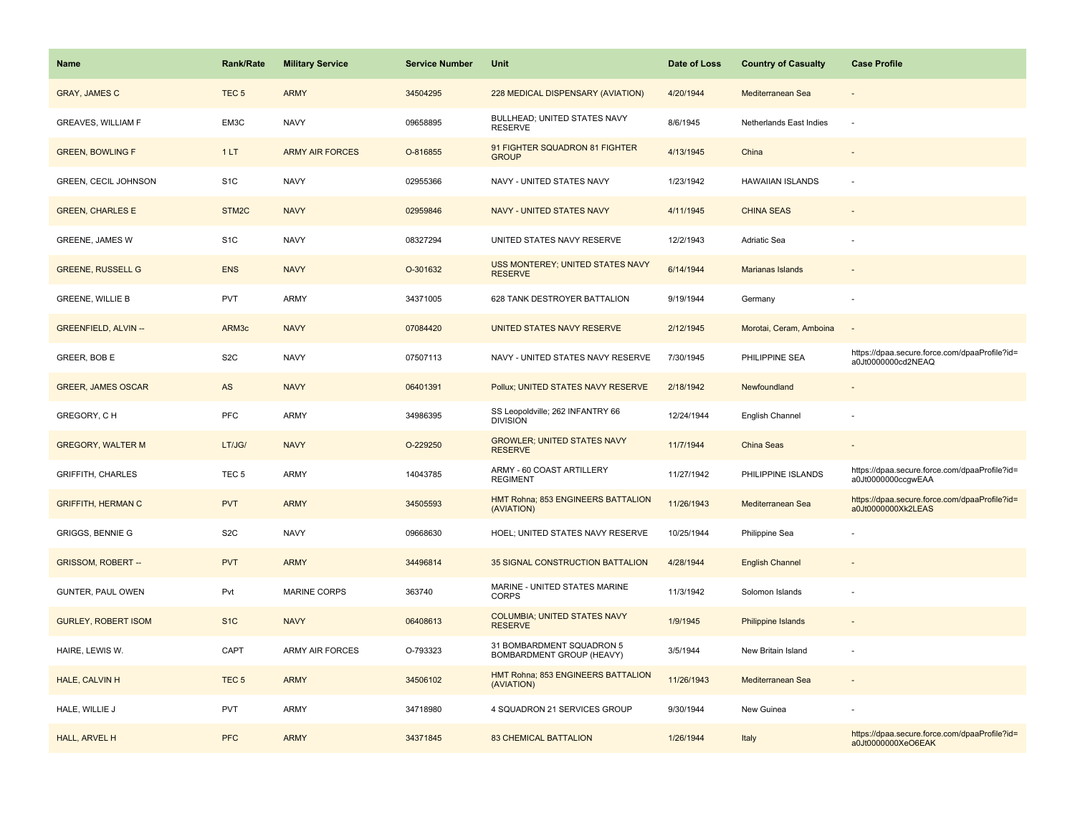| <b>Name</b>                 | <b>Rank/Rate</b> | <b>Military Service</b> | <b>Service Number</b> | <b>Unit</b>                                            | Date of Loss | <b>Country of Casualty</b> | <b>Case Profile</b>                                                 |
|-----------------------------|------------------|-------------------------|-----------------------|--------------------------------------------------------|--------------|----------------------------|---------------------------------------------------------------------|
| <b>GRAY, JAMES C</b>        | TEC <sub>5</sub> | <b>ARMY</b>             | 34504295              | 228 MEDICAL DISPENSARY (AVIATION)                      | 4/20/1944    | Mediterranean Sea          |                                                                     |
| <b>GREAVES, WILLIAM F</b>   | EM3C             | <b>NAVY</b>             | 09658895              | BULLHEAD; UNITED STATES NAVY<br><b>RESERVE</b>         | 8/6/1945     | Netherlands East Indies    | $\sim$                                                              |
| <b>GREEN, BOWLING F</b>     | 1LT              | <b>ARMY AIR FORCES</b>  | O-816855              | 91 FIGHTER SQUADRON 81 FIGHTER<br><b>GROUP</b>         | 4/13/1945    | China                      |                                                                     |
| <b>GREEN, CECIL JOHNSON</b> | S <sub>1</sub> C | <b>NAVY</b>             | 02955366              | NAVY - UNITED STATES NAVY                              | 1/23/1942    | <b>HAWAIIAN ISLANDS</b>    |                                                                     |
| <b>GREEN, CHARLES E</b>     | STM2C            | <b>NAVY</b>             | 02959846              | NAVY - UNITED STATES NAVY                              | 4/11/1945    | <b>CHINA SEAS</b>          |                                                                     |
| <b>GREENE, JAMES W</b>      | S <sub>1</sub> C | <b>NAVY</b>             | 08327294              | UNITED STATES NAVY RESERVE                             | 12/2/1943    | Adriatic Sea               |                                                                     |
| <b>GREENE, RUSSELL G</b>    | <b>ENS</b>       | <b>NAVY</b>             | O-301632              | USS MONTEREY; UNITED STATES NAVY<br><b>RESERVE</b>     | 6/14/1944    | Marianas Islands           |                                                                     |
| <b>GREENE, WILLIE B</b>     | <b>PVT</b>       | <b>ARMY</b>             | 34371005              | 628 TANK DESTROYER BATTALION                           | 9/19/1944    | Germany                    |                                                                     |
| <b>GREENFIELD, ALVIN --</b> | ARM3c            | <b>NAVY</b>             | 07084420              | UNITED STATES NAVY RESERVE                             | 2/12/1945    | Morotai, Ceram, Amboina    |                                                                     |
| GREER, BOB E                | S <sub>2</sub> C | <b>NAVY</b>             | 07507113              | NAVY - UNITED STATES NAVY RESERVE                      | 7/30/1945    | PHILIPPINE SEA             | https://dpaa.secure.force.com/dpaaProfile?id=<br>a0Jt0000000cd2NEAQ |
| <b>GREER, JAMES OSCAR</b>   | AS               | <b>NAVY</b>             | 06401391              | Pollux; UNITED STATES NAVY RESERVE                     | 2/18/1942    | Newfoundland               |                                                                     |
| GREGORY, CH                 | <b>PFC</b>       | <b>ARMY</b>             | 34986395              | SS Leopoldville; 262 INFANTRY 66<br><b>DIVISION</b>    | 12/24/1944   | English Channel            |                                                                     |
| <b>GREGORY, WALTER M</b>    | LT/JG/           | <b>NAVY</b>             | O-229250              | <b>GROWLER; UNITED STATES NAVY</b><br><b>RESERVE</b>   | 11/7/1944    | China Seas                 |                                                                     |
| <b>GRIFFITH, CHARLES</b>    | TEC <sub>5</sub> | <b>ARMY</b>             | 14043785              | ARMY - 60 COAST ARTILLERY<br><b>REGIMENT</b>           | 11/27/1942   | PHILIPPINE ISLANDS         | https://dpaa.secure.force.com/dpaaProfile?id=<br>a0Jt0000000ccgwEAA |
| <b>GRIFFITH, HERMAN C</b>   | <b>PVT</b>       | <b>ARMY</b>             | 34505593              | HMT Rohna; 853 ENGINEERS BATTALION<br>(AVIATION)       | 11/26/1943   | Mediterranean Sea          | https://dpaa.secure.force.com/dpaaProfile?id=<br>a0Jt0000000Xk2LEAS |
| <b>GRIGGS, BENNIE G</b>     | S <sub>2</sub> C | <b>NAVY</b>             | 09668630              | HOEL; UNITED STATES NAVY RESERVE                       | 10/25/1944   | Philippine Sea             |                                                                     |
| <b>GRISSOM, ROBERT--</b>    | <b>PVT</b>       | <b>ARMY</b>             | 34496814              | 35 SIGNAL CONSTRUCTION BATTALION                       | 4/28/1944    | <b>English Channel</b>     |                                                                     |
| GUNTER, PAUL OWEN           | Pvt              | <b>MARINE CORPS</b>     | 363740                | MARINE - UNITED STATES MARINE<br><b>CORPS</b>          | 11/3/1942    | Solomon Islands            |                                                                     |
| <b>GURLEY, ROBERT ISOM</b>  | S <sub>1</sub> C | <b>NAVY</b>             | 06408613              | <b>COLUMBIA; UNITED STATES NAVY</b><br><b>RESERVE</b>  | 1/9/1945     | <b>Philippine Islands</b>  |                                                                     |
| HAIRE, LEWIS W.             | CAPT             | <b>ARMY AIR FORCES</b>  | O-793323              | 31 BOMBARDMENT SQUADRON 5<br>BOMBARDMENT GROUP (HEAVY) | 3/5/1944     | New Britain Island         |                                                                     |
| HALE, CALVIN H              | TEC <sub>5</sub> | <b>ARMY</b>             | 34506102              | HMT Rohna; 853 ENGINEERS BATTALION<br>(AVIATION)       | 11/26/1943   | Mediterranean Sea          |                                                                     |
| HALE, WILLIE J              | <b>PVT</b>       | <b>ARMY</b>             | 34718980              | 4 SQUADRON 21 SERVICES GROUP                           | 9/30/1944    | New Guinea                 |                                                                     |
| HALL, ARVEL H               | <b>PFC</b>       | <b>ARMY</b>             | 34371845              | <b>83 CHEMICAL BATTALION</b>                           | 1/26/1944    | Italy                      | https://dpaa.secure.force.com/dpaaProfile?id=<br>a0Jt0000000XeO6EAK |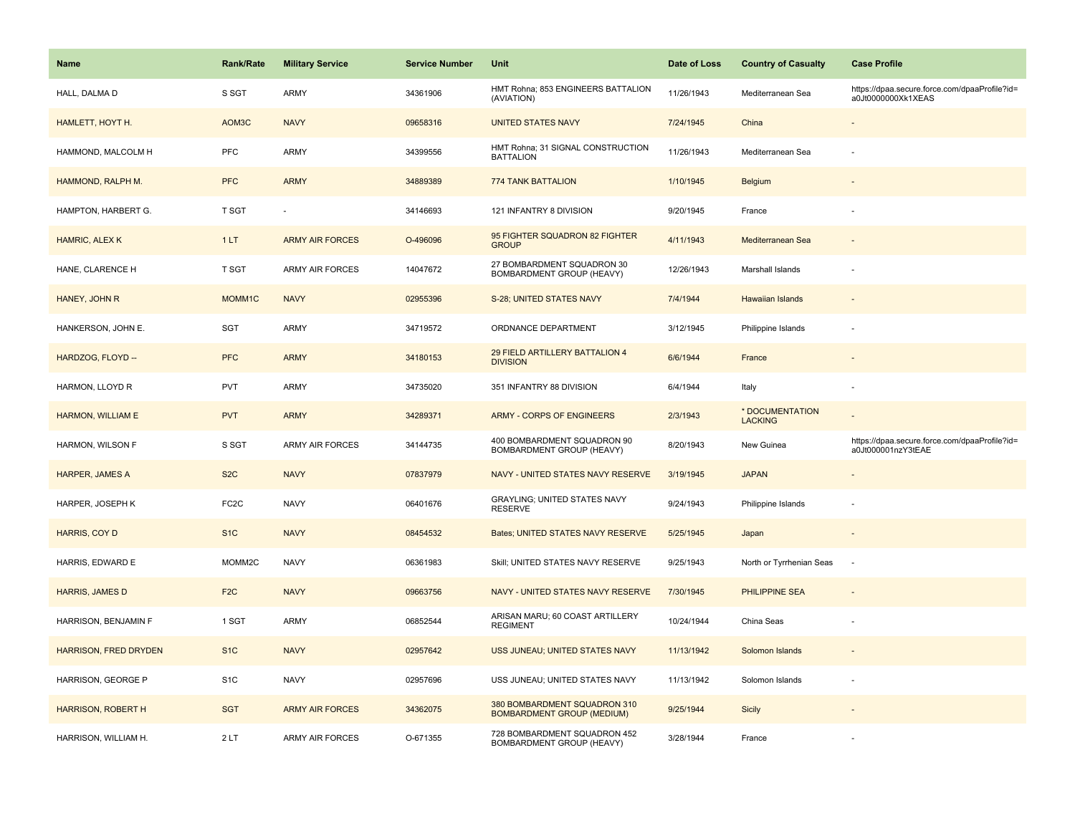| Name                         | <b>Rank/Rate</b>  | <b>Military Service</b> | <b>Service Number</b> | Unit                                                              | Date of Loss | <b>Country of Casualty</b>        | <b>Case Profile</b>                                                 |
|------------------------------|-------------------|-------------------------|-----------------------|-------------------------------------------------------------------|--------------|-----------------------------------|---------------------------------------------------------------------|
| HALL, DALMA D                | S SGT             | ARMY                    | 34361906              | HMT Rohna; 853 ENGINEERS BATTALION<br>(AVIATION)                  | 11/26/1943   | Mediterranean Sea                 | https://dpaa.secure.force.com/dpaaProfile?id=<br>a0Jt0000000Xk1XEAS |
| HAMLETT, HOYT H.             | AOM3C             | <b>NAVY</b>             | 09658316              | <b>UNITED STATES NAVY</b>                                         | 7/24/1945    | China                             |                                                                     |
| HAMMOND, MALCOLM H           | <b>PFC</b>        | ARMY                    | 34399556              | HMT Rohna; 31 SIGNAL CONSTRUCTION<br><b>BATTALION</b>             | 11/26/1943   | Mediterranean Sea                 |                                                                     |
| HAMMOND, RALPH M.            | <b>PFC</b>        | <b>ARMY</b>             | 34889389              | 774 TANK BATTALION                                                | 1/10/1945    | Belgium                           |                                                                     |
| HAMPTON, HARBERT G.          | T SGT             |                         | 34146693              | 121 INFANTRY 8 DIVISION                                           | 9/20/1945    | France                            |                                                                     |
| HAMRIC, ALEX K               | 1LT               | <b>ARMY AIR FORCES</b>  | O-496096              | 95 FIGHTER SQUADRON 82 FIGHTER<br><b>GROUP</b>                    | 4/11/1943    | Mediterranean Sea                 |                                                                     |
| HANE, CLARENCE H             | T SGT             | ARMY AIR FORCES         | 14047672              | 27 BOMBARDMENT SQUADRON 30<br>BOMBARDMENT GROUP (HEAVY)           | 12/26/1943   | Marshall Islands                  |                                                                     |
| HANEY, JOHN R                | MOMM1C            | <b>NAVY</b>             | 02955396              | S-28; UNITED STATES NAVY                                          | 7/4/1944     | <b>Hawaiian Islands</b>           |                                                                     |
| HANKERSON, JOHN E.           | SGT               | ARMY                    | 34719572              | ORDNANCE DEPARTMENT                                               | 3/12/1945    | Philippine Islands                |                                                                     |
| HARDZOG, FLOYD --            | <b>PFC</b>        | <b>ARMY</b>             | 34180153              | 29 FIELD ARTILLERY BATTALION 4<br><b>DIVISION</b>                 | 6/6/1944     | France                            |                                                                     |
| HARMON, LLOYD R              | <b>PVT</b>        | ARMY                    | 34735020              | 351 INFANTRY 88 DIVISION                                          | 6/4/1944     | Italy                             |                                                                     |
| HARMON, WILLIAM E            | <b>PVT</b>        | <b>ARMY</b>             | 34289371              | <b>ARMY - CORPS OF ENGINEERS</b>                                  | 2/3/1943     | * DOCUMENTATION<br><b>LACKING</b> |                                                                     |
| HARMON, WILSON F             | S SGT             | ARMY AIR FORCES         | 34144735              | 400 BOMBARDMENT SQUADRON 90<br>BOMBARDMENT GROUP (HEAVY)          | 8/20/1943    | New Guinea                        | https://dpaa.secure.force.com/dpaaProfile?id=<br>a0Jt000001nzY3tEAE |
| HARPER, JAMES A              | S <sub>2</sub> C  | <b>NAVY</b>             | 07837979              | NAVY - UNITED STATES NAVY RESERVE                                 | 3/19/1945    | <b>JAPAN</b>                      |                                                                     |
| HARPER, JOSEPH K             | FC <sub>2</sub> C | <b>NAVY</b>             | 06401676              | <b>GRAYLING; UNITED STATES NAVY</b><br><b>RESERVE</b>             | 9/24/1943    | Philippine Islands                |                                                                     |
| HARRIS, COY D                | S <sub>1</sub> C  | <b>NAVY</b>             | 08454532              | Bates; UNITED STATES NAVY RESERVE                                 | 5/25/1945    | Japan                             |                                                                     |
| HARRIS, EDWARD E             | MOMM2C            | <b>NAVY</b>             | 06361983              | Skill; UNITED STATES NAVY RESERVE                                 | 9/25/1943    | North or Tyrrhenian Seas          | ٠.                                                                  |
| HARRIS, JAMES D              | F <sub>2</sub> C  | <b>NAVY</b>             | 09663756              | NAVY - UNITED STATES NAVY RESERVE                                 | 7/30/1945    | <b>PHILIPPINE SEA</b>             |                                                                     |
| HARRISON, BENJAMIN F         | 1 SGT             | ARMY                    | 06852544              | ARISAN MARU; 60 COAST ARTILLERY<br><b>REGIMENT</b>                | 10/24/1944   | China Seas                        |                                                                     |
| <b>HARRISON, FRED DRYDEN</b> | S <sub>1</sub> C  | <b>NAVY</b>             | 02957642              | USS JUNEAU; UNITED STATES NAVY                                    | 11/13/1942   | Solomon Islands                   |                                                                     |
| HARRISON, GEORGE P           | S <sub>1</sub> C  | <b>NAVY</b>             | 02957696              | USS JUNEAU; UNITED STATES NAVY                                    | 11/13/1942   | Solomon Islands                   |                                                                     |
| <b>HARRISON, ROBERT H</b>    | <b>SGT</b>        | <b>ARMY AIR FORCES</b>  | 34362075              | 380 BOMBARDMENT SQUADRON 310<br><b>BOMBARDMENT GROUP (MEDIUM)</b> | 9/25/1944    | Sicily                            |                                                                     |
| HARRISON, WILLIAM H.         | 2LT               | <b>ARMY AIR FORCES</b>  | O-671355              | 728 BOMBARDMENT SQUADRON 452<br>BOMBARDMENT GROUP (HEAVY)         | 3/28/1944    | France                            |                                                                     |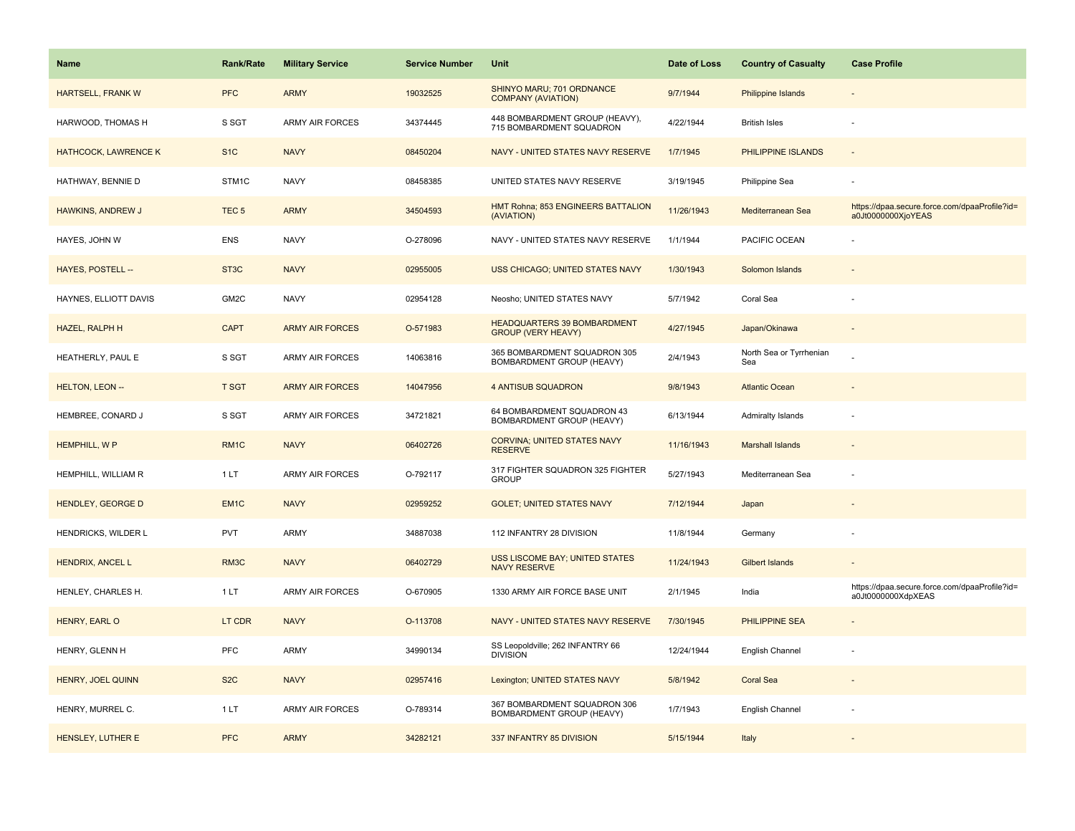| <b>Name</b>                 | <b>Rank/Rate</b>  | <b>Military Service</b> | <b>Service Number</b> | Unit                                                            | Date of Loss | <b>Country of Casualty</b>     | <b>Case Profile</b>                                                 |
|-----------------------------|-------------------|-------------------------|-----------------------|-----------------------------------------------------------------|--------------|--------------------------------|---------------------------------------------------------------------|
| <b>HARTSELL, FRANK W</b>    | <b>PFC</b>        | <b>ARMY</b>             | 19032525              | SHINYO MARU; 701 ORDNANCE<br><b>COMPANY (AVIATION)</b>          | 9/7/1944     | <b>Philippine Islands</b>      |                                                                     |
| HARWOOD, THOMAS H           | S SGT             | <b>ARMY AIR FORCES</b>  | 34374445              | 448 BOMBARDMENT GROUP (HEAVY),<br>715 BOMBARDMENT SQUADRON      | 4/22/1944    | <b>British Isles</b>           |                                                                     |
| <b>HATHCOCK, LAWRENCE K</b> | S <sub>1</sub> C  | <b>NAVY</b>             | 08450204              | NAVY - UNITED STATES NAVY RESERVE                               | 1/7/1945     | PHILIPPINE ISLANDS             |                                                                     |
| HATHWAY, BENNIE D           | STM <sub>1C</sub> | <b>NAVY</b>             | 08458385              | UNITED STATES NAVY RESERVE                                      | 3/19/1945    | Philippine Sea                 |                                                                     |
| HAWKINS, ANDREW J           | TEC <sub>5</sub>  | <b>ARMY</b>             | 34504593              | HMT Rohna; 853 ENGINEERS BATTALION<br>(AVIATION)                | 11/26/1943   | Mediterranean Sea              | https://dpaa.secure.force.com/dpaaProfile?id=<br>a0Jt0000000XjoYEAS |
| HAYES, JOHN W               | ENS               | <b>NAVY</b>             | O-278096              | NAVY - UNITED STATES NAVY RESERVE                               | 1/1/1944     | PACIFIC OCEAN                  |                                                                     |
| HAYES, POSTELL --           | ST <sub>3</sub> C | <b>NAVY</b>             | 02955005              | <b>USS CHICAGO; UNITED STATES NAVY</b>                          | 1/30/1943    | Solomon Islands                |                                                                     |
| HAYNES, ELLIOTT DAVIS       | GM2C              | <b>NAVY</b>             | 02954128              | Neosho; UNITED STATES NAVY                                      | 5/7/1942     | Coral Sea                      |                                                                     |
| HAZEL, RALPH H              | <b>CAPT</b>       | <b>ARMY AIR FORCES</b>  | O-571983              | <b>HEADQUARTERS 39 BOMBARDMENT</b><br><b>GROUP (VERY HEAVY)</b> | 4/27/1945    | Japan/Okinawa                  |                                                                     |
| HEATHERLY, PAUL E           | S SGT             | ARMY AIR FORCES         | 14063816              | 365 BOMBARDMENT SQUADRON 305<br>BOMBARDMENT GROUP (HEAVY)       | 2/4/1943     | North Sea or Tyrrhenian<br>Sea |                                                                     |
| <b>HELTON, LEON --</b>      | <b>T SGT</b>      | <b>ARMY AIR FORCES</b>  | 14047956              | <b>4 ANTISUB SQUADRON</b>                                       | 9/8/1943     | <b>Atlantic Ocean</b>          |                                                                     |
| HEMBREE, CONARD J           | S SGT             | ARMY AIR FORCES         | 34721821              | 64 BOMBARDMENT SQUADRON 43<br>BOMBARDMENT GROUP (HEAVY)         | 6/13/1944    | Admiralty Islands              |                                                                     |
| <b>HEMPHILL, WP</b>         | RM <sub>1</sub> C | <b>NAVY</b>             | 06402726              | <b>CORVINA: UNITED STATES NAVY</b><br><b>RESERVE</b>            | 11/16/1943   | <b>Marshall Islands</b>        |                                                                     |
| HEMPHILL, WILLIAM R         | 1LT               | <b>ARMY AIR FORCES</b>  | O-792117              | 317 FIGHTER SQUADRON 325 FIGHTER<br><b>GROUP</b>                | 5/27/1943    | Mediterranean Sea              |                                                                     |
| <b>HENDLEY, GEORGE D</b>    | EM <sub>1C</sub>  | <b>NAVY</b>             | 02959252              | <b>GOLET: UNITED STATES NAVY</b>                                | 7/12/1944    | Japan                          |                                                                     |
| HENDRICKS, WILDER L         | <b>PVT</b>        | ARMY                    | 34887038              | 112 INFANTRY 28 DIVISION                                        | 11/8/1944    | Germany                        |                                                                     |
| HENDRIX, ANCEL L            | RM3C              | <b>NAVY</b>             | 06402729              | <b>USS LISCOME BAY; UNITED STATES</b><br><b>NAVY RESERVE</b>    | 11/24/1943   | <b>Gilbert Islands</b>         |                                                                     |
| HENLEY, CHARLES H.          | 1LT               | ARMY AIR FORCES         | O-670905              | 1330 ARMY AIR FORCE BASE UNIT                                   | 2/1/1945     | India                          | https://dpaa.secure.force.com/dpaaProfile?id=<br>a0Jt0000000XdpXEAS |
| HENRY, EARL O               | LT CDR            | <b>NAVY</b>             | O-113708              | NAVY - UNITED STATES NAVY RESERVE                               | 7/30/1945    | PHILIPPINE SEA                 |                                                                     |
| HENRY, GLENN H              | <b>PFC</b>        | ARMY                    | 34990134              | SS Leopoldville; 262 INFANTRY 66<br><b>DIVISION</b>             | 12/24/1944   | English Channel                |                                                                     |
| HENRY, JOEL QUINN           | S <sub>2</sub> C  | <b>NAVY</b>             | 02957416              | Lexington; UNITED STATES NAVY                                   | 5/8/1942     | <b>Coral Sea</b>               |                                                                     |
| HENRY, MURREL C.            | 1LT               | <b>ARMY AIR FORCES</b>  | O-789314              | 367 BOMBARDMENT SQUADRON 306<br>BOMBARDMENT GROUP (HEAVY)       | 1/7/1943     | English Channel                |                                                                     |
| HENSLEY, LUTHER E           | <b>PFC</b>        | <b>ARMY</b>             | 34282121              | 337 INFANTRY 85 DIVISION                                        | 5/15/1944    | Italy                          |                                                                     |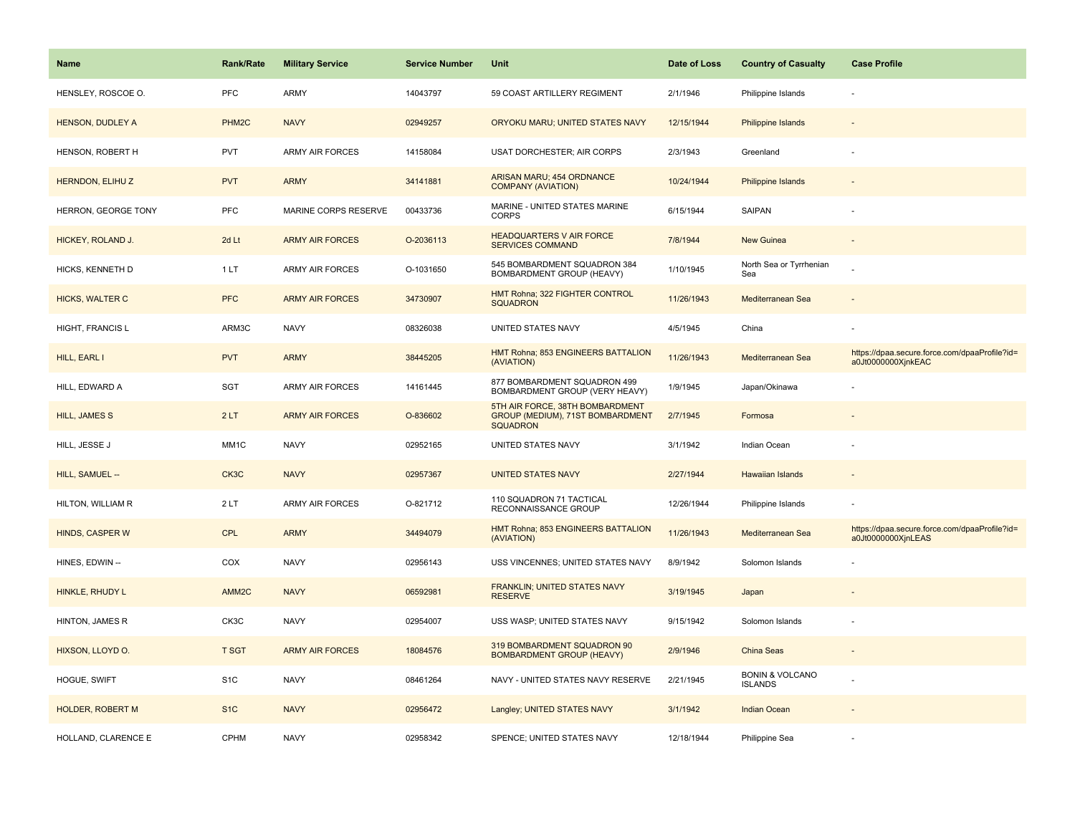| <b>Name</b>             | <b>Rank/Rate</b>  | <b>Military Service</b> | <b>Service Number</b> | Unit                                                                                   | Date of Loss | <b>Country of Casualty</b>                   | <b>Case Profile</b>                                                 |
|-------------------------|-------------------|-------------------------|-----------------------|----------------------------------------------------------------------------------------|--------------|----------------------------------------------|---------------------------------------------------------------------|
| HENSLEY, ROSCOE O.      | <b>PFC</b>        | ARMY                    | 14043797              | 59 COAST ARTILLERY REGIMENT                                                            | 2/1/1946     | Philippine Islands                           |                                                                     |
| <b>HENSON, DUDLEY A</b> | PHM <sub>2C</sub> | <b>NAVY</b>             | 02949257              | ORYOKU MARU; UNITED STATES NAVY                                                        | 12/15/1944   | <b>Philippine Islands</b>                    |                                                                     |
| HENSON, ROBERT H        | <b>PVT</b>        | <b>ARMY AIR FORCES</b>  | 14158084              | <b>USAT DORCHESTER; AIR CORPS</b>                                                      | 2/3/1943     | Greenland                                    |                                                                     |
| HERNDON, ELIHUZ         | <b>PVT</b>        | <b>ARMY</b>             | 34141881              | ARISAN MARU; 454 ORDNANCE<br><b>COMPANY (AVIATION)</b>                                 | 10/24/1944   | <b>Philippine Islands</b>                    |                                                                     |
| HERRON, GEORGE TONY     | <b>PFC</b>        | MARINE CORPS RESERVE    | 00433736              | MARINE - UNITED STATES MARINE<br><b>CORPS</b>                                          | 6/15/1944    | SAIPAN                                       |                                                                     |
| HICKEY, ROLAND J.       | 2d Lt             | <b>ARMY AIR FORCES</b>  | O-2036113             | <b>HEADQUARTERS V AIR FORCE</b><br><b>SERVICES COMMAND</b>                             | 7/8/1944     | <b>New Guinea</b>                            |                                                                     |
| HICKS, KENNETH D        | 1LT               | ARMY AIR FORCES         | O-1031650             | 545 BOMBARDMENT SQUADRON 384<br>BOMBARDMENT GROUP (HEAVY)                              | 1/10/1945    | North Sea or Tyrrhenian<br>Sea               |                                                                     |
| <b>HICKS, WALTER C</b>  | <b>PFC</b>        | <b>ARMY AIR FORCES</b>  | 34730907              | <b>HMT Rohna; 322 FIGHTER CONTROL</b><br><b>SQUADRON</b>                               | 11/26/1943   | Mediterranean Sea                            |                                                                     |
| <b>HIGHT, FRANCIS L</b> | ARM3C             | <b>NAVY</b>             | 08326038              | UNITED STATES NAVY                                                                     | 4/5/1945     | China                                        |                                                                     |
| HILL, EARL I            | <b>PVT</b>        | <b>ARMY</b>             | 38445205              | HMT Rohna; 853 ENGINEERS BATTALION<br>(AVIATION)                                       | 11/26/1943   | Mediterranean Sea                            | https://dpaa.secure.force.com/dpaaProfile?id=<br>a0Jt0000000XjnkEAC |
| HILL, EDWARD A          | <b>SGT</b>        | <b>ARMY AIR FORCES</b>  | 14161445              | 877 BOMBARDMENT SQUADRON 499<br>BOMBARDMENT GROUP (VERY HEAVY)                         | 1/9/1945     | Japan/Okinawa                                |                                                                     |
| <b>HILL, JAMES S</b>    | 2LT               | <b>ARMY AIR FORCES</b>  | O-836602              | 5TH AIR FORCE, 38TH BOMBARDMENT<br>GROUP (MEDIUM), 71ST BOMBARDMENT<br><b>SQUADRON</b> | 2/7/1945     | Formosa                                      |                                                                     |
| HILL, JESSE J           | MM1C              | <b>NAVY</b>             | 02952165              | UNITED STATES NAVY                                                                     | 3/1/1942     | Indian Ocean                                 |                                                                     |
| HILL, SAMUEL --         | CK3C              | <b>NAVY</b>             | 02957367              | <b>UNITED STATES NAVY</b>                                                              | 2/27/1944    | <b>Hawaiian Islands</b>                      |                                                                     |
| HILTON, WILLIAM R       | 2LT               | <b>ARMY AIR FORCES</b>  | O-821712              | 110 SQUADRON 71 TACTICAL<br>RECONNAISSANCE GROUP                                       | 12/26/1944   | Philippine Islands                           |                                                                     |
| <b>HINDS, CASPER W</b>  | <b>CPL</b>        | <b>ARMY</b>             | 34494079              | HMT Rohna; 853 ENGINEERS BATTALION<br>(AVIATION)                                       | 11/26/1943   | Mediterranean Sea                            | https://dpaa.secure.force.com/dpaaProfile?id=<br>a0Jt0000000XjnLEAS |
| HINES, EDWIN --         | COX               | <b>NAVY</b>             | 02956143              | USS VINCENNES; UNITED STATES NAVY                                                      | 8/9/1942     | Solomon Islands                              |                                                                     |
| HINKLE, RHUDY L         | AMM <sub>2C</sub> | <b>NAVY</b>             | 06592981              | FRANKLIN; UNITED STATES NAVY<br><b>RESERVE</b>                                         | 3/19/1945    | Japan                                        |                                                                     |
| HINTON, JAMES R         | CK3C              | <b>NAVY</b>             | 02954007              | USS WASP; UNITED STATES NAVY                                                           | 9/15/1942    | Solomon Islands                              |                                                                     |
| HIXSON, LLOYD O.        | <b>T SGT</b>      | <b>ARMY AIR FORCES</b>  | 18084576              | 319 BOMBARDMENT SQUADRON 90<br><b>BOMBARDMENT GROUP (HEAVY)</b>                        | 2/9/1946     | China Seas                                   |                                                                     |
| HOGUE, SWIFT            | S <sub>1</sub> C  | <b>NAVY</b>             | 08461264              | NAVY - UNITED STATES NAVY RESERVE                                                      | 2/21/1945    | <b>BONIN &amp; VOLCANO</b><br><b>ISLANDS</b> |                                                                     |
| <b>HOLDER, ROBERT M</b> | S <sub>1</sub> C  | <b>NAVY</b>             | 02956472              | Langley; UNITED STATES NAVY                                                            | 3/1/1942     | <b>Indian Ocean</b>                          |                                                                     |
| HOLLAND, CLARENCE E     | <b>CPHM</b>       | <b>NAVY</b>             | 02958342              | SPENCE; UNITED STATES NAVY                                                             | 12/18/1944   | Philippine Sea                               |                                                                     |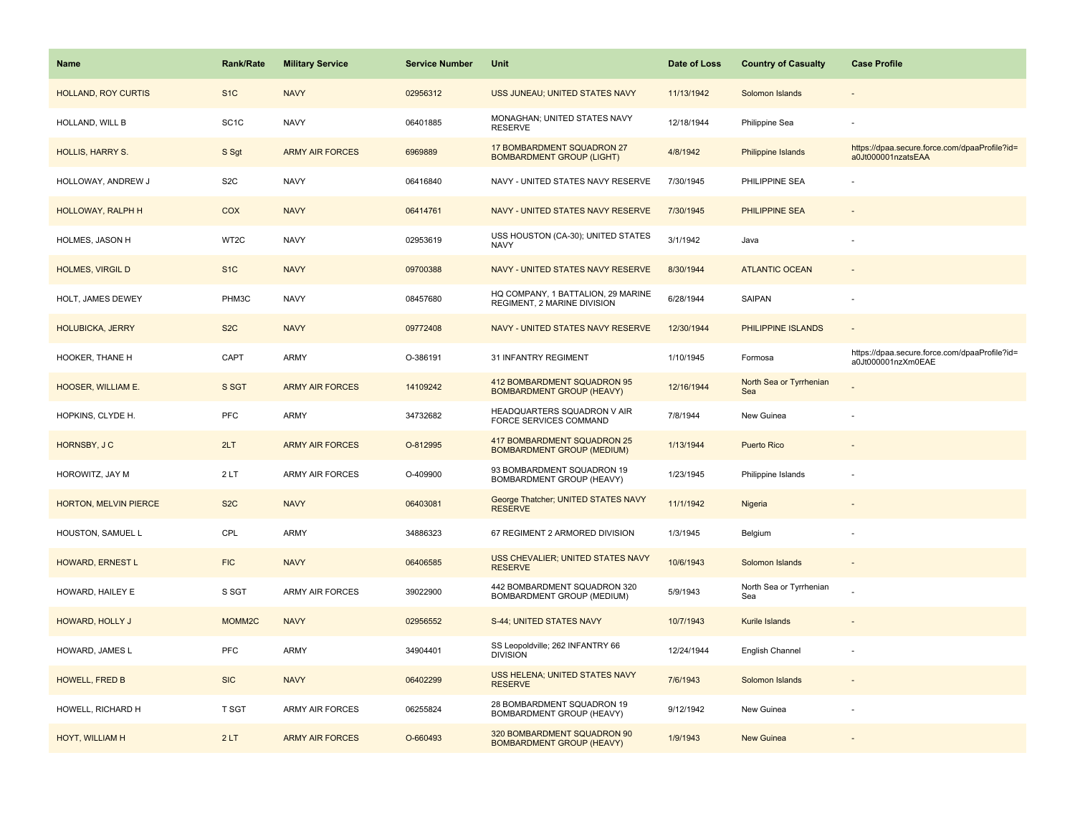| <b>Name</b>                | Rank/Rate          | <b>Military Service</b> | <b>Service Number</b> | Unit                                                              | Date of Loss | <b>Country of Casualty</b>     | <b>Case Profile</b>                                                 |
|----------------------------|--------------------|-------------------------|-----------------------|-------------------------------------------------------------------|--------------|--------------------------------|---------------------------------------------------------------------|
| <b>HOLLAND, ROY CURTIS</b> | S <sub>1</sub> C   | <b>NAVY</b>             | 02956312              | USS JUNEAU; UNITED STATES NAVY                                    | 11/13/1942   | Solomon Islands                |                                                                     |
| HOLLAND, WILL B            | SC <sub>1</sub> C  | <b>NAVY</b>             | 06401885              | MONAGHAN; UNITED STATES NAVY<br><b>RESERVE</b>                    | 12/18/1944   | Philippine Sea                 |                                                                     |
| <b>HOLLIS, HARRY S.</b>    | S Sgt              | <b>ARMY AIR FORCES</b>  | 6969889               | 17 BOMBARDMENT SQUADRON 27<br><b>BOMBARDMENT GROUP (LIGHT)</b>    | 4/8/1942     | Philippine Islands             | https://dpaa.secure.force.com/dpaaProfile?id=<br>a0Jt000001nzatsEAA |
| HOLLOWAY, ANDREW J         | S <sub>2</sub> C   | <b>NAVY</b>             | 06416840              | NAVY - UNITED STATES NAVY RESERVE                                 | 7/30/1945    | PHILIPPINE SEA                 |                                                                     |
| <b>HOLLOWAY, RALPH H</b>   | <b>COX</b>         | <b>NAVY</b>             | 06414761              | NAVY - UNITED STATES NAVY RESERVE                                 | 7/30/1945    | PHILIPPINE SEA                 |                                                                     |
| HOLMES, JASON H            | WT2C               | <b>NAVY</b>             | 02953619              | USS HOUSTON (CA-30); UNITED STATES<br><b>NAVY</b>                 | 3/1/1942     | Java                           |                                                                     |
| <b>HOLMES, VIRGIL D</b>    | S <sub>1</sub> C   | <b>NAVY</b>             | 09700388              | NAVY - UNITED STATES NAVY RESERVE                                 | 8/30/1944    | <b>ATLANTIC OCEAN</b>          | $\sim$                                                              |
| HOLT, JAMES DEWEY          | PHM3C              | <b>NAVY</b>             | 08457680              | HQ COMPANY, 1 BATTALION, 29 MARINE<br>REGIMENT, 2 MARINE DIVISION | 6/28/1944    | SAIPAN                         |                                                                     |
| <b>HOLUBICKA, JERRY</b>    | S <sub>2</sub> C   | <b>NAVY</b>             | 09772408              | NAVY - UNITED STATES NAVY RESERVE                                 | 12/30/1944   | PHILIPPINE ISLANDS             | $\sim$                                                              |
| HOOKER, THANE H            | CAPT               | ARMY                    | O-386191              | 31 INFANTRY REGIMENT                                              | 1/10/1945    | Formosa                        | https://dpaa.secure.force.com/dpaaProfile?id=<br>a0Jt000001nzXm0EAE |
| HOOSER, WILLIAM E.         | S SGT              | <b>ARMY AIR FORCES</b>  | 14109242              | 412 BOMBARDMENT SQUADRON 95<br><b>BOMBARDMENT GROUP (HEAVY)</b>   | 12/16/1944   | North Sea or Tyrrhenian<br>Sea |                                                                     |
| HOPKINS, CLYDE H.          | <b>PFC</b>         | <b>ARMY</b>             | 34732682              | HEADQUARTERS SQUADRON V AIR<br>FORCE SERVICES COMMAND             | 7/8/1944     | New Guinea                     |                                                                     |
| HORNSBY, JC                | 2LT                | <b>ARMY AIR FORCES</b>  | O-812995              | 417 BOMBARDMENT SQUADRON 25<br><b>BOMBARDMENT GROUP (MEDIUM)</b>  | 1/13/1944    | <b>Puerto Rico</b>             |                                                                     |
| HOROWITZ, JAY M            | 2LT                | <b>ARMY AIR FORCES</b>  | O-409900              | 93 BOMBARDMENT SQUADRON 19<br>BOMBARDMENT GROUP (HEAVY)           | 1/23/1945    | Philippine Islands             |                                                                     |
| HORTON, MELVIN PIERCE      | S <sub>2</sub> C   | <b>NAVY</b>             | 06403081              | George Thatcher; UNITED STATES NAVY<br><b>RESERVE</b>             | 11/1/1942    | Nigeria                        |                                                                     |
| HOUSTON, SAMUEL L          | CPL                | <b>ARMY</b>             | 34886323              | 67 REGIMENT 2 ARMORED DIVISION                                    | 1/3/1945     | Belgium                        |                                                                     |
| HOWARD, ERNEST L           | <b>FIC</b>         | <b>NAVY</b>             | 06406585              | USS CHEVALIER; UNITED STATES NAVY<br><b>RESERVE</b>               | 10/6/1943    | Solomon Islands                |                                                                     |
| HOWARD, HAILEY E           | S SGT              | ARMY AIR FORCES         | 39022900              | 442 BOMBARDMENT SQUADRON 320<br>BOMBARDMENT GROUP (MEDIUM)        | 5/9/1943     | North Sea or Tyrrhenian<br>Sea |                                                                     |
| HOWARD, HOLLY J            | MOMM <sub>2C</sub> | <b>NAVY</b>             | 02956552              | S-44; UNITED STATES NAVY                                          | 10/7/1943    | Kurile Islands                 |                                                                     |
| HOWARD, JAMES L            | <b>PFC</b>         | <b>ARMY</b>             | 34904401              | SS Leopoldville; 262 INFANTRY 66<br><b>DIVISION</b>               | 12/24/1944   | English Channel                |                                                                     |
| HOWELL, FRED B             | <b>SIC</b>         | <b>NAVY</b>             | 06402299              | USS HELENA; UNITED STATES NAVY<br><b>RESERVE</b>                  | 7/6/1943     | Solomon Islands                | $\sim$                                                              |
| HOWELL, RICHARD H          | <b>T SGT</b>       | <b>ARMY AIR FORCES</b>  | 06255824              | 28 BOMBARDMENT SQUADRON 19<br>BOMBARDMENT GROUP (HEAVY)           | 9/12/1942    | New Guinea                     |                                                                     |
| HOYT, WILLIAM H            | 2LT                | <b>ARMY AIR FORCES</b>  | O-660493              | 320 BOMBARDMENT SQUADRON 90<br><b>BOMBARDMENT GROUP (HEAVY)</b>   | 1/9/1943     | <b>New Guinea</b>              |                                                                     |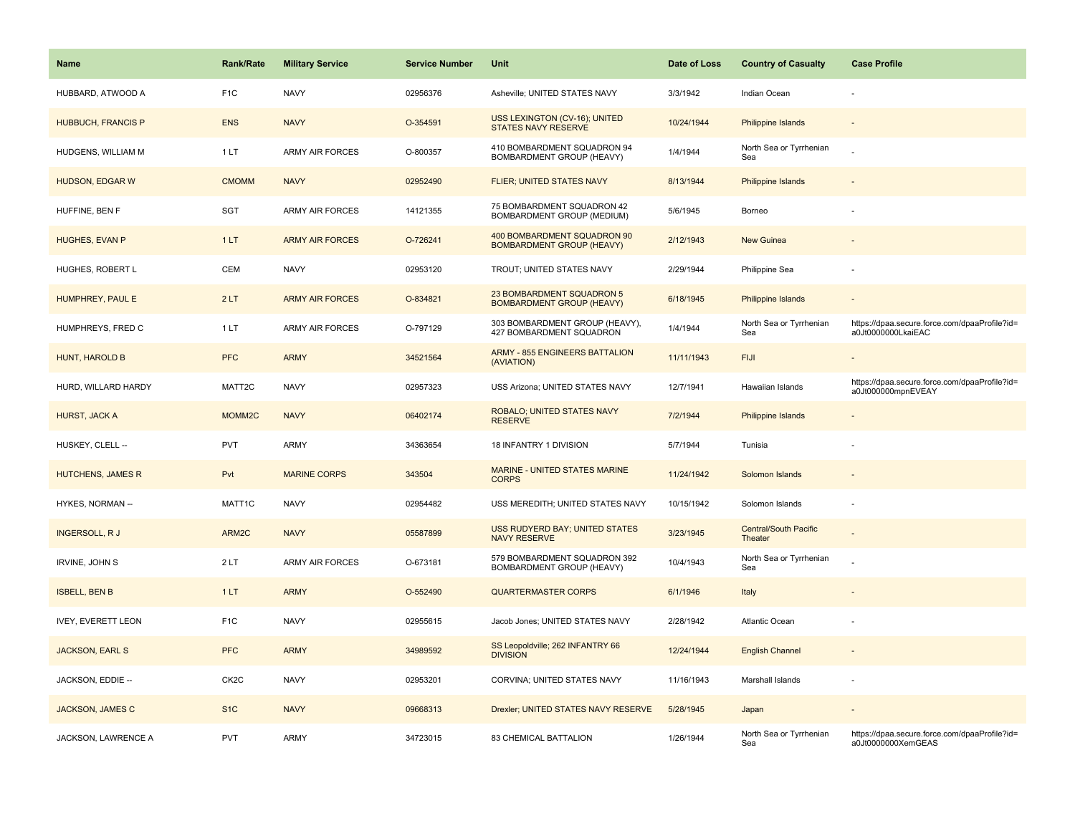| <b>Name</b>               | <b>Rank/Rate</b>   | <b>Military Service</b> | <b>Service Number</b> | Unit                                                              | Date of Loss | <b>Country of Casualty</b>              | <b>Case Profile</b>                                                 |
|---------------------------|--------------------|-------------------------|-----------------------|-------------------------------------------------------------------|--------------|-----------------------------------------|---------------------------------------------------------------------|
| HUBBARD, ATWOOD A         | F <sub>1</sub> C   | <b>NAVY</b>             | 02956376              | Asheville; UNITED STATES NAVY                                     | 3/3/1942     | Indian Ocean                            |                                                                     |
| HUBBUCH, FRANCIS P        | <b>ENS</b>         | <b>NAVY</b>             | O-354591              | USS LEXINGTON (CV-16); UNITED<br><b>STATES NAVY RESERVE</b>       | 10/24/1944   | <b>Philippine Islands</b>               |                                                                     |
| HUDGENS, WILLIAM M        | 1LT                | <b>ARMY AIR FORCES</b>  | O-800357              | 410 BOMBARDMENT SQUADRON 94<br>BOMBARDMENT GROUP (HEAVY)          | 1/4/1944     | North Sea or Tyrrhenian<br>Sea          |                                                                     |
| HUDSON, EDGAR W           | <b>CMOMM</b>       | <b>NAVY</b>             | 02952490              | FLIER; UNITED STATES NAVY                                         | 8/13/1944    | <b>Philippine Islands</b>               |                                                                     |
| HUFFINE, BEN F            | <b>SGT</b>         | <b>ARMY AIR FORCES</b>  | 14121355              | 75 BOMBARDMENT SQUADRON 42<br>BOMBARDMENT GROUP (MEDIUM)          | 5/6/1945     | Borneo                                  |                                                                     |
| HUGHES, EVAN P            | 1LT                | <b>ARMY AIR FORCES</b>  | O-726241              | 400 BOMBARDMENT SQUADRON 90<br><b>BOMBARDMENT GROUP (HEAVY)</b>   | 2/12/1943    | <b>New Guinea</b>                       |                                                                     |
| HUGHES, ROBERT L          | CEM                | <b>NAVY</b>             | 02953120              | TROUT; UNITED STATES NAVY                                         | 2/29/1944    | Philippine Sea                          |                                                                     |
| HUMPHREY, PAUL E          | 2LT                | <b>ARMY AIR FORCES</b>  | O-834821              | 23 BOMBARDMENT SQUADRON 5<br><b>BOMBARDMENT GROUP (HEAVY)</b>     | 6/18/1945    | <b>Philippine Islands</b>               | $\sim$                                                              |
| HUMPHREYS, FRED C         | 1LT                | <b>ARMY AIR FORCES</b>  | O-797129              | 303 BOMBARDMENT GROUP (HEAVY),<br><b>427 BOMBARDMENT SQUADRON</b> | 1/4/1944     | North Sea or Tyrrhenian<br>Sea          | https://dpaa.secure.force.com/dpaaProfile?id=<br>a0Jt0000000LkaiEAC |
| HUNT, HAROLD B            | PFC                | <b>ARMY</b>             | 34521564              | <b>ARMY - 855 ENGINEERS BATTALION</b><br>(AVIATION)               | 11/11/1943   | <b>FIJI</b>                             |                                                                     |
| HURD, WILLARD HARDY       | MATT2C             | <b>NAVY</b>             | 02957323              | USS Arizona; UNITED STATES NAVY                                   | 12/7/1941    | Hawaiian Islands                        | https://dpaa.secure.force.com/dpaaProfile?id=<br>a0Jt000000mpnEVEAY |
| HURST, JACK A             | MOMM <sub>2C</sub> | <b>NAVY</b>             | 06402174              | ROBALO; UNITED STATES NAVY<br><b>RESERVE</b>                      | 7/2/1944     | <b>Philippine Islands</b>               |                                                                     |
| HUSKEY, CLELL --          | <b>PVT</b>         | <b>ARMY</b>             | 34363654              | 18 INFANTRY 1 DIVISION                                            | 5/7/1944     | Tunisia                                 |                                                                     |
| <b>HUTCHENS, JAMES R</b>  | Pvt                | <b>MARINE CORPS</b>     | 343504                | <b>MARINE - UNITED STATES MARINE</b><br><b>CORPS</b>              | 11/24/1942   | Solomon Islands                         |                                                                     |
| HYKES, NORMAN --          | MATT1C             | <b>NAVY</b>             | 02954482              | USS MEREDITH; UNITED STATES NAVY                                  | 10/15/1942   | Solomon Islands                         | $\sim$                                                              |
| <b>INGERSOLL, RJ</b>      | ARM2C              | <b>NAVY</b>             | 05587899              | <b>USS RUDYERD BAY; UNITED STATES</b><br><b>NAVY RESERVE</b>      | 3/23/1945    | <b>Central/South Pacific</b><br>Theater |                                                                     |
| IRVINE, JOHN S            | 2LT                | ARMY AIR FORCES         | O-673181              | 579 BOMBARDMENT SQUADRON 392<br>BOMBARDMENT GROUP (HEAVY)         | 10/4/1943    | North Sea or Tyrrhenian<br>Sea          |                                                                     |
| <b>ISBELL, BEN B</b>      | 1LT                | <b>ARMY</b>             | O-552490              | <b>QUARTERMASTER CORPS</b>                                        | 6/1/1946     | Italy                                   |                                                                     |
| <b>IVEY, EVERETT LEON</b> | F <sub>1</sub> C   | <b>NAVY</b>             | 02955615              | Jacob Jones; UNITED STATES NAVY                                   | 2/28/1942    | Atlantic Ocean                          |                                                                     |
| <b>JACKSON, EARL S</b>    | <b>PFC</b>         | <b>ARMY</b>             | 34989592              | SS Leopoldville; 262 INFANTRY 66<br><b>DIVISION</b>               | 12/24/1944   | <b>English Channel</b>                  |                                                                     |
| JACKSON, EDDIE --         | CK <sub>2</sub> C  | <b>NAVY</b>             | 02953201              | CORVINA; UNITED STATES NAVY                                       | 11/16/1943   | Marshall Islands                        |                                                                     |
| JACKSON, JAMES C          | S <sub>1</sub> C   | <b>NAVY</b>             | 09668313              | Drexler; UNITED STATES NAVY RESERVE                               | 5/28/1945    | Japan                                   | $\overline{\phantom{a}}$                                            |
| JACKSON, LAWRENCE A       | <b>PVT</b>         | <b>ARMY</b>             | 34723015              | 83 CHEMICAL BATTALION                                             | 1/26/1944    | North Sea or Tyrrhenian<br>Sea          | https://dpaa.secure.force.com/dpaaProfile?id=<br>a0Jt0000000XemGEAS |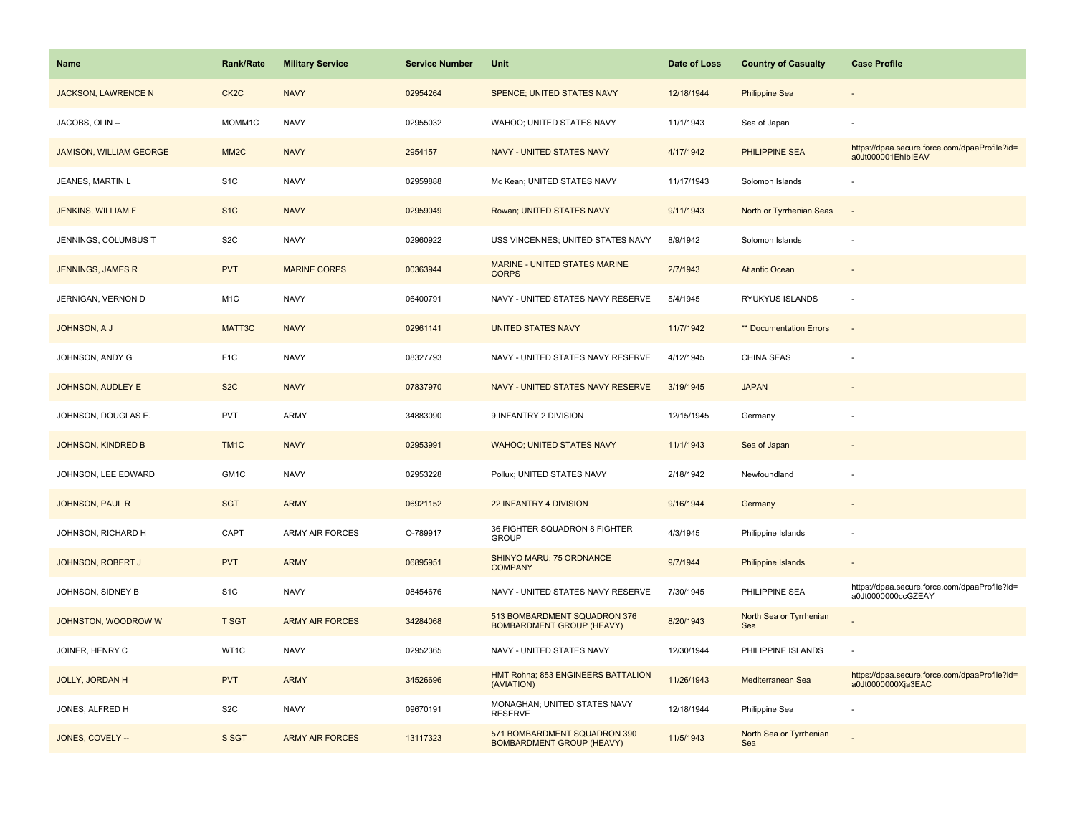| <b>Name</b>                    | <b>Rank/Rate</b>  | <b>Military Service</b> | <b>Service Number</b> | Unit                                                             | Date of Loss | <b>Country of Casualty</b>     | <b>Case Profile</b>                                                 |
|--------------------------------|-------------------|-------------------------|-----------------------|------------------------------------------------------------------|--------------|--------------------------------|---------------------------------------------------------------------|
| <b>JACKSON, LAWRENCE N</b>     | CK <sub>2</sub> C | <b>NAVY</b>             | 02954264              | SPENCE; UNITED STATES NAVY                                       | 12/18/1944   | <b>Philippine Sea</b>          |                                                                     |
| JACOBS, OLIN --                | MOMM1C            | <b>NAVY</b>             | 02955032              | WAHOO; UNITED STATES NAVY                                        | 11/1/1943    | Sea of Japan                   |                                                                     |
| <b>JAMISON, WILLIAM GEORGE</b> | MM <sub>2</sub> C | <b>NAVY</b>             | 2954157               | NAVY - UNITED STATES NAVY                                        | 4/17/1942    | PHILIPPINE SEA                 | https://dpaa.secure.force.com/dpaaProfile?id=<br>a0Jt000001EhlblEAV |
| JEANES, MARTIN L               | S <sub>1</sub> C  | <b>NAVY</b>             | 02959888              | Mc Kean; UNITED STATES NAVY                                      | 11/17/1943   | Solomon Islands                |                                                                     |
| JENKINS, WILLIAM F             | S <sub>1</sub> C  | <b>NAVY</b>             | 02959049              | Rowan; UNITED STATES NAVY                                        | 9/11/1943    | North or Tyrrhenian Seas       |                                                                     |
| JENNINGS, COLUMBUS T           | S <sub>2</sub> C  | <b>NAVY</b>             | 02960922              | USS VINCENNES; UNITED STATES NAVY                                | 8/9/1942     | Solomon Islands                |                                                                     |
| <b>JENNINGS, JAMES R</b>       | <b>PVT</b>        | <b>MARINE CORPS</b>     | 00363944              | MARINE - UNITED STATES MARINE<br><b>CORPS</b>                    | 2/7/1943     | <b>Atlantic Ocean</b>          |                                                                     |
| JERNIGAN, VERNON D             | M <sub>1</sub> C  | <b>NAVY</b>             | 06400791              | NAVY - UNITED STATES NAVY RESERVE                                | 5/4/1945     | RYUKYUS ISLANDS                | $\sim$                                                              |
| JOHNSON, A J                   | MATT3C            | <b>NAVY</b>             | 02961141              | <b>UNITED STATES NAVY</b>                                        | 11/7/1942    | ** Documentation Errors        |                                                                     |
| JOHNSON, ANDY G                | F <sub>1</sub> C  | <b>NAVY</b>             | 08327793              | NAVY - UNITED STATES NAVY RESERVE                                | 4/12/1945    | <b>CHINA SEAS</b>              |                                                                     |
| JOHNSON, AUDLEY E              | S <sub>2</sub> C  | <b>NAVY</b>             | 07837970              | NAVY - UNITED STATES NAVY RESERVE                                | 3/19/1945    | <b>JAPAN</b>                   |                                                                     |
| JOHNSON, DOUGLAS E.            | PVT               | <b>ARMY</b>             | 34883090              | 9 INFANTRY 2 DIVISION                                            | 12/15/1945   | Germany                        |                                                                     |
| JOHNSON, KINDRED B             | TM <sub>1C</sub>  | <b>NAVY</b>             | 02953991              | <b>WAHOO; UNITED STATES NAVY</b>                                 | 11/1/1943    | Sea of Japan                   |                                                                     |
| JOHNSON, LEE EDWARD            | GM1C              | <b>NAVY</b>             | 02953228              | Pollux; UNITED STATES NAVY                                       | 2/18/1942    | Newfoundland                   |                                                                     |
| <b>JOHNSON, PAUL R</b>         | <b>SGT</b>        | <b>ARMY</b>             | 06921152              | 22 INFANTRY 4 DIVISION                                           | 9/16/1944    | Germany                        |                                                                     |
| JOHNSON, RICHARD H             | CAPT              | <b>ARMY AIR FORCES</b>  | O-789917              | 36 FIGHTER SQUADRON 8 FIGHTER<br><b>GROUP</b>                    | 4/3/1945     | Philippine Islands             |                                                                     |
| <b>JOHNSON, ROBERT J</b>       | <b>PVT</b>        | <b>ARMY</b>             | 06895951              | SHINYO MARU; 75 ORDNANCE<br><b>COMPANY</b>                       | 9/7/1944     | Philippine Islands             |                                                                     |
| JOHNSON, SIDNEY B              | S <sub>1C</sub>   | <b>NAVY</b>             | 08454676              | NAVY - UNITED STATES NAVY RESERVE                                | 7/30/1945    | PHILIPPINE SEA                 | https://dpaa.secure.force.com/dpaaProfile?id=<br>a0Jt0000000ccGZEAY |
| JOHNSTON, WOODROW W            | <b>T SGT</b>      | <b>ARMY AIR FORCES</b>  | 34284068              | 513 BOMBARDMENT SQUADRON 376<br><b>BOMBARDMENT GROUP (HEAVY)</b> | 8/20/1943    | North Sea or Tyrrhenian<br>Sea |                                                                     |
| JOINER, HENRY C                | WT1C              | <b>NAVY</b>             | 02952365              | NAVY - UNITED STATES NAVY                                        | 12/30/1944   | PHILIPPINE ISLANDS             |                                                                     |
| <b>JOLLY, JORDAN H</b>         | <b>PVT</b>        | <b>ARMY</b>             | 34526696              | HMT Rohna; 853 ENGINEERS BATTALION<br>(AVIATION)                 | 11/26/1943   | Mediterranean Sea              | https://dpaa.secure.force.com/dpaaProfile?id=<br>a0Jt0000000Xja3EAC |
| JONES, ALFRED H                | S <sub>2</sub> C  | <b>NAVY</b>             | 09670191              | MONAGHAN; UNITED STATES NAVY<br><b>RESERVE</b>                   | 12/18/1944   | Philippine Sea                 |                                                                     |
| JONES, COVELY --               | S SGT             | <b>ARMY AIR FORCES</b>  | 13117323              | 571 BOMBARDMENT SQUADRON 390<br><b>BOMBARDMENT GROUP (HEAVY)</b> | 11/5/1943    | North Sea or Tyrrhenian<br>Sea |                                                                     |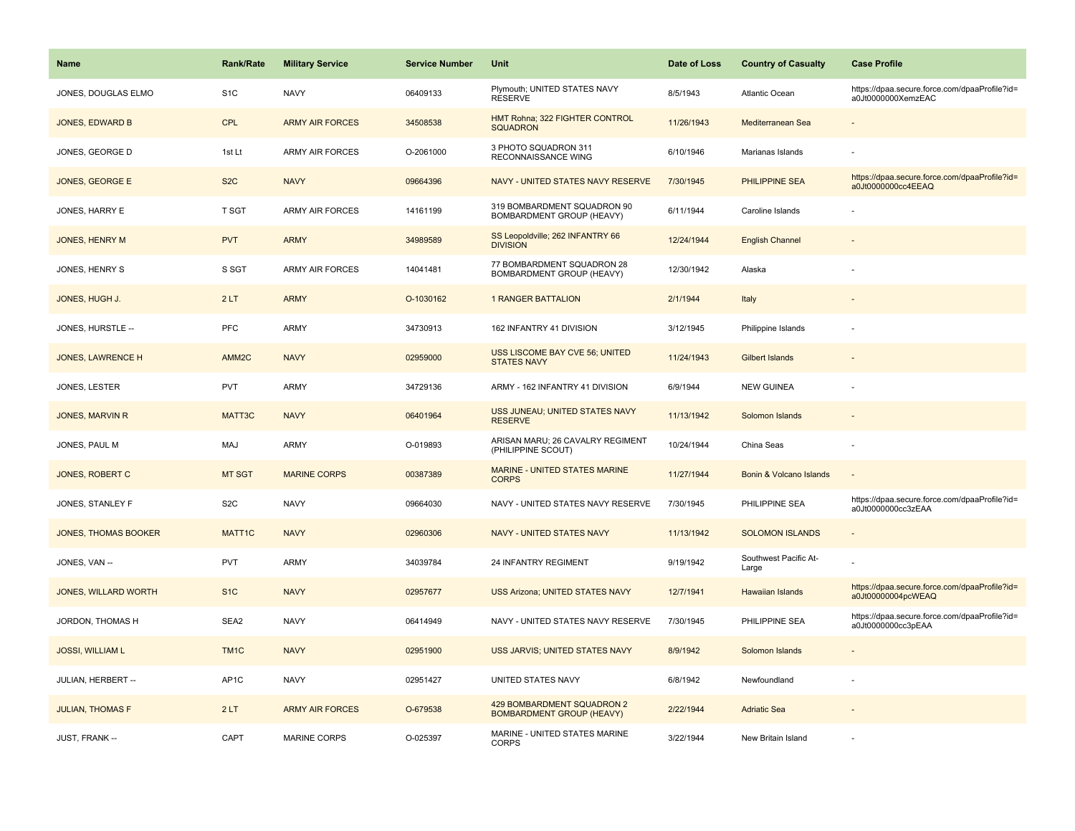| <b>Name</b>                 | <b>Rank/Rate</b>  | <b>Military Service</b> | <b>Service Number</b> | Unit                                                           | Date of Loss | <b>Country of Casualty</b>     | <b>Case Profile</b>                                                 |
|-----------------------------|-------------------|-------------------------|-----------------------|----------------------------------------------------------------|--------------|--------------------------------|---------------------------------------------------------------------|
| JONES, DOUGLAS ELMO         | S <sub>1</sub> C  | <b>NAVY</b>             | 06409133              | Plymouth; UNITED STATES NAVY<br><b>RESERVE</b>                 | 8/5/1943     | Atlantic Ocean                 | https://dpaa.secure.force.com/dpaaProfile?id=<br>a0Jt0000000XemzEAC |
| JONES, EDWARD B             | <b>CPL</b>        | <b>ARMY AIR FORCES</b>  | 34508538              | HMT Rohna; 322 FIGHTER CONTROL<br><b>SQUADRON</b>              | 11/26/1943   | Mediterranean Sea              |                                                                     |
| JONES, GEORGE D             | 1st Lt            | <b>ARMY AIR FORCES</b>  | O-2061000             | 3 PHOTO SQUADRON 311<br>RECONNAISSANCE WING                    | 6/10/1946    | Marianas Islands               |                                                                     |
| JONES, GEORGE E             | S <sub>2</sub> C  | <b>NAVY</b>             | 09664396              | NAVY - UNITED STATES NAVY RESERVE                              | 7/30/1945    | <b>PHILIPPINE SEA</b>          | https://dpaa.secure.force.com/dpaaProfile?id=<br>a0Jt0000000cc4EEAQ |
| JONES, HARRY E              | T SGT             | <b>ARMY AIR FORCES</b>  | 14161199              | 319 BOMBARDMENT SQUADRON 90<br>BOMBARDMENT GROUP (HEAVY)       | 6/11/1944    | Caroline Islands               |                                                                     |
| JONES, HENRY M              | <b>PVT</b>        | <b>ARMY</b>             | 34989589              | SS Leopoldville; 262 INFANTRY 66<br><b>DIVISION</b>            | 12/24/1944   | <b>English Channel</b>         |                                                                     |
| JONES, HENRY S              | S SGT             | <b>ARMY AIR FORCES</b>  | 14041481              | 77 BOMBARDMENT SQUADRON 28<br>BOMBARDMENT GROUP (HEAVY)        | 12/30/1942   | Alaska                         |                                                                     |
| JONES, HUGH J.              | 2LT               | <b>ARMY</b>             | O-1030162             | <b>1 RANGER BATTALION</b>                                      | 2/1/1944     | Italy                          |                                                                     |
| JONES, HURSTLE --           | PFC               | <b>ARMY</b>             | 34730913              | 162 INFANTRY 41 DIVISION                                       | 3/12/1945    | Philippine Islands             |                                                                     |
| <b>JONES, LAWRENCE H</b>    | AMM <sub>2C</sub> | <b>NAVY</b>             | 02959000              | USS LISCOME BAY CVE 56; UNITED<br><b>STATES NAVY</b>           | 11/24/1943   | <b>Gilbert Islands</b>         |                                                                     |
| <b>JONES, LESTER</b>        | <b>PVT</b>        | <b>ARMY</b>             | 34729136              | ARMY - 162 INFANTRY 41 DIVISION                                | 6/9/1944     | <b>NEW GUINEA</b>              |                                                                     |
| JONES, MARVIN R             | MATT3C            | <b>NAVY</b>             | 06401964              | USS JUNEAU; UNITED STATES NAVY<br><b>RESERVE</b>               | 11/13/1942   | Solomon Islands                |                                                                     |
| JONES, PAUL M               | <b>MAJ</b>        | <b>ARMY</b>             | O-019893              | ARISAN MARU; 26 CAVALRY REGIMENT<br>(PHILIPPINE SCOUT)         | 10/24/1944   | China Seas                     |                                                                     |
| JONES, ROBERT C             | <b>MT SGT</b>     | <b>MARINE CORPS</b>     | 00387389              | <b>MARINE - UNITED STATES MARINE</b><br><b>CORPS</b>           | 11/27/1944   | Bonin & Volcano Islands        | $\sim$                                                              |
| JONES, STANLEY F            | S <sub>2</sub> C  | <b>NAVY</b>             | 09664030              | NAVY - UNITED STATES NAVY RESERVE                              | 7/30/1945    | PHILIPPINE SEA                 | https://dpaa.secure.force.com/dpaaProfile?id=<br>a0Jt0000000cc3zEAA |
| <b>JONES, THOMAS BOOKER</b> | MATT1C            | <b>NAVY</b>             | 02960306              | NAVY - UNITED STATES NAVY                                      | 11/13/1942   | <b>SOLOMON ISLANDS</b>         |                                                                     |
| JONES, VAN --               | <b>PVT</b>        | <b>ARMY</b>             | 34039784              | 24 INFANTRY REGIMENT                                           | 9/19/1942    | Southwest Pacific At-<br>Large |                                                                     |
| <b>JONES, WILLARD WORTH</b> | S <sub>1C</sub>   | <b>NAVY</b>             | 02957677              | USS Arizona; UNITED STATES NAVY                                | 12/7/1941    | <b>Hawaiian Islands</b>        | https://dpaa.secure.force.com/dpaaProfile?id=<br>a0Jt00000004pcWEAQ |
| JORDON, THOMAS H            | SEA2              | <b>NAVY</b>             | 06414949              | NAVY - UNITED STATES NAVY RESERVE                              | 7/30/1945    | PHILIPPINE SEA                 | https://dpaa.secure.force.com/dpaaProfile?id=<br>a0Jt0000000cc3pEAA |
| <b>JOSSI, WILLIAM L</b>     | TM <sub>1</sub> C | <b>NAVY</b>             | 02951900              | USS JARVIS; UNITED STATES NAVY                                 | 8/9/1942     | Solomon Islands                |                                                                     |
| JULIAN, HERBERT --          | AP1C              | <b>NAVY</b>             | 02951427              | UNITED STATES NAVY                                             | 6/8/1942     | Newfoundland                   |                                                                     |
| <b>JULIAN, THOMAS F</b>     | 2LT               | <b>ARMY AIR FORCES</b>  | O-679538              | 429 BOMBARDMENT SQUADRON 2<br><b>BOMBARDMENT GROUP (HEAVY)</b> | 2/22/1944    | <b>Adriatic Sea</b>            |                                                                     |
| JUST, FRANK --              | CAPT              | MARINE CORPS            | O-025397              | MARINE - UNITED STATES MARINE<br><b>CORPS</b>                  | 3/22/1944    | New Britain Island             |                                                                     |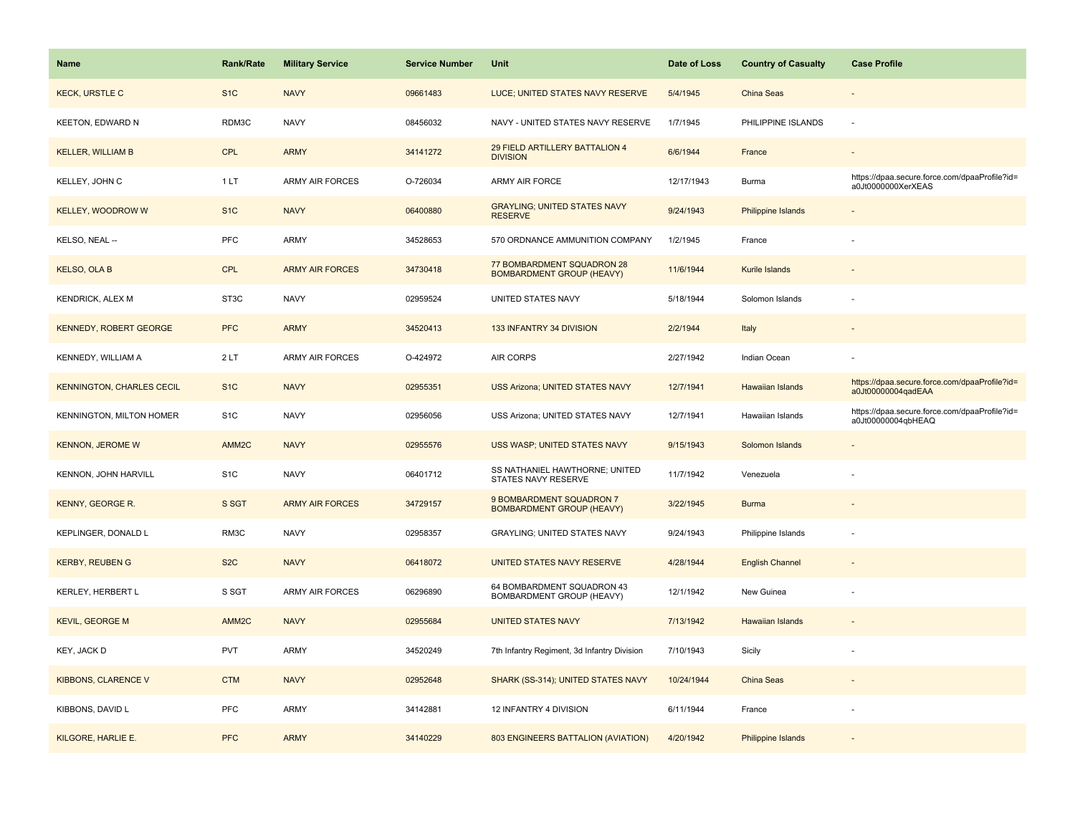| Name                             | Rank/Rate         | <b>Military Service</b> | <b>Service Number</b> | Unit                                                           | Date of Loss | <b>Country of Casualty</b> | <b>Case Profile</b>                                                 |
|----------------------------------|-------------------|-------------------------|-----------------------|----------------------------------------------------------------|--------------|----------------------------|---------------------------------------------------------------------|
| <b>KECK, URSTLE C</b>            | S <sub>1</sub> C  | <b>NAVY</b>             | 09661483              | LUCE; UNITED STATES NAVY RESERVE                               | 5/4/1945     | <b>China Seas</b>          |                                                                     |
| <b>KEETON, EDWARD N</b>          | RDM3C             | <b>NAVY</b>             | 08456032              | NAVY - UNITED STATES NAVY RESERVE                              | 1/7/1945     | PHILIPPINE ISLANDS         | ÷.                                                                  |
| <b>KELLER, WILLIAM B</b>         | <b>CPL</b>        | <b>ARMY</b>             | 34141272              | 29 FIELD ARTILLERY BATTALION 4<br><b>DIVISION</b>              | 6/6/1944     | France                     |                                                                     |
| KELLEY, JOHN C                   | 1LT               | <b>ARMY AIR FORCES</b>  | O-726034              | ARMY AIR FORCE                                                 | 12/17/1943   | Burma                      | https://dpaa.secure.force.com/dpaaProfile?id=<br>a0Jt0000000XerXEAS |
| <b>KELLEY, WOODROW W</b>         | S <sub>1</sub> C  | <b>NAVY</b>             | 06400880              | <b>GRAYLING; UNITED STATES NAVY</b><br><b>RESERVE</b>          | 9/24/1943    | <b>Philippine Islands</b>  |                                                                     |
| KELSO, NEAL --                   | <b>PFC</b>        | ARMY                    | 34528653              | 570 ORDNANCE AMMUNITION COMPANY                                | 1/2/1945     | France                     |                                                                     |
| <b>KELSO, OLA B</b>              | <b>CPL</b>        | <b>ARMY AIR FORCES</b>  | 34730418              | 77 BOMBARDMENT SQUADRON 28<br><b>BOMBARDMENT GROUP (HEAVY)</b> | 11/6/1944    | Kurile Islands             |                                                                     |
| <b>KENDRICK, ALEX M</b>          | ST3C              | <b>NAVY</b>             | 02959524              | UNITED STATES NAVY                                             | 5/18/1944    | Solomon Islands            |                                                                     |
| <b>KENNEDY, ROBERT GEORGE</b>    | <b>PFC</b>        | <b>ARMY</b>             | 34520413              | 133 INFANTRY 34 DIVISION                                       | 2/2/1944     | Italy                      |                                                                     |
| KENNEDY, WILLIAM A               | 2LT               | ARMY AIR FORCES         | O-424972              | AIR CORPS                                                      | 2/27/1942    | Indian Ocean               |                                                                     |
| <b>KENNINGTON, CHARLES CECIL</b> | S <sub>1C</sub>   | <b>NAVY</b>             | 02955351              | <b>USS Arizona; UNITED STATES NAVY</b>                         | 12/7/1941    | <b>Hawaiian Islands</b>    | https://dpaa.secure.force.com/dpaaProfile?id=<br>a0Jt00000004qadEAA |
| KENNINGTON, MILTON HOMER         | S <sub>1</sub> C  | <b>NAVY</b>             | 02956056              | USS Arizona; UNITED STATES NAVY                                | 12/7/1941    | Hawaiian Islands           | https://dpaa.secure.force.com/dpaaProfile?id=<br>a0Jt00000004qbHEAQ |
| <b>KENNON, JEROME W</b>          | AMM <sub>2C</sub> | <b>NAVY</b>             | 02955576              | USS WASP; UNITED STATES NAVY                                   | 9/15/1943    | Solomon Islands            |                                                                     |
| KENNON, JOHN HARVILL             | S <sub>1</sub> C  | <b>NAVY</b>             | 06401712              | SS NATHANIEL HAWTHORNE; UNITED<br>STATES NAVY RESERVE          | 11/7/1942    | Venezuela                  |                                                                     |
| KENNY, GEORGE R.                 | S SGT             | <b>ARMY AIR FORCES</b>  | 34729157              | 9 BOMBARDMENT SQUADRON 7<br><b>BOMBARDMENT GROUP (HEAVY)</b>   | 3/22/1945    | <b>Burma</b>               |                                                                     |
| KEPLINGER, DONALD L              | RM3C              | <b>NAVY</b>             | 02958357              | GRAYLING; UNITED STATES NAVY                                   | 9/24/1943    | Philippine Islands         |                                                                     |
| <b>KERBY, REUBEN G</b>           | S <sub>2</sub> C  | <b>NAVY</b>             | 06418072              | UNITED STATES NAVY RESERVE                                     | 4/28/1944    | <b>English Channel</b>     |                                                                     |
| KERLEY, HERBERT L                | S SGT             | <b>ARMY AIR FORCES</b>  | 06296890              | 64 BOMBARDMENT SQUADRON 43<br><b>BOMBARDMENT GROUP (HEAVY)</b> | 12/1/1942    | New Guinea                 |                                                                     |
| <b>KEVIL, GEORGE M</b>           | AMM <sub>2C</sub> | <b>NAVY</b>             | 02955684              | <b>UNITED STATES NAVY</b>                                      | 7/13/1942    | <b>Hawaiian Islands</b>    |                                                                     |
| KEY, JACK D                      | <b>PVT</b>        | ARMY                    | 34520249              | 7th Infantry Regiment, 3d Infantry Division                    | 7/10/1943    | Sicily                     |                                                                     |
| <b>KIBBONS, CLARENCE V</b>       | <b>CTM</b>        | <b>NAVY</b>             | 02952648              | SHARK (SS-314); UNITED STATES NAVY                             | 10/24/1944   | China Seas                 |                                                                     |
| KIBBONS, DAVID L                 | <b>PFC</b>        | <b>ARMY</b>             | 34142881              | 12 INFANTRY 4 DIVISION                                         | 6/11/1944    | France                     |                                                                     |
| KILGORE, HARLIE E.               | <b>PFC</b>        | <b>ARMY</b>             | 34140229              | 803 ENGINEERS BATTALION (AVIATION)                             | 4/20/1942    | Philippine Islands         |                                                                     |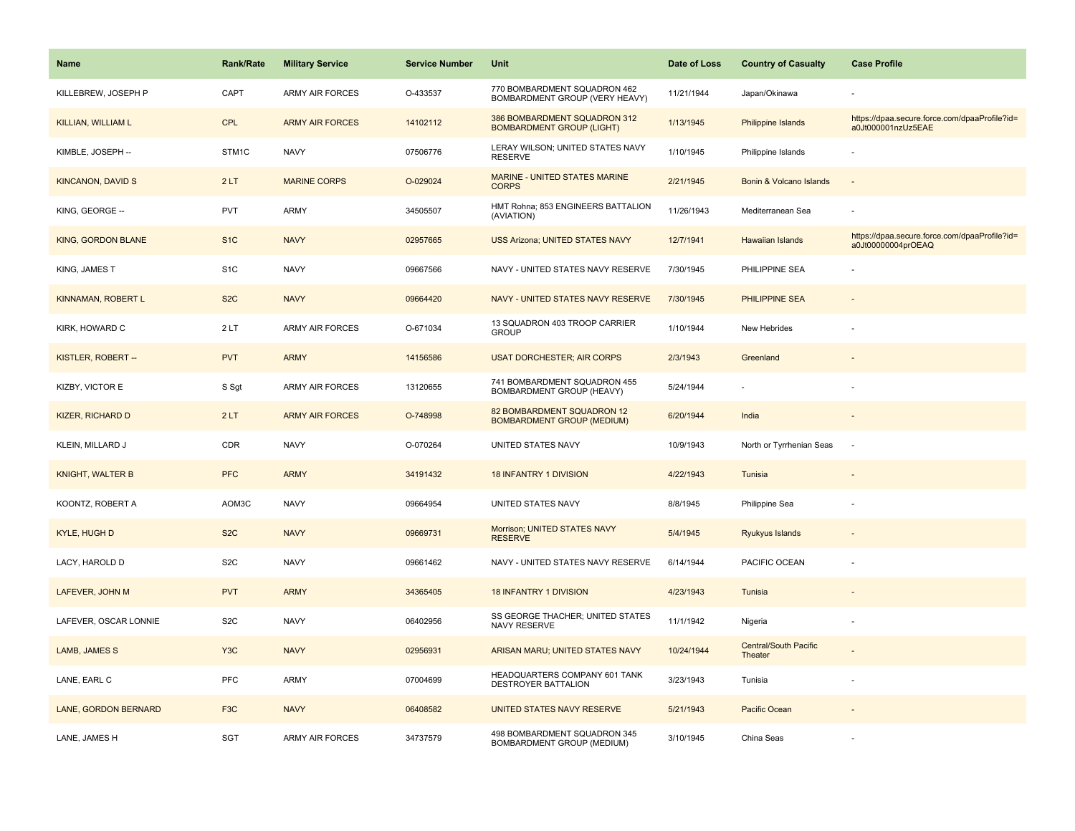| <b>Name</b>              | <b>Rank/Rate</b> | <b>Military Service</b> | <b>Service Number</b> | Unit                                                             | Date of Loss | <b>Country of Casualty</b>              | <b>Case Profile</b>                                                 |
|--------------------------|------------------|-------------------------|-----------------------|------------------------------------------------------------------|--------------|-----------------------------------------|---------------------------------------------------------------------|
| KILLEBREW, JOSEPH P      | CAPT             | <b>ARMY AIR FORCES</b>  | O-433537              | 770 BOMBARDMENT SQUADRON 462<br>BOMBARDMENT GROUP (VERY HEAVY)   | 11/21/1944   | Japan/Okinawa                           |                                                                     |
| KILLIAN, WILLIAM L       | <b>CPL</b>       | <b>ARMY AIR FORCES</b>  | 14102112              | 386 BOMBARDMENT SQUADRON 312<br><b>BOMBARDMENT GROUP (LIGHT)</b> | 1/13/1945    | <b>Philippine Islands</b>               | https://dpaa.secure.force.com/dpaaProfile?id=<br>a0Jt000001nzUz5EAE |
| KIMBLE, JOSEPH --        | STM1C            | <b>NAVY</b>             | 07506776              | LERAY WILSON; UNITED STATES NAVY<br><b>RESERVE</b>               | 1/10/1945    | Philippine Islands                      |                                                                     |
| <b>KINCANON, DAVID S</b> | 2LT              | <b>MARINE CORPS</b>     | O-029024              | MARINE - UNITED STATES MARINE<br><b>CORPS</b>                    | 2/21/1945    | Bonin & Volcano Islands                 |                                                                     |
| KING, GEORGE --          | <b>PVT</b>       | <b>ARMY</b>             | 34505507              | HMT Rohna; 853 ENGINEERS BATTALION<br>(AVIATION)                 | 11/26/1943   | Mediterranean Sea                       |                                                                     |
| KING, GORDON BLANE       | S <sub>1</sub> C | <b>NAVY</b>             | 02957665              | <b>USS Arizona; UNITED STATES NAVY</b>                           | 12/7/1941    | <b>Hawaiian Islands</b>                 | https://dpaa.secure.force.com/dpaaProfile?id=<br>a0Jt00000004prOEAQ |
| KING, JAMES T            | S <sub>1</sub> C | <b>NAVY</b>             | 09667566              | NAVY - UNITED STATES NAVY RESERVE                                | 7/30/1945    | PHILIPPINE SEA                          |                                                                     |
| KINNAMAN, ROBERT L       | S <sub>2</sub> C | <b>NAVY</b>             | 09664420              | NAVY - UNITED STATES NAVY RESERVE                                | 7/30/1945    | PHILIPPINE SEA                          |                                                                     |
| KIRK, HOWARD C           | 2LT              | <b>ARMY AIR FORCES</b>  | O-671034              | 13 SQUADRON 403 TROOP CARRIER<br><b>GROUP</b>                    | 1/10/1944    | New Hebrides                            |                                                                     |
| KISTLER, ROBERT --       | <b>PVT</b>       | <b>ARMY</b>             | 14156586              | <b>USAT DORCHESTER; AIR CORPS</b>                                | 2/3/1943     | Greenland                               |                                                                     |
| <b>KIZBY, VICTOR E</b>   | S Sgt            | <b>ARMY AIR FORCES</b>  | 13120655              | 741 BOMBARDMENT SQUADRON 455<br>BOMBARDMENT GROUP (HEAVY)        | 5/24/1944    |                                         |                                                                     |
| <b>KIZER, RICHARD D</b>  | 2LT              | <b>ARMY AIR FORCES</b>  | O-748998              | 82 BOMBARDMENT SQUADRON 12<br><b>BOMBARDMENT GROUP (MEDIUM)</b>  | 6/20/1944    | India                                   | $\sim$                                                              |
| KLEIN, MILLARD J         | CDR              | <b>NAVY</b>             | O-070264              | UNITED STATES NAVY                                               | 10/9/1943    | North or Tyrrhenian Seas                | $\sim$                                                              |
| <b>KNIGHT, WALTER B</b>  | <b>PFC</b>       | <b>ARMY</b>             | 34191432              | <b>18 INFANTRY 1 DIVISION</b>                                    | 4/22/1943    | Tunisia                                 |                                                                     |
| KOONTZ, ROBERT A         | AOM3C            | <b>NAVY</b>             | 09664954              | UNITED STATES NAVY                                               | 8/8/1945     | Philippine Sea                          |                                                                     |
| <b>KYLE, HUGH D</b>      | S <sub>2</sub> C | <b>NAVY</b>             | 09669731              | Morrison; UNITED STATES NAVY<br><b>RESERVE</b>                   | 5/4/1945     | Ryukyus Islands                         |                                                                     |
| LACY, HAROLD D           | S <sub>2</sub> C | <b>NAVY</b>             | 09661462              | NAVY - UNITED STATES NAVY RESERVE                                | 6/14/1944    | PACIFIC OCEAN                           |                                                                     |
| LAFEVER, JOHN M          | <b>PVT</b>       | <b>ARMY</b>             | 34365405              | <b>18 INFANTRY 1 DIVISION</b>                                    | 4/23/1943    | Tunisia                                 |                                                                     |
| LAFEVER, OSCAR LONNIE    | S <sub>2</sub> C | <b>NAVY</b>             | 06402956              | SS GEORGE THACHER; UNITED STATES<br>NAVY RESERVE                 | 11/1/1942    | Nigeria                                 |                                                                     |
| LAMB, JAMES S            | Y <sub>3</sub> C | <b>NAVY</b>             | 02956931              | ARISAN MARU; UNITED STATES NAVY                                  | 10/24/1944   | <b>Central/South Pacific</b><br>Theater |                                                                     |
| LANE, EARL C             | PFC              | <b>ARMY</b>             | 07004699              | HEADQUARTERS COMPANY 601 TANK<br>DESTROYER BATTALION             | 3/23/1943    | Tunisia                                 |                                                                     |
| LANE, GORDON BERNARD     | F <sub>3</sub> C | <b>NAVY</b>             | 06408582              | UNITED STATES NAVY RESERVE                                       | 5/21/1943    | Pacific Ocean                           |                                                                     |
| LANE, JAMES H            | <b>SGT</b>       | <b>ARMY AIR FORCES</b>  | 34737579              | 498 BOMBARDMENT SQUADRON 345<br>BOMBARDMENT GROUP (MEDIUM)       | 3/10/1945    | China Seas                              |                                                                     |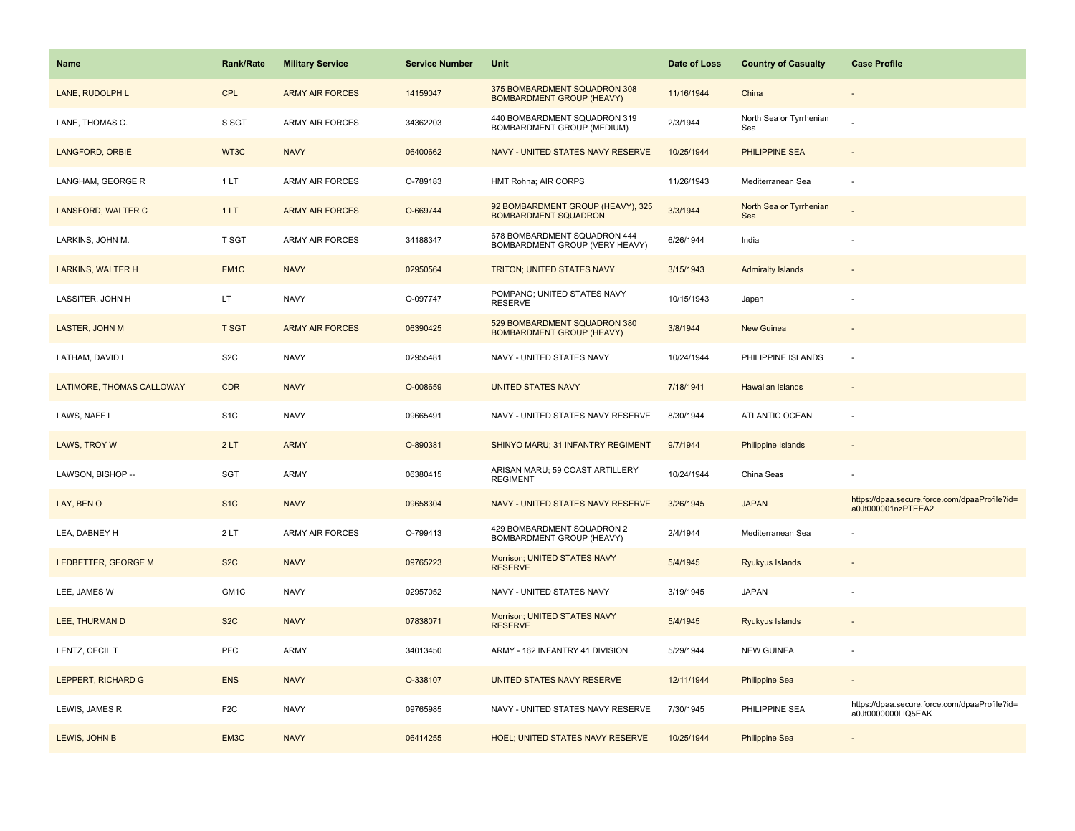| <b>Name</b>               | <b>Rank/Rate</b>  | <b>Military Service</b> | <b>Service Number</b> | Unit                                                             | Date of Loss | <b>Country of Casualty</b>     | <b>Case Profile</b>                                                 |
|---------------------------|-------------------|-------------------------|-----------------------|------------------------------------------------------------------|--------------|--------------------------------|---------------------------------------------------------------------|
| LANE, RUDOLPH L           | <b>CPL</b>        | <b>ARMY AIR FORCES</b>  | 14159047              | 375 BOMBARDMENT SQUADRON 308<br><b>BOMBARDMENT GROUP (HEAVY)</b> | 11/16/1944   | China                          |                                                                     |
| LANE, THOMAS C.           | S SGT             | <b>ARMY AIR FORCES</b>  | 34362203              | 440 BOMBARDMENT SQUADRON 319<br>BOMBARDMENT GROUP (MEDIUM)       | 2/3/1944     | North Sea or Tyrrhenian<br>Sea |                                                                     |
| LANGFORD, ORBIE           | WT3C              | <b>NAVY</b>             | 06400662              | NAVY - UNITED STATES NAVY RESERVE                                | 10/25/1944   | PHILIPPINE SEA                 |                                                                     |
| LANGHAM, GEORGE R         | 1LT               | <b>ARMY AIR FORCES</b>  | O-789183              | HMT Rohna; AIR CORPS                                             | 11/26/1943   | Mediterranean Sea              |                                                                     |
| LANSFORD, WALTER C        | 1LT               | <b>ARMY AIR FORCES</b>  | O-669744              | 92 BOMBARDMENT GROUP (HEAVY), 325<br><b>BOMBARDMENT SQUADRON</b> | 3/3/1944     | North Sea or Tyrrhenian<br>Sea |                                                                     |
| LARKINS, JOHN M.          | T SGT             | <b>ARMY AIR FORCES</b>  | 34188347              | 678 BOMBARDMENT SQUADRON 444<br>BOMBARDMENT GROUP (VERY HEAVY)   | 6/26/1944    | India                          |                                                                     |
| <b>LARKINS, WALTER H</b>  | EM <sub>1</sub> C | <b>NAVY</b>             | 02950564              | TRITON; UNITED STATES NAVY                                       | 3/15/1943    | <b>Admiralty Islands</b>       |                                                                     |
| LASSITER, JOHN H          | LT.               | <b>NAVY</b>             | O-097747              | POMPANO; UNITED STATES NAVY<br><b>RESERVE</b>                    | 10/15/1943   | Japan                          |                                                                     |
| LASTER, JOHN M            | <b>T SGT</b>      | <b>ARMY AIR FORCES</b>  | 06390425              | 529 BOMBARDMENT SQUADRON 380<br><b>BOMBARDMENT GROUP (HEAVY)</b> | 3/8/1944     | <b>New Guinea</b>              |                                                                     |
| LATHAM, DAVID L           | S <sub>2</sub> C  | <b>NAVY</b>             | 02955481              | NAVY - UNITED STATES NAVY                                        | 10/24/1944   | PHILIPPINE ISLANDS             | $\sim$                                                              |
| LATIMORE, THOMAS CALLOWAY | <b>CDR</b>        | <b>NAVY</b>             | O-008659              | <b>UNITED STATES NAVY</b>                                        | 7/18/1941    | <b>Hawaiian Islands</b>        |                                                                     |
| LAWS, NAFF L              | S <sub>1</sub> C  | <b>NAVY</b>             | 09665491              | NAVY - UNITED STATES NAVY RESERVE                                | 8/30/1944    | ATLANTIC OCEAN                 |                                                                     |
| LAWS, TROY W              | 2LT               | <b>ARMY</b>             | O-890381              | SHINYO MARU; 31 INFANTRY REGIMENT                                | 9/7/1944     | Philippine Islands             |                                                                     |
| LAWSON, BISHOP --         | SGT               | <b>ARMY</b>             | 06380415              | ARISAN MARU; 59 COAST ARTILLERY<br><b>REGIMENT</b>               | 10/24/1944   | China Seas                     |                                                                     |
| LAY, BEN O                | S <sub>1C</sub>   | <b>NAVY</b>             | 09658304              | NAVY - UNITED STATES NAVY RESERVE                                | 3/26/1945    | <b>JAPAN</b>                   | https://dpaa.secure.force.com/dpaaProfile?id=<br>a0Jt000001nzPTEEA2 |
| LEA, DABNEY H             | 2LT               | ARMY AIR FORCES         | O-799413              | 429 BOMBARDMENT SQUADRON 2<br>BOMBARDMENT GROUP (HEAVY)          | 2/4/1944     | Mediterranean Sea              |                                                                     |
| LEDBETTER, GEORGE M       | S <sub>2</sub> C  | <b>NAVY</b>             | 09765223              | Morrison; UNITED STATES NAVY<br><b>RESERVE</b>                   | 5/4/1945     | Ryukyus Islands                |                                                                     |
| LEE, JAMES W              | GM1C              | <b>NAVY</b>             | 02957052              | NAVY - UNITED STATES NAVY                                        | 3/19/1945    | <b>JAPAN</b>                   |                                                                     |
| LEE, THURMAN D            | S <sub>2</sub> C  | <b>NAVY</b>             | 07838071              | Morrison; UNITED STATES NAVY<br><b>RESERVE</b>                   | 5/4/1945     | Ryukyus Islands                |                                                                     |
| LENTZ, CECIL T            | PFC               | ARMY                    | 34013450              | ARMY - 162 INFANTRY 41 DIVISION                                  | 5/29/1944    | <b>NEW GUINEA</b>              |                                                                     |
| LEPPERT, RICHARD G        | <b>ENS</b>        | <b>NAVY</b>             | O-338107              | UNITED STATES NAVY RESERVE                                       | 12/11/1944   | <b>Philippine Sea</b>          |                                                                     |
| LEWIS, JAMES R            | F <sub>2</sub> C  | <b>NAVY</b>             | 09765985              | NAVY - UNITED STATES NAVY RESERVE                                | 7/30/1945    | PHILIPPINE SEA                 | https://dpaa.secure.force.com/dpaaProfile?id=<br>a0Jt0000000LIQ5EAK |
| LEWIS, JOHN B             | EM3C              | <b>NAVY</b>             | 06414255              | <b>HOEL; UNITED STATES NAVY RESERVE</b>                          | 10/25/1944   | <b>Philippine Sea</b>          |                                                                     |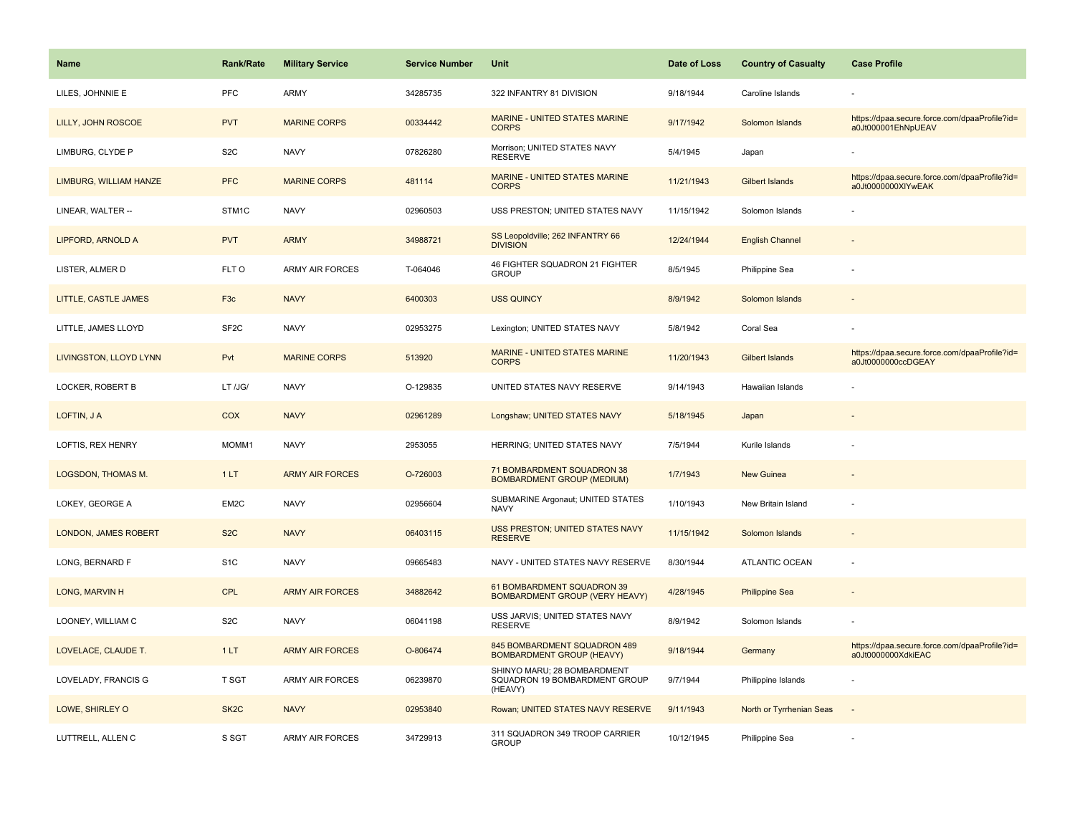| <b>Name</b>                 | <b>Rank/Rate</b>  | <b>Military Service</b> | <b>Service Number</b> | Unit                                                                    | Date of Loss | <b>Country of Casualty</b> | <b>Case Profile</b>                                                 |
|-----------------------------|-------------------|-------------------------|-----------------------|-------------------------------------------------------------------------|--------------|----------------------------|---------------------------------------------------------------------|
| LILES, JOHNNIE E            | PFC               | ARMY                    | 34285735              | 322 INFANTRY 81 DIVISION                                                | 9/18/1944    | Caroline Islands           |                                                                     |
| LILLY, JOHN ROSCOE          | <b>PVT</b>        | <b>MARINE CORPS</b>     | 00334442              | MARINE - UNITED STATES MARINE<br><b>CORPS</b>                           | 9/17/1942    | Solomon Islands            | https://dpaa.secure.force.com/dpaaProfile?id=<br>a0Jt000001EhNpUEAV |
| LIMBURG, CLYDE P            | S <sub>2</sub> C  | <b>NAVY</b>             | 07826280              | Morrison; UNITED STATES NAVY<br><b>RESERVE</b>                          | 5/4/1945     | Japan                      |                                                                     |
| LIMBURG, WILLIAM HANZE      | <b>PFC</b>        | <b>MARINE CORPS</b>     | 481114                | MARINE - UNITED STATES MARINE<br><b>CORPS</b>                           | 11/21/1943   | <b>Gilbert Islands</b>     | https://dpaa.secure.force.com/dpaaProfile?id=<br>a0Jt0000000XIYwEAK |
| LINEAR, WALTER --           | STM1C             | <b>NAVY</b>             | 02960503              | USS PRESTON; UNITED STATES NAVY                                         | 11/15/1942   | Solomon Islands            |                                                                     |
| LIPFORD, ARNOLD A           | <b>PVT</b>        | <b>ARMY</b>             | 34988721              | SS Leopoldville; 262 INFANTRY 66<br><b>DIVISION</b>                     | 12/24/1944   | <b>English Channel</b>     |                                                                     |
| LISTER, ALMER D             | FLT O             | ARMY AIR FORCES         | T-064046              | 46 FIGHTER SQUADRON 21 FIGHTER<br><b>GROUP</b>                          | 8/5/1945     | Philippine Sea             |                                                                     |
| LITTLE, CASTLE JAMES        | F <sub>3c</sub>   | <b>NAVY</b>             | 6400303               | <b>USS QUINCY</b>                                                       | 8/9/1942     | Solomon Islands            |                                                                     |
| LITTLE, JAMES LLOYD         | SF <sub>2</sub> C | <b>NAVY</b>             | 02953275              | Lexington; UNITED STATES NAVY                                           | 5/8/1942     | Coral Sea                  |                                                                     |
| LIVINGSTON, LLOYD LYNN      | Pvt               | <b>MARINE CORPS</b>     | 513920                | MARINE - UNITED STATES MARINE<br><b>CORPS</b>                           | 11/20/1943   | <b>Gilbert Islands</b>     | https://dpaa.secure.force.com/dpaaProfile?id=<br>a0Jt0000000ccDGEAY |
| LOCKER, ROBERT B            | LT /JG/           | <b>NAVY</b>             | O-129835              | UNITED STATES NAVY RESERVE                                              | 9/14/1943    | Hawaiian Islands           |                                                                     |
| LOFTIN, JA                  | COX               | <b>NAVY</b>             | 02961289              | Longshaw; UNITED STATES NAVY                                            | 5/18/1945    | Japan                      |                                                                     |
| LOFTIS, REX HENRY           | MOMM1             | <b>NAVY</b>             | 2953055               | HERRING; UNITED STATES NAVY                                             | 7/5/1944     | Kurile Islands             |                                                                     |
| <b>LOGSDON, THOMAS M.</b>   | 1LT               | <b>ARMY AIR FORCES</b>  | O-726003              | 71 BOMBARDMENT SQUADRON 38<br><b>BOMBARDMENT GROUP (MEDIUM)</b>         | 1/7/1943     | New Guinea                 |                                                                     |
| LOKEY, GEORGE A             | EM2C              | <b>NAVY</b>             | 02956604              | SUBMARINE Argonaut; UNITED STATES<br><b>NAVY</b>                        | 1/10/1943    | New Britain Island         |                                                                     |
| <b>LONDON, JAMES ROBERT</b> | S <sub>2</sub> C  | <b>NAVY</b>             | 06403115              | USS PRESTON; UNITED STATES NAVY<br><b>RESERVE</b>                       | 11/15/1942   | Solomon Islands            |                                                                     |
| LONG, BERNARD F             | S <sub>1</sub> C  | <b>NAVY</b>             | 09665483              | NAVY - UNITED STATES NAVY RESERVE                                       | 8/30/1944    | ATLANTIC OCEAN             |                                                                     |
| LONG, MARVIN H              | <b>CPL</b>        | <b>ARMY AIR FORCES</b>  | 34882642              | 61 BOMBARDMENT SQUADRON 39<br>BOMBARDMENT GROUP (VERY HEAVY)            | 4/28/1945    | <b>Philippine Sea</b>      |                                                                     |
| LOONEY, WILLIAM C           | S <sub>2</sub> C  | <b>NAVY</b>             | 06041198              | USS JARVIS; UNITED STATES NAVY<br><b>RESERVE</b>                        | 8/9/1942     | Solomon Islands            |                                                                     |
| LOVELACE, CLAUDE T.         | 1LT               | <b>ARMY AIR FORCES</b>  | O-806474              | 845 BOMBARDMENT SQUADRON 489<br><b>BOMBARDMENT GROUP (HEAVY)</b>        | 9/18/1944    | Germany                    | https://dpaa.secure.force.com/dpaaProfile?id=<br>a0Jt0000000XdkiEAC |
| LOVELADY, FRANCIS G         | T SGT             | ARMY AIR FORCES         | 06239870              | SHINYO MARU; 28 BOMBARDMENT<br>SQUADRON 19 BOMBARDMENT GROUP<br>(HEAVY) | 9/7/1944     | Philippine Islands         |                                                                     |
| LOWE, SHIRLEY O             | SK <sub>2</sub> C | <b>NAVY</b>             | 02953840              | Rowan; UNITED STATES NAVY RESERVE                                       | 9/11/1943    | North or Tyrrhenian Seas   |                                                                     |
| LUTTRELL, ALLEN C           | S SGT             | <b>ARMY AIR FORCES</b>  | 34729913              | 311 SQUADRON 349 TROOP CARRIER<br><b>GROUP</b>                          | 10/12/1945   | Philippine Sea             |                                                                     |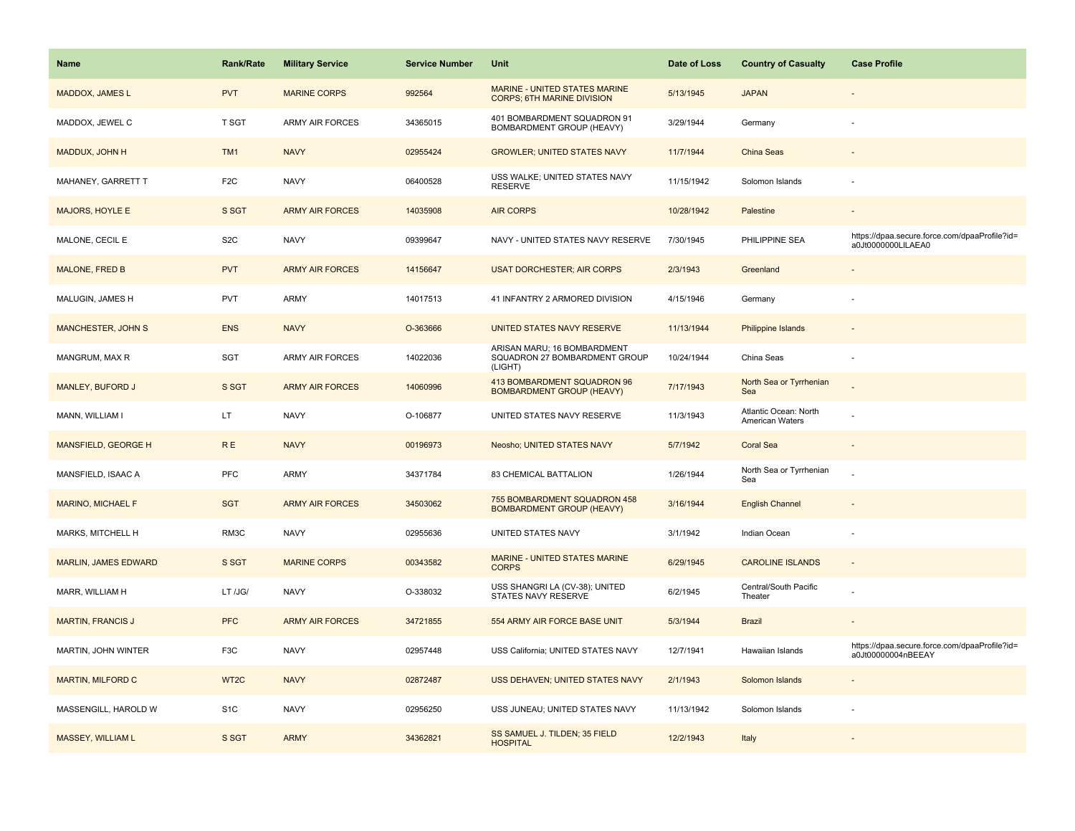| <b>Name</b>                 | <b>Rank/Rate</b>  | <b>Military Service</b> | <b>Service Number</b> | Unit                                                                    | Date of Loss | <b>Country of Casualty</b>               | <b>Case Profile</b>                                                 |
|-----------------------------|-------------------|-------------------------|-----------------------|-------------------------------------------------------------------------|--------------|------------------------------------------|---------------------------------------------------------------------|
| <b>MADDOX, JAMES L</b>      | <b>PVT</b>        | <b>MARINE CORPS</b>     | 992564                | MARINE - UNITED STATES MARINE<br><b>CORPS; 6TH MARINE DIVISION</b>      | 5/13/1945    | <b>JAPAN</b>                             |                                                                     |
| MADDOX, JEWEL C             | T SGT             | <b>ARMY AIR FORCES</b>  | 34365015              | 401 BOMBARDMENT SQUADRON 91<br>BOMBARDMENT GROUP (HEAVY)                | 3/29/1944    | Germany                                  |                                                                     |
| MADDUX, JOHN H              | TM1               | <b>NAVY</b>             | 02955424              | <b>GROWLER; UNITED STATES NAVY</b>                                      | 11/7/1944    | China Seas                               |                                                                     |
| MAHANEY, GARRETT T          | F <sub>2</sub> C  | <b>NAVY</b>             | 06400528              | USS WALKE; UNITED STATES NAVY<br><b>RESERVE</b>                         | 11/15/1942   | Solomon Islands                          |                                                                     |
| <b>MAJORS, HOYLE E</b>      | S SGT             | <b>ARMY AIR FORCES</b>  | 14035908              | <b>AIR CORPS</b>                                                        | 10/28/1942   | Palestine                                |                                                                     |
| MALONE, CECIL E             | S <sub>2</sub> C  | <b>NAVY</b>             | 09399647              | NAVY - UNITED STATES NAVY RESERVE                                       | 7/30/1945    | PHILIPPINE SEA                           | https://dpaa.secure.force.com/dpaaProfile?id=<br>a0Jt0000000LILAEA0 |
| <b>MALONE, FRED B</b>       | <b>PVT</b>        | <b>ARMY AIR FORCES</b>  | 14156647              | <b>USAT DORCHESTER; AIR CORPS</b>                                       | 2/3/1943     | Greenland                                |                                                                     |
| MALUGIN, JAMES H            | <b>PVT</b>        | ARMY                    | 14017513              | 41 INFANTRY 2 ARMORED DIVISION                                          | 4/15/1946    | Germany                                  |                                                                     |
| <b>MANCHESTER, JOHN S</b>   | <b>ENS</b>        | <b>NAVY</b>             | O-363666              | UNITED STATES NAVY RESERVE                                              | 11/13/1944   | Philippine Islands                       |                                                                     |
| MANGRUM, MAX R              | SGT               | ARMY AIR FORCES         | 14022036              | ARISAN MARU; 16 BOMBARDMENT<br>SQUADRON 27 BOMBARDMENT GROUP<br>(LIGHT) | 10/24/1944   | China Seas                               |                                                                     |
| <b>MANLEY, BUFORD J</b>     | S SGT             | <b>ARMY AIR FORCES</b>  | 14060996              | 413 BOMBARDMENT SQUADRON 96<br><b>BOMBARDMENT GROUP (HEAVY)</b>         | 7/17/1943    | North Sea or Tyrrhenian<br>Sea           |                                                                     |
| MANN, WILLIAM I             | LT.               | <b>NAVY</b>             | O-106877              | UNITED STATES NAVY RESERVE                                              | 11/3/1943    | Atlantic Ocean: North<br>American Waters |                                                                     |
| <b>MANSFIELD, GEORGE H</b>  | <b>RE</b>         | <b>NAVY</b>             | 00196973              | Neosho; UNITED STATES NAVY                                              | 5/7/1942     | <b>Coral Sea</b>                         |                                                                     |
| MANSFIELD, ISAAC A          | PFC               | ARMY                    | 34371784              | 83 CHEMICAL BATTALION                                                   | 1/26/1944    | North Sea or Tyrrhenian<br>Sea           |                                                                     |
| <b>MARINO, MICHAEL F</b>    | <b>SGT</b>        | <b>ARMY AIR FORCES</b>  | 34503062              | 755 BOMBARDMENT SQUADRON 458<br><b>BOMBARDMENT GROUP (HEAVY)</b>        | 3/16/1944    | <b>English Channel</b>                   |                                                                     |
| MARKS, MITCHELL H           | RM3C              | <b>NAVY</b>             | 02955636              | UNITED STATES NAVY                                                      | 3/1/1942     | Indian Ocean                             |                                                                     |
| <b>MARLIN, JAMES EDWARD</b> | S SGT             | <b>MARINE CORPS</b>     | 00343582              | MARINE - UNITED STATES MARINE<br><b>CORPS</b>                           | 6/29/1945    | <b>CAROLINE ISLANDS</b>                  |                                                                     |
| MARR, WILLIAM H             | LT /JG/           | <b>NAVY</b>             | O-338032              | USS SHANGRI LA (CV-38); UNITED<br>STATES NAVY RESERVE                   | 6/2/1945     | Central/South Pacific<br>Theater         |                                                                     |
| <b>MARTIN, FRANCIS J</b>    | <b>PFC</b>        | <b>ARMY AIR FORCES</b>  | 34721855              | 554 ARMY AIR FORCE BASE UNIT                                            | 5/3/1944     | <b>Brazil</b>                            |                                                                     |
| MARTIN, JOHN WINTER         | F3C               | <b>NAVY</b>             | 02957448              | USS California; UNITED STATES NAVY                                      | 12/7/1941    | Hawaiian Islands                         | https://dpaa.secure.force.com/dpaaProfile?id=<br>a0Jt00000004nBEEAY |
| <b>MARTIN, MILFORD C</b>    | WT <sub>2</sub> C | <b>NAVY</b>             | 02872487              | USS DEHAVEN; UNITED STATES NAVY                                         | 2/1/1943     | Solomon Islands                          |                                                                     |
| MASSENGILL, HAROLD W        | S <sub>1</sub> C  | <b>NAVY</b>             | 02956250              | USS JUNEAU; UNITED STATES NAVY                                          | 11/13/1942   | Solomon Islands                          |                                                                     |
| <b>MASSEY, WILLIAM L</b>    | S SGT             | <b>ARMY</b>             | 34362821              | SS SAMUEL J. TILDEN; 35 FIELD<br><b>HOSPITAL</b>                        | 12/2/1943    | Italy                                    |                                                                     |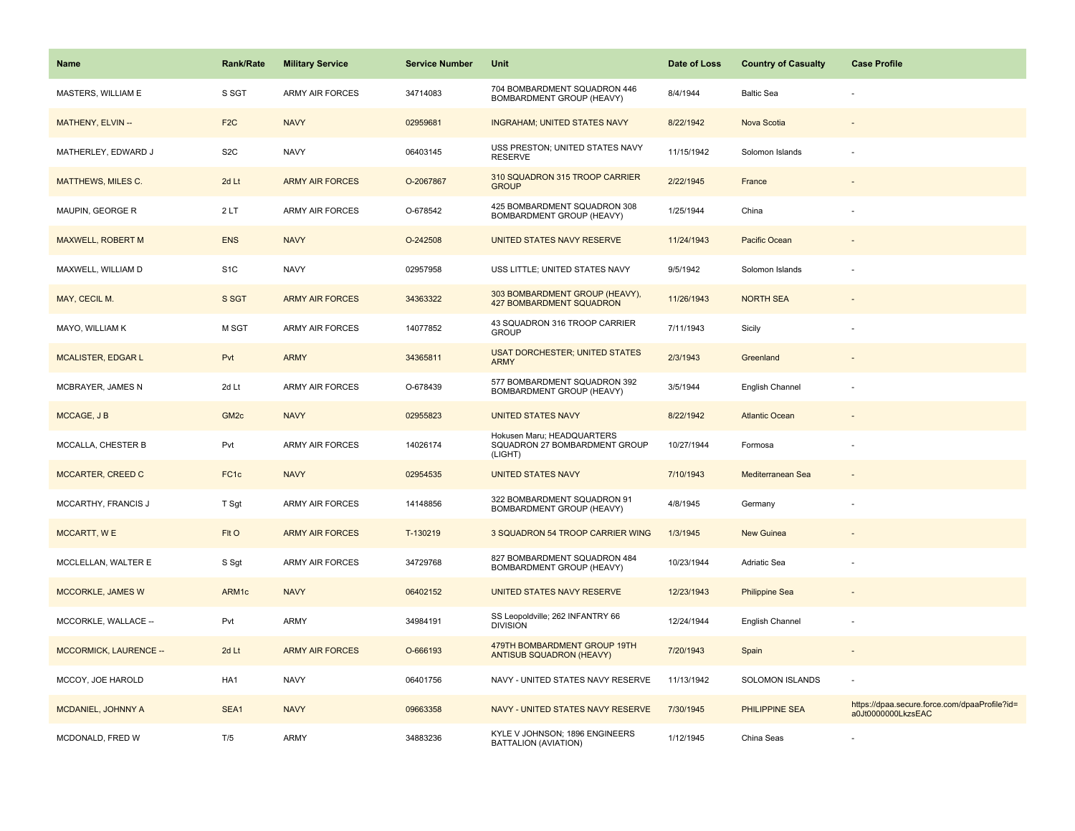| <b>Name</b>                   | Rank/Rate        | <b>Military Service</b> | <b>Service Number</b> | Unit                                                                   | Date of Loss | <b>Country of Casualty</b> | <b>Case Profile</b>                                                 |
|-------------------------------|------------------|-------------------------|-----------------------|------------------------------------------------------------------------|--------------|----------------------------|---------------------------------------------------------------------|
| MASTERS, WILLIAM E            | S SGT            | <b>ARMY AIR FORCES</b>  | 34714083              | 704 BOMBARDMENT SQUADRON 446<br>BOMBARDMENT GROUP (HEAVY)              | 8/4/1944     | <b>Baltic Sea</b>          |                                                                     |
| MATHENY, ELVIN --             | F <sub>2</sub> C | <b>NAVY</b>             | 02959681              | <b>INGRAHAM; UNITED STATES NAVY</b>                                    | 8/22/1942    | Nova Scotia                |                                                                     |
| MATHERLEY, EDWARD J           | S <sub>2</sub> C | <b>NAVY</b>             | 06403145              | USS PRESTON; UNITED STATES NAVY<br><b>RESERVE</b>                      | 11/15/1942   | Solomon Islands            |                                                                     |
| <b>MATTHEWS, MILES C.</b>     | 2d Lt            | <b>ARMY AIR FORCES</b>  | O-2067867             | 310 SQUADRON 315 TROOP CARRIER<br><b>GROUP</b>                         | 2/22/1945    | France                     |                                                                     |
| MAUPIN, GEORGE R              | 2LT              | <b>ARMY AIR FORCES</b>  | O-678542              | 425 BOMBARDMENT SQUADRON 308<br>BOMBARDMENT GROUP (HEAVY)              | 1/25/1944    | China                      |                                                                     |
| MAXWELL, ROBERT M             | <b>ENS</b>       | <b>NAVY</b>             | O-242508              | UNITED STATES NAVY RESERVE                                             | 11/24/1943   | Pacific Ocean              |                                                                     |
| MAXWELL, WILLIAM D            | S <sub>1</sub> C | <b>NAVY</b>             | 02957958              | USS LITTLE; UNITED STATES NAVY                                         | 9/5/1942     | Solomon Islands            |                                                                     |
| MAY, CECIL M.                 | S SGT            | <b>ARMY AIR FORCES</b>  | 34363322              | 303 BOMBARDMENT GROUP (HEAVY),<br><b>427 BOMBARDMENT SQUADRON</b>      | 11/26/1943   | <b>NORTH SEA</b>           |                                                                     |
| MAYO, WILLIAM K               | M SGT            | <b>ARMY AIR FORCES</b>  | 14077852              | 43 SQUADRON 316 TROOP CARRIER<br><b>GROUP</b>                          | 7/11/1943    | Sicily                     |                                                                     |
| <b>MCALISTER, EDGAR L</b>     | Pvt              | <b>ARMY</b>             | 34365811              | <b>USAT DORCHESTER; UNITED STATES</b><br><b>ARMY</b>                   | 2/3/1943     | Greenland                  |                                                                     |
| MCBRAYER, JAMES N             | 2d Lt            | <b>ARMY AIR FORCES</b>  | O-678439              | 577 BOMBARDMENT SQUADRON 392<br>BOMBARDMENT GROUP (HEAVY)              | 3/5/1944     | English Channel            |                                                                     |
| MCCAGE, J B                   | GM <sub>2c</sub> | <b>NAVY</b>             | 02955823              | <b>UNITED STATES NAVY</b>                                              | 8/22/1942    | <b>Atlantic Ocean</b>      |                                                                     |
| MCCALLA, CHESTER B            | Pvt              | <b>ARMY AIR FORCES</b>  | 14026174              | Hokusen Maru; HEADQUARTERS<br>SQUADRON 27 BOMBARDMENT GROUP<br>(LIGHT) | 10/27/1944   | Formosa                    |                                                                     |
| MCCARTER, CREED C             | FC <sub>1c</sub> | <b>NAVY</b>             | 02954535              | <b>UNITED STATES NAVY</b>                                              | 7/10/1943    | Mediterranean Sea          |                                                                     |
| MCCARTHY, FRANCIS J           | T Sgt            | <b>ARMY AIR FORCES</b>  | 14148856              | 322 BOMBARDMENT SQUADRON 91<br>BOMBARDMENT GROUP (HEAVY)               | 4/8/1945     | Germany                    |                                                                     |
| MCCARTT, WE                   | FIt O            | <b>ARMY AIR FORCES</b>  | T-130219              | 3 SQUADRON 54 TROOP CARRIER WING                                       | 1/3/1945     | <b>New Guinea</b>          |                                                                     |
| MCCLELLAN, WALTER E           | S Sgt            | <b>ARMY AIR FORCES</b>  | 34729768              | 827 BOMBARDMENT SQUADRON 484<br>BOMBARDMENT GROUP (HEAVY)              | 10/23/1944   | Adriatic Sea               |                                                                     |
| <b>MCCORKLE, JAMES W</b>      | ARM1c            | <b>NAVY</b>             | 06402152              | UNITED STATES NAVY RESERVE                                             | 12/23/1943   | <b>Philippine Sea</b>      |                                                                     |
| MCCORKLE, WALLACE --          | Pvt              | ARMY                    | 34984191              | SS Leopoldville; 262 INFANTRY 66<br><b>DIVISION</b>                    | 12/24/1944   | English Channel            | ÷,                                                                  |
| <b>MCCORMICK, LAURENCE --</b> | 2d Lt            | <b>ARMY AIR FORCES</b>  | O-666193              | 479TH BOMBARDMENT GROUP 19TH<br><b>ANTISUB SQUADRON (HEAVY)</b>        | 7/20/1943    | Spain                      | $\overline{\phantom{a}}$                                            |
| MCCOY, JOE HAROLD             | HA1              | <b>NAVY</b>             | 06401756              | NAVY - UNITED STATES NAVY RESERVE                                      | 11/13/1942   | <b>SOLOMON ISLANDS</b>     | ÷,                                                                  |
| MCDANIEL, JOHNNY A            | SEA1             | <b>NAVY</b>             | 09663358              | NAVY - UNITED STATES NAVY RESERVE                                      | 7/30/1945    | PHILIPPINE SEA             | https://dpaa.secure.force.com/dpaaProfile?id=<br>a0Jt0000000LkzsEAC |
| MCDONALD, FRED W              | T/5              | <b>ARMY</b>             | 34883236              | KYLE V JOHNSON; 1896 ENGINEERS<br>BATTALION (AVIATION)                 | 1/12/1945    | China Seas                 |                                                                     |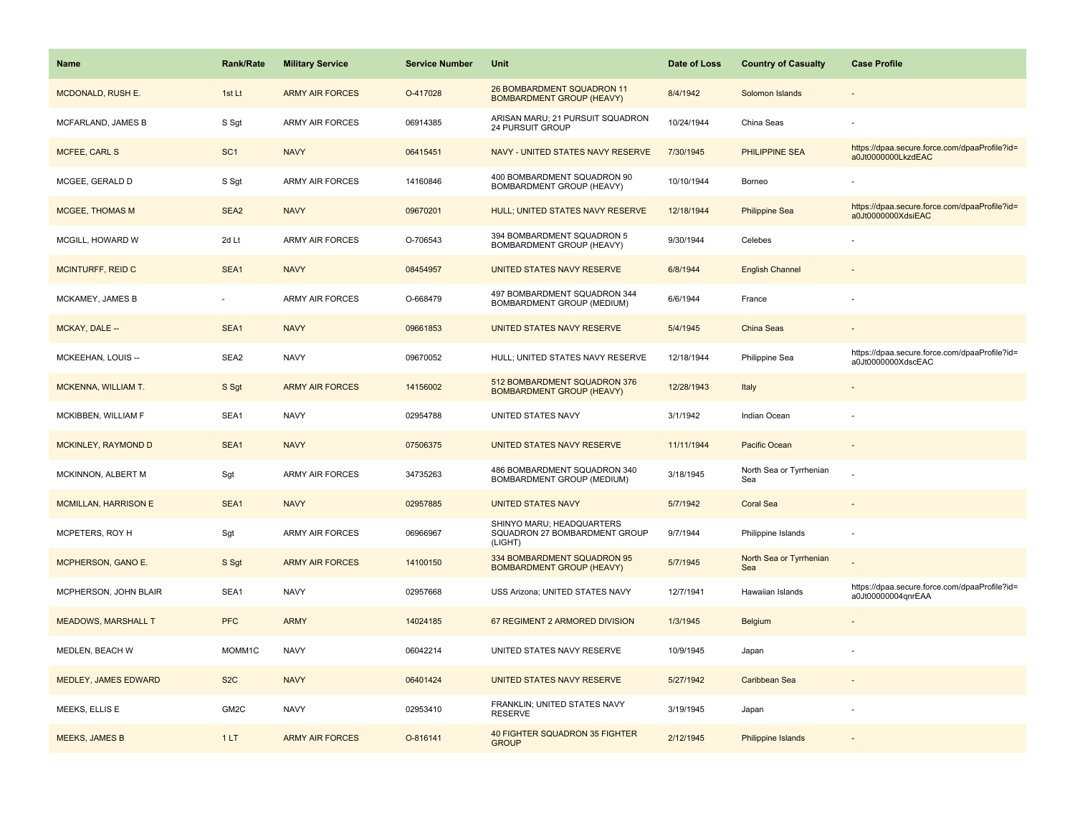| Name                        | <b>Rank/Rate</b> | <b>Military Service</b> | <b>Service Number</b> | Unit                                                                  | Date of Loss | <b>Country of Casualty</b>     | <b>Case Profile</b>                                                 |
|-----------------------------|------------------|-------------------------|-----------------------|-----------------------------------------------------------------------|--------------|--------------------------------|---------------------------------------------------------------------|
| MCDONALD, RUSH E.           | 1st Lt           | <b>ARMY AIR FORCES</b>  | O-417028              | 26 BOMBARDMENT SQUADRON 11<br><b>BOMBARDMENT GROUP (HEAVY)</b>        | 8/4/1942     | Solomon Islands                |                                                                     |
| MCFARLAND, JAMES B          | S Sgt            | ARMY AIR FORCES         | 06914385              | ARISAN MARU; 21 PURSUIT SQUADRON<br>24 PURSUIT GROUP                  | 10/24/1944   | China Seas                     |                                                                     |
| <b>MCFEE, CARL S</b>        | SC <sub>1</sub>  | <b>NAVY</b>             | 06415451              | NAVY - UNITED STATES NAVY RESERVE                                     | 7/30/1945    | <b>PHILIPPINE SEA</b>          | https://dpaa.secure.force.com/dpaaProfile?id=<br>a0Jt0000000LkzdEAC |
| MCGEE, GERALD D             | S Sgt            | <b>ARMY AIR FORCES</b>  | 14160846              | 400 BOMBARDMENT SQUADRON 90<br>BOMBARDMENT GROUP (HEAVY)              | 10/10/1944   | Borneo                         |                                                                     |
| <b>MCGEE, THOMAS M</b>      | SEA <sub>2</sub> | <b>NAVY</b>             | 09670201              | HULL; UNITED STATES NAVY RESERVE                                      | 12/18/1944   | <b>Philippine Sea</b>          | https://dpaa.secure.force.com/dpaaProfile?id=<br>a0Jt0000000XdsiEAC |
| MCGILL, HOWARD W            | 2d Lt            | <b>ARMY AIR FORCES</b>  | O-706543              | 394 BOMBARDMENT SQUADRON 5<br>BOMBARDMENT GROUP (HEAVY)               | 9/30/1944    | Celebes                        |                                                                     |
| <b>MCINTURFF, REID C</b>    | SEA1             | <b>NAVY</b>             | 08454957              | UNITED STATES NAVY RESERVE                                            | 6/8/1944     | <b>English Channel</b>         |                                                                     |
| MCKAMEY, JAMES B            | $\sim$           | <b>ARMY AIR FORCES</b>  | O-668479              | 497 BOMBARDMENT SQUADRON 344<br><b>BOMBARDMENT GROUP (MEDIUM)</b>     | 6/6/1944     | France                         |                                                                     |
| MCKAY, DALE --              | SEA1             | <b>NAVY</b>             | 09661853              | UNITED STATES NAVY RESERVE                                            | 5/4/1945     | <b>China Seas</b>              |                                                                     |
| MCKEEHAN, LOUIS --          | SEA2             | <b>NAVY</b>             | 09670052              | HULL; UNITED STATES NAVY RESERVE                                      | 12/18/1944   | Philippine Sea                 | https://dpaa.secure.force.com/dpaaProfile?id=<br>a0Jt0000000XdscEAC |
| MCKENNA, WILLIAM T.         | S Sgt            | <b>ARMY AIR FORCES</b>  | 14156002              | 512 BOMBARDMENT SQUADRON 376<br><b>BOMBARDMENT GROUP (HEAVY)</b>      | 12/28/1943   | Italy                          |                                                                     |
| MCKIBBEN, WILLIAM F         | SEA1             | <b>NAVY</b>             | 02954788              | UNITED STATES NAVY                                                    | 3/1/1942     | Indian Ocean                   |                                                                     |
| <b>MCKINLEY, RAYMOND D</b>  | SEA1             | <b>NAVY</b>             | 07506375              | UNITED STATES NAVY RESERVE                                            | 11/11/1944   | Pacific Ocean                  |                                                                     |
| MCKINNON, ALBERT M          | Sgt              | ARMY AIR FORCES         | 34735263              | 486 BOMBARDMENT SQUADRON 340<br>BOMBARDMENT GROUP (MEDIUM)            | 3/18/1945    | North Sea or Tyrrhenian<br>Sea |                                                                     |
| <b>MCMILLAN, HARRISON E</b> | SEA1             | <b>NAVY</b>             | 02957885              | <b>UNITED STATES NAVY</b>                                             | 5/7/1942     | <b>Coral Sea</b>               |                                                                     |
| MCPETERS, ROY H             | Sgt              | ARMY AIR FORCES         | 06966967              | SHINYO MARU; HEADQUARTERS<br>SQUADRON 27 BOMBARDMENT GROUP<br>(LIGHT) | 9/7/1944     | Philippine Islands             |                                                                     |
| MCPHERSON, GANO E.          | S Sgt            | <b>ARMY AIR FORCES</b>  | 14100150              | 334 BOMBARDMENT SQUADRON 95<br><b>BOMBARDMENT GROUP (HEAVY)</b>       | 5/7/1945     | North Sea or Tyrrhenian<br>Sea |                                                                     |
| MCPHERSON, JOHN BLAIR       | SEA1             | <b>NAVY</b>             | 02957668              | USS Arizona; UNITED STATES NAVY                                       | 12/7/1941    | Hawaiian Islands               | https://dpaa.secure.force.com/dpaaProfile?id=<br>a0Jt00000004qnrEAA |
| <b>MEADOWS, MARSHALL T</b>  | <b>PFC</b>       | <b>ARMY</b>             | 14024185              | 67 REGIMENT 2 ARMORED DIVISION                                        | 1/3/1945     | <b>Belgium</b>                 |                                                                     |
| MEDLEN, BEACH W             | MOMM1C           | <b>NAVY</b>             | 06042214              | UNITED STATES NAVY RESERVE                                            | 10/9/1945    | Japan                          |                                                                     |
| MEDLEY, JAMES EDWARD        | S <sub>2</sub> C | <b>NAVY</b>             | 06401424              | UNITED STATES NAVY RESERVE                                            | 5/27/1942    | Caribbean Sea                  |                                                                     |
| MEEKS, ELLIS E              | GM2C             | <b>NAVY</b>             | 02953410              | FRANKLIN; UNITED STATES NAVY<br><b>RESERVE</b>                        | 3/19/1945    | Japan                          |                                                                     |
| <b>MEEKS, JAMES B</b>       | 1LT              | <b>ARMY AIR FORCES</b>  | O-816141              | 40 FIGHTER SQUADRON 35 FIGHTER<br><b>GROUP</b>                        | 2/12/1945    | Philippine Islands             |                                                                     |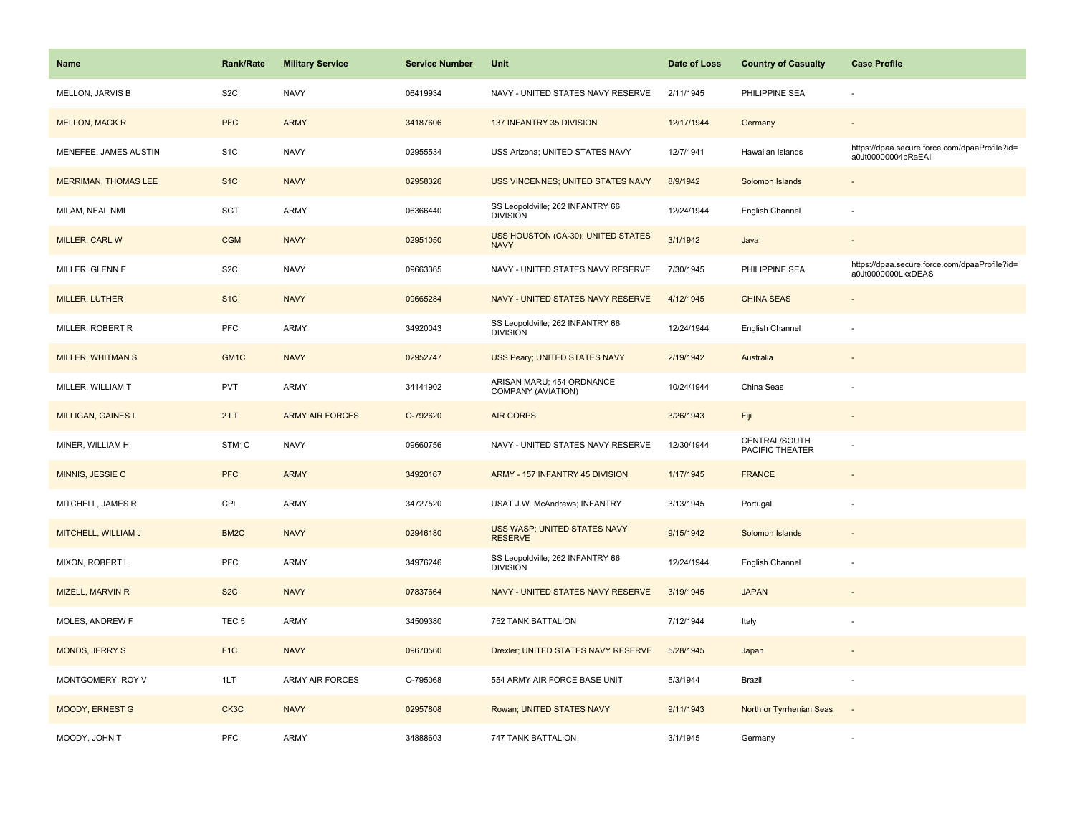| Name                        | <b>Rank/Rate</b>  | <b>Military Service</b> | <b>Service Number</b> | Unit                                                | Date of Loss | <b>Country of Casualty</b>       | <b>Case Profile</b>                                                 |
|-----------------------------|-------------------|-------------------------|-----------------------|-----------------------------------------------------|--------------|----------------------------------|---------------------------------------------------------------------|
| MELLON, JARVIS B            | S <sub>2</sub> C  | <b>NAVY</b>             | 06419934              | NAVY - UNITED STATES NAVY RESERVE                   | 2/11/1945    | PHILIPPINE SEA                   |                                                                     |
| <b>MELLON, MACK R</b>       | <b>PFC</b>        | <b>ARMY</b>             | 34187606              | 137 INFANTRY 35 DIVISION                            | 12/17/1944   | Germany                          |                                                                     |
| MENEFEE, JAMES AUSTIN       | S <sub>1</sub> C  | <b>NAVY</b>             | 02955534              | USS Arizona; UNITED STATES NAVY                     | 12/7/1941    | Hawaiian Islands                 | https://dpaa.secure.force.com/dpaaProfile?id=<br>a0Jt00000004pRaEAI |
| <b>MERRIMAN, THOMAS LEE</b> | S <sub>1</sub> C  | <b>NAVY</b>             | 02958326              | USS VINCENNES; UNITED STATES NAVY                   | 8/9/1942     | Solomon Islands                  |                                                                     |
| MILAM, NEAL NMI             | SGT               | ARMY                    | 06366440              | SS Leopoldville; 262 INFANTRY 66<br><b>DIVISION</b> | 12/24/1944   | English Channel                  |                                                                     |
| MILLER, CARL W              | <b>CGM</b>        | <b>NAVY</b>             | 02951050              | USS HOUSTON (CA-30); UNITED STATES<br><b>NAVY</b>   | 3/1/1942     | Java                             |                                                                     |
| MILLER, GLENN E             | S <sub>2</sub> C  | <b>NAVY</b>             | 09663365              | NAVY - UNITED STATES NAVY RESERVE                   | 7/30/1945    | PHILIPPINE SEA                   | https://dpaa.secure.force.com/dpaaProfile?id=<br>a0Jt0000000LkxDEAS |
| <b>MILLER, LUTHER</b>       | S <sub>1</sub> C  | <b>NAVY</b>             | 09665284              | NAVY - UNITED STATES NAVY RESERVE                   | 4/12/1945    | <b>CHINA SEAS</b>                |                                                                     |
| MILLER, ROBERT R            | PFC               | ARMY                    | 34920043              | SS Leopoldville; 262 INFANTRY 66<br><b>DIVISION</b> | 12/24/1944   | English Channel                  |                                                                     |
| <b>MILLER, WHITMAN S</b>    | GM <sub>1C</sub>  | <b>NAVY</b>             | 02952747              | USS Peary; UNITED STATES NAVY                       | 2/19/1942    | Australia                        |                                                                     |
| MILLER, WILLIAM T           | <b>PVT</b>        | ARMY                    | 34141902              | ARISAN MARU; 454 ORDNANCE<br>COMPANY (AVIATION)     | 10/24/1944   | China Seas                       |                                                                     |
| <b>MILLIGAN, GAINES I.</b>  | 2LT               | <b>ARMY AIR FORCES</b>  | O-792620              | <b>AIR CORPS</b>                                    | 3/26/1943    | Fiji                             | $\sim$                                                              |
| MINER, WILLIAM H            | STM <sub>1C</sub> | <b>NAVY</b>             | 09660756              | NAVY - UNITED STATES NAVY RESERVE                   | 12/30/1944   | CENTRAL/SOUTH<br>PACIFIC THEATER |                                                                     |
| MINNIS, JESSIE C            | <b>PFC</b>        | <b>ARMY</b>             | 34920167              | ARMY - 157 INFANTRY 45 DIVISION                     | 1/17/1945    | <b>FRANCE</b>                    |                                                                     |
| MITCHELL, JAMES R           | CPL               | ARMY                    | 34727520              | USAT J.W. McAndrews; INFANTRY                       | 3/13/1945    | Portugal                         |                                                                     |
| MITCHELL, WILLIAM J         | BM <sub>2</sub> C | <b>NAVY</b>             | 02946180              | USS WASP; UNITED STATES NAVY<br><b>RESERVE</b>      | 9/15/1942    | Solomon Islands                  |                                                                     |
| MIXON, ROBERT L             | <b>PFC</b>        | ARMY                    | 34976246              | SS Leopoldville; 262 INFANTRY 66<br><b>DIVISION</b> | 12/24/1944   | English Channel                  |                                                                     |
| <b>MIZELL, MARVIN R</b>     | S <sub>2</sub> C  | <b>NAVY</b>             | 07837664              | NAVY - UNITED STATES NAVY RESERVE                   | 3/19/1945    | <b>JAPAN</b>                     |                                                                     |
| MOLES, ANDREW F             | TEC <sub>5</sub>  | ARMY                    | 34509380              | 752 TANK BATTALION                                  | 7/12/1944    | Italy                            |                                                                     |
| <b>MONDS, JERRY S</b>       | F <sub>1C</sub>   | <b>NAVY</b>             | 09670560              | Drexler; UNITED STATES NAVY RESERVE                 | 5/28/1945    | Japan                            |                                                                     |
| MONTGOMERY, ROY V           | 1LT               | <b>ARMY AIR FORCES</b>  | O-795068              | 554 ARMY AIR FORCE BASE UNIT                        | 5/3/1944     | Brazil                           |                                                                     |
| <b>MOODY, ERNEST G</b>      | CK3C              | <b>NAVY</b>             | 02957808              | Rowan; UNITED STATES NAVY                           | 9/11/1943    | North or Tyrrhenian Seas         |                                                                     |
| MOODY, JOHN T               | PFC               | ARMY                    | 34888603              | 747 TANK BATTALION                                  | 3/1/1945     | Germany                          |                                                                     |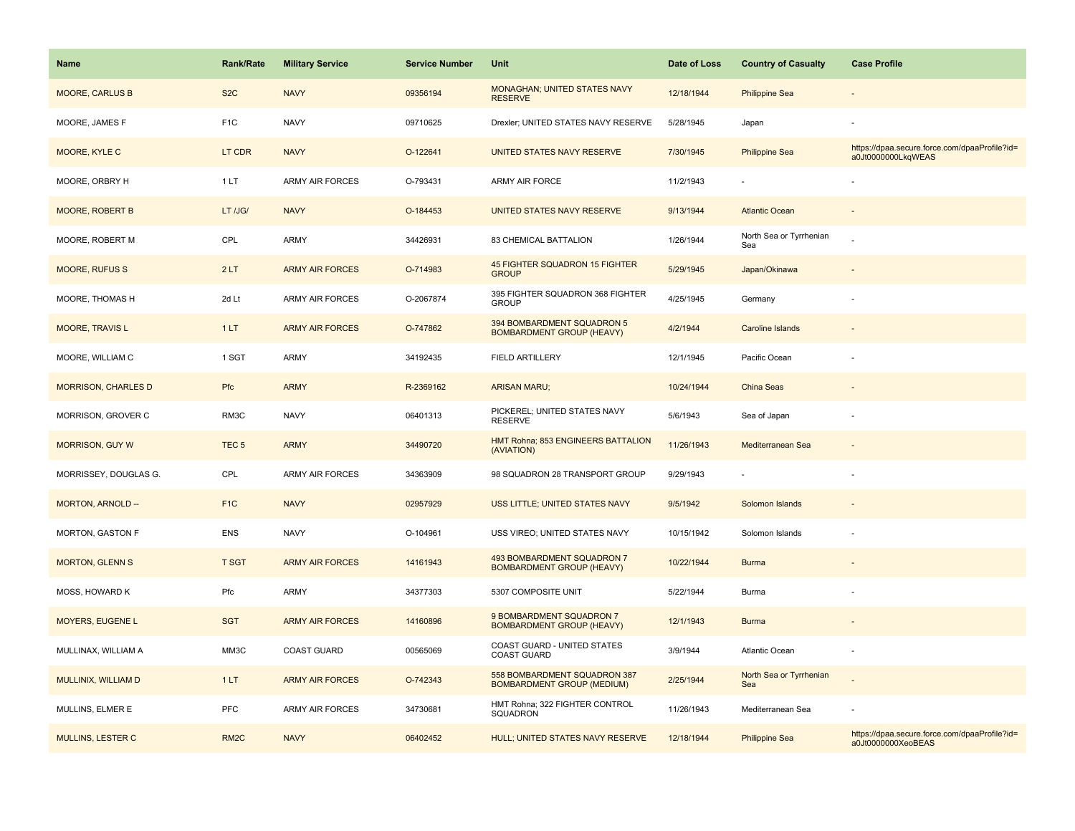| <b>Name</b>                | <b>Rank/Rate</b>  | <b>Military Service</b> | <b>Service Number</b> | Unit                                                              | Date of Loss | <b>Country of Casualty</b>     | <b>Case Profile</b>                                                 |
|----------------------------|-------------------|-------------------------|-----------------------|-------------------------------------------------------------------|--------------|--------------------------------|---------------------------------------------------------------------|
| <b>MOORE, CARLUS B</b>     | S <sub>2</sub> C  | <b>NAVY</b>             | 09356194              | MONAGHAN; UNITED STATES NAVY<br><b>RESERVE</b>                    | 12/18/1944   | <b>Philippine Sea</b>          |                                                                     |
| MOORE, JAMES F             | F <sub>1</sub> C  | <b>NAVY</b>             | 09710625              | Drexler; UNITED STATES NAVY RESERVE                               | 5/28/1945    | Japan                          |                                                                     |
| MOORE, KYLE C              | LT CDR            | <b>NAVY</b>             | O-122641              | UNITED STATES NAVY RESERVE                                        | 7/30/1945    | <b>Philippine Sea</b>          | https://dpaa.secure.force.com/dpaaProfile?id=<br>a0Jt0000000LkqWEAS |
| MOORE, ORBRY H             | 1LT               | <b>ARMY AIR FORCES</b>  | O-793431              | ARMY AIR FORCE                                                    | 11/2/1943    |                                |                                                                     |
| <b>MOORE, ROBERT B</b>     | LT /JG/           | <b>NAVY</b>             | O-184453              | UNITED STATES NAVY RESERVE                                        | 9/13/1944    | <b>Atlantic Ocean</b>          |                                                                     |
| MOORE, ROBERT M            | CPL               | <b>ARMY</b>             | 34426931              | 83 CHEMICAL BATTALION                                             | 1/26/1944    | North Sea or Tyrrhenian<br>Sea |                                                                     |
| <b>MOORE, RUFUS S</b>      | 2LT               | <b>ARMY AIR FORCES</b>  | O-714983              | 45 FIGHTER SQUADRON 15 FIGHTER<br><b>GROUP</b>                    | 5/29/1945    | Japan/Okinawa                  |                                                                     |
| MOORE, THOMAS H            | 2d Lt             | ARMY AIR FORCES         | O-2067874             | 395 FIGHTER SQUADRON 368 FIGHTER<br><b>GROUP</b>                  | 4/25/1945    | Germany                        |                                                                     |
| <b>MOORE, TRAVIS L</b>     | 1LT               | <b>ARMY AIR FORCES</b>  | O-747862              | 394 BOMBARDMENT SQUADRON 5<br><b>BOMBARDMENT GROUP (HEAVY)</b>    | 4/2/1944     | <b>Caroline Islands</b>        |                                                                     |
| MOORE, WILLIAM C           | 1 SGT             | <b>ARMY</b>             | 34192435              | <b>FIELD ARTILLERY</b>                                            | 12/1/1945    | Pacific Ocean                  |                                                                     |
| <b>MORRISON, CHARLES D</b> | Pfc               | <b>ARMY</b>             | R-2369162             | <b>ARISAN MARU;</b>                                               | 10/24/1944   | China Seas                     |                                                                     |
| MORRISON, GROVER C         | RM3C              | <b>NAVY</b>             | 06401313              | PICKEREL; UNITED STATES NAVY<br><b>RESERVE</b>                    | 5/6/1943     | Sea of Japan                   |                                                                     |
| <b>MORRISON, GUY W</b>     | TEC <sub>5</sub>  | <b>ARMY</b>             | 34490720              | HMT Rohna; 853 ENGINEERS BATTALION<br>(AVIATION)                  | 11/26/1943   | Mediterranean Sea              |                                                                     |
| MORRISSEY, DOUGLAS G.      | CPL               | <b>ARMY AIR FORCES</b>  | 34363909              | 98 SQUADRON 28 TRANSPORT GROUP                                    | 9/29/1943    |                                |                                                                     |
| MORTON, ARNOLD --          | F <sub>1C</sub>   | <b>NAVY</b>             | 02957929              | USS LITTLE; UNITED STATES NAVY                                    | 9/5/1942     | Solomon Islands                |                                                                     |
| MORTON, GASTON F           | ENS               | <b>NAVY</b>             | O-104961              | USS VIREO; UNITED STATES NAVY                                     | 10/15/1942   | Solomon Islands                |                                                                     |
| <b>MORTON, GLENN S</b>     | <b>T SGT</b>      | <b>ARMY AIR FORCES</b>  | 14161943              | 493 BOMBARDMENT SQUADRON 7<br><b>BOMBARDMENT GROUP (HEAVY)</b>    | 10/22/1944   | <b>Burma</b>                   |                                                                     |
| MOSS, HOWARD K             | Pfc               | <b>ARMY</b>             | 34377303              | 5307 COMPOSITE UNIT                                               | 5/22/1944    | Burma                          |                                                                     |
| MOYERS, EUGENE L           | <b>SGT</b>        | <b>ARMY AIR FORCES</b>  | 14160896              | 9 BOMBARDMENT SQUADRON 7<br><b>BOMBARDMENT GROUP (HEAVY)</b>      | 12/1/1943    | <b>Burma</b>                   |                                                                     |
| MULLINAX, WILLIAM A        | MM3C              | <b>COAST GUARD</b>      | 00565069              | COAST GUARD - UNITED STATES<br><b>COAST GUARD</b>                 | 3/9/1944     | <b>Atlantic Ocean</b>          |                                                                     |
| MULLINIX, WILLIAM D        | 1LT               | <b>ARMY AIR FORCES</b>  | O-742343              | 558 BOMBARDMENT SQUADRON 387<br><b>BOMBARDMENT GROUP (MEDIUM)</b> | 2/25/1944    | North Sea or Tyrrhenian<br>Sea |                                                                     |
| MULLINS, ELMER E           | <b>PFC</b>        | <b>ARMY AIR FORCES</b>  | 34730681              | HMT Rohna; 322 FIGHTER CONTROL<br>SQUADRON                        | 11/26/1943   | Mediterranean Sea              |                                                                     |
| <b>MULLINS, LESTER C</b>   | RM <sub>2</sub> C | <b>NAVY</b>             | 06402452              | HULL; UNITED STATES NAVY RESERVE                                  | 12/18/1944   | <b>Philippine Sea</b>          | https://dpaa.secure.force.com/dpaaProfile?id=<br>a0Jt0000000XeoBEAS |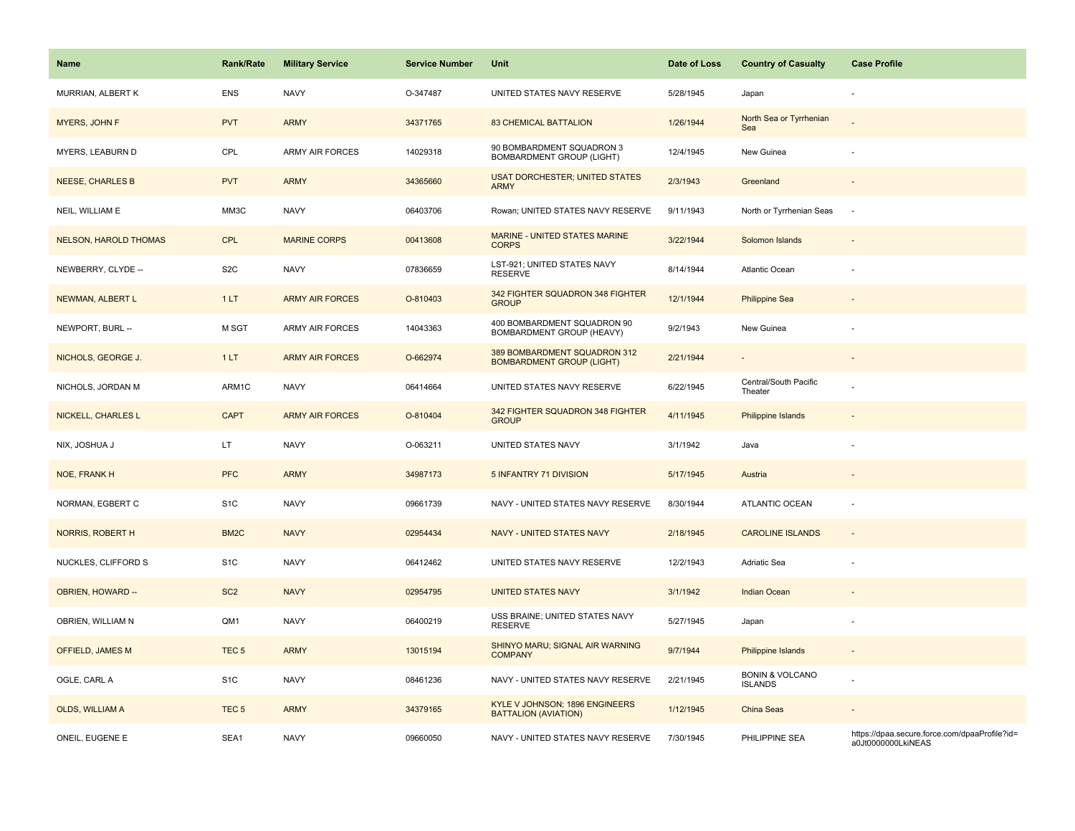| Name                         | <b>Rank/Rate</b>  | <b>Military Service</b> | <b>Service Number</b> | Unit                                                             | Date of Loss | <b>Country of Casualty</b>                   | <b>Case Profile</b>                                                 |
|------------------------------|-------------------|-------------------------|-----------------------|------------------------------------------------------------------|--------------|----------------------------------------------|---------------------------------------------------------------------|
| MURRIAN, ALBERT K            | <b>ENS</b>        | <b>NAVY</b>             | O-347487              | UNITED STATES NAVY RESERVE                                       | 5/28/1945    | Japan                                        |                                                                     |
| MYERS, JOHN F                | <b>PVT</b>        | <b>ARMY</b>             | 34371765              | <b>83 CHEMICAL BATTALION</b>                                     | 1/26/1944    | North Sea or Tyrrhenian<br>Sea               |                                                                     |
| MYERS, LEABURN D             | CPL               | ARMY AIR FORCES         | 14029318              | 90 BOMBARDMENT SQUADRON 3<br><b>BOMBARDMENT GROUP (LIGHT)</b>    | 12/4/1945    | New Guinea                                   |                                                                     |
| <b>NEESE, CHARLES B</b>      | <b>PVT</b>        | <b>ARMY</b>             | 34365660              | <b>USAT DORCHESTER; UNITED STATES</b><br><b>ARMY</b>             | 2/3/1943     | Greenland                                    |                                                                     |
| NEIL, WILLIAM E              | MM3C              | <b>NAVY</b>             | 06403706              | Rowan; UNITED STATES NAVY RESERVE                                | 9/11/1943    | North or Tyrrhenian Seas                     | $\overline{\phantom{a}}$                                            |
| <b>NELSON, HAROLD THOMAS</b> | <b>CPL</b>        | <b>MARINE CORPS</b>     | 00413608              | <b>MARINE - UNITED STATES MARINE</b><br><b>CORPS</b>             | 3/22/1944    | Solomon Islands                              | $\overline{\phantom{a}}$                                            |
| NEWBERRY, CLYDE --           | S <sub>2</sub> C  | <b>NAVY</b>             | 07836659              | LST-921; UNITED STATES NAVY<br><b>RESERVE</b>                    | 8/14/1944    | Atlantic Ocean                               | ÷,                                                                  |
| NEWMAN, ALBERT L             | 1LT               | <b>ARMY AIR FORCES</b>  | O-810403              | 342 FIGHTER SQUADRON 348 FIGHTER<br><b>GROUP</b>                 | 12/1/1944    | <b>Philippine Sea</b>                        |                                                                     |
| NEWPORT, BURL --             | M SGT             | <b>ARMY AIR FORCES</b>  | 14043363              | 400 BOMBARDMENT SQUADRON 90<br>BOMBARDMENT GROUP (HEAVY)         | 9/2/1943     | New Guinea                                   | ÷,                                                                  |
| NICHOLS, GEORGE J.           | 1LT               | <b>ARMY AIR FORCES</b>  | O-662974              | 389 BOMBARDMENT SQUADRON 312<br><b>BOMBARDMENT GROUP (LIGHT)</b> | 2/21/1944    |                                              |                                                                     |
| NICHOLS, JORDAN M            | ARM1C             | <b>NAVY</b>             | 06414664              | UNITED STATES NAVY RESERVE                                       | 6/22/1945    | Central/South Pacific<br>Theater             |                                                                     |
| <b>NICKELL, CHARLES L</b>    | <b>CAPT</b>       | <b>ARMY AIR FORCES</b>  | O-810404              | 342 FIGHTER SQUADRON 348 FIGHTER<br><b>GROUP</b>                 | 4/11/1945    | <b>Philippine Islands</b>                    |                                                                     |
| NIX, JOSHUA J                | LT.               | <b>NAVY</b>             | O-063211              | UNITED STATES NAVY                                               | 3/1/1942     | Java                                         |                                                                     |
| NOE, FRANK H                 | <b>PFC</b>        | <b>ARMY</b>             | 34987173              | 5 INFANTRY 71 DIVISION                                           | 5/17/1945    | Austria                                      | $\overline{\phantom{a}}$                                            |
| NORMAN, EGBERT C             | S <sub>1</sub> C  | <b>NAVY</b>             | 09661739              | NAVY - UNITED STATES NAVY RESERVE                                | 8/30/1944    | ATLANTIC OCEAN                               | ÷                                                                   |
| NORRIS, ROBERT H             | BM <sub>2</sub> C | <b>NAVY</b>             | 02954434              | NAVY - UNITED STATES NAVY                                        | 2/18/1945    | <b>CAROLINE ISLANDS</b>                      | $\overline{\phantom{a}}$                                            |
| NUCKLES, CLIFFORD S          | S <sub>1</sub> C  | <b>NAVY</b>             | 06412462              | UNITED STATES NAVY RESERVE                                       | 12/2/1943    | Adriatic Sea                                 |                                                                     |
| OBRIEN, HOWARD --            | SC <sub>2</sub>   | <b>NAVY</b>             | 02954795              | <b>UNITED STATES NAVY</b>                                        | 3/1/1942     | <b>Indian Ocean</b>                          |                                                                     |
| OBRIEN, WILLIAM N            | QM1               | <b>NAVY</b>             | 06400219              | USS BRAINE; UNITED STATES NAVY<br><b>RESERVE</b>                 | 5/27/1945    | Japan                                        |                                                                     |
| OFFIELD, JAMES M             | TEC <sub>5</sub>  | <b>ARMY</b>             | 13015194              | SHINYO MARU; SIGNAL AIR WARNING<br><b>COMPANY</b>                | 9/7/1944     | <b>Philippine Islands</b>                    | $\overline{\phantom{a}}$                                            |
| OGLE, CARL A                 | S <sub>1</sub> C  | <b>NAVY</b>             | 08461236              | NAVY - UNITED STATES NAVY RESERVE                                | 2/21/1945    | <b>BONIN &amp; VOLCANO</b><br><b>ISLANDS</b> |                                                                     |
| <b>OLDS, WILLIAM A</b>       | TEC <sub>5</sub>  | <b>ARMY</b>             | 34379165              | KYLE V JOHNSON; 1896 ENGINEERS<br>BATTALION (AVIATION)           | 1/12/1945    | <b>China Seas</b>                            |                                                                     |
| ONEIL, EUGENE E              | SEA1              | <b>NAVY</b>             | 09660050              | NAVY - UNITED STATES NAVY RESERVE                                | 7/30/1945    | PHILIPPINE SEA                               | https://dpaa.secure.force.com/dpaaProfile?id=<br>a0Jt0000000LkiNEAS |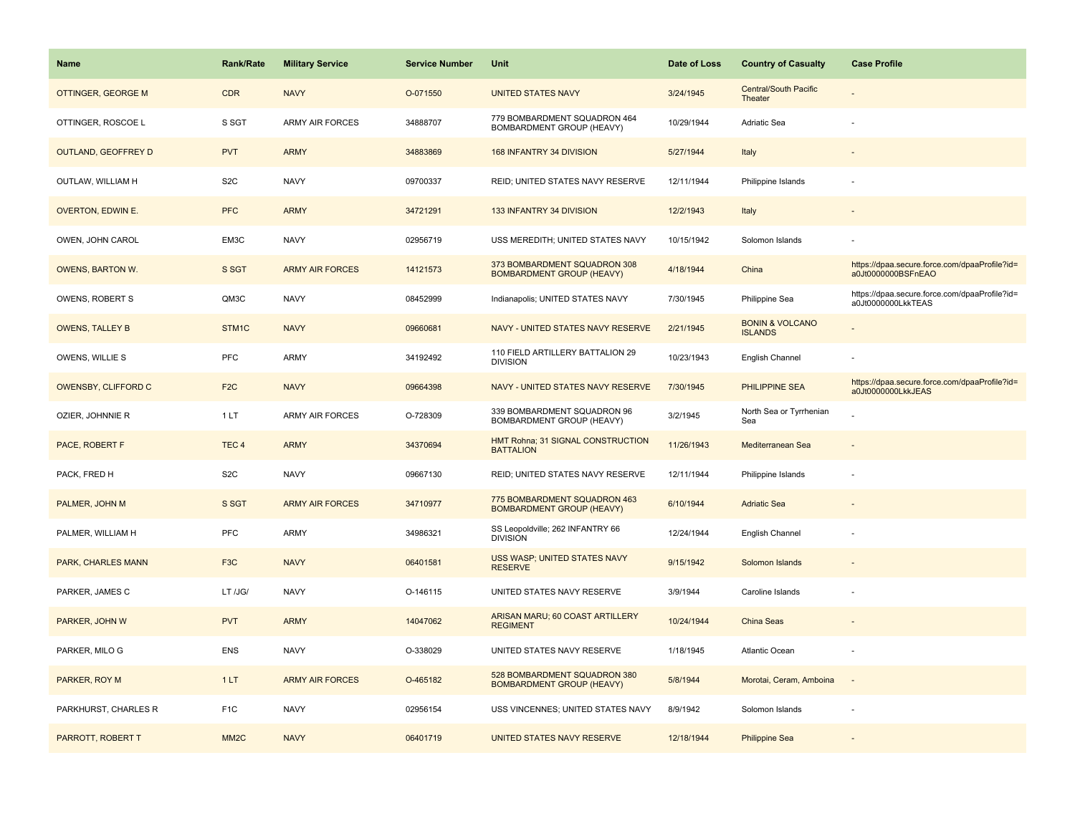| Name                      | <b>Rank/Rate</b>  | <b>Military Service</b> | <b>Service Number</b> | Unit                                                             | Date of Loss | <b>Country of Casualty</b>                   | <b>Case Profile</b>                                                 |
|---------------------------|-------------------|-------------------------|-----------------------|------------------------------------------------------------------|--------------|----------------------------------------------|---------------------------------------------------------------------|
| <b>OTTINGER, GEORGE M</b> | <b>CDR</b>        | <b>NAVY</b>             | O-071550              | <b>UNITED STATES NAVY</b>                                        | 3/24/1945    | <b>Central/South Pacific</b><br>Theater      |                                                                     |
| OTTINGER, ROSCOE L        | S SGT             | <b>ARMY AIR FORCES</b>  | 34888707              | 779 BOMBARDMENT SQUADRON 464<br>BOMBARDMENT GROUP (HEAVY)        | 10/29/1944   | <b>Adriatic Sea</b>                          |                                                                     |
| OUTLAND, GEOFFREY D       | <b>PVT</b>        | <b>ARMY</b>             | 34883869              | 168 INFANTRY 34 DIVISION                                         | 5/27/1944    | Italy                                        |                                                                     |
| OUTLAW, WILLIAM H         | S <sub>2</sub> C  | <b>NAVY</b>             | 09700337              | REID; UNITED STATES NAVY RESERVE                                 | 12/11/1944   | Philippine Islands                           |                                                                     |
| OVERTON, EDWIN E.         | <b>PFC</b>        | <b>ARMY</b>             | 34721291              | 133 INFANTRY 34 DIVISION                                         | 12/2/1943    | Italy                                        |                                                                     |
| OWEN, JOHN CAROL          | EM3C              | <b>NAVY</b>             | 02956719              | USS MEREDITH; UNITED STATES NAVY                                 | 10/15/1942   | Solomon Islands                              |                                                                     |
| <b>OWENS, BARTON W.</b>   | S SGT             | <b>ARMY AIR FORCES</b>  | 14121573              | 373 BOMBARDMENT SQUADRON 308<br><b>BOMBARDMENT GROUP (HEAVY)</b> | 4/18/1944    | China                                        | https://dpaa.secure.force.com/dpaaProfile?id=<br>a0Jt0000000BSFnEAO |
| OWENS, ROBERT S           | QM3C              | <b>NAVY</b>             | 08452999              | Indianapolis; UNITED STATES NAVY                                 | 7/30/1945    | Philippine Sea                               | https://dpaa.secure.force.com/dpaaProfile?id=<br>a0Jt0000000LkkTEAS |
| <b>OWENS, TALLEY B</b>    | STM1C             | <b>NAVY</b>             | 09660681              | NAVY - UNITED STATES NAVY RESERVE                                | 2/21/1945    | <b>BONIN &amp; VOLCANO</b><br><b>ISLANDS</b> |                                                                     |
| OWENS, WILLIE S           | PFC               | ARMY                    | 34192492              | 110 FIELD ARTILLERY BATTALION 29<br><b>DIVISION</b>              | 10/23/1943   | English Channel                              |                                                                     |
| OWENSBY, CLIFFORD C       | F <sub>2</sub> C  | <b>NAVY</b>             | 09664398              | NAVY - UNITED STATES NAVY RESERVE                                | 7/30/1945    | PHILIPPINE SEA                               | https://dpaa.secure.force.com/dpaaProfile?id=<br>a0Jt0000000LkkJEAS |
| OZIER, JOHNNIE R          | 1LT               | ARMY AIR FORCES         | O-728309              | 339 BOMBARDMENT SQUADRON 96<br>BOMBARDMENT GROUP (HEAVY)         | 3/2/1945     | North Sea or Tyrrhenian<br>Sea               |                                                                     |
| PACE, ROBERT F            | TEC <sub>4</sub>  | <b>ARMY</b>             | 34370694              | HMT Rohna; 31 SIGNAL CONSTRUCTION<br><b>BATTALION</b>            | 11/26/1943   | Mediterranean Sea                            |                                                                     |
| PACK, FRED H              | S <sub>2</sub> C  | <b>NAVY</b>             | 09667130              | REID; UNITED STATES NAVY RESERVE                                 | 12/11/1944   | Philippine Islands                           |                                                                     |
| PALMER, JOHN M            | S SGT             | <b>ARMY AIR FORCES</b>  | 34710977              | 775 BOMBARDMENT SQUADRON 463<br><b>BOMBARDMENT GROUP (HEAVY)</b> | 6/10/1944    | <b>Adriatic Sea</b>                          |                                                                     |
| PALMER, WILLIAM H         | PFC               | <b>ARMY</b>             | 34986321              | SS Leopoldville; 262 INFANTRY 66<br><b>DIVISION</b>              | 12/24/1944   | English Channel                              |                                                                     |
| PARK, CHARLES MANN        | F <sub>3</sub> C  | <b>NAVY</b>             | 06401581              | USS WASP; UNITED STATES NAVY<br><b>RESERVE</b>                   | 9/15/1942    | Solomon Islands                              |                                                                     |
| PARKER, JAMES C           | LT /JG/           | <b>NAVY</b>             | O-146115              | UNITED STATES NAVY RESERVE                                       | 3/9/1944     | Caroline Islands                             |                                                                     |
| PARKER, JOHN W            | <b>PVT</b>        | <b>ARMY</b>             | 14047062              | ARISAN MARU; 60 COAST ARTILLERY<br><b>REGIMENT</b>               | 10/24/1944   | China Seas                                   |                                                                     |
| PARKER, MILO G            | <b>ENS</b>        | <b>NAVY</b>             | O-338029              | UNITED STATES NAVY RESERVE                                       | 1/18/1945    | Atlantic Ocean                               |                                                                     |
| PARKER, ROY M             | 1LT               | <b>ARMY AIR FORCES</b>  | O-465182              | 528 BOMBARDMENT SQUADRON 380<br><b>BOMBARDMENT GROUP (HEAVY)</b> | 5/8/1944     | Morotai, Ceram, Amboina                      | $\sim$                                                              |
| PARKHURST, CHARLES R      | F <sub>1</sub> C  | <b>NAVY</b>             | 02956154              | USS VINCENNES; UNITED STATES NAVY                                | 8/9/1942     | Solomon Islands                              |                                                                     |
| PARROTT, ROBERT T         | MM <sub>2</sub> C | <b>NAVY</b>             | 06401719              | UNITED STATES NAVY RESERVE                                       | 12/18/1944   | <b>Philippine Sea</b>                        |                                                                     |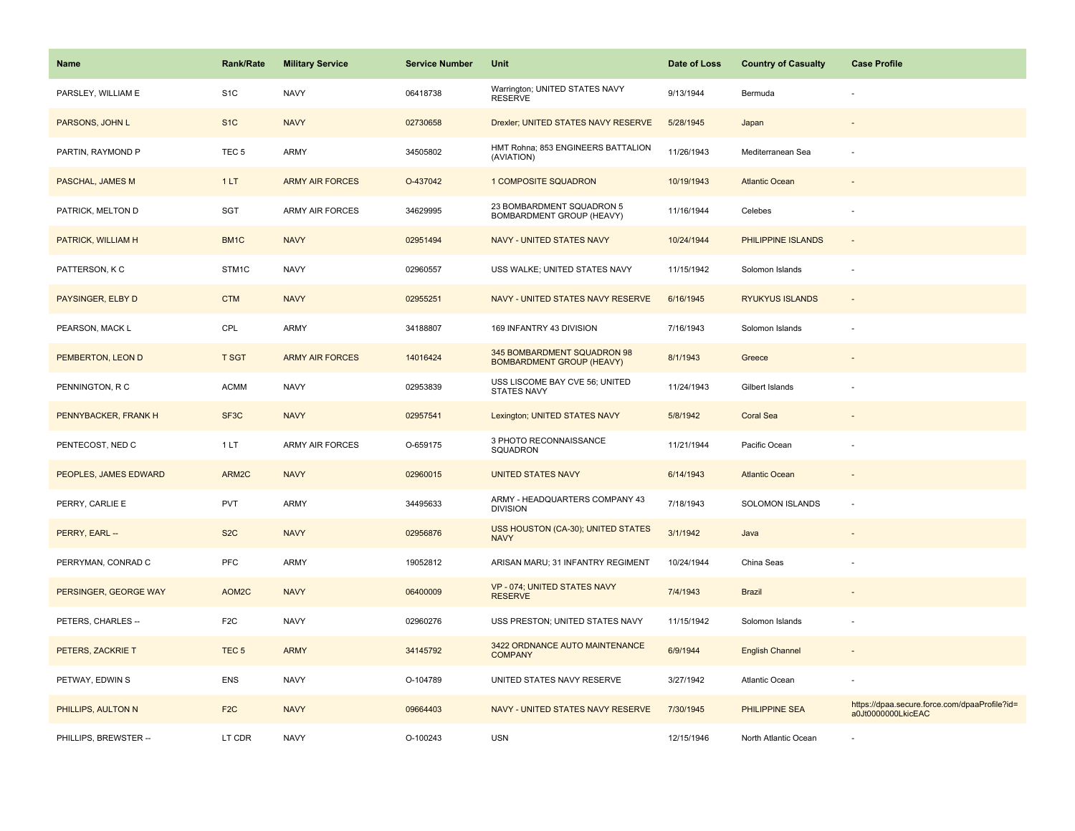| <b>Name</b>           | Rank/Rate         | <b>Military Service</b> | <b>Service Number</b> | Unit                                                            | Date of Loss | <b>Country of Casualty</b> | <b>Case Profile</b>                                                 |
|-----------------------|-------------------|-------------------------|-----------------------|-----------------------------------------------------------------|--------------|----------------------------|---------------------------------------------------------------------|
| PARSLEY, WILLIAM E    | S <sub>1</sub> C  | <b>NAVY</b>             | 06418738              | Warrington; UNITED STATES NAVY<br><b>RESERVE</b>                | 9/13/1944    | Bermuda                    |                                                                     |
| PARSONS, JOHN L       | S <sub>1</sub> C  | <b>NAVY</b>             | 02730658              | Drexler; UNITED STATES NAVY RESERVE                             | 5/28/1945    | Japan                      |                                                                     |
| PARTIN, RAYMOND P     | TEC <sub>5</sub>  | ARMY                    | 34505802              | HMT Rohna; 853 ENGINEERS BATTALION<br>(AVIATION)                | 11/26/1943   | Mediterranean Sea          |                                                                     |
| PASCHAL, JAMES M      | 1LT               | <b>ARMY AIR FORCES</b>  | O-437042              | <b>1 COMPOSITE SQUADRON</b>                                     | 10/19/1943   | <b>Atlantic Ocean</b>      |                                                                     |
| PATRICK, MELTON D     | SGT               | <b>ARMY AIR FORCES</b>  | 34629995              | 23 BOMBARDMENT SQUADRON 5<br>BOMBARDMENT GROUP (HEAVY)          | 11/16/1944   | Celebes                    |                                                                     |
| PATRICK, WILLIAM H    | BM1C              | <b>NAVY</b>             | 02951494              | <b>NAVY - UNITED STATES NAVY</b>                                | 10/24/1944   | PHILIPPINE ISLANDS         | $\omega$                                                            |
| PATTERSON, K C        | STM1C             | <b>NAVY</b>             | 02960557              | USS WALKE; UNITED STATES NAVY                                   | 11/15/1942   | Solomon Islands            | ÷,                                                                  |
| PAYSINGER, ELBY D     | <b>CTM</b>        | <b>NAVY</b>             | 02955251              | NAVY - UNITED STATES NAVY RESERVE                               | 6/16/1945    | <b>RYUKYUS ISLANDS</b>     | $\overline{\phantom{a}}$                                            |
| PEARSON, MACK L       | CPL               | ARMY                    | 34188807              | 169 INFANTRY 43 DIVISION                                        | 7/16/1943    | Solomon Islands            |                                                                     |
| PEMBERTON, LEON D     | T SGT             | <b>ARMY AIR FORCES</b>  | 14016424              | 345 BOMBARDMENT SQUADRON 98<br><b>BOMBARDMENT GROUP (HEAVY)</b> | 8/1/1943     | Greece                     |                                                                     |
| PENNINGTON, R C       | <b>ACMM</b>       | <b>NAVY</b>             | 02953839              | USS LISCOME BAY CVE 56; UNITED<br>STATES NAVY                   | 11/24/1943   | Gilbert Islands            |                                                                     |
| PENNYBACKER, FRANK H  | SF <sub>3</sub> C | <b>NAVY</b>             | 02957541              | Lexington; UNITED STATES NAVY                                   | 5/8/1942     | <b>Coral Sea</b>           |                                                                     |
| PENTECOST, NED C      | 1LT               | <b>ARMY AIR FORCES</b>  | O-659175              | 3 PHOTO RECONNAISSANCE<br>SQUADRON                              | 11/21/1944   | Pacific Ocean              |                                                                     |
| PEOPLES, JAMES EDWARD | ARM2C             | <b>NAVY</b>             | 02960015              | <b>UNITED STATES NAVY</b>                                       | 6/14/1943    | <b>Atlantic Ocean</b>      | $\sim$                                                              |
| PERRY, CARLIE E       | <b>PVT</b>        | <b>ARMY</b>             | 34495633              | ARMY - HEADQUARTERS COMPANY 43<br><b>DIVISION</b>               | 7/18/1943    | SOLOMON ISLANDS            | ÷,                                                                  |
| PERRY, EARL --        | S <sub>2</sub> C  | <b>NAVY</b>             | 02956876              | USS HOUSTON (CA-30); UNITED STATES<br><b>NAVY</b>               | 3/1/1942     | Java                       |                                                                     |
| PERRYMAN, CONRAD C    | PFC               | ARMY                    | 19052812              | ARISAN MARU; 31 INFANTRY REGIMENT                               | 10/24/1944   | China Seas                 |                                                                     |
| PERSINGER, GEORGE WAY | AOM2C             | <b>NAVY</b>             | 06400009              | VP - 074; UNITED STATES NAVY<br><b>RESERVE</b>                  | 7/4/1943     | <b>Brazil</b>              |                                                                     |
| PETERS, CHARLES --    | F <sub>2</sub> C  | <b>NAVY</b>             | 02960276              | USS PRESTON; UNITED STATES NAVY                                 | 11/15/1942   | Solomon Islands            |                                                                     |
| PETERS, ZACKRIE T     | TEC <sub>5</sub>  | <b>ARMY</b>             | 34145792              | 3422 ORDNANCE AUTO MAINTENANCE<br><b>COMPANY</b>                | 6/9/1944     | <b>English Channel</b>     | $\sim$                                                              |
| PETWAY, EDWIN S       | <b>ENS</b>        | <b>NAVY</b>             | O-104789              | UNITED STATES NAVY RESERVE                                      | 3/27/1942    | Atlantic Ocean             |                                                                     |
| PHILLIPS, AULTON N    | F <sub>2</sub> C  | <b>NAVY</b>             | 09664403              | NAVY - UNITED STATES NAVY RESERVE                               | 7/30/1945    | <b>PHILIPPINE SEA</b>      | https://dpaa.secure.force.com/dpaaProfile?id=<br>a0Jt0000000LkicEAC |
| PHILLIPS, BREWSTER -- | LT CDR            | <b>NAVY</b>             | O-100243              | <b>USN</b>                                                      | 12/15/1946   | North Atlantic Ocean       |                                                                     |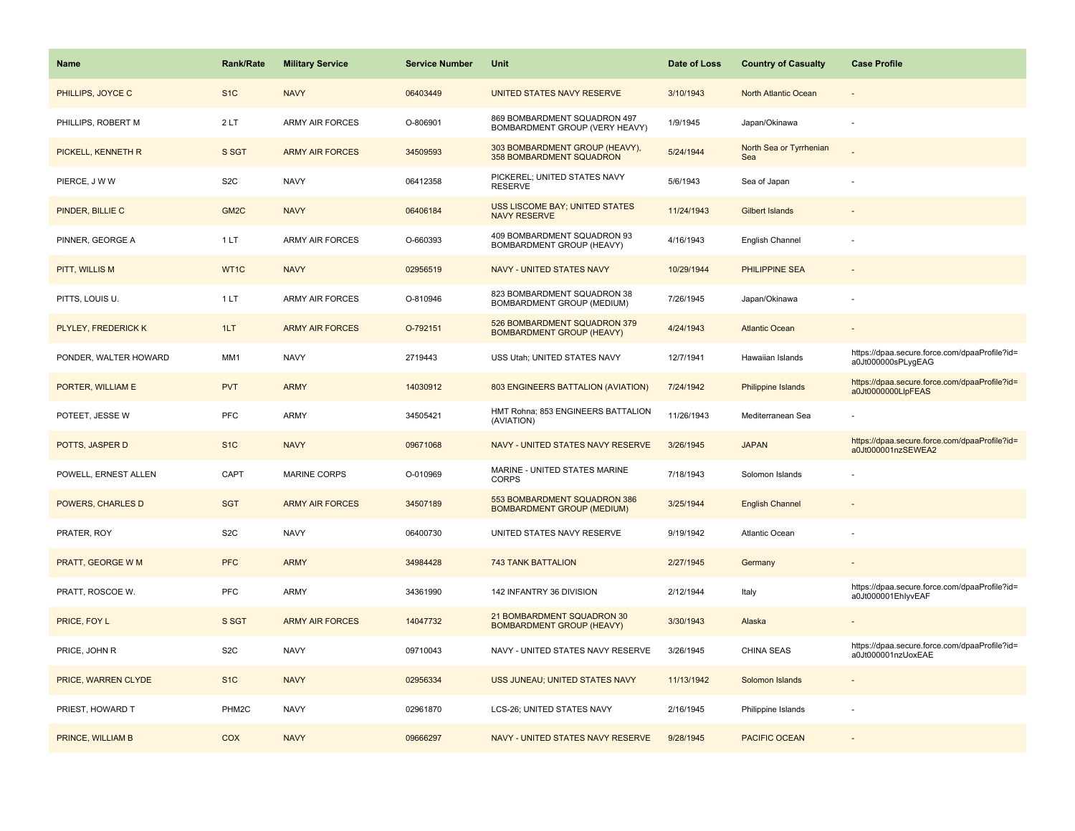| Name                  | <b>Rank/Rate</b>  | <b>Military Service</b> | <b>Service Number</b> | Unit                                                              | Date of Loss | <b>Country of Casualty</b>     | <b>Case Profile</b>                                                 |
|-----------------------|-------------------|-------------------------|-----------------------|-------------------------------------------------------------------|--------------|--------------------------------|---------------------------------------------------------------------|
| PHILLIPS, JOYCE C     | S <sub>1</sub> C  | <b>NAVY</b>             | 06403449              | UNITED STATES NAVY RESERVE                                        | 3/10/1943    | North Atlantic Ocean           |                                                                     |
| PHILLIPS, ROBERT M    | 2LT               | <b>ARMY AIR FORCES</b>  | O-806901              | 869 BOMBARDMENT SQUADRON 497<br>BOMBARDMENT GROUP (VERY HEAVY)    | 1/9/1945     | Japan/Okinawa                  |                                                                     |
| PICKELL, KENNETH R    | S SGT             | <b>ARMY AIR FORCES</b>  | 34509593              | 303 BOMBARDMENT GROUP (HEAVY),<br>358 BOMBARDMENT SQUADRON        | 5/24/1944    | North Sea or Tyrrhenian<br>Sea |                                                                     |
| PIERCE, J W W         | S <sub>2</sub> C  | <b>NAVY</b>             | 06412358              | PICKEREL; UNITED STATES NAVY<br>RESERVE                           | 5/6/1943     | Sea of Japan                   |                                                                     |
| PINDER, BILLIE C      | GM <sub>2</sub> C | <b>NAVY</b>             | 06406184              | USS LISCOME BAY; UNITED STATES<br><b>NAVY RESERVE</b>             | 11/24/1943   | <b>Gilbert Islands</b>         |                                                                     |
| PINNER, GEORGE A      | 1 LT              | <b>ARMY AIR FORCES</b>  | O-660393              | 409 BOMBARDMENT SQUADRON 93<br>BOMBARDMENT GROUP (HEAVY)          | 4/16/1943    | English Channel                |                                                                     |
| PITT, WILLIS M        | WT1C              | <b>NAVY</b>             | 02956519              | NAVY - UNITED STATES NAVY                                         | 10/29/1944   | PHILIPPINE SEA                 | $\sim$                                                              |
| PITTS, LOUIS U.       | 1LT               | <b>ARMY AIR FORCES</b>  | O-810946              | 823 BOMBARDMENT SQUADRON 38<br>BOMBARDMENT GROUP (MEDIUM)         | 7/26/1945    | Japan/Okinawa                  |                                                                     |
| PLYLEY, FREDERICK K   | 1LT               | <b>ARMY AIR FORCES</b>  | O-792151              | 526 BOMBARDMENT SQUADRON 379<br><b>BOMBARDMENT GROUP (HEAVY)</b>  | 4/24/1943    | <b>Atlantic Ocean</b>          |                                                                     |
| PONDER, WALTER HOWARD | MM1               | <b>NAVY</b>             | 2719443               | USS Utah; UNITED STATES NAVY                                      | 12/7/1941    | Hawaiian Islands               | https://dpaa.secure.force.com/dpaaProfile?id=<br>a0Jt000000sPLygEAG |
| PORTER, WILLIAM E     | <b>PVT</b>        | <b>ARMY</b>             | 14030912              | 803 ENGINEERS BATTALION (AVIATION)                                | 7/24/1942    | Philippine Islands             | https://dpaa.secure.force.com/dpaaProfile?id=<br>a0Jt0000000LlpFEAS |
| POTEET, JESSE W       | PFC               | <b>ARMY</b>             | 34505421              | HMT Rohna; 853 ENGINEERS BATTALION<br>(AVIATION)                  | 11/26/1943   | Mediterranean Sea              |                                                                     |
| POTTS, JASPER D       | S <sub>1C</sub>   | <b>NAVY</b>             | 09671068              | NAVY - UNITED STATES NAVY RESERVE                                 | 3/26/1945    | <b>JAPAN</b>                   | https://dpaa.secure.force.com/dpaaProfile?id=<br>a0Jt000001nzSEWEA2 |
| POWELL, ERNEST ALLEN  | CAPT              | <b>MARINE CORPS</b>     | O-010969              | MARINE - UNITED STATES MARINE<br><b>CORPS</b>                     | 7/18/1943    | Solomon Islands                |                                                                     |
| POWERS, CHARLES D     | <b>SGT</b>        | <b>ARMY AIR FORCES</b>  | 34507189              | 553 BOMBARDMENT SQUADRON 386<br><b>BOMBARDMENT GROUP (MEDIUM)</b> | 3/25/1944    | <b>English Channel</b>         |                                                                     |
| PRATER, ROY           | S <sub>2</sub> C  | <b>NAVY</b>             | 06400730              | UNITED STATES NAVY RESERVE                                        | 9/19/1942    | Atlantic Ocean                 |                                                                     |
| PRATT, GEORGE W M     | <b>PFC</b>        | <b>ARMY</b>             | 34984428              | <b>743 TANK BATTALION</b>                                         | 2/27/1945    | Germany                        |                                                                     |
| PRATT, ROSCOE W.      | PFC               | ARMY                    | 34361990              | 142 INFANTRY 36 DIVISION                                          | 2/12/1944    | Italy                          | https://dpaa.secure.force.com/dpaaProfile?id=<br>a0Jt000001EhlyvEAF |
| PRICE, FOY L          | S SGT             | <b>ARMY AIR FORCES</b>  | 14047732              | 21 BOMBARDMENT SQUADRON 30<br><b>BOMBARDMENT GROUP (HEAVY)</b>    | 3/30/1943    | Alaska                         |                                                                     |
| PRICE, JOHN R         | S <sub>2</sub> C  | <b>NAVY</b>             | 09710043              | NAVY - UNITED STATES NAVY RESERVE                                 | 3/26/1945    | CHINA SEAS                     | https://dpaa.secure.force.com/dpaaProfile?id=<br>a0Jt000001nzUoxEAE |
| PRICE, WARREN CLYDE   | S <sub>1C</sub>   | <b>NAVY</b>             | 02956334              | USS JUNEAU; UNITED STATES NAVY                                    | 11/13/1942   | Solomon Islands                |                                                                     |
| PRIEST, HOWARD T      | PHM2C             | <b>NAVY</b>             | 02961870              | LCS-26; UNITED STATES NAVY                                        | 2/16/1945    | Philippine Islands             |                                                                     |
| PRINCE, WILLIAM B     | <b>COX</b>        | <b>NAVY</b>             | 09666297              | NAVY - UNITED STATES NAVY RESERVE                                 | 9/28/1945    | <b>PACIFIC OCEAN</b>           |                                                                     |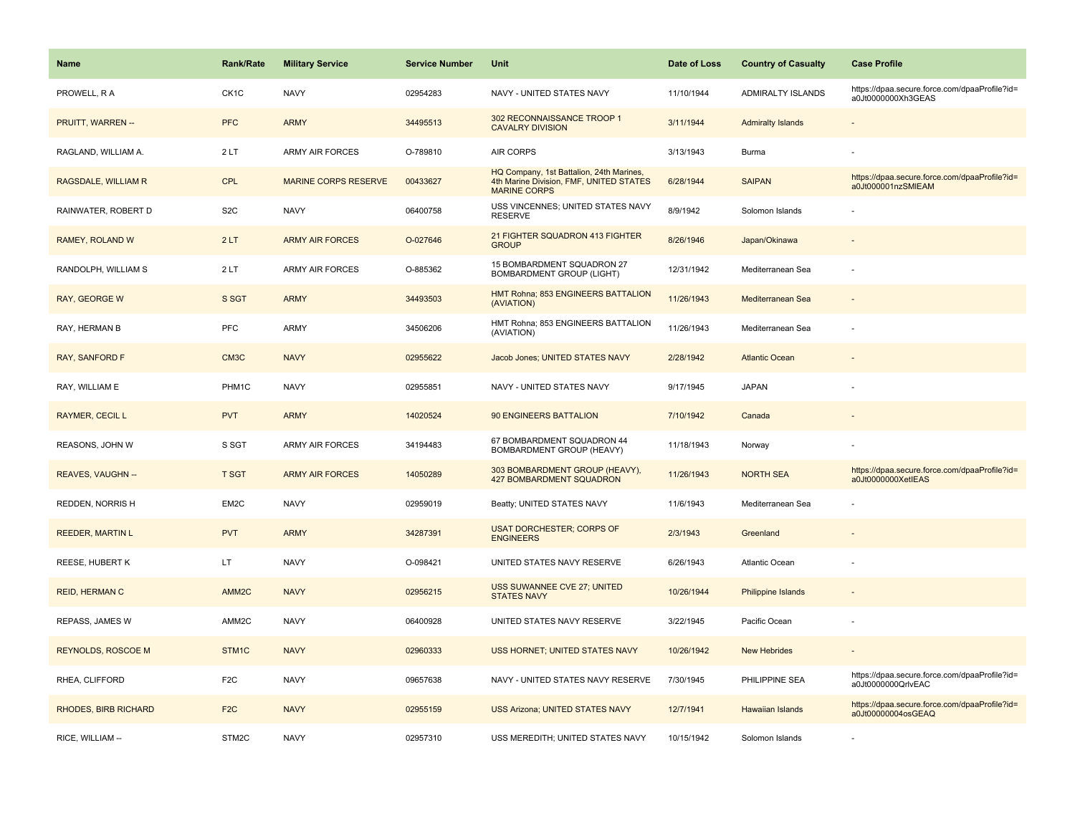| <b>Name</b>                 | Rank/Rate         | <b>Military Service</b>     | <b>Service Number</b> | Unit                                                                                                       | Date of Loss | <b>Country of Casualty</b> | <b>Case Profile</b>                                                 |
|-----------------------------|-------------------|-----------------------------|-----------------------|------------------------------------------------------------------------------------------------------------|--------------|----------------------------|---------------------------------------------------------------------|
| PROWELL, R A                | CK <sub>1</sub> C | <b>NAVY</b>                 | 02954283              | NAVY - UNITED STATES NAVY                                                                                  | 11/10/1944   | <b>ADMIRALTY ISLANDS</b>   | https://dpaa.secure.force.com/dpaaProfile?id=<br>a0Jt0000000Xh3GEAS |
| PRUITT, WARREN --           | <b>PFC</b>        | <b>ARMY</b>                 | 34495513              | 302 RECONNAISSANCE TROOP 1<br><b>CAVALRY DIVISION</b>                                                      | 3/11/1944    | <b>Admiralty Islands</b>   |                                                                     |
| RAGLAND, WILLIAM A.         | 2LT               | <b>ARMY AIR FORCES</b>      | O-789810              | <b>AIR CORPS</b>                                                                                           | 3/13/1943    | Burma                      |                                                                     |
| RAGSDALE, WILLIAM R         | <b>CPL</b>        | <b>MARINE CORPS RESERVE</b> | 00433627              | HQ Company, 1st Battalion, 24th Marines,<br>4th Marine Division, FMF, UNITED STATES<br><b>MARINE CORPS</b> | 6/28/1944    | <b>SAIPAN</b>              | https://dpaa.secure.force.com/dpaaProfile?id=<br>a0Jt000001nzSMIEAM |
| RAINWATER, ROBERT D         | S <sub>2</sub> C  | <b>NAVY</b>                 | 06400758              | USS VINCENNES; UNITED STATES NAVY<br><b>RESERVE</b>                                                        | 8/9/1942     | Solomon Islands            |                                                                     |
| RAMEY, ROLAND W             | 2LT               | <b>ARMY AIR FORCES</b>      | O-027646              | 21 FIGHTER SQUADRON 413 FIGHTER<br><b>GROUP</b>                                                            | 8/26/1946    | Japan/Okinawa              |                                                                     |
| RANDOLPH, WILLIAM S         | 2LT               | <b>ARMY AIR FORCES</b>      | O-885362              | 15 BOMBARDMENT SQUADRON 27<br><b>BOMBARDMENT GROUP (LIGHT)</b>                                             | 12/31/1942   | Mediterranean Sea          |                                                                     |
| <b>RAY, GEORGE W</b>        | S SGT             | <b>ARMY</b>                 | 34493503              | HMT Rohna; 853 ENGINEERS BATTALION<br>(AVIATION)                                                           | 11/26/1943   | Mediterranean Sea          |                                                                     |
| RAY, HERMAN B               | <b>PFC</b>        | <b>ARMY</b>                 | 34506206              | HMT Rohna; 853 ENGINEERS BATTALION<br>(AVIATION)                                                           | 11/26/1943   | Mediterranean Sea          |                                                                     |
| <b>RAY, SANFORD F</b>       | CM <sub>3</sub> C | <b>NAVY</b>                 | 02955622              | Jacob Jones; UNITED STATES NAVY                                                                            | 2/28/1942    | <b>Atlantic Ocean</b>      |                                                                     |
| RAY, WILLIAM E              | PHM1C             | <b>NAVY</b>                 | 02955851              | NAVY - UNITED STATES NAVY                                                                                  | 9/17/1945    | <b>JAPAN</b>               |                                                                     |
| RAYMER, CECIL L             | <b>PVT</b>        | <b>ARMY</b>                 | 14020524              | 90 ENGINEERS BATTALION                                                                                     | 7/10/1942    | Canada                     |                                                                     |
| REASONS, JOHN W             | S SGT             | <b>ARMY AIR FORCES</b>      | 34194483              | 67 BOMBARDMENT SQUADRON 44<br>BOMBARDMENT GROUP (HEAVY)                                                    | 11/18/1943   | Norway                     |                                                                     |
| REAVES, VAUGHN --           | <b>T SGT</b>      | <b>ARMY AIR FORCES</b>      | 14050289              | 303 BOMBARDMENT GROUP (HEAVY),<br><b>427 BOMBARDMENT SQUADRON</b>                                          | 11/26/1943   | <b>NORTH SEA</b>           | https://dpaa.secure.force.com/dpaaProfile?id=<br>a0Jt0000000XetIEAS |
| REDDEN, NORRIS H            | EM2C              | <b>NAVY</b>                 | 02959019              | Beatty; UNITED STATES NAVY                                                                                 | 11/6/1943    | Mediterranean Sea          |                                                                     |
| <b>REEDER, MARTIN L</b>     | <b>PVT</b>        | <b>ARMY</b>                 | 34287391              | <b>USAT DORCHESTER; CORPS OF</b><br><b>ENGINEERS</b>                                                       | 2/3/1943     | Greenland                  |                                                                     |
| REESE, HUBERT K             | LT                | <b>NAVY</b>                 | O-098421              | UNITED STATES NAVY RESERVE                                                                                 | 6/26/1943    | Atlantic Ocean             |                                                                     |
| <b>REID, HERMAN C</b>       | AMM <sub>2C</sub> | <b>NAVY</b>                 | 02956215              | USS SUWANNEE CVE 27; UNITED<br><b>STATES NAVY</b>                                                          | 10/26/1944   | <b>Philippine Islands</b>  |                                                                     |
| REPASS, JAMES W             | AMM2C             | <b>NAVY</b>                 | 06400928              | UNITED STATES NAVY RESERVE                                                                                 | 3/22/1945    | Pacific Ocean              | ÷,                                                                  |
| <b>REYNOLDS, ROSCOE M</b>   | STM1C             | <b>NAVY</b>                 | 02960333              | USS HORNET; UNITED STATES NAVY                                                                             | 10/26/1942   | <b>New Hebrides</b>        |                                                                     |
| RHEA, CLIFFORD              | F <sub>2</sub> C  | <b>NAVY</b>                 | 09657638              | NAVY - UNITED STATES NAVY RESERVE                                                                          | 7/30/1945    | PHILIPPINE SEA             | https://dpaa.secure.force.com/dpaaProfile?id=<br>a0Jt0000000QrlvEAC |
| <b>RHODES, BIRB RICHARD</b> | F <sub>2</sub> C  | <b>NAVY</b>                 | 02955159              | <b>USS Arizona; UNITED STATES NAVY</b>                                                                     | 12/7/1941    | <b>Hawaiian Islands</b>    | https://dpaa.secure.force.com/dpaaProfile?id=<br>a0Jt00000004osGEAQ |
| RICE, WILLIAM --            | STM2C             | <b>NAVY</b>                 | 02957310              | USS MEREDITH; UNITED STATES NAVY                                                                           | 10/15/1942   | Solomon Islands            |                                                                     |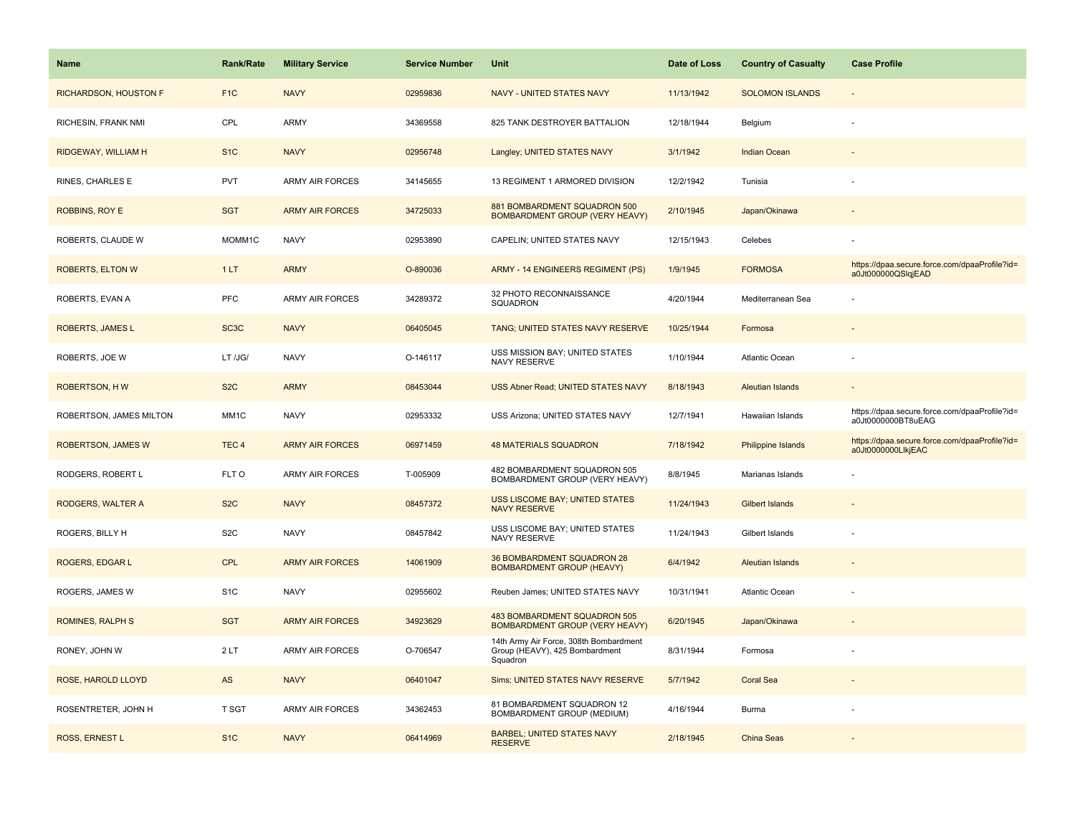| Name                    | Rank/Rate         | <b>Military Service</b> | <b>Service Number</b> | Unit                                                                                 | Date of Loss | <b>Country of Casualty</b> | <b>Case Profile</b>                                                 |
|-------------------------|-------------------|-------------------------|-----------------------|--------------------------------------------------------------------------------------|--------------|----------------------------|---------------------------------------------------------------------|
| RICHARDSON, HOUSTON F   | F <sub>1</sub> C  | <b>NAVY</b>             | 02959836              | NAVY - UNITED STATES NAVY                                                            | 11/13/1942   | <b>SOLOMON ISLANDS</b>     | $\overline{\phantom{a}}$                                            |
| RICHESIN, FRANK NMI     | CPL               | <b>ARMY</b>             | 34369558              | 825 TANK DESTROYER BATTALION                                                         | 12/18/1944   | Belgium                    |                                                                     |
| RIDGEWAY, WILLIAM H     | S <sub>1</sub> C  | <b>NAVY</b>             | 02956748              | Langley; UNITED STATES NAVY                                                          | 3/1/1942     | <b>Indian Ocean</b>        |                                                                     |
| RINES, CHARLES E        | <b>PVT</b>        | <b>ARMY AIR FORCES</b>  | 34145655              | 13 REGIMENT 1 ARMORED DIVISION                                                       | 12/2/1942    | Tunisia                    |                                                                     |
| ROBBINS, ROY E          | <b>SGT</b>        | <b>ARMY AIR FORCES</b>  | 34725033              | 881 BOMBARDMENT SQUADRON 500<br><b>BOMBARDMENT GROUP (VERY HEAVY)</b>                | 2/10/1945    | Japan/Okinawa              |                                                                     |
| ROBERTS, CLAUDE W       | MOMM1C            | <b>NAVY</b>             | 02953890              | CAPELIN; UNITED STATES NAVY                                                          | 12/15/1943   | Celebes                    |                                                                     |
| <b>ROBERTS, ELTON W</b> | 1LT               | <b>ARMY</b>             | O-890036              | ARMY - 14 ENGINEERS REGIMENT (PS)                                                    | 1/9/1945     | <b>FORMOSA</b>             | https://dpaa.secure.force.com/dpaaProfile?id=<br>a0Jt000000QSlqjEAD |
| ROBERTS, EVAN A         | <b>PFC</b>        | <b>ARMY AIR FORCES</b>  | 34289372              | 32 PHOTO RECONNAISSANCE<br>SQUADRON                                                  | 4/20/1944    | Mediterranean Sea          |                                                                     |
| ROBERTS, JAMES L        | SC <sub>3</sub> C | <b>NAVY</b>             | 06405045              | TANG; UNITED STATES NAVY RESERVE                                                     | 10/25/1944   | Formosa                    |                                                                     |
| ROBERTS, JOE W          | LT /JG/           | <b>NAVY</b>             | O-146117              | USS MISSION BAY; UNITED STATES<br>NAVY RESERVE                                       | 1/10/1944    | Atlantic Ocean             |                                                                     |
| <b>ROBERTSON, HW</b>    | S <sub>2</sub> C  | <b>ARMY</b>             | 08453044              | USS Abner Read; UNITED STATES NAVY                                                   | 8/18/1943    | <b>Aleutian Islands</b>    |                                                                     |
| ROBERTSON, JAMES MILTON | MM1C              | <b>NAVY</b>             | 02953332              | USS Arizona; UNITED STATES NAVY                                                      | 12/7/1941    | Hawaiian Islands           | https://dpaa.secure.force.com/dpaaProfile?id=<br>a0Jt0000000BT8uEAG |
| ROBERTSON, JAMES W      | TEC <sub>4</sub>  | <b>ARMY AIR FORCES</b>  | 06971459              | <b>48 MATERIALS SQUADRON</b>                                                         | 7/18/1942    | <b>Philippine Islands</b>  | https://dpaa.secure.force.com/dpaaProfile?id=<br>a0Jt0000000LlkjEAC |
| RODGERS, ROBERT L       | FLT O             | <b>ARMY AIR FORCES</b>  | T-005909              | 482 BOMBARDMENT SQUADRON 505<br>BOMBARDMENT GROUP (VERY HEAVY)                       | 8/8/1945     | Marianas Islands           |                                                                     |
| RODGERS, WALTER A       | S <sub>2</sub> C  | <b>NAVY</b>             | 08457372              | <b>USS LISCOME BAY; UNITED STATES</b><br><b>NAVY RESERVE</b>                         | 11/24/1943   | Gilbert Islands            |                                                                     |
| ROGERS, BILLY H         | S <sub>2</sub> C  | <b>NAVY</b>             | 08457842              | USS LISCOME BAY; UNITED STATES<br>NAVY RESERVE                                       | 11/24/1943   | Gilbert Islands            |                                                                     |
| ROGERS, EDGAR L         | <b>CPL</b>        | <b>ARMY AIR FORCES</b>  | 14061909              | 36 BOMBARDMENT SQUADRON 28<br><b>BOMBARDMENT GROUP (HEAVY)</b>                       | 6/4/1942     | <b>Aleutian Islands</b>    |                                                                     |
| ROGERS, JAMES W         | S <sub>1</sub> C  | <b>NAVY</b>             | 02955602              | Reuben James; UNITED STATES NAVY                                                     | 10/31/1941   | <b>Atlantic Ocean</b>      |                                                                     |
| <b>ROMINES, RALPH S</b> | <b>SGT</b>        | <b>ARMY AIR FORCES</b>  | 34923629              | 483 BOMBARDMENT SQUADRON 505<br><b>BOMBARDMENT GROUP (VERY HEAVY)</b>                | 6/20/1945    | Japan/Okinawa              |                                                                     |
| RONEY, JOHN W           | 2LT               | <b>ARMY AIR FORCES</b>  | O-706547              | 14th Army Air Force, 308th Bombardment<br>Group (HEAVY), 425 Bombardment<br>Squadron | 8/31/1944    | Formosa                    |                                                                     |
| ROSE, HAROLD LLOYD      | AS                | <b>NAVY</b>             | 06401047              | Sims; UNITED STATES NAVY RESERVE                                                     | 5/7/1942     | <b>Coral Sea</b>           |                                                                     |
| ROSENTRETER, JOHN H     | <b>T SGT</b>      | <b>ARMY AIR FORCES</b>  | 34362453              | 81 BOMBARDMENT SQUADRON 12<br>BOMBARDMENT GROUP (MEDIUM)                             | 4/16/1944    | Burma                      |                                                                     |
| ROSS, ERNEST L          | S <sub>1</sub> C  | <b>NAVY</b>             | 06414969              | <b>BARBEL; UNITED STATES NAVY</b><br><b>RESERVE</b>                                  | 2/18/1945    | <b>China Seas</b>          |                                                                     |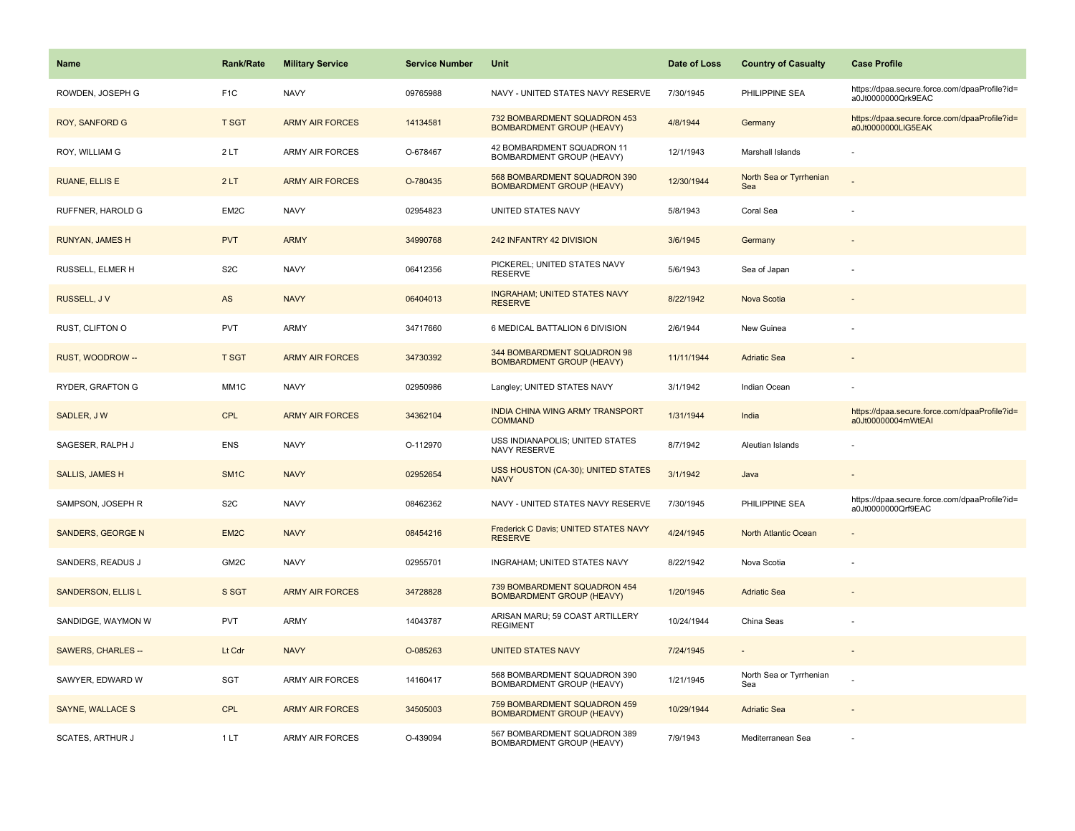| <b>Name</b>               | <b>Rank/Rate</b>  | <b>Military Service</b> | <b>Service Number</b> | Unit                                                             | Date of Loss | <b>Country of Casualty</b>     | <b>Case Profile</b>                                                 |
|---------------------------|-------------------|-------------------------|-----------------------|------------------------------------------------------------------|--------------|--------------------------------|---------------------------------------------------------------------|
| ROWDEN, JOSEPH G          | F <sub>1</sub> C  | <b>NAVY</b>             | 09765988              | NAVY - UNITED STATES NAVY RESERVE                                | 7/30/1945    | PHILIPPINE SEA                 | https://dpaa.secure.force.com/dpaaProfile?id=<br>a0Jt0000000Qrk9EAC |
| <b>ROY, SANFORD G</b>     | <b>T SGT</b>      | <b>ARMY AIR FORCES</b>  | 14134581              | 732 BOMBARDMENT SQUADRON 453<br><b>BOMBARDMENT GROUP (HEAVY)</b> | 4/8/1944     | Germany                        | https://dpaa.secure.force.com/dpaaProfile?id=<br>a0Jt0000000LIG5EAK |
| ROY, WILLIAM G            | 2LT               | <b>ARMY AIR FORCES</b>  | O-678467              | 42 BOMBARDMENT SQUADRON 11<br>BOMBARDMENT GROUP (HEAVY)          | 12/1/1943    | Marshall Islands               |                                                                     |
| <b>RUANE, ELLIS E</b>     | 2LT               | <b>ARMY AIR FORCES</b>  | O-780435              | 568 BOMBARDMENT SQUADRON 390<br><b>BOMBARDMENT GROUP (HEAVY)</b> | 12/30/1944   | North Sea or Tyrrhenian<br>Sea |                                                                     |
| RUFFNER, HAROLD G         | EM2C              | <b>NAVY</b>             | 02954823              | UNITED STATES NAVY                                               | 5/8/1943     | Coral Sea                      |                                                                     |
| RUNYAN, JAMES H           | <b>PVT</b>        | <b>ARMY</b>             | 34990768              | 242 INFANTRY 42 DIVISION                                         | 3/6/1945     | Germany                        |                                                                     |
| RUSSELL, ELMER H          | S <sub>2</sub> C  | <b>NAVY</b>             | 06412356              | PICKEREL; UNITED STATES NAVY<br><b>RESERVE</b>                   | 5/6/1943     | Sea of Japan                   |                                                                     |
| RUSSELL, JV               | AS                | <b>NAVY</b>             | 06404013              | <b>INGRAHAM; UNITED STATES NAVY</b><br><b>RESERVE</b>            | 8/22/1942    | Nova Scotia                    |                                                                     |
| RUST, CLIFTON O           | <b>PVT</b>        | ARMY                    | 34717660              | 6 MEDICAL BATTALION 6 DIVISION                                   | 2/6/1944     | New Guinea                     |                                                                     |
| RUST, WOODROW --          | <b>T SGT</b>      | <b>ARMY AIR FORCES</b>  | 34730392              | 344 BOMBARDMENT SQUADRON 98<br><b>BOMBARDMENT GROUP (HEAVY)</b>  | 11/11/1944   | <b>Adriatic Sea</b>            |                                                                     |
| RYDER, GRAFTON G          | MM1C              | <b>NAVY</b>             | 02950986              | Langley; UNITED STATES NAVY                                      | 3/1/1942     | Indian Ocean                   |                                                                     |
| SADLER, JW                | <b>CPL</b>        | <b>ARMY AIR FORCES</b>  | 34362104              | INDIA CHINA WING ARMY TRANSPORT<br><b>COMMAND</b>                | 1/31/1944    | India                          | https://dpaa.secure.force.com/dpaaProfile?id=<br>a0Jt00000004mWtEAI |
| SAGESER, RALPH J          | ENS               | <b>NAVY</b>             | O-112970              | USS INDIANAPOLIS; UNITED STATES<br>NAVY RESERVE                  | 8/7/1942     | Aleutian Islands               |                                                                     |
| <b>SALLIS, JAMES H</b>    | SM <sub>1</sub> C | <b>NAVY</b>             | 02952654              | USS HOUSTON (CA-30); UNITED STATES<br><b>NAVY</b>                | 3/1/1942     | Java                           |                                                                     |
| SAMPSON, JOSEPH R         | S <sub>2</sub> C  | <b>NAVY</b>             | 08462362              | NAVY - UNITED STATES NAVY RESERVE                                | 7/30/1945    | PHILIPPINE SEA                 | https://dpaa.secure.force.com/dpaaProfile?id=<br>a0Jt0000000Qrf9EAC |
| SANDERS, GEORGE N         | EM2C              | <b>NAVY</b>             | 08454216              | Frederick C Davis; UNITED STATES NAVY<br><b>RESERVE</b>          | 4/24/1945    | North Atlantic Ocean           |                                                                     |
| SANDERS, READUS J         | GM2C              | <b>NAVY</b>             | 02955701              | INGRAHAM; UNITED STATES NAVY                                     | 8/22/1942    | Nova Scotia                    |                                                                     |
| <b>SANDERSON, ELLIS L</b> | S SGT             | <b>ARMY AIR FORCES</b>  | 34728828              | 739 BOMBARDMENT SQUADRON 454<br><b>BOMBARDMENT GROUP (HEAVY)</b> | 1/20/1945    | <b>Adriatic Sea</b>            |                                                                     |
| SANDIDGE, WAYMON W        | <b>PVT</b>        | ARMY                    | 14043787              | ARISAN MARU; 59 COAST ARTILLERY<br><b>REGIMENT</b>               | 10/24/1944   | China Seas                     |                                                                     |
| <b>SAWERS, CHARLES --</b> | Lt Cdr            | <b>NAVY</b>             | O-085263              | <b>UNITED STATES NAVY</b>                                        | 7/24/1945    |                                |                                                                     |
| SAWYER, EDWARD W          | <b>SGT</b>        | <b>ARMY AIR FORCES</b>  | 14160417              | 568 BOMBARDMENT SQUADRON 390<br>BOMBARDMENT GROUP (HEAVY)        | 1/21/1945    | North Sea or Tyrrhenian<br>Sea |                                                                     |
| SAYNE, WALLACE S          | <b>CPL</b>        | <b>ARMY AIR FORCES</b>  | 34505003              | 759 BOMBARDMENT SQUADRON 459<br><b>BOMBARDMENT GROUP (HEAVY)</b> | 10/29/1944   | <b>Adriatic Sea</b>            |                                                                     |
| <b>SCATES, ARTHUR J</b>   | 1LT               | ARMY AIR FORCES         | O-439094              | 567 BOMBARDMENT SQUADRON 389<br>BOMBARDMENT GROUP (HEAVY)        | 7/9/1943     | Mediterranean Sea              |                                                                     |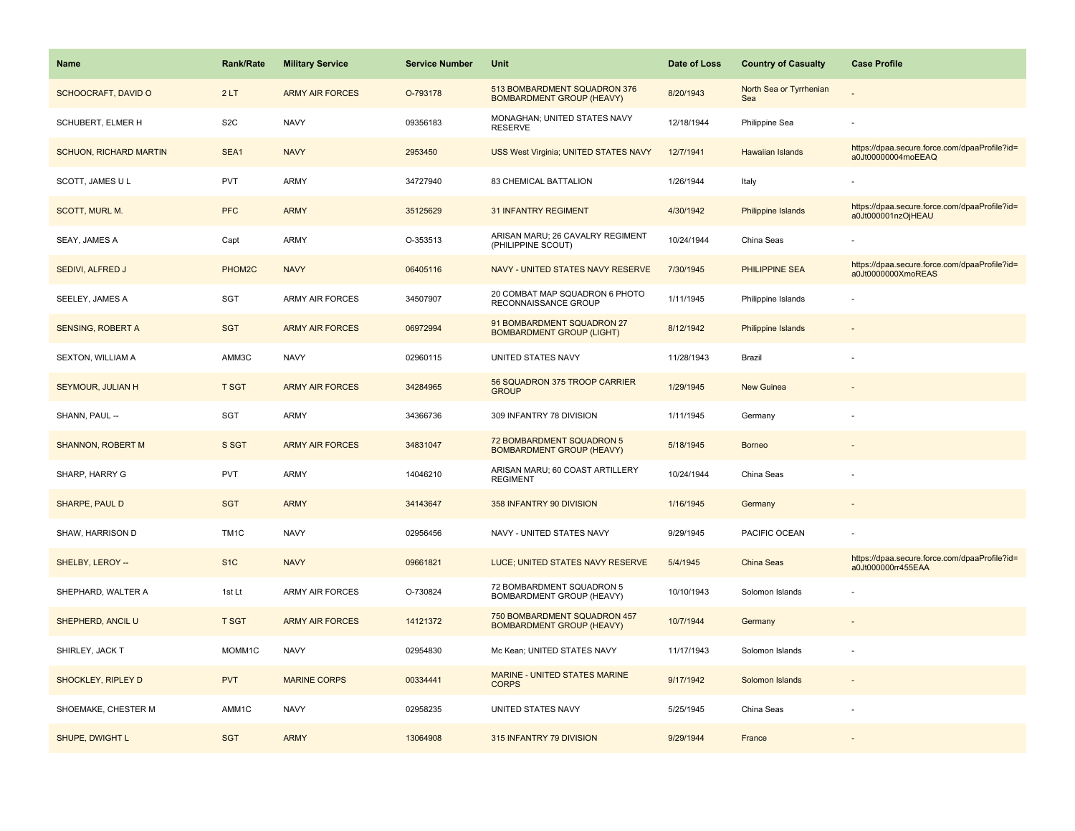| <b>Name</b>                   | <b>Rank/Rate</b>  | <b>Military Service</b> | <b>Service Number</b> | Unit                                                             | Date of Loss | <b>Country of Casualty</b>     | <b>Case Profile</b>                                                 |
|-------------------------------|-------------------|-------------------------|-----------------------|------------------------------------------------------------------|--------------|--------------------------------|---------------------------------------------------------------------|
| <b>SCHOOCRAFT, DAVID O</b>    | 2LT               | <b>ARMY AIR FORCES</b>  | O-793178              | 513 BOMBARDMENT SQUADRON 376<br><b>BOMBARDMENT GROUP (HEAVY)</b> | 8/20/1943    | North Sea or Tyrrhenian<br>Sea |                                                                     |
| SCHUBERT, ELMER H             | S <sub>2</sub> C  | <b>NAVY</b>             | 09356183              | MONAGHAN; UNITED STATES NAVY<br><b>RESERVE</b>                   | 12/18/1944   | Philippine Sea                 |                                                                     |
| <b>SCHUON, RICHARD MARTIN</b> | SEA1              | <b>NAVY</b>             | 2953450               | USS West Virginia; UNITED STATES NAVY                            | 12/7/1941    | <b>Hawaiian Islands</b>        | https://dpaa.secure.force.com/dpaaProfile?id=<br>a0Jt00000004moEEAQ |
| SCOTT, JAMES U L              | <b>PVT</b>        | <b>ARMY</b>             | 34727940              | 83 CHEMICAL BATTALION                                            | 1/26/1944    | Italy                          |                                                                     |
| SCOTT, MURL M.                | <b>PFC</b>        | <b>ARMY</b>             | 35125629              | <b>31 INFANTRY REGIMENT</b>                                      | 4/30/1942    | Philippine Islands             | https://dpaa.secure.force.com/dpaaProfile?id=<br>a0Jt000001nzOjHEAU |
| SEAY, JAMES A                 | Capt              | <b>ARMY</b>             | O-353513              | ARISAN MARU; 26 CAVALRY REGIMENT<br>(PHILIPPINE SCOUT)           | 10/24/1944   | China Seas                     |                                                                     |
| SEDIVI, ALFRED J              | PHOM2C            | <b>NAVY</b>             | 06405116              | NAVY - UNITED STATES NAVY RESERVE                                | 7/30/1945    | <b>PHILIPPINE SEA</b>          | https://dpaa.secure.force.com/dpaaProfile?id=<br>a0Jt0000000XmoREAS |
| SEELEY, JAMES A               | SGT               | <b>ARMY AIR FORCES</b>  | 34507907              | 20 COMBAT MAP SQUADRON 6 PHOTO<br>RECONNAISSANCE GROUP           | 1/11/1945    | Philippine Islands             |                                                                     |
| <b>SENSING, ROBERT A</b>      | <b>SGT</b>        | <b>ARMY AIR FORCES</b>  | 06972994              | 91 BOMBARDMENT SQUADRON 27<br><b>BOMBARDMENT GROUP (LIGHT)</b>   | 8/12/1942    | <b>Philippine Islands</b>      |                                                                     |
| SEXTON, WILLIAM A             | AMM3C             | <b>NAVY</b>             | 02960115              | UNITED STATES NAVY                                               | 11/28/1943   | Brazil                         |                                                                     |
| SEYMOUR, JULIAN H             | <b>T SGT</b>      | <b>ARMY AIR FORCES</b>  | 34284965              | 56 SQUADRON 375 TROOP CARRIER<br><b>GROUP</b>                    | 1/29/1945    | <b>New Guinea</b>              |                                                                     |
| SHANN, PAUL --                | SGT               | <b>ARMY</b>             | 34366736              | 309 INFANTRY 78 DIVISION                                         | 1/11/1945    | Germany                        |                                                                     |
| <b>SHANNON, ROBERT M</b>      | S SGT             | <b>ARMY AIR FORCES</b>  | 34831047              | 72 BOMBARDMENT SQUADRON 5<br><b>BOMBARDMENT GROUP (HEAVY)</b>    | 5/18/1945    | <b>Borneo</b>                  |                                                                     |
| SHARP, HARRY G                | <b>PVT</b>        | <b>ARMY</b>             | 14046210              | ARISAN MARU; 60 COAST ARTILLERY<br><b>REGIMENT</b>               | 10/24/1944   | China Seas                     |                                                                     |
| <b>SHARPE, PAUL D</b>         | <b>SGT</b>        | <b>ARMY</b>             | 34143647              | 358 INFANTRY 90 DIVISION                                         | 1/16/1945    | Germany                        |                                                                     |
| SHAW, HARRISON D              | TM <sub>1</sub> C | <b>NAVY</b>             | 02956456              | NAVY - UNITED STATES NAVY                                        | 9/29/1945    | PACIFIC OCEAN                  |                                                                     |
| SHELBY, LEROY --              | S <sub>1</sub> C  | <b>NAVY</b>             | 09661821              | LUCE; UNITED STATES NAVY RESERVE                                 | 5/4/1945     | China Seas                     | https://dpaa.secure.force.com/dpaaProfile?id=<br>a0Jt000000rr455EAA |
| SHEPHARD, WALTER A            | 1st Lt            | <b>ARMY AIR FORCES</b>  | O-730824              | 72 BOMBARDMENT SQUADRON 5<br>BOMBARDMENT GROUP (HEAVY)           | 10/10/1943   | Solomon Islands                |                                                                     |
| SHEPHERD, ANCIL U             | <b>T SGT</b>      | <b>ARMY AIR FORCES</b>  | 14121372              | 750 BOMBARDMENT SQUADRON 457<br><b>BOMBARDMENT GROUP (HEAVY)</b> | 10/7/1944    | Germany                        |                                                                     |
| SHIRLEY, JACK T               | MOMM1C            | <b>NAVY</b>             | 02954830              | Mc Kean; UNITED STATES NAVY                                      | 11/17/1943   | Solomon Islands                |                                                                     |
| SHOCKLEY, RIPLEY D            | <b>PVT</b>        | <b>MARINE CORPS</b>     | 00334441              | MARINE - UNITED STATES MARINE<br><b>CORPS</b>                    | 9/17/1942    | Solomon Islands                |                                                                     |
| SHOEMAKE, CHESTER M           | AMM1C             | <b>NAVY</b>             | 02958235              | UNITED STATES NAVY                                               | 5/25/1945    | China Seas                     |                                                                     |
| SHUPE, DWIGHT L               | <b>SGT</b>        | <b>ARMY</b>             | 13064908              | 315 INFANTRY 79 DIVISION                                         | 9/29/1944    | France                         |                                                                     |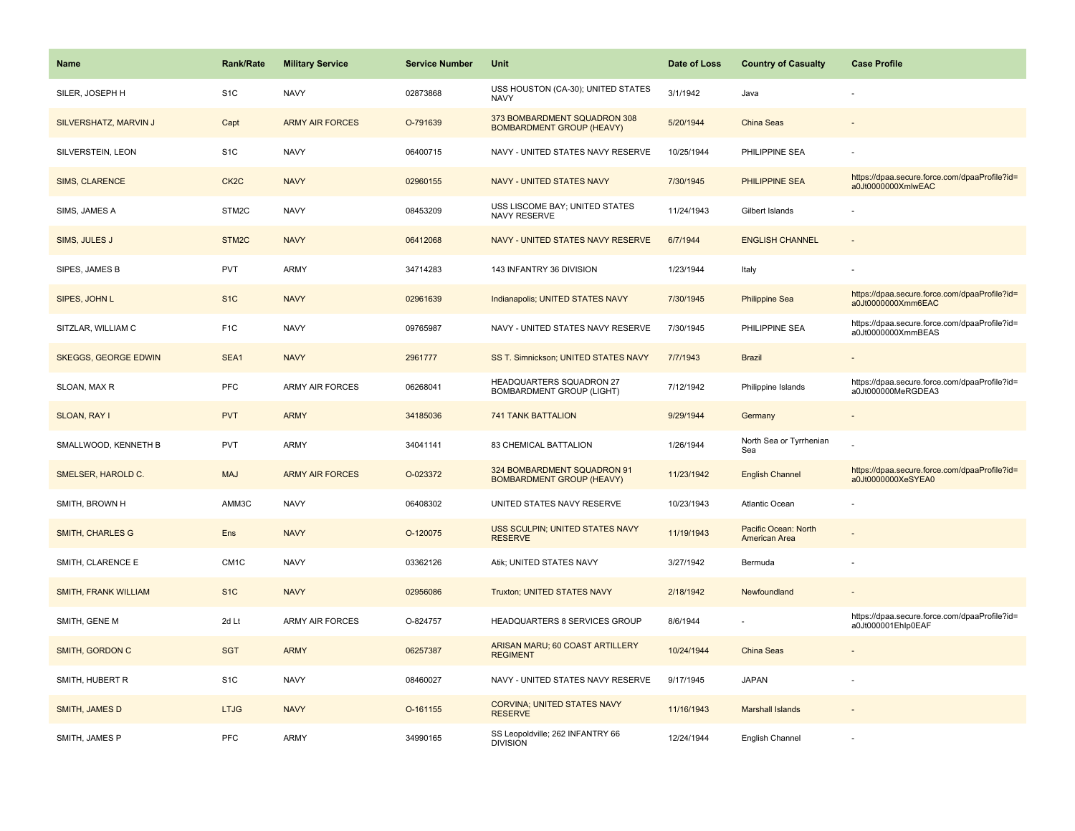| <b>Name</b>                 | <b>Rank/Rate</b>  | <b>Military Service</b> | <b>Service Number</b> | Unit                                                             | Date of Loss | <b>Country of Casualty</b>            | <b>Case Profile</b>                                                 |
|-----------------------------|-------------------|-------------------------|-----------------------|------------------------------------------------------------------|--------------|---------------------------------------|---------------------------------------------------------------------|
| SILER, JOSEPH H             | S <sub>1</sub> C  | <b>NAVY</b>             | 02873868              | USS HOUSTON (CA-30); UNITED STATES<br>NAVY                       | 3/1/1942     | Java                                  |                                                                     |
| SILVERSHATZ, MARVIN J       | Capt              | <b>ARMY AIR FORCES</b>  | O-791639              | 373 BOMBARDMENT SQUADRON 308<br><b>BOMBARDMENT GROUP (HEAVY)</b> | 5/20/1944    | China Seas                            |                                                                     |
| SILVERSTEIN, LEON           | S <sub>1</sub> C  | <b>NAVY</b>             | 06400715              | NAVY - UNITED STATES NAVY RESERVE                                | 10/25/1944   | PHILIPPINE SEA                        |                                                                     |
| <b>SIMS, CLARENCE</b>       | CK <sub>2</sub> C | <b>NAVY</b>             | 02960155              | <b>NAVY - UNITED STATES NAVY</b>                                 | 7/30/1945    | <b>PHILIPPINE SEA</b>                 | https://dpaa.secure.force.com/dpaaProfile?id=<br>a0Jt0000000XmlwEAC |
| SIMS, JAMES A               | STM2C             | <b>NAVY</b>             | 08453209              | USS LISCOME BAY: UNITED STATES<br>NAVY RESERVE                   | 11/24/1943   | Gilbert Islands                       |                                                                     |
| SIMS, JULES J               | STM2C             | <b>NAVY</b>             | 06412068              | NAVY - UNITED STATES NAVY RESERVE                                | 6/7/1944     | <b>ENGLISH CHANNEL</b>                |                                                                     |
| SIPES, JAMES B              | <b>PVT</b>        | <b>ARMY</b>             | 34714283              | 143 INFANTRY 36 DIVISION                                         | 1/23/1944    | Italy                                 |                                                                     |
| SIPES, JOHN L               | S <sub>1</sub> C  | <b>NAVY</b>             | 02961639              | Indianapolis; UNITED STATES NAVY                                 | 7/30/1945    | <b>Philippine Sea</b>                 | https://dpaa.secure.force.com/dpaaProfile?id=<br>a0Jt0000000Xmm6EAC |
| SITZLAR, WILLIAM C          | F <sub>1</sub> C  | <b>NAVY</b>             | 09765987              | NAVY - UNITED STATES NAVY RESERVE                                | 7/30/1945    | PHILIPPINE SEA                        | https://dpaa.secure.force.com/dpaaProfile?id=<br>a0Jt0000000XmmBEAS |
| <b>SKEGGS, GEORGE EDWIN</b> | SEA1              | <b>NAVY</b>             | 2961777               | SS T. Simnickson; UNITED STATES NAVY                             | 7/7/1943     | <b>Brazil</b>                         |                                                                     |
| SLOAN, MAX R                | PFC               | <b>ARMY AIR FORCES</b>  | 06268041              | HEADQUARTERS SQUADRON 27<br><b>BOMBARDMENT GROUP (LIGHT)</b>     | 7/12/1942    | Philippine Islands                    | https://dpaa.secure.force.com/dpaaProfile?id=<br>a0Jt000000MeRGDEA3 |
| SLOAN, RAY I                | <b>PVT</b>        | <b>ARMY</b>             | 34185036              | <b>741 TANK BATTALION</b>                                        | 9/29/1944    | Germany                               |                                                                     |
| SMALLWOOD, KENNETH B        | PVT               | <b>ARMY</b>             | 34041141              | 83 CHEMICAL BATTALION                                            | 1/26/1944    | North Sea or Tyrrhenian<br>Sea        |                                                                     |
| SMELSER, HAROLD C.          | <b>MAJ</b>        | <b>ARMY AIR FORCES</b>  | O-023372              | 324 BOMBARDMENT SQUADRON 91<br><b>BOMBARDMENT GROUP (HEAVY)</b>  | 11/23/1942   | <b>English Channel</b>                | https://dpaa.secure.force.com/dpaaProfile?id=<br>a0Jt0000000XeSYEA0 |
| SMITH, BROWN H              | AMM3C             | <b>NAVY</b>             | 06408302              | UNITED STATES NAVY RESERVE                                       | 10/23/1943   | Atlantic Ocean                        |                                                                     |
| <b>SMITH, CHARLES G</b>     | Ens               | <b>NAVY</b>             | O-120075              | USS SCULPIN; UNITED STATES NAVY<br><b>RESERVE</b>                | 11/19/1943   | Pacific Ocean: North<br>American Area |                                                                     |
| SMITH, CLARENCE E           | CM <sub>1</sub> C | <b>NAVY</b>             | 03362126              | Atik; UNITED STATES NAVY                                         | 3/27/1942    | Bermuda                               |                                                                     |
| <b>SMITH, FRANK WILLIAM</b> | S <sub>1C</sub>   | <b>NAVY</b>             | 02956086              | Truxton; UNITED STATES NAVY                                      | 2/18/1942    | Newfoundland                          |                                                                     |
| SMITH, GENE M               | 2d Lt             | <b>ARMY AIR FORCES</b>  | O-824757              | HEADQUARTERS 8 SERVICES GROUP                                    | 8/6/1944     |                                       | https://dpaa.secure.force.com/dpaaProfile?id=<br>a0Jt000001Ehlp0EAF |
| SMITH, GORDON C             | <b>SGT</b>        | <b>ARMY</b>             | 06257387              | ARISAN MARU; 60 COAST ARTILLERY<br><b>REGIMENT</b>               | 10/24/1944   | China Seas                            |                                                                     |
| SMITH, HUBERT R             | S <sub>1</sub> C  | <b>NAVY</b>             | 08460027              | NAVY - UNITED STATES NAVY RESERVE                                | 9/17/1945    | <b>JAPAN</b>                          |                                                                     |
| SMITH, JAMES D              | <b>LTJG</b>       | <b>NAVY</b>             | O-161155              | <b>CORVINA; UNITED STATES NAVY</b><br><b>RESERVE</b>             | 11/16/1943   | <b>Marshall Islands</b>               |                                                                     |
| SMITH, JAMES P              | PFC               | <b>ARMY</b>             | 34990165              | SS Leopoldville; 262 INFANTRY 66<br><b>DIVISION</b>              | 12/24/1944   | English Channel                       |                                                                     |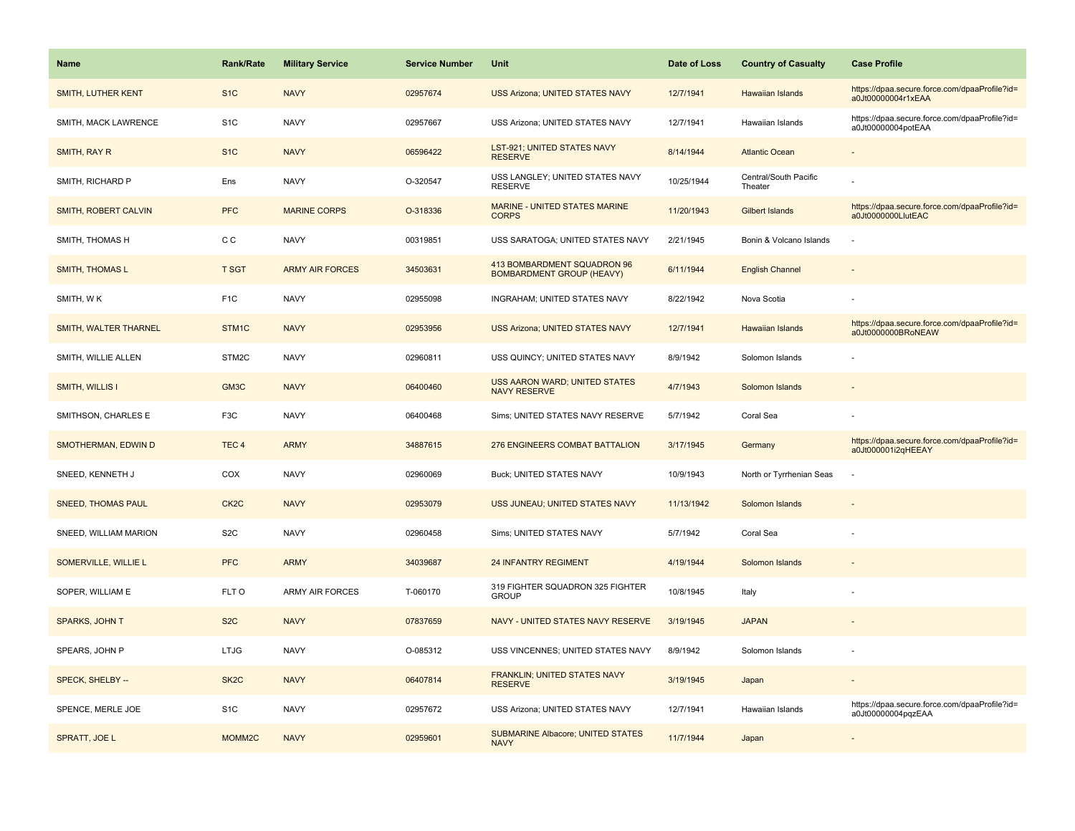| <b>Name</b>               | <b>Rank/Rate</b>   | <b>Military Service</b> | <b>Service Number</b> | <b>Unit</b>                                                     | Date of Loss | <b>Country of Casualty</b>       | <b>Case Profile</b>                                                 |
|---------------------------|--------------------|-------------------------|-----------------------|-----------------------------------------------------------------|--------------|----------------------------------|---------------------------------------------------------------------|
| <b>SMITH, LUTHER KENT</b> | S <sub>1</sub> C   | <b>NAVY</b>             | 02957674              | USS Arizona; UNITED STATES NAVY                                 | 12/7/1941    | Hawaiian Islands                 | https://dpaa.secure.force.com/dpaaProfile?id=<br>a0Jt00000004r1xEAA |
| SMITH, MACK LAWRENCE      | S <sub>1</sub> C   | <b>NAVY</b>             | 02957667              | USS Arizona; UNITED STATES NAVY                                 | 12/7/1941    | Hawaiian Islands                 | https://dpaa.secure.force.com/dpaaProfile?id=<br>a0Jt00000004potEAA |
| SMITH, RAY R              | S <sub>1</sub> C   | <b>NAVY</b>             | 06596422              | LST-921; UNITED STATES NAVY<br><b>RESERVE</b>                   | 8/14/1944    | <b>Atlantic Ocean</b>            |                                                                     |
| SMITH, RICHARD P          | Ens                | <b>NAVY</b>             | O-320547              | USS LANGLEY; UNITED STATES NAVY<br><b>RESERVE</b>               | 10/25/1944   | Central/South Pacific<br>Theater |                                                                     |
| SMITH, ROBERT CALVIN      | <b>PFC</b>         | <b>MARINE CORPS</b>     | O-318336              | MARINE - UNITED STATES MARINE<br><b>CORPS</b>                   | 11/20/1943   | Gilbert Islands                  | https://dpaa.secure.force.com/dpaaProfile?id=<br>a0Jt0000000LlutEAC |
| SMITH, THOMAS H           | C C                | <b>NAVY</b>             | 00319851              | USS SARATOGA; UNITED STATES NAVY                                | 2/21/1945    | Bonin & Volcano Islands          |                                                                     |
| <b>SMITH, THOMAS L</b>    | <b>T SGT</b>       | <b>ARMY AIR FORCES</b>  | 34503631              | 413 BOMBARDMENT SQUADRON 96<br><b>BOMBARDMENT GROUP (HEAVY)</b> | 6/11/1944    | <b>English Channel</b>           |                                                                     |
| SMITH, WK                 | F <sub>1</sub> C   | <b>NAVY</b>             | 02955098              | INGRAHAM; UNITED STATES NAVY                                    | 8/22/1942    | Nova Scotia                      |                                                                     |
| SMITH, WALTER THARNEL     | STM <sub>1C</sub>  | <b>NAVY</b>             | 02953956              | <b>USS Arizona; UNITED STATES NAVY</b>                          | 12/7/1941    | <b>Hawaiian Islands</b>          | https://dpaa.secure.force.com/dpaaProfile?id=<br>a0Jt0000000BRoNEAW |
| SMITH, WILLIE ALLEN       | STM2C              | <b>NAVY</b>             | 02960811              | USS QUINCY; UNITED STATES NAVY                                  | 8/9/1942     | Solomon Islands                  |                                                                     |
| <b>SMITH, WILLIS I</b>    | GM3C               | <b>NAVY</b>             | 06400460              | <b>USS AARON WARD; UNITED STATES</b><br><b>NAVY RESERVE</b>     | 4/7/1943     | Solomon Islands                  |                                                                     |
| SMITHSON, CHARLES E       | F3C                | <b>NAVY</b>             | 06400468              | Sims; UNITED STATES NAVY RESERVE                                | 5/7/1942     | Coral Sea                        |                                                                     |
| SMOTHERMAN, EDWIN D       | TEC <sub>4</sub>   | <b>ARMY</b>             | 34887615              | 276 ENGINEERS COMBAT BATTALION                                  | 3/17/1945    | Germany                          | https://dpaa.secure.force.com/dpaaProfile?id=<br>a0Jt000001i2qHEEAY |
| SNEED, KENNETH J          | COX                | <b>NAVY</b>             | 02960069              | Buck; UNITED STATES NAVY                                        | 10/9/1943    | North or Tyrrhenian Seas         |                                                                     |
| <b>SNEED, THOMAS PAUL</b> | CK <sub>2</sub> C  | <b>NAVY</b>             | 02953079              | USS JUNEAU; UNITED STATES NAVY                                  | 11/13/1942   | Solomon Islands                  |                                                                     |
| SNEED, WILLIAM MARION     | S <sub>2</sub> C   | <b>NAVY</b>             | 02960458              | Sims; UNITED STATES NAVY                                        | 5/7/1942     | Coral Sea                        |                                                                     |
| SOMERVILLE, WILLIE L      | <b>PFC</b>         | <b>ARMY</b>             | 34039687              | <b>24 INFANTRY REGIMENT</b>                                     | 4/19/1944    | Solomon Islands                  |                                                                     |
| SOPER, WILLIAM E          | FLT O              | <b>ARMY AIR FORCES</b>  | T-060170              | 319 FIGHTER SQUADRON 325 FIGHTER<br><b>GROUP</b>                | 10/8/1945    | Italy                            |                                                                     |
| SPARKS, JOHN T            | S <sub>2</sub> C   | <b>NAVY</b>             | 07837659              | NAVY - UNITED STATES NAVY RESERVE                               | 3/19/1945    | <b>JAPAN</b>                     |                                                                     |
| SPEARS, JOHN P            | <b>LTJG</b>        | <b>NAVY</b>             | O-085312              | USS VINCENNES; UNITED STATES NAVY                               | 8/9/1942     | Solomon Islands                  |                                                                     |
| SPECK, SHELBY --          | SK <sub>2</sub> C  | <b>NAVY</b>             | 06407814              | <b>FRANKLIN: UNITED STATES NAVY</b><br><b>RESERVE</b>           | 3/19/1945    | Japan                            |                                                                     |
| SPENCE, MERLE JOE         | S <sub>1</sub> C   | <b>NAVY</b>             | 02957672              | USS Arizona; UNITED STATES NAVY                                 | 12/7/1941    | Hawaiian Islands                 | https://dpaa.secure.force.com/dpaaProfile?id=<br>a0Jt00000004pqzEAA |
| SPRATT, JOE L             | MOMM <sub>2C</sub> | <b>NAVY</b>             | 02959601              | <b>SUBMARINE Albacore; UNITED STATES</b><br><b>NAVY</b>         | 11/7/1944    | Japan                            |                                                                     |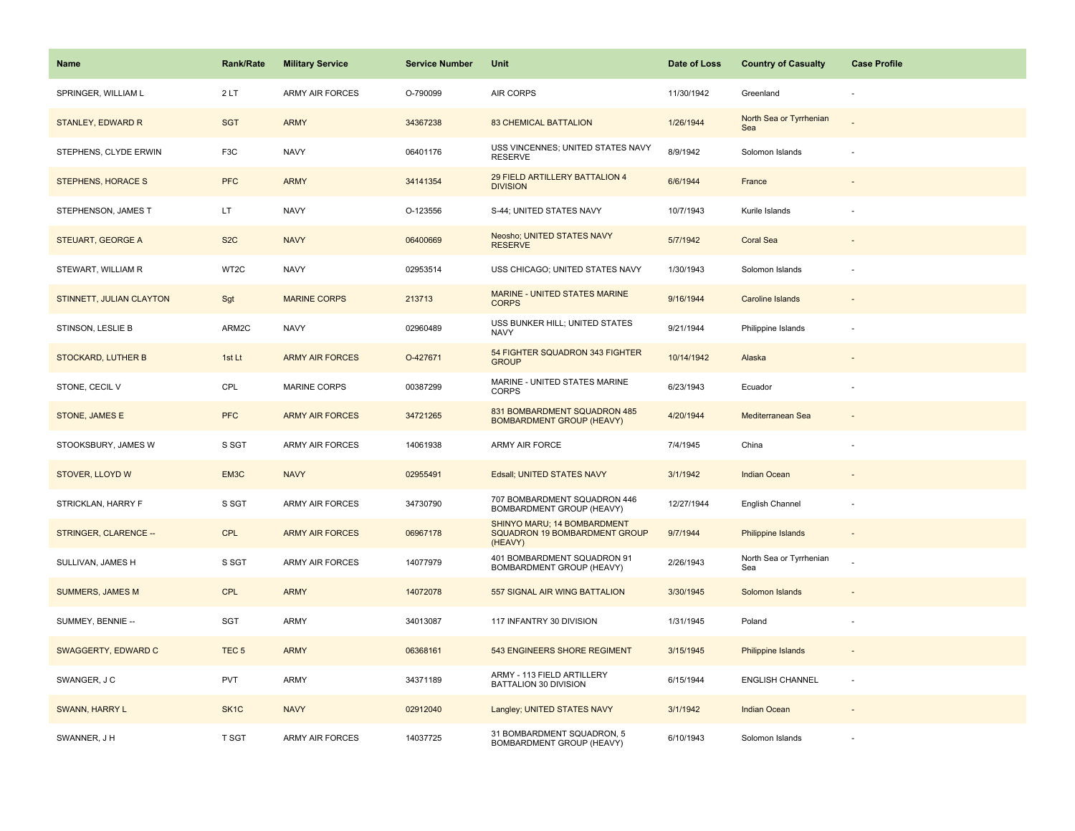| <b>Name</b>               | Rank/Rate         | <b>Military Service</b> | <b>Service Number</b> | Unit                                                                    | Date of Loss | <b>Country of Casualty</b>     | <b>Case Profile</b>      |
|---------------------------|-------------------|-------------------------|-----------------------|-------------------------------------------------------------------------|--------------|--------------------------------|--------------------------|
| SPRINGER, WILLIAM L       | 2LT               | <b>ARMY AIR FORCES</b>  | O-790099              | AIR CORPS                                                               | 11/30/1942   | Greenland                      |                          |
| <b>STANLEY, EDWARD R</b>  | <b>SGT</b>        | <b>ARMY</b>             | 34367238              | <b>83 CHEMICAL BATTALION</b>                                            | 1/26/1944    | North Sea or Tyrrhenian<br>Sea |                          |
| STEPHENS, CLYDE ERWIN     | F <sub>3</sub> C  | <b>NAVY</b>             | 06401176              | USS VINCENNES; UNITED STATES NAVY<br><b>RESERVE</b>                     | 8/9/1942     | Solomon Islands                |                          |
| STEPHENS, HORACE S        | <b>PFC</b>        | <b>ARMY</b>             | 34141354              | 29 FIELD ARTILLERY BATTALION 4<br><b>DIVISION</b>                       | 6/6/1944     | France                         |                          |
| STEPHENSON, JAMES T       | LT.               | <b>NAVY</b>             | O-123556              | S-44; UNITED STATES NAVY                                                | 10/7/1943    | Kurile Islands                 |                          |
| STEUART, GEORGE A         | S <sub>2</sub> C  | <b>NAVY</b>             | 06400669              | Neosho; UNITED STATES NAVY<br><b>RESERVE</b>                            | 5/7/1942     | <b>Coral Sea</b>               |                          |
| STEWART, WILLIAM R        | WT2C              | <b>NAVY</b>             | 02953514              | USS CHICAGO; UNITED STATES NAVY                                         | 1/30/1943    | Solomon Islands                |                          |
| STINNETT, JULIAN CLAYTON  | Sgt               | <b>MARINE CORPS</b>     | 213713                | <b>MARINE - UNITED STATES MARINE</b><br><b>CORPS</b>                    | 9/16/1944    | <b>Caroline Islands</b>        |                          |
| STINSON, LESLIE B         | ARM2C             | <b>NAVY</b>             | 02960489              | USS BUNKER HILL; UNITED STATES<br><b>NAVY</b>                           | 9/21/1944    | Philippine Islands             |                          |
| <b>STOCKARD, LUTHER B</b> | 1st Lt            | <b>ARMY AIR FORCES</b>  | O-427671              | 54 FIGHTER SQUADRON 343 FIGHTER<br><b>GROUP</b>                         | 10/14/1942   | Alaska                         |                          |
| STONE, CECIL V            | CPL               | MARINE CORPS            | 00387299              | MARINE - UNITED STATES MARINE<br>CORPS                                  | 6/23/1943    | Ecuador                        |                          |
| STONE, JAMES E            | <b>PFC</b>        | <b>ARMY AIR FORCES</b>  | 34721265              | 831 BOMBARDMENT SQUADRON 485<br><b>BOMBARDMENT GROUP (HEAVY)</b>        | 4/20/1944    | Mediterranean Sea              |                          |
| STOOKSBURY, JAMES W       | S SGT             | <b>ARMY AIR FORCES</b>  | 14061938              | <b>ARMY AIR FORCE</b>                                                   | 7/4/1945     | China                          |                          |
| STOVER, LLOYD W           | EM3C              | <b>NAVY</b>             | 02955491              | Edsall; UNITED STATES NAVY                                              | 3/1/1942     | Indian Ocean                   |                          |
| STRICKLAN, HARRY F        | S SGT             | ARMY AIR FORCES         | 34730790              | 707 BOMBARDMENT SQUADRON 446<br>BOMBARDMENT GROUP (HEAVY)               | 12/27/1944   | English Channel                | ÷,                       |
| STRINGER, CLARENCE --     | CPL               | <b>ARMY AIR FORCES</b>  | 06967178              | SHINYO MARU; 14 BOMBARDMENT<br>SQUADRON 19 BOMBARDMENT GROUP<br>(HEAVY) | 9/7/1944     | Philippine Islands             |                          |
| SULLIVAN, JAMES H         | S SGT             | ARMY AIR FORCES         | 14077979              | 401 BOMBARDMENT SQUADRON 91<br>BOMBARDMENT GROUP (HEAVY)                | 2/26/1943    | North Sea or Tyrrhenian<br>Sea |                          |
| <b>SUMMERS, JAMES M</b>   | <b>CPL</b>        | <b>ARMY</b>             | 14072078              | 557 SIGNAL AIR WING BATTALION                                           | 3/30/1945    | Solomon Islands                |                          |
| SUMMEY, BENNIE --         | SGT               | <b>ARMY</b>             | 34013087              | 117 INFANTRY 30 DIVISION                                                | 1/31/1945    | Poland                         | ÷,                       |
| SWAGGERTY, EDWARD C       | TEC <sub>5</sub>  | <b>ARMY</b>             | 06368161              | 543 ENGINEERS SHORE REGIMENT                                            | 3/15/1945    | Philippine Islands             | $\overline{\phantom{a}}$ |
| SWANGER, J C              | PVT               | ARMY                    | 34371189              | ARMY - 113 FIELD ARTILLERY<br>BATTALION 30 DIVISION                     | 6/15/1944    | <b>ENGLISH CHANNEL</b>         | $\overline{\phantom{a}}$ |
| SWANN, HARRY L            | SK <sub>1</sub> C | <b>NAVY</b>             | 02912040              | Langley; UNITED STATES NAVY                                             | 3/1/1942     | Indian Ocean                   |                          |
| SWANNER, J H              | T SGT             | ARMY AIR FORCES         | 14037725              | 31 BOMBARDMENT SQUADRON, 5<br>BOMBARDMENT GROUP (HEAVY)                 | 6/10/1943    | Solomon Islands                |                          |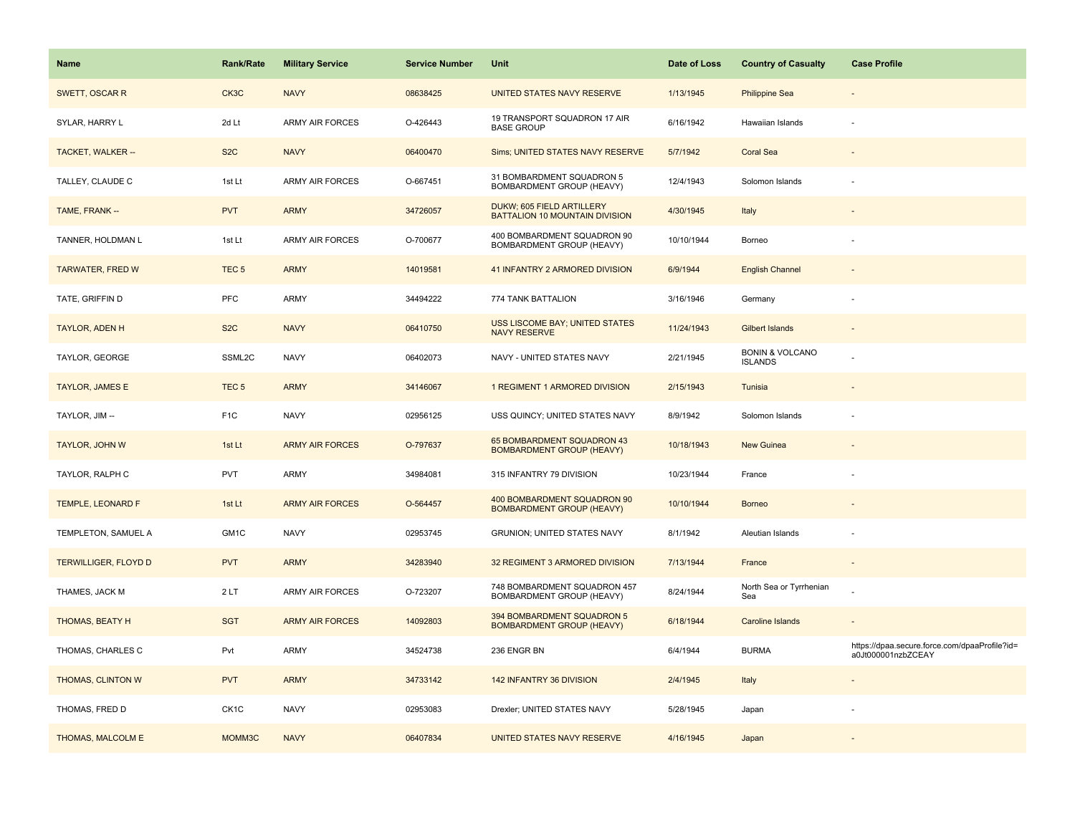| <b>Name</b>                 | <b>Rank/Rate</b>  | <b>Military Service</b> | <b>Service Number</b> | Unit                                                               | Date of Loss | <b>Country of Casualty</b>                   | <b>Case Profile</b>                                                 |
|-----------------------------|-------------------|-------------------------|-----------------------|--------------------------------------------------------------------|--------------|----------------------------------------------|---------------------------------------------------------------------|
| SWETT, OSCAR R              | CK3C              | <b>NAVY</b>             | 08638425              | UNITED STATES NAVY RESERVE                                         | 1/13/1945    | <b>Philippine Sea</b>                        |                                                                     |
| SYLAR, HARRY L              | 2d Lt             | ARMY AIR FORCES         | O-426443              | 19 TRANSPORT SQUADRON 17 AIR<br><b>BASE GROUP</b>                  | 6/16/1942    | Hawaiian Islands                             |                                                                     |
| <b>TACKET, WALKER --</b>    | S <sub>2</sub> C  | <b>NAVY</b>             | 06400470              | Sims; UNITED STATES NAVY RESERVE                                   | 5/7/1942     | <b>Coral Sea</b>                             |                                                                     |
| TALLEY, CLAUDE C            | 1st Lt            | <b>ARMY AIR FORCES</b>  | O-667451              | 31 BOMBARDMENT SQUADRON 5<br>BOMBARDMENT GROUP (HEAVY)             | 12/4/1943    | Solomon Islands                              |                                                                     |
| TAME, FRANK --              | <b>PVT</b>        | <b>ARMY</b>             | 34726057              | DUKW; 605 FIELD ARTILLERY<br><b>BATTALION 10 MOUNTAIN DIVISION</b> | 4/30/1945    | Italy                                        |                                                                     |
| TANNER, HOLDMAN L           | 1st Lt            | <b>ARMY AIR FORCES</b>  | O-700677              | 400 BOMBARDMENT SQUADRON 90<br>BOMBARDMENT GROUP (HEAVY)           | 10/10/1944   | Borneo                                       |                                                                     |
| <b>TARWATER, FRED W</b>     | TEC <sub>5</sub>  | <b>ARMY</b>             | 14019581              | 41 INFANTRY 2 ARMORED DIVISION                                     | 6/9/1944     | <b>English Channel</b>                       |                                                                     |
| TATE, GRIFFIN D             | PFC               | <b>ARMY</b>             | 34494222              | 774 TANK BATTALION                                                 | 3/16/1946    | Germany                                      |                                                                     |
| TAYLOR, ADEN H              | S <sub>2</sub> C  | <b>NAVY</b>             | 06410750              | <b>USS LISCOME BAY; UNITED STATES</b><br><b>NAVY RESERVE</b>       | 11/24/1943   | <b>Gilbert Islands</b>                       |                                                                     |
| TAYLOR, GEORGE              | SSML2C            | <b>NAVY</b>             | 06402073              | NAVY - UNITED STATES NAVY                                          | 2/21/1945    | <b>BONIN &amp; VOLCANO</b><br><b>ISLANDS</b> |                                                                     |
| <b>TAYLOR, JAMES E</b>      | TEC <sub>5</sub>  | <b>ARMY</b>             | 34146067              | 1 REGIMENT 1 ARMORED DIVISION                                      | 2/15/1943    | Tunisia                                      |                                                                     |
| TAYLOR, JIM --              | F <sub>1</sub> C  | <b>NAVY</b>             | 02956125              | USS QUINCY; UNITED STATES NAVY                                     | 8/9/1942     | Solomon Islands                              |                                                                     |
| TAYLOR, JOHN W              | 1st Lt            | <b>ARMY AIR FORCES</b>  | O-797637              | 65 BOMBARDMENT SQUADRON 43<br><b>BOMBARDMENT GROUP (HEAVY)</b>     | 10/18/1943   | New Guinea                                   |                                                                     |
| TAYLOR, RALPH C             | <b>PVT</b>        | <b>ARMY</b>             | 34984081              | 315 INFANTRY 79 DIVISION                                           | 10/23/1944   | France                                       |                                                                     |
| TEMPLE, LEONARD F           | 1st Lt            | <b>ARMY AIR FORCES</b>  | O-564457              | 400 BOMBARDMENT SQUADRON 90<br><b>BOMBARDMENT GROUP (HEAVY)</b>    | 10/10/1944   | <b>Borneo</b>                                |                                                                     |
| TEMPLETON, SAMUEL A         | GM1C              | <b>NAVY</b>             | 02953745              | <b>GRUNION: UNITED STATES NAVY</b>                                 | 8/1/1942     | Aleutian Islands                             |                                                                     |
| <b>TERWILLIGER, FLOYD D</b> | <b>PVT</b>        | <b>ARMY</b>             | 34283940              | 32 REGIMENT 3 ARMORED DIVISION                                     | 7/13/1944    | France                                       |                                                                     |
| THAMES, JACK M              | 2LT               | <b>ARMY AIR FORCES</b>  | O-723207              | 748 BOMBARDMENT SQUADRON 457<br>BOMBARDMENT GROUP (HEAVY)          | 8/24/1944    | North Sea or Tyrrhenian<br>Sea               |                                                                     |
| <b>THOMAS, BEATY H</b>      | <b>SGT</b>        | <b>ARMY AIR FORCES</b>  | 14092803              | 394 BOMBARDMENT SQUADRON 5<br><b>BOMBARDMENT GROUP (HEAVY)</b>     | 6/18/1944    | <b>Caroline Islands</b>                      |                                                                     |
| THOMAS, CHARLES C           | Pvt               | <b>ARMY</b>             | 34524738              | 236 ENGR BN                                                        | 6/4/1944     | <b>BURMA</b>                                 | https://dpaa.secure.force.com/dpaaProfile?id=<br>a0Jt000001nzbZCEAY |
| THOMAS, CLINTON W           | <b>PVT</b>        | <b>ARMY</b>             | 34733142              | 142 INFANTRY 36 DIVISION                                           | 2/4/1945     | Italy                                        |                                                                     |
| THOMAS, FRED D              | CK <sub>1</sub> C | <b>NAVY</b>             | 02953083              | Drexler; UNITED STATES NAVY                                        | 5/28/1945    | Japan                                        |                                                                     |
| THOMAS, MALCOLM E           | MOMM3C            | <b>NAVY</b>             | 06407834              | UNITED STATES NAVY RESERVE                                         | 4/16/1945    | Japan                                        |                                                                     |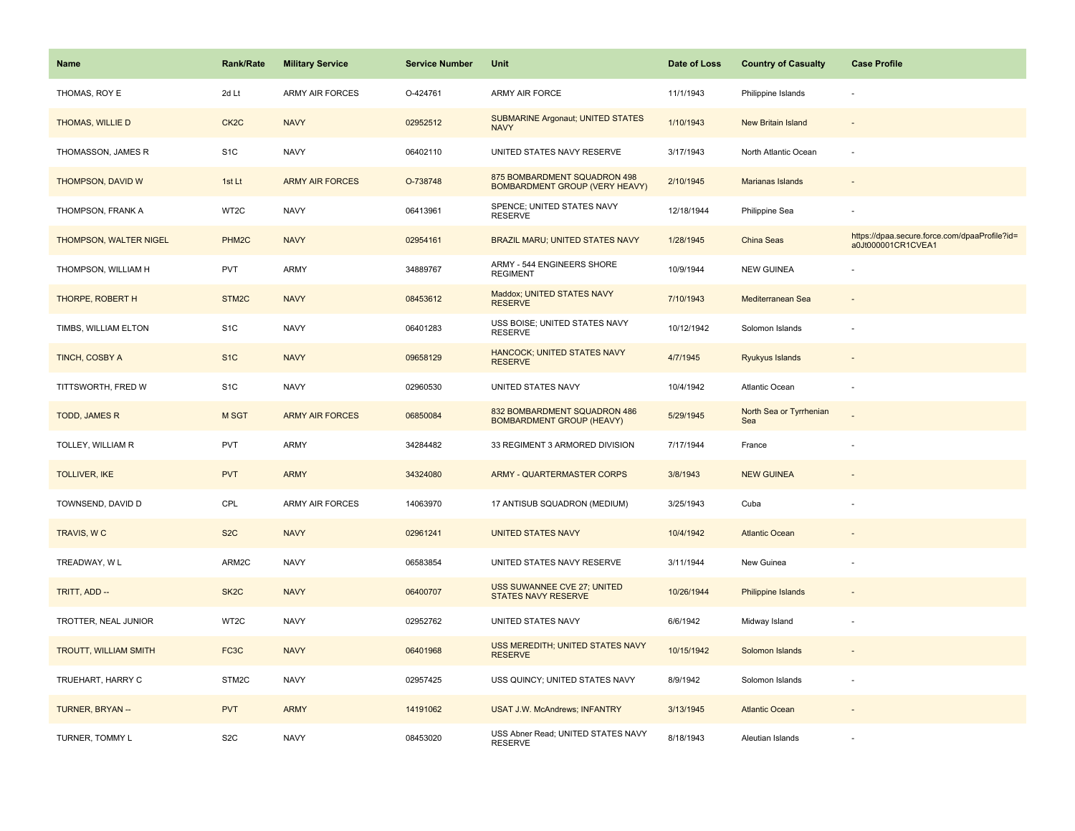| <b>Name</b>                  | <b>Rank/Rate</b>   | <b>Military Service</b> | <b>Service Number</b> | Unit                                                                  | Date of Loss | <b>Country of Casualty</b>     | <b>Case Profile</b>                                                 |
|------------------------------|--------------------|-------------------------|-----------------------|-----------------------------------------------------------------------|--------------|--------------------------------|---------------------------------------------------------------------|
| THOMAS, ROY E                | 2d Lt              | <b>ARMY AIR FORCES</b>  | O-424761              | ARMY AIR FORCE                                                        | 11/1/1943    | Philippine Islands             |                                                                     |
| THOMAS, WILLIE D             | CK <sub>2</sub> C  | <b>NAVY</b>             | 02952512              | <b>SUBMARINE Argonaut; UNITED STATES</b><br><b>NAVY</b>               | 1/10/1943    | New Britain Island             |                                                                     |
| THOMASSON, JAMES R           | S <sub>1</sub> C   | <b>NAVY</b>             | 06402110              | UNITED STATES NAVY RESERVE                                            | 3/17/1943    | North Atlantic Ocean           |                                                                     |
| THOMPSON, DAVID W            | 1st Lt             | <b>ARMY AIR FORCES</b>  | O-738748              | 875 BOMBARDMENT SQUADRON 498<br><b>BOMBARDMENT GROUP (VERY HEAVY)</b> | 2/10/1945    | Marianas Islands               |                                                                     |
| THOMPSON, FRANK A            | WT <sub>2</sub> C  | <b>NAVY</b>             | 06413961              | SPENCE; UNITED STATES NAVY<br><b>RESERVE</b>                          | 12/18/1944   | Philippine Sea                 |                                                                     |
| THOMPSON, WALTER NIGEL       | PHM <sub>2</sub> C | <b>NAVY</b>             | 02954161              | BRAZIL MARU; UNITED STATES NAVY                                       | 1/28/1945    | China Seas                     | https://dpaa.secure.force.com/dpaaProfile?id=<br>a0Jt000001CR1CVEA1 |
| THOMPSON, WILLIAM H          | <b>PVT</b>         | ARMY                    | 34889767              | ARMY - 544 ENGINEERS SHORE<br><b>REGIMENT</b>                         | 10/9/1944    | <b>NEW GUINEA</b>              |                                                                     |
| THORPE, ROBERT H             | STM2C              | <b>NAVY</b>             | 08453612              | Maddox; UNITED STATES NAVY<br><b>RESERVE</b>                          | 7/10/1943    | Mediterranean Sea              |                                                                     |
| TIMBS, WILLIAM ELTON         | S <sub>1</sub> C   | <b>NAVY</b>             | 06401283              | USS BOISE; UNITED STATES NAVY<br><b>RESERVE</b>                       | 10/12/1942   | Solomon Islands                |                                                                     |
| TINCH, COSBY A               | S <sub>1</sub> C   | <b>NAVY</b>             | 09658129              | HANCOCK; UNITED STATES NAVY<br><b>RESERVE</b>                         | 4/7/1945     | Ryukyus Islands                |                                                                     |
| TITTSWORTH, FRED W           | S <sub>1</sub> C   | <b>NAVY</b>             | 02960530              | UNITED STATES NAVY                                                    | 10/4/1942    | Atlantic Ocean                 |                                                                     |
| TODD, JAMES R                | M SGT              | <b>ARMY AIR FORCES</b>  | 06850084              | 832 BOMBARDMENT SQUADRON 486<br><b>BOMBARDMENT GROUP (HEAVY)</b>      | 5/29/1945    | North Sea or Tyrrhenian<br>Sea |                                                                     |
| TOLLEY, WILLIAM R            | <b>PVT</b>         | ARMY                    | 34284482              | 33 REGIMENT 3 ARMORED DIVISION                                        | 7/17/1944    | France                         |                                                                     |
| <b>TOLLIVER, IKE</b>         | <b>PVT</b>         | <b>ARMY</b>             | 34324080              | <b>ARMY - QUARTERMASTER CORPS</b>                                     | 3/8/1943     | <b>NEW GUINEA</b>              |                                                                     |
| TOWNSEND, DAVID D            | CPL                | <b>ARMY AIR FORCES</b>  | 14063970              | 17 ANTISUB SQUADRON (MEDIUM)                                          | 3/25/1943    | Cuba                           |                                                                     |
| TRAVIS, WC                   | S <sub>2</sub> C   | <b>NAVY</b>             | 02961241              | <b>UNITED STATES NAVY</b>                                             | 10/4/1942    | <b>Atlantic Ocean</b>          |                                                                     |
| TREADWAY, W L                | ARM2C              | <b>NAVY</b>             | 06583854              | UNITED STATES NAVY RESERVE                                            | 3/11/1944    | New Guinea                     |                                                                     |
| TRITT, ADD --                | SK <sub>2</sub> C  | <b>NAVY</b>             | 06400707              | USS SUWANNEE CVE 27; UNITED<br><b>STATES NAVY RESERVE</b>             | 10/26/1944   | Philippine Islands             |                                                                     |
| TROTTER, NEAL JUNIOR         | WT2C               | <b>NAVY</b>             | 02952762              | UNITED STATES NAVY                                                    | 6/6/1942     | Midway Island                  |                                                                     |
| <b>TROUTT, WILLIAM SMITH</b> | FC3C               | <b>NAVY</b>             | 06401968              | USS MEREDITH; UNITED STATES NAVY<br><b>RESERVE</b>                    | 10/15/1942   | Solomon Islands                |                                                                     |
| TRUEHART, HARRY C            | STM2C              | <b>NAVY</b>             | 02957425              | USS QUINCY; UNITED STATES NAVY                                        | 8/9/1942     | Solomon Islands                |                                                                     |
| TURNER, BRYAN --             | <b>PVT</b>         | <b>ARMY</b>             | 14191062              | <b>USAT J.W. McAndrews; INFANTRY</b>                                  | 3/13/1945    | <b>Atlantic Ocean</b>          |                                                                     |
| TURNER, TOMMY L              | S <sub>2</sub> C   | <b>NAVY</b>             | 08453020              | USS Abner Read; UNITED STATES NAVY<br><b>RESERVE</b>                  | 8/18/1943    | Aleutian Islands               |                                                                     |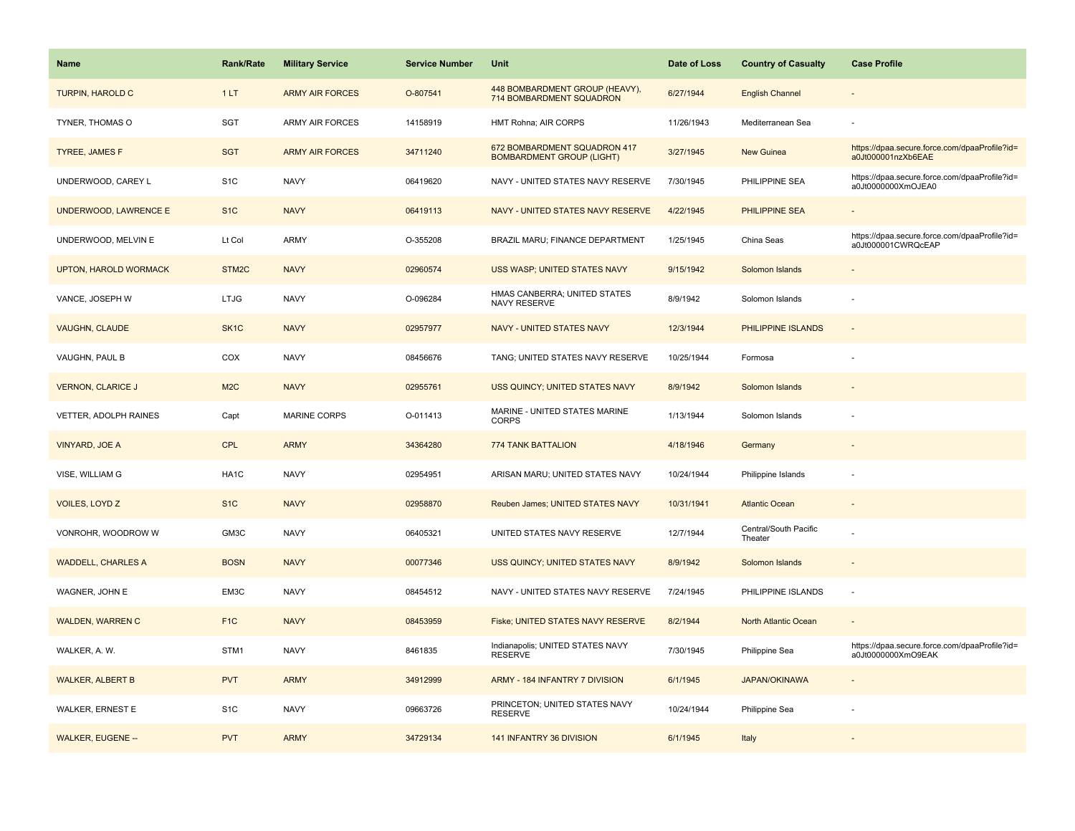| <b>Name</b>                  | <b>Rank/Rate</b>   | <b>Military Service</b> | <b>Service Number</b> | Unit                                                             | Date of Loss | <b>Country of Casualty</b>       | <b>Case Profile</b>                                                 |
|------------------------------|--------------------|-------------------------|-----------------------|------------------------------------------------------------------|--------------|----------------------------------|---------------------------------------------------------------------|
| <b>TURPIN, HAROLD C</b>      | 1LT                | <b>ARMY AIR FORCES</b>  | O-807541              | 448 BOMBARDMENT GROUP (HEAVY),<br>714 BOMBARDMENT SQUADRON       | 6/27/1944    | <b>English Channel</b>           |                                                                     |
| TYNER, THOMAS O              | SGT                | <b>ARMY AIR FORCES</b>  | 14158919              | HMT Rohna; AIR CORPS                                             | 11/26/1943   | Mediterranean Sea                |                                                                     |
| <b>TYREE, JAMES F</b>        | <b>SGT</b>         | <b>ARMY AIR FORCES</b>  | 34711240              | 672 BOMBARDMENT SQUADRON 417<br><b>BOMBARDMENT GROUP (LIGHT)</b> | 3/27/1945    | New Guinea                       | https://dpaa.secure.force.com/dpaaProfile?id=<br>a0Jt000001nzXb6EAE |
| UNDERWOOD, CAREY L           | S <sub>1</sub> C   | <b>NAVY</b>             | 06419620              | NAVY - UNITED STATES NAVY RESERVE                                | 7/30/1945    | PHILIPPINE SEA                   | https://dpaa.secure.force.com/dpaaProfile?id=<br>a0Jt0000000XmOJEA0 |
| UNDERWOOD, LAWRENCE E        | S <sub>1</sub> C   | <b>NAVY</b>             | 06419113              | NAVY - UNITED STATES NAVY RESERVE                                | 4/22/1945    | PHILIPPINE SEA                   |                                                                     |
| UNDERWOOD, MELVIN E          | Lt Col             | ARMY                    | O-355208              | BRAZIL MARU; FINANCE DEPARTMENT                                  | 1/25/1945    | China Seas                       | https://dpaa.secure.force.com/dpaaProfile?id=<br>a0Jt000001CWRQcEAP |
| <b>UPTON, HAROLD WORMACK</b> | STM <sub>2</sub> C | <b>NAVY</b>             | 02960574              | USS WASP; UNITED STATES NAVY                                     | 9/15/1942    | Solomon Islands                  |                                                                     |
| VANCE, JOSEPH W              | <b>LTJG</b>        | <b>NAVY</b>             | O-096284              | HMAS CANBERRA; UNITED STATES<br>NAVY RESERVE                     | 8/9/1942     | Solomon Islands                  |                                                                     |
| <b>VAUGHN, CLAUDE</b>        | SK <sub>1</sub> C  | <b>NAVY</b>             | 02957977              | <b>NAVY - UNITED STATES NAVY</b>                                 | 12/3/1944    | PHILIPPINE ISLANDS               |                                                                     |
| VAUGHN, PAUL B               | COX                | <b>NAVY</b>             | 08456676              | TANG; UNITED STATES NAVY RESERVE                                 | 10/25/1944   | Formosa                          |                                                                     |
| <b>VERNON, CLARICE J</b>     | M2C                | <b>NAVY</b>             | 02955761              | USS QUINCY; UNITED STATES NAVY                                   | 8/9/1942     | Solomon Islands                  |                                                                     |
| VETTER, ADOLPH RAINES        | Capt               | MARINE CORPS            | O-011413              | MARINE - UNITED STATES MARINE<br><b>CORPS</b>                    | 1/13/1944    | Solomon Islands                  |                                                                     |
| <b>VINYARD, JOE A</b>        | <b>CPL</b>         | <b>ARMY</b>             | 34364280              | <b>774 TANK BATTALION</b>                                        | 4/18/1946    | Germany                          |                                                                     |
| VISE, WILLIAM G              | HA <sub>1</sub> C  | <b>NAVY</b>             | 02954951              | ARISAN MARU; UNITED STATES NAVY                                  | 10/24/1944   | Philippine Islands               |                                                                     |
| <b>VOILES, LOYD Z</b>        | S <sub>1C</sub>    | <b>NAVY</b>             | 02958870              | Reuben James; UNITED STATES NAVY                                 | 10/31/1941   | <b>Atlantic Ocean</b>            |                                                                     |
| VONROHR, WOODROW W           | GM3C               | <b>NAVY</b>             | 06405321              | UNITED STATES NAVY RESERVE                                       | 12/7/1944    | Central/South Pacific<br>Theater |                                                                     |
| <b>WADDELL, CHARLES A</b>    | <b>BOSN</b>        | <b>NAVY</b>             | 00077346              | USS QUINCY; UNITED STATES NAVY                                   | 8/9/1942     | Solomon Islands                  |                                                                     |
| WAGNER, JOHN E               | EM3C               | <b>NAVY</b>             | 08454512              | NAVY - UNITED STATES NAVY RESERVE                                | 7/24/1945    | PHILIPPINE ISLANDS               | $\sim$                                                              |
| <b>WALDEN, WARREN C</b>      | F <sub>1C</sub>    | <b>NAVY</b>             | 08453959              | Fiske; UNITED STATES NAVY RESERVE                                | 8/2/1944     | North Atlantic Ocean             |                                                                     |
| WALKER, A. W.                | STM1               | <b>NAVY</b>             | 8461835               | Indianapolis; UNITED STATES NAVY<br><b>RESERVE</b>               | 7/30/1945    | Philippine Sea                   | https://dpaa.secure.force.com/dpaaProfile?id=<br>a0Jt0000000XmO9EAK |
| <b>WALKER, ALBERT B</b>      | <b>PVT</b>         | <b>ARMY</b>             | 34912999              | ARMY - 184 INFANTRY 7 DIVISION                                   | 6/1/1945     | <b>JAPAN/OKINAWA</b>             |                                                                     |
| WALKER, ERNEST E             | S <sub>1</sub> C   | <b>NAVY</b>             | 09663726              | PRINCETON; UNITED STATES NAVY<br><b>RESERVE</b>                  | 10/24/1944   | Philippine Sea                   |                                                                     |
| <b>WALKER, EUGENE --</b>     | <b>PVT</b>         | <b>ARMY</b>             | 34729134              | 141 INFANTRY 36 DIVISION                                         | 6/1/1945     | Italy                            |                                                                     |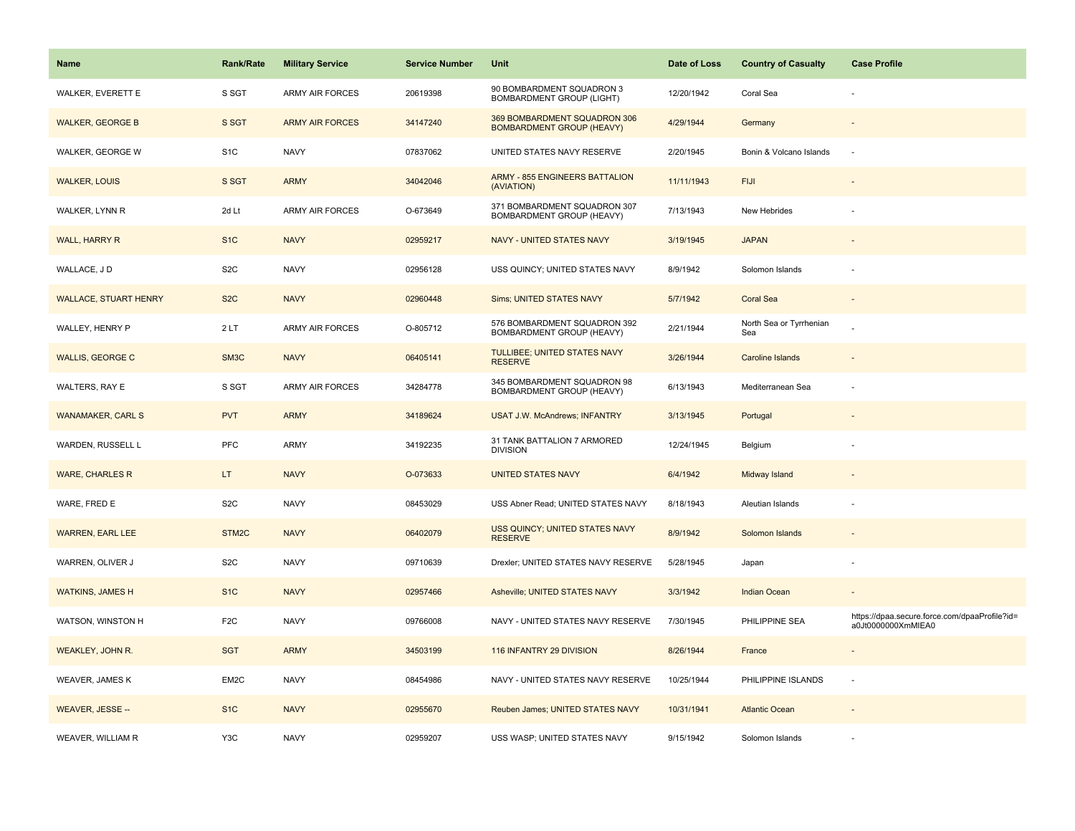| <b>Name</b>                  | <b>Rank/Rate</b>  | <b>Military Service</b> | <b>Service Number</b> | Unit                                                             | Date of Loss | <b>Country of Casualty</b>     | <b>Case Profile</b>                                                 |
|------------------------------|-------------------|-------------------------|-----------------------|------------------------------------------------------------------|--------------|--------------------------------|---------------------------------------------------------------------|
| WALKER, EVERETT E            | S SGT             | <b>ARMY AIR FORCES</b>  | 20619398              | 90 BOMBARDMENT SQUADRON 3<br><b>BOMBARDMENT GROUP (LIGHT)</b>    | 12/20/1942   | Coral Sea                      |                                                                     |
| <b>WALKER, GEORGE B</b>      | S SGT             | <b>ARMY AIR FORCES</b>  | 34147240              | 369 BOMBARDMENT SQUADRON 306<br><b>BOMBARDMENT GROUP (HEAVY)</b> | 4/29/1944    | Germany                        |                                                                     |
| WALKER, GEORGE W             | S <sub>1</sub> C  | <b>NAVY</b>             | 07837062              | UNITED STATES NAVY RESERVE                                       | 2/20/1945    | Bonin & Volcano Islands        |                                                                     |
| <b>WALKER, LOUIS</b>         | S SGT             | <b>ARMY</b>             | 34042046              | <b>ARMY - 855 ENGINEERS BATTALION</b><br>(AVIATION)              | 11/11/1943   | <b>FIJI</b>                    |                                                                     |
| WALKER, LYNN R               | 2d Lt             | ARMY AIR FORCES         | O-673649              | 371 BOMBARDMENT SQUADRON 307<br>BOMBARDMENT GROUP (HEAVY)        | 7/13/1943    | New Hebrides                   |                                                                     |
| WALL, HARRY R                | S <sub>1</sub> C  | <b>NAVY</b>             | 02959217              | NAVY - UNITED STATES NAVY                                        | 3/19/1945    | <b>JAPAN</b>                   |                                                                     |
| WALLACE, JD                  | S <sub>2</sub> C  | <b>NAVY</b>             | 02956128              | USS QUINCY; UNITED STATES NAVY                                   | 8/9/1942     | Solomon Islands                |                                                                     |
| <b>WALLACE, STUART HENRY</b> | S <sub>2</sub> C  | <b>NAVY</b>             | 02960448              | Sims; UNITED STATES NAVY                                         | 5/7/1942     | <b>Coral Sea</b>               |                                                                     |
| WALLEY, HENRY P              | 2LT               | ARMY AIR FORCES         | O-805712              | 576 BOMBARDMENT SQUADRON 392<br>BOMBARDMENT GROUP (HEAVY)        | 2/21/1944    | North Sea or Tyrrhenian<br>Sea |                                                                     |
| <b>WALLIS, GEORGE C</b>      | SM3C              | <b>NAVY</b>             | 06405141              | TULLIBEE; UNITED STATES NAVY<br><b>RESERVE</b>                   | 3/26/1944    | Caroline Islands               |                                                                     |
| WALTERS, RAY E               | S SGT             | <b>ARMY AIR FORCES</b>  | 34284778              | 345 BOMBARDMENT SQUADRON 98<br>BOMBARDMENT GROUP (HEAVY)         | 6/13/1943    | Mediterranean Sea              |                                                                     |
| <b>WANAMAKER, CARL S</b>     | <b>PVT</b>        | <b>ARMY</b>             | 34189624              | <b>USAT J.W. McAndrews; INFANTRY</b>                             | 3/13/1945    | Portugal                       |                                                                     |
| WARDEN, RUSSELL L            | <b>PFC</b>        | ARMY                    | 34192235              | 31 TANK BATTALION 7 ARMORED<br><b>DIVISION</b>                   | 12/24/1945   | Belgium                        |                                                                     |
| <b>WARE, CHARLES R</b>       | LT.               | <b>NAVY</b>             | O-073633              | <b>UNITED STATES NAVY</b>                                        | 6/4/1942     | Midway Island                  |                                                                     |
| WARE, FRED E                 | S <sub>2</sub> C  | <b>NAVY</b>             | 08453029              | USS Abner Read; UNITED STATES NAVY                               | 8/18/1943    | Aleutian Islands               |                                                                     |
| <b>WARREN, EARL LEE</b>      | STM <sub>2C</sub> | <b>NAVY</b>             | 06402079              | USS QUINCY; UNITED STATES NAVY<br><b>RESERVE</b>                 | 8/9/1942     | Solomon Islands                |                                                                     |
| WARREN, OLIVER J             | S <sub>2</sub> C  | <b>NAVY</b>             | 09710639              | Drexler; UNITED STATES NAVY RESERVE                              | 5/28/1945    | Japan                          |                                                                     |
| <b>WATKINS, JAMES H</b>      | S <sub>1</sub> C  | <b>NAVY</b>             | 02957466              | Asheville; UNITED STATES NAVY                                    | 3/3/1942     | Indian Ocean                   |                                                                     |
| WATSON, WINSTON H            | F <sub>2</sub> C  | <b>NAVY</b>             | 09766008              | NAVY - UNITED STATES NAVY RESERVE                                | 7/30/1945    | PHILIPPINE SEA                 | https://dpaa.secure.force.com/dpaaProfile?id=<br>a0Jt0000000XmMIEA0 |
| WEAKLEY, JOHN R.             | <b>SGT</b>        | <b>ARMY</b>             | 34503199              | 116 INFANTRY 29 DIVISION                                         | 8/26/1944    | France                         |                                                                     |
| WEAVER, JAMES K              | EM2C              | <b>NAVY</b>             | 08454986              | NAVY - UNITED STATES NAVY RESERVE                                | 10/25/1944   | PHILIPPINE ISLANDS             | $\sim$                                                              |
| WEAVER, JESSE --             | S <sub>1</sub> C  | <b>NAVY</b>             | 02955670              | Reuben James; UNITED STATES NAVY                                 | 10/31/1941   | <b>Atlantic Ocean</b>          |                                                                     |
| WEAVER, WILLIAM R            | Y3C               | <b>NAVY</b>             | 02959207              | USS WASP; UNITED STATES NAVY                                     | 9/15/1942    | Solomon Islands                |                                                                     |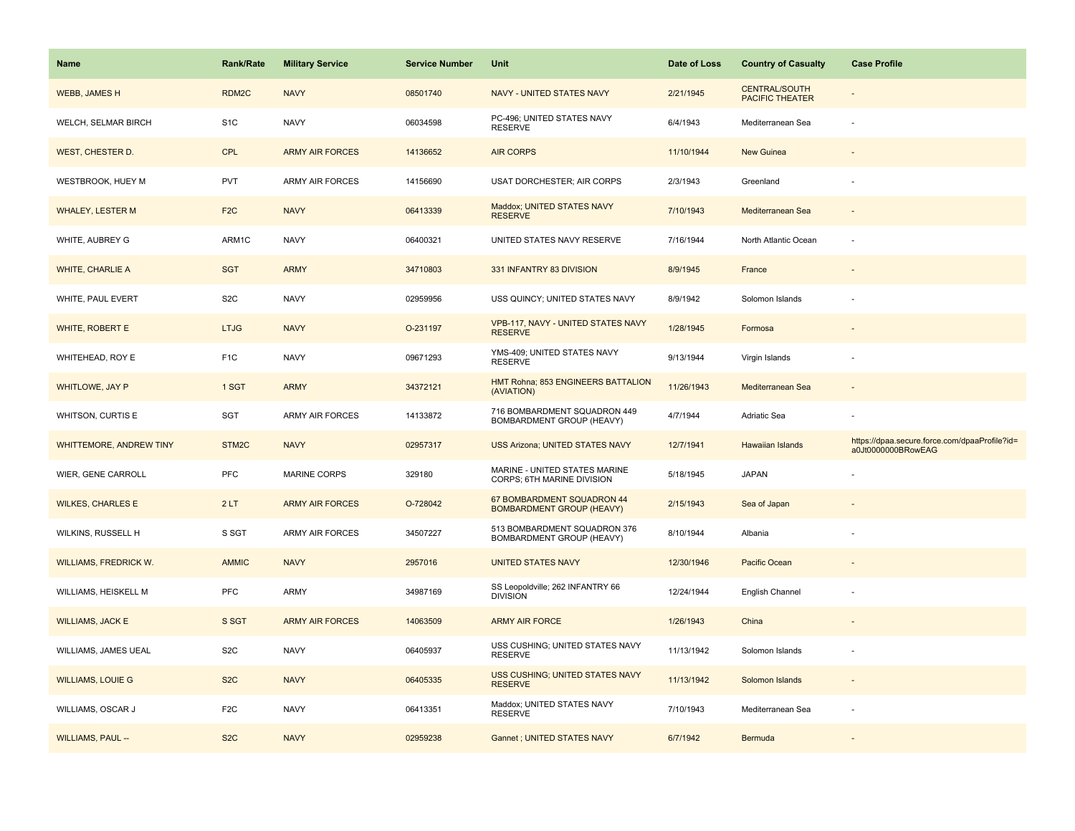| <b>Name</b>                  | <b>Rank/Rate</b>   | <b>Military Service</b> | <b>Service Number</b> | Unit                                                           | Date of Loss | <b>Country of Casualty</b>                     | <b>Case Profile</b>                                                 |
|------------------------------|--------------------|-------------------------|-----------------------|----------------------------------------------------------------|--------------|------------------------------------------------|---------------------------------------------------------------------|
| <b>WEBB, JAMES H</b>         | RDM2C              | <b>NAVY</b>             | 08501740              | <b>NAVY - UNITED STATES NAVY</b>                               | 2/21/1945    | <b>CENTRAL/SOUTH</b><br><b>PACIFIC THEATER</b> |                                                                     |
| WELCH, SELMAR BIRCH          | S <sub>1</sub> C   | <b>NAVY</b>             | 06034598              | PC-496; UNITED STATES NAVY<br><b>RESERVE</b>                   | 6/4/1943     | Mediterranean Sea                              |                                                                     |
| <b>WEST, CHESTER D.</b>      | <b>CPL</b>         | <b>ARMY AIR FORCES</b>  | 14136652              | <b>AIR CORPS</b>                                               | 11/10/1944   | New Guinea                                     |                                                                     |
| WESTBROOK, HUEY M            | <b>PVT</b>         | <b>ARMY AIR FORCES</b>  | 14156690              | <b>USAT DORCHESTER; AIR CORPS</b>                              | 2/3/1943     | Greenland                                      |                                                                     |
| <b>WHALEY, LESTER M</b>      | F <sub>2</sub> C   | <b>NAVY</b>             | 06413339              | Maddox; UNITED STATES NAVY<br><b>RESERVE</b>                   | 7/10/1943    | Mediterranean Sea                              |                                                                     |
| WHITE, AUBREY G              | ARM1C              | <b>NAVY</b>             | 06400321              | UNITED STATES NAVY RESERVE                                     | 7/16/1944    | North Atlantic Ocean                           |                                                                     |
| <b>WHITE, CHARLIE A</b>      | <b>SGT</b>         | <b>ARMY</b>             | 34710803              | 331 INFANTRY 83 DIVISION                                       | 8/9/1945     | France                                         |                                                                     |
| WHITE, PAUL EVERT            | S <sub>2</sub> C   | <b>NAVY</b>             | 02959956              | USS QUINCY; UNITED STATES NAVY                                 | 8/9/1942     | Solomon Islands                                |                                                                     |
| <b>WHITE, ROBERT E</b>       | <b>LTJG</b>        | <b>NAVY</b>             | O-231197              | VPB-117, NAVY - UNITED STATES NAVY<br><b>RESERVE</b>           | 1/28/1945    | Formosa                                        |                                                                     |
| WHITEHEAD, ROY E             | F <sub>1</sub> C   | <b>NAVY</b>             | 09671293              | YMS-409; UNITED STATES NAVY<br><b>RESERVE</b>                  | 9/13/1944    | Virgin Islands                                 |                                                                     |
| WHITLOWE, JAY P              | 1 SGT              | <b>ARMY</b>             | 34372121              | HMT Rohna; 853 ENGINEERS BATTALION<br>(AVIATION)               | 11/26/1943   | Mediterranean Sea                              |                                                                     |
| WHITSON, CURTIS E            | SGT                | <b>ARMY AIR FORCES</b>  | 14133872              | 716 BOMBARDMENT SQUADRON 449<br>BOMBARDMENT GROUP (HEAVY)      | 4/7/1944     | Adriatic Sea                                   |                                                                     |
| WHITTEMORE, ANDREW TINY      | STM <sub>2</sub> C | <b>NAVY</b>             | 02957317              | <b>USS Arizona; UNITED STATES NAVY</b>                         | 12/7/1941    | Hawaiian Islands                               | https://dpaa.secure.force.com/dpaaProfile?id=<br>a0Jt0000000BRowEAG |
| WIER, GENE CARROLL           | <b>PFC</b>         | <b>MARINE CORPS</b>     | 329180                | MARINE - UNITED STATES MARINE<br>CORPS; 6TH MARINE DIVISION    | 5/18/1945    | <b>JAPAN</b>                                   |                                                                     |
| <b>WILKES, CHARLES E</b>     | 2LT                | <b>ARMY AIR FORCES</b>  | O-728042              | 67 BOMBARDMENT SQUADRON 44<br><b>BOMBARDMENT GROUP (HEAVY)</b> | 2/15/1943    | Sea of Japan                                   |                                                                     |
| WILKINS, RUSSELL H           | S SGT              | <b>ARMY AIR FORCES</b>  | 34507227              | 513 BOMBARDMENT SQUADRON 376<br>BOMBARDMENT GROUP (HEAVY)      | 8/10/1944    | Albania                                        |                                                                     |
| <b>WILLIAMS, FREDRICK W.</b> | <b>AMMIC</b>       | <b>NAVY</b>             | 2957016               | <b>UNITED STATES NAVY</b>                                      | 12/30/1946   | Pacific Ocean                                  |                                                                     |
| WILLIAMS, HEISKELL M         | <b>PFC</b>         | ARMY                    | 34987169              | SS Leopoldville; 262 INFANTRY 66<br><b>DIVISION</b>            | 12/24/1944   | English Channel                                |                                                                     |
| <b>WILLIAMS, JACK E</b>      | S SGT              | <b>ARMY AIR FORCES</b>  | 14063509              | <b>ARMY AIR FORCE</b>                                          | 1/26/1943    | China                                          |                                                                     |
| WILLIAMS, JAMES UEAL         | S <sub>2</sub> C   | <b>NAVY</b>             | 06405937              | USS CUSHING; UNITED STATES NAVY<br><b>RESERVE</b>              | 11/13/1942   | Solomon Islands                                |                                                                     |
| <b>WILLIAMS, LOUIE G</b>     | S <sub>2</sub> C   | <b>NAVY</b>             | 06405335              | USS CUSHING; UNITED STATES NAVY<br><b>RESERVE</b>              | 11/13/1942   | Solomon Islands                                |                                                                     |
| WILLIAMS, OSCAR J            | F <sub>2</sub> C   | <b>NAVY</b>             | 06413351              | Maddox; UNITED STATES NAVY<br><b>RESERVE</b>                   | 7/10/1943    | Mediterranean Sea                              |                                                                     |
| <b>WILLIAMS, PAUL --</b>     | S <sub>2</sub> C   | <b>NAVY</b>             | 02959238              | Gannet ; UNITED STATES NAVY                                    | 6/7/1942     | Bermuda                                        |                                                                     |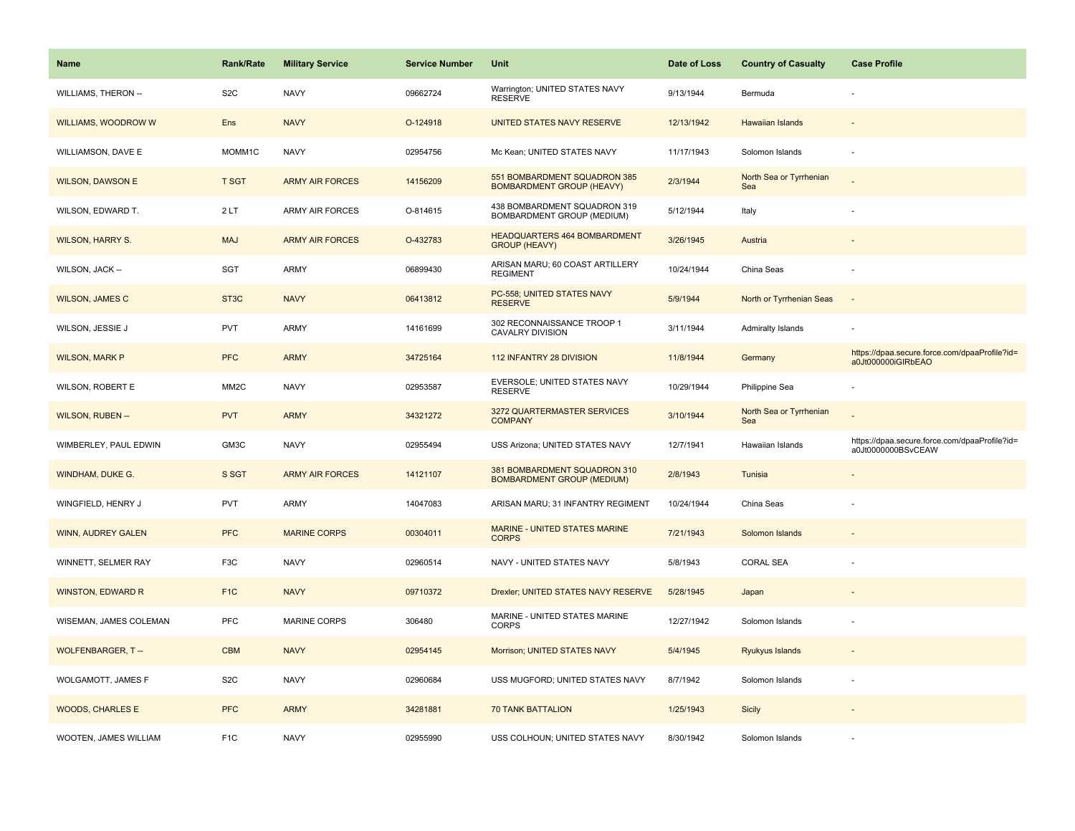| <b>Name</b>                | <b>Rank/Rate</b>  | <b>Military Service</b> | <b>Service Number</b> | Unit                                                              | Date of Loss | <b>Country of Casualty</b>     | <b>Case Profile</b>                                                 |
|----------------------------|-------------------|-------------------------|-----------------------|-------------------------------------------------------------------|--------------|--------------------------------|---------------------------------------------------------------------|
| <b>WILLIAMS, THERON --</b> | S <sub>2</sub> C  | <b>NAVY</b>             | 09662724              | Warrington; UNITED STATES NAVY<br><b>RESERVE</b>                  | 9/13/1944    | Bermuda                        |                                                                     |
| <b>WILLIAMS, WOODROW W</b> | Ens               | <b>NAVY</b>             | O-124918              | UNITED STATES NAVY RESERVE                                        | 12/13/1942   | <b>Hawaiian Islands</b>        |                                                                     |
| WILLIAMSON, DAVE E         | MOMM1C            | <b>NAVY</b>             | 02954756              | Mc Kean; UNITED STATES NAVY                                       | 11/17/1943   | Solomon Islands                |                                                                     |
| <b>WILSON, DAWSON E</b>    | <b>T SGT</b>      | <b>ARMY AIR FORCES</b>  | 14156209              | 551 BOMBARDMENT SQUADRON 385<br><b>BOMBARDMENT GROUP (HEAVY)</b>  | 2/3/1944     | North Sea or Tyrrhenian<br>Sea |                                                                     |
| WILSON, EDWARD T.          | 2LT               | <b>ARMY AIR FORCES</b>  | O-814615              | 438 BOMBARDMENT SQUADRON 319<br>BOMBARDMENT GROUP (MEDIUM)        | 5/12/1944    | Italy                          |                                                                     |
| <b>WILSON, HARRY S.</b>    | <b>MAJ</b>        | <b>ARMY AIR FORCES</b>  | O-432783              | HEADQUARTERS 464 BOMBARDMENT<br><b>GROUP (HEAVY)</b>              | 3/26/1945    | Austria                        |                                                                     |
| WILSON, JACK --            | SGT               | ARMY                    | 06899430              | ARISAN MARU; 60 COAST ARTILLERY<br><b>REGIMENT</b>                | 10/24/1944   | China Seas                     |                                                                     |
| <b>WILSON, JAMES C</b>     | ST <sub>3</sub> C | <b>NAVY</b>             | 06413812              | PC-558; UNITED STATES NAVY<br><b>RESERVE</b>                      | 5/9/1944     | North or Tyrrhenian Seas       |                                                                     |
| WILSON, JESSIE J           | <b>PVT</b>        | ARMY                    | 14161699              | 302 RECONNAISSANCE TROOP 1<br><b>CAVALRY DIVISION</b>             | 3/11/1944    | Admiralty Islands              |                                                                     |
| <b>WILSON, MARK P</b>      | <b>PFC</b>        | <b>ARMY</b>             | 34725164              | 112 INFANTRY 28 DIVISION                                          | 11/8/1944    | Germany                        | https://dpaa.secure.force.com/dpaaProfile?id=<br>a0Jt000000iGIRbEAO |
| <b>WILSON, ROBERT E</b>    | MM <sub>2</sub> C | <b>NAVY</b>             | 02953587              | EVERSOLE; UNITED STATES NAVY<br><b>RESERVE</b>                    | 10/29/1944   | Philippine Sea                 |                                                                     |
| <b>WILSON, RUBEN --</b>    | <b>PVT</b>        | <b>ARMY</b>             | 34321272              | 3272 QUARTERMASTER SERVICES<br><b>COMPANY</b>                     | 3/10/1944    | North Sea or Tyrrhenian<br>Sea |                                                                     |
| WIMBERLEY, PAUL EDWIN      | GM3C              | <b>NAVY</b>             | 02955494              | USS Arizona; UNITED STATES NAVY                                   | 12/7/1941    | Hawaiian Islands               | https://dpaa.secure.force.com/dpaaProfile?id=<br>a0Jt0000000BSvCEAW |
| WINDHAM, DUKE G.           | S SGT             | <b>ARMY AIR FORCES</b>  | 14121107              | 381 BOMBARDMENT SQUADRON 310<br><b>BOMBARDMENT GROUP (MEDIUM)</b> | 2/8/1943     | Tunisia                        |                                                                     |
| WINGFIELD, HENRY J         | <b>PVT</b>        | ARMY                    | 14047083              | ARISAN MARU; 31 INFANTRY REGIMENT                                 | 10/24/1944   | China Seas                     |                                                                     |
| <b>WINN, AUDREY GALEN</b>  | <b>PFC</b>        | <b>MARINE CORPS</b>     | 00304011              | MARINE - UNITED STATES MARINE<br><b>CORPS</b>                     | 7/21/1943    | Solomon Islands                |                                                                     |
| WINNETT, SELMER RAY        | F <sub>3</sub> C  | <b>NAVY</b>             | 02960514              | NAVY - UNITED STATES NAVY                                         | 5/8/1943     | <b>CORAL SEA</b>               |                                                                     |
| <b>WINSTON, EDWARD R</b>   | F <sub>1C</sub>   | <b>NAVY</b>             | 09710372              | Drexler; UNITED STATES NAVY RESERVE                               | 5/28/1945    | Japan                          |                                                                     |
| WISEMAN, JAMES COLEMAN     | <b>PFC</b>        | <b>MARINE CORPS</b>     | 306480                | MARINE - UNITED STATES MARINE<br><b>CORPS</b>                     | 12/27/1942   | Solomon Islands                |                                                                     |
| <b>WOLFENBARGER, T--</b>   | <b>CBM</b>        | <b>NAVY</b>             | 02954145              | Morrison; UNITED STATES NAVY                                      | 5/4/1945     | Ryukyus Islands                |                                                                     |
| WOLGAMOTT, JAMES F         | S <sub>2</sub> C  | <b>NAVY</b>             | 02960684              | USS MUGFORD; UNITED STATES NAVY                                   | 8/7/1942     | Solomon Islands                |                                                                     |
| <b>WOODS, CHARLES E</b>    | <b>PFC</b>        | <b>ARMY</b>             | 34281881              | <b>70 TANK BATTALION</b>                                          | 1/25/1943    | <b>Sicily</b>                  |                                                                     |
| WOOTEN, JAMES WILLIAM      | F <sub>1</sub> C  | <b>NAVY</b>             | 02955990              | USS COLHOUN; UNITED STATES NAVY                                   | 8/30/1942    | Solomon Islands                |                                                                     |